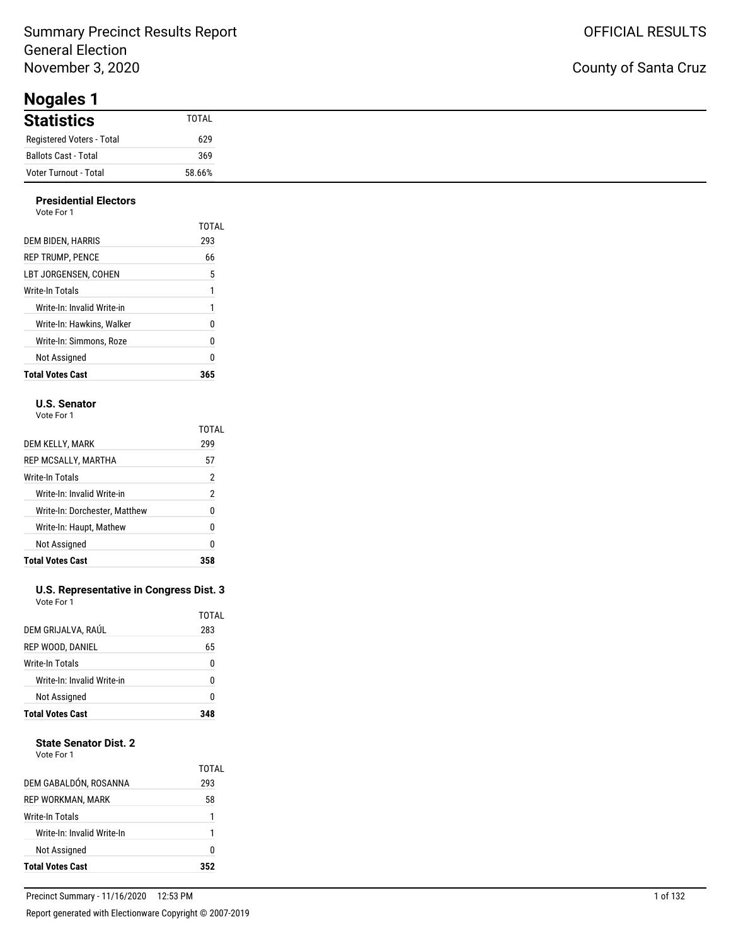### Summary Precinct Results Report General Election November 3, 2020

**Nogales 1**

#### **Presidential Electors**

| Vote For 1 |  |  |
|------------|--|--|
|            |  |  |

|                            | TOTAL |
|----------------------------|-------|
| DEM BIDEN, HARRIS          | 293   |
| <b>REP TRUMP, PENCE</b>    | 66    |
| LBT JORGENSEN. COHEN       | 5     |
| Write-In Totals            | 1     |
| Write-In: Invalid Write-in | 1     |
| Write-In: Hawkins. Walker  | 0     |
| Write-In: Simmons. Roze    | 0     |
| Not Assigned               | Ω     |
| <b>Total Votes Cast</b>    |       |

#### **U.S. Senator**

Vote For 1

|                               | TOTAL |
|-------------------------------|-------|
| DEM KELLY, MARK               | 299   |
| REP MCSALLY, MARTHA           | 57    |
| Write-In Totals               | 2     |
| Write-In: Invalid Write-in    | 2     |
| Write-In: Dorchester, Matthew | N     |
| Write-In: Haupt, Mathew       | 0     |
| Not Assigned                  | 0     |
| <b>Total Votes Cast</b>       |       |

#### **U.S. Representative in Congress Dist. 3** Vote For 1

| TOTAL<br>DEM GRIJALVA, RAÚL<br>283<br>65<br>REP WOOD, DANIEL<br>Write-In Totals<br>0<br>Write-In: Invalid Write-in<br>U<br>Not Assigned<br>0 | <b>Total Votes Cast</b> |  |
|----------------------------------------------------------------------------------------------------------------------------------------------|-------------------------|--|
|                                                                                                                                              |                         |  |
|                                                                                                                                              |                         |  |
|                                                                                                                                              |                         |  |
|                                                                                                                                              |                         |  |
|                                                                                                                                              |                         |  |

#### **State Senator Dist. 2**

| Vote For |  |
|----------|--|
|          |  |

| DEM GABALDÓN, ROSANNA      | TOTAL<br>293 |
|----------------------------|--------------|
| REP WORKMAN, MARK          | 58           |
| Write-In Totals            | 1            |
| Write-In: Invalid Write-In | 1            |
| Not Assigned               | N            |
| <b>Total Votes Cast</b>    |              |

### County of Santa Cruz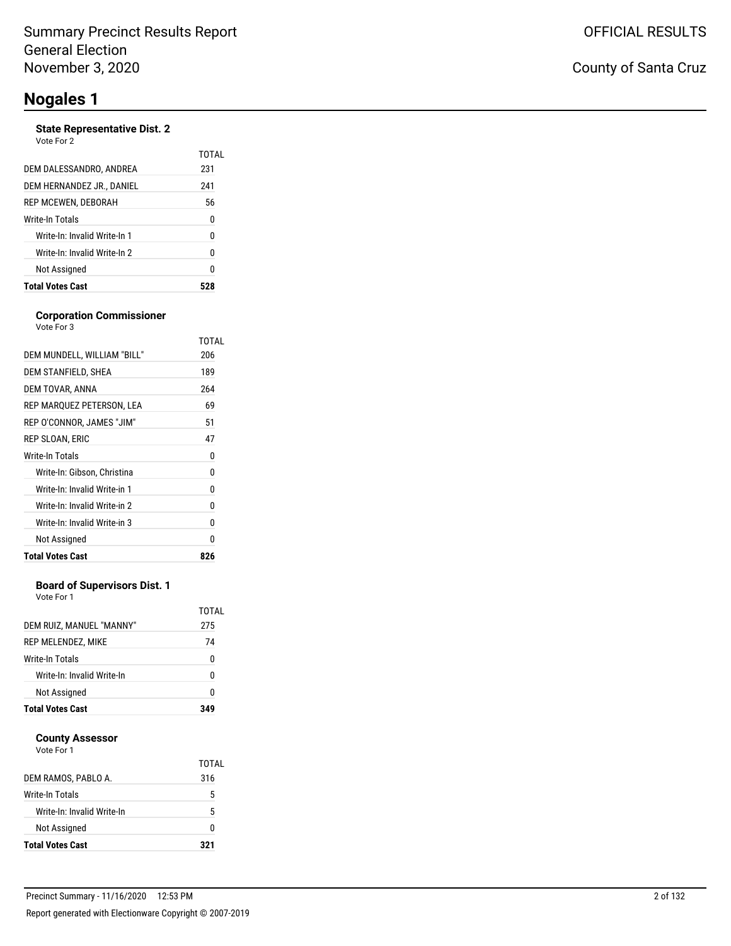#### **State Representative Dist. 2** Vote For

| <b>Total Votes Cast</b>      | 28    |
|------------------------------|-------|
| Not Assigned                 | 0     |
| Write-In: Invalid Write-In 2 | 0     |
| Write-In: Invalid Write-In 1 | 0     |
| Write-In Totals              | 0     |
| REP MCEWEN, DEBORAH          | 56    |
| DEM HERNANDEZ JR., DANIEL    | 241   |
| DEM DALESSANDRO, ANDREA      | 231   |
| VOLE FOI Z                   | TOTAL |

#### **Corporation Commissioner** Vote For 3

|                              | TOTAL |
|------------------------------|-------|
| DEM MUNDELL, WILLIAM "BILL"  | 206   |
| DEM STANFIELD, SHEA          | 189   |
| DEM TOVAR, ANNA              | 264   |
| REP MARQUEZ PETERSON, LEA    | 69    |
| REP O'CONNOR, JAMES "JIM"    | 51    |
| REP SLOAN, ERIC              | 47    |
| Write-In Totals              | 0     |
| Write-In: Gibson, Christina  | 0     |
| Write-In: Invalid Write-in 1 | 0     |
| Write-In: Invalid Write-in 2 | 0     |
| Write-In: Invalid Write-in 3 | 0     |
| Not Assigned                 | N     |
| <b>Total Votes Cast</b>      | 826   |

#### **Board of Supervisors Dist. 1**

Vote For 1

| REP MELENDEZ, MIKE<br>Write-In Totals<br>Write-In: Invalid Write-In<br>Not Assigned | 0<br>N<br>N  |
|-------------------------------------------------------------------------------------|--------------|
|                                                                                     |              |
|                                                                                     |              |
|                                                                                     |              |
|                                                                                     | 74           |
| DEM RUIZ, MANUEL "MANNY"                                                            | TOTAL<br>275 |

#### **County Assessor**

| DEM RAMOS, PABLO A.        | TOTAI<br>316 |
|----------------------------|--------------|
| Write-In Totals            | 5            |
| Write-In: Invalid Write-In | 5            |
| Not Assigned               | O            |
| <b>Total Votes Cast</b>    | 321          |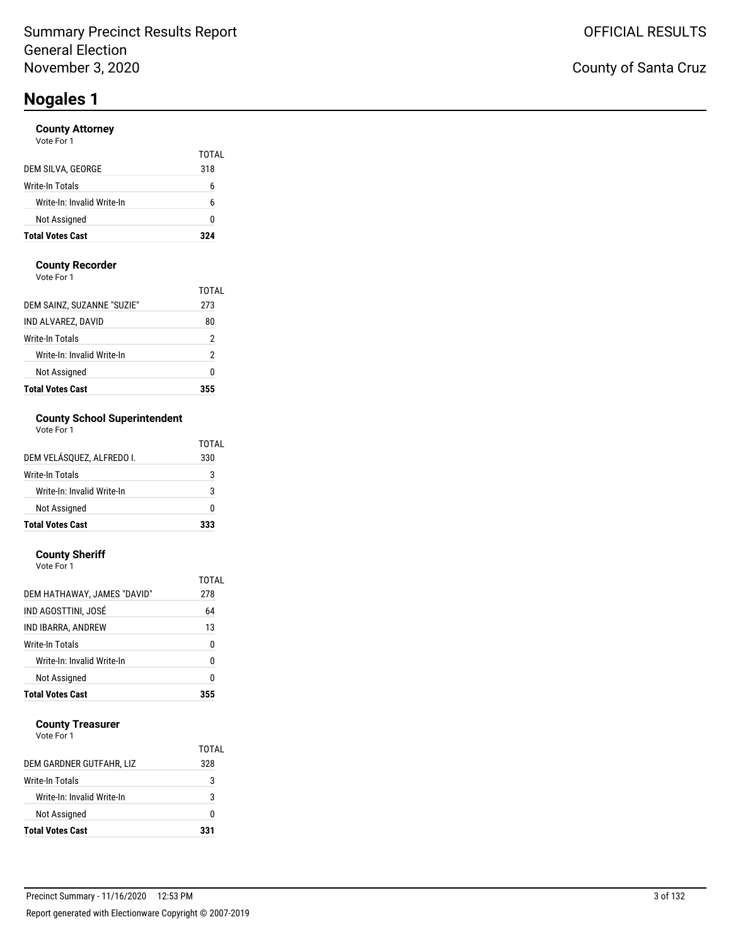#### **County Attorney**

| Vote For 1 |  |  |
|------------|--|--|
|            |  |  |

|                            | TOTAL |
|----------------------------|-------|
| DEM SILVA, GEORGE          | 318   |
| Write-In Totals            | h     |
| Write-In: Invalid Write-In | 6     |
| Not Assigned               | n     |
| <b>Total Votes Cast</b>    | 324   |

#### **County Recorder**

Vote For 1

| <b>Total Votes Cast</b>    |       |
|----------------------------|-------|
| Not Assigned               | Ω     |
| Write-In: Invalid Write-In | 2     |
| Write-In Totals            | 2     |
| IND ALVAREZ, DAVID         | 80    |
| DEM SAINZ, SUZANNE "SUZIE" | 273   |
|                            | TOTAI |

### **County School Superintendent**

| Vote For 1 |  |
|------------|--|
|------------|--|

| <b>Total Votes Cast</b>    | 333   |
|----------------------------|-------|
| Not Assigned               | ŋ     |
| Write-In: Invalid Write-In | 3     |
| Write-In Totals            | 3     |
| DEM VELÁSOUEZ. ALFREDO I.  | 330   |
|                            | TOTAL |

#### **County Sheriff**

| <b>Total Votes Cast</b>     | 355   |
|-----------------------------|-------|
| Not Assigned                | 0     |
| Write-In: Invalid Write-In  | 0     |
| Write-In Totals             | 0     |
| IND IBARRA, ANDREW          | 13    |
| IND AGOSTTINI, JOSÉ         | 64    |
| DEM HATHAWAY, JAMES "DAVID" | 278   |
|                             | TOTAL |
| Vote For 1                  |       |

#### **County Treasurer**

|                            | TOTAL |
|----------------------------|-------|
| DEM GARDNER GUTFAHR, LIZ   | 328   |
| Write-In Totals            | 3     |
| Write-In: Invalid Write-In | 3     |
| <b>Not Assigned</b>        | O     |
| <b>Total Votes Cast</b>    | 331   |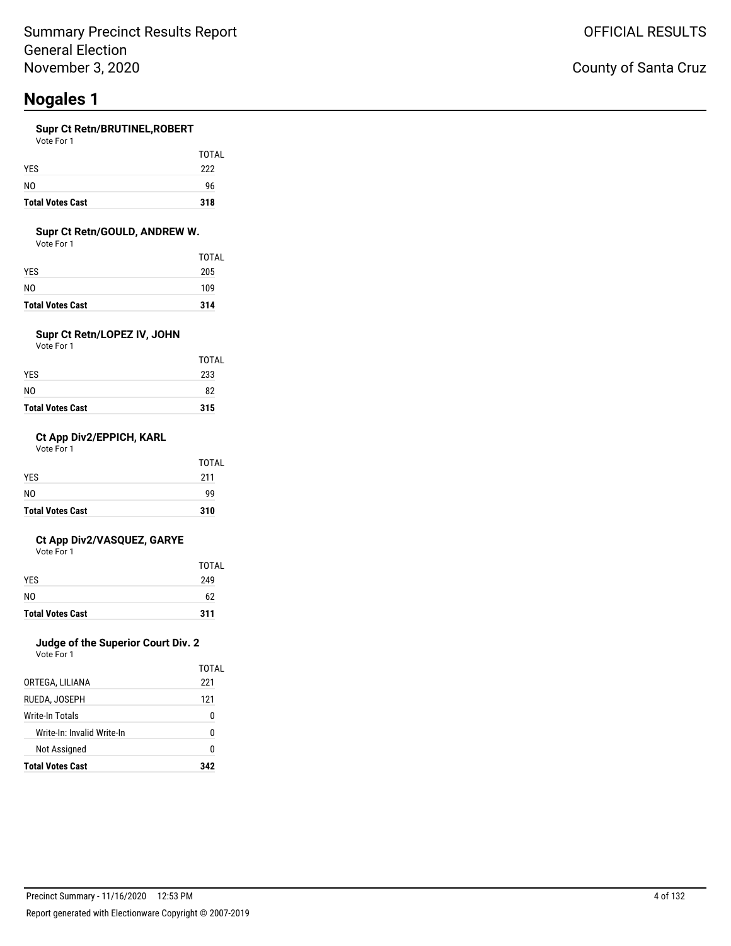#### **Supr Ct Retn/BRUTINEL,ROBERT**

| <b>Total Votes Cast</b> | 318   |
|-------------------------|-------|
| N <sub>0</sub>          | 96    |
| <b>YES</b>              | 222   |
|                         | TOTAL |
| Vote For 1              |       |

#### **Supr Ct Retn/GOULD, ANDREW W.**

Vote For 1

| <b>Total Votes Cast</b> | 314   |
|-------------------------|-------|
| NO                      | 109   |
| YES                     | 205   |
|                         | TOTAL |

### **Supr Ct Retn/LOPEZ IV, JOHN**

Vote For 1

| <b>Total Votes Cast</b> | 315   |
|-------------------------|-------|
| NO                      | 82    |
| YES                     | 233   |
|                         | TOTAL |

#### **Ct App Div2/EPPICH, KARL**

Vote For 1

| <b>Total Votes Cast</b> | 310   |
|-------------------------|-------|
| N <sub>0</sub>          | 99    |
| <b>YES</b>              | 211   |
|                         | TOTAL |

#### **Ct App Div2/VASQUEZ, GARYE**

Vote For 1

|                         | TOTAL |
|-------------------------|-------|
| <b>YES</b>              | 249   |
| N <sub>0</sub>          | 62    |
| <b>Total Votes Cast</b> | 311   |

### **Judge of the Superior Court Div. 2**

|                            | TOTAL |
|----------------------------|-------|
| ORTEGA, LILIANA            | 221   |
| RUEDA. JOSEPH              | 121   |
| Write-In Totals            | O     |
| Write-In: Invalid Write-In | n     |
| Not Assigned               | n     |
| <b>Total Votes Cast</b>    | 342   |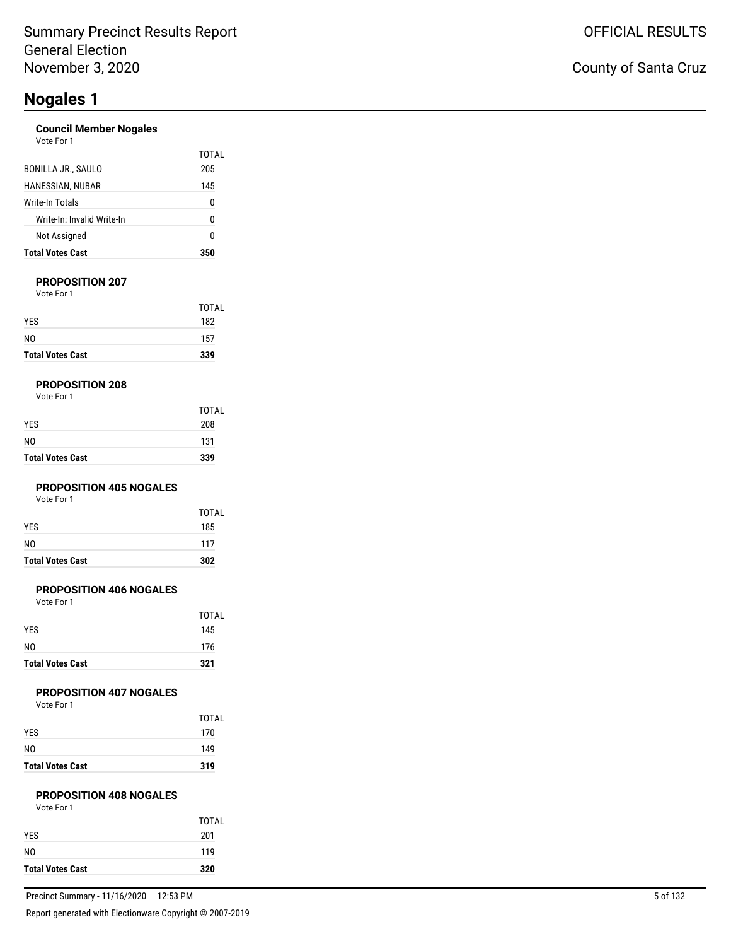#### **Council Member Nogales**

| <b>Total Votes Cast</b>    | 350   |
|----------------------------|-------|
| Not Assigned               | 0     |
| Write-In: Invalid Write-In | 0     |
| Write-In Totals            | 0     |
| HANESSIAN, NUBAR           | 145   |
| BONILLA JR., SAULO         | 205   |
| Vote For 1                 | TOTAL |

#### **PROPOSITION 207**

Vote For 1

| <b>Total Votes Cast</b> | 339   |
|-------------------------|-------|
| NO.                     | 157   |
| <b>YES</b>              | 182   |
|                         | TOTAL |

#### **PROPOSITION 208**

| Vote For 1 |  |  |  |
|------------|--|--|--|
|------------|--|--|--|

| <b>Total Votes Cast</b> | 339   |
|-------------------------|-------|
| NO                      | 131   |
| YES                     | 208   |
|                         | TOTAL |

#### **PROPOSITION 405 NOGALES**

Vote For 1

| <b>Total Votes Cast</b> | 302          |
|-------------------------|--------------|
| NO                      | 117          |
| <b>YES</b>              | 185          |
|                         | <b>TOTAL</b> |

#### **PROPOSITION 406 NOGALES**

Vote For 1

| TOTAL |
|-------|
| 145   |
| 176   |
| 321   |
|       |

#### **PROPOSITION 407 NOGALES**

Vote For 1

|                         | <b>TOTAL</b> |
|-------------------------|--------------|
| <b>YES</b>              | 170          |
| NO.                     | 149          |
| <b>Total Votes Cast</b> | 319          |

### **PROPOSITION 408 NOGALES**

| Vote For 1 |  |
|------------|--|
|------------|--|

| <b>Total Votes Cast</b> | 320   |
|-------------------------|-------|
| N <sub>0</sub>          | 119   |
| <b>YES</b>              | 201   |
|                         | TOTAL |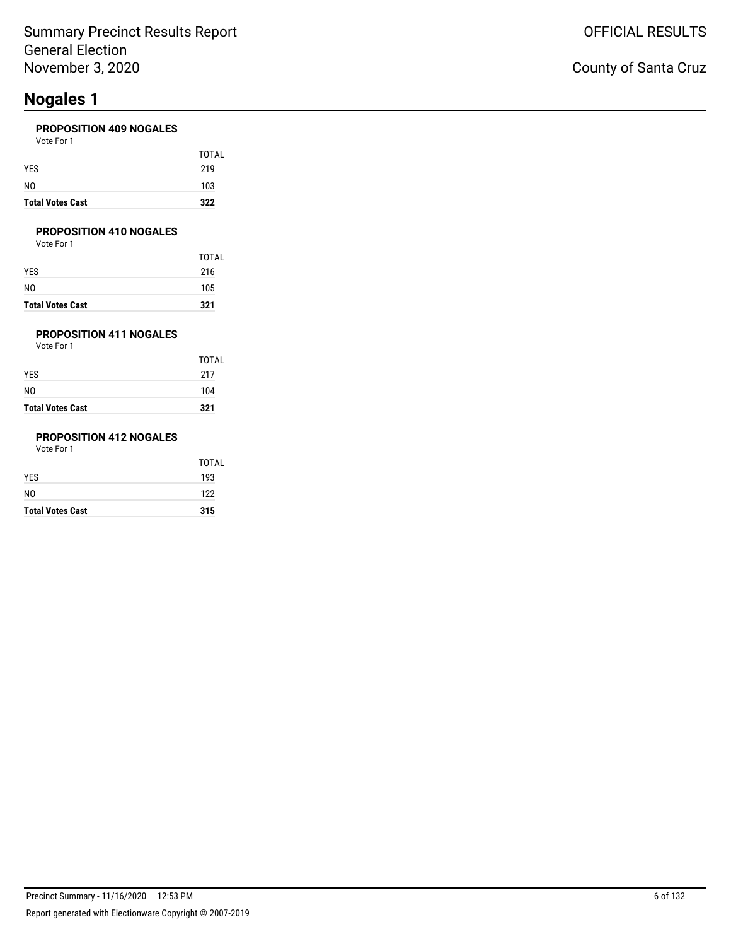#### **PROPOSITION 409 NOGALES**

| <b>Total Votes Cast</b> | 322   |
|-------------------------|-------|
| NO                      | 103   |
| YES                     | 219   |
|                         | TOTAL |
| Vote For 1              |       |

#### **PROPOSITION 410 NOGALES**

Vote For 1

|                         | <b>TOTAL</b> |
|-------------------------|--------------|
| YES                     | 216          |
| NO                      | 105          |
| <b>Total Votes Cast</b> | 321          |

### **PROPOSITION 411 NOGALES**

Vote For 1

| <b>Total Votes Cast</b> | 321   |
|-------------------------|-------|
| NO                      | 104   |
| YES                     | 217   |
|                         | TOTAL |

### **PROPOSITION 412 NOGALES**

| <b>Total Votes Cast</b> | 315          |
|-------------------------|--------------|
| NO                      | 122          |
| YES                     | 193          |
|                         | <b>TOTAL</b> |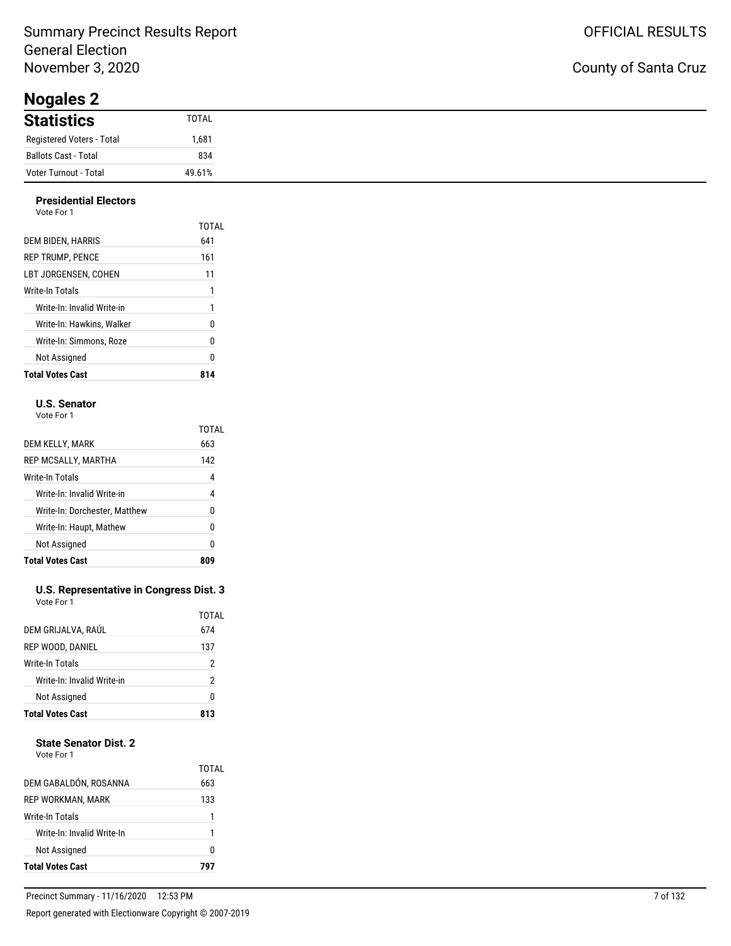### Summary Precinct Results Report General Election November 3, 2020

**Nogales 2**

## County of Santa Cruz

| $110$ guito $\sim$        |        |
|---------------------------|--------|
| <b>Statistics</b>         | TOTAL  |
| Registered Voters - Total | .681   |
| Ballots Cast - Total      | 834    |
| Voter Turnout - Total     | 49.61% |

#### **Presidential Electors**

| <b>Total Votes Cast</b>    |       |
|----------------------------|-------|
| Not Assigned               | Ω     |
| Write-In: Simmons, Roze    | 0     |
| Write-In: Hawkins. Walker  | 0     |
| Write-In: Invalid Write-in | 1     |
| Write-In Totals            | 1     |
| LBT JORGENSEN. COHEN       | 11    |
| <b>REP TRUMP, PENCE</b>    | 161   |
| DEM BIDEN, HARRIS          | 641   |
|                            | TOTAL |
| Vote For 1                 |       |

#### **U.S. Senator**

Vote For 1

|                               | TOTAL |
|-------------------------------|-------|
| DEM KELLY, MARK               | 663   |
| REP MCSALLY, MARTHA           | 142   |
| Write-In Totals               | 4     |
| Write-In: Invalid Write-in    | 4     |
| Write-In: Dorchester, Matthew | N     |
| Write-In: Haupt, Mathew       | 0     |
| Not Assigned                  | 0     |
| <b>Total Votes Cast</b>       |       |

#### **U.S. Representative in Congress Dist. 3** Vote For 1

| <b>Total Votes Cast</b>    | 813          |
|----------------------------|--------------|
| Not Assigned               | 0            |
| Write-In: Invalid Write-in | 2            |
| Write-In Totals            | 2            |
| REP WOOD, DANIEL           | 137          |
| DEM GRIJALVA, RAÚL         | TOTAL<br>674 |
|                            |              |

#### **State Senator Dist. 2**

| DEM GABALDÓN, ROSANNA      | TOTAL<br>663 |
|----------------------------|--------------|
| REP WORKMAN, MARK          | 133          |
| Write-In Totals            |              |
| Write-In: Invalid Write-In | 1            |
| Not Assigned               | 0            |
| <b>Total Votes Cast</b>    |              |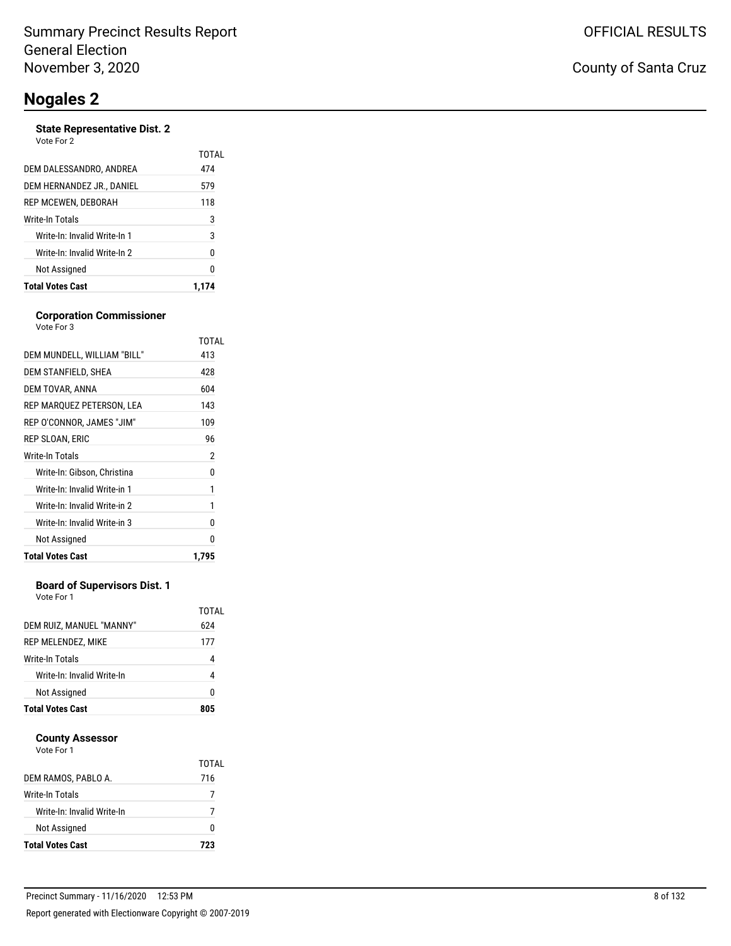#### **State Representative Dist. 2** Vote For 2

| <b>Total Votes Cast</b>      | 1.174        |
|------------------------------|--------------|
| Not Assigned                 | 0            |
| Write-In: Invalid Write-In 2 | 0            |
| Write-In: Invalid Write-In 1 | 3            |
| Write-In Totals              | 3            |
| REP MCEWEN, DEBORAH          | 118          |
| DEM HERNANDEZ JR., DANIEL    | 579          |
| DEM DALESSANDRO, ANDREA      | TOTAL<br>474 |
| VULCIUI <i>L</i>             |              |

#### **Corporation Commissioner**

| <b>Total Votes Cast</b>      | 1.795 |
|------------------------------|-------|
| Not Assigned                 | 0     |
| Write-In: Invalid Write-in 3 | 0     |
| Write-In: Invalid Write-in 2 | 1     |
| Write-In: Invalid Write-in 1 | 1     |
| Write-In: Gibson, Christina  | 0     |
| Write-In Totals              | 2     |
| REP SLOAN, ERIC              | 96    |
| REP O'CONNOR, JAMES "JIM"    | 109   |
| REP MARQUEZ PETERSON, LEA    | 143   |
| DEM TOVAR, ANNA              | 604   |
| DEM STANFIELD, SHEA          | 428   |
| DEM MUNDELL, WILLIAM "BILL"  | 413   |
|                              | TOTAL |
| Vote For 3                   |       |

#### **Board of Supervisors Dist. 1**

Vote For 1

| DEM RUIZ, MANUEL "MANNY"   | TOTAL<br>624 |
|----------------------------|--------------|
| REP MELENDEZ, MIKE         | 177          |
| Write-In Totals            | 4            |
| Write-In: Invalid Write-In | 4            |
| Not Assigned               | 0            |
| <b>Total Votes Cast</b>    | 805          |

#### **County Assessor**

| DEM RAMOS, PABLO A.        | TOTAL<br>716 |
|----------------------------|--------------|
| Write-In Totals            |              |
| Write-In: Invalid Write-In | 7            |
| Not Assigned               | O            |
| <b>Total Votes Cast</b>    | 723          |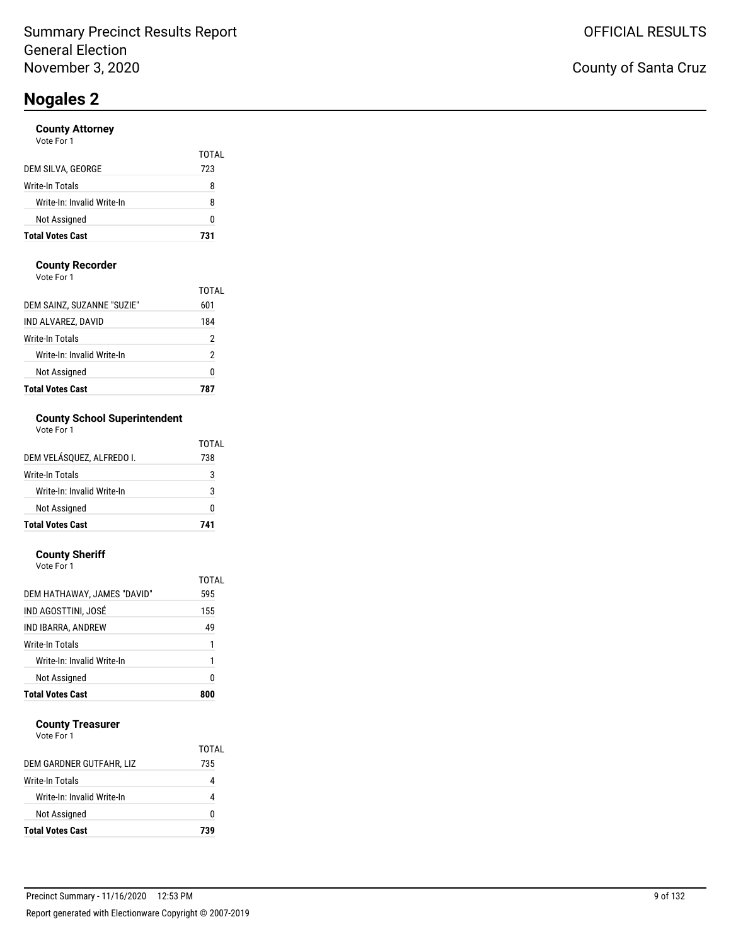#### **County Attorney**

| <b>Total Votes Cast</b>    | 731          |
|----------------------------|--------------|
| Not Assigned               | 0            |
| Write-In: Invalid Write-In | 8            |
| Write-In Totals            | 8            |
| DEM SILVA, GEORGE          | TOTAL<br>723 |
| Vote For 1                 |              |

#### **County Recorder**

Vote For 1

| <b>Total Votes Cast</b>    |       |
|----------------------------|-------|
| Not Assigned               | 0     |
| Write-In: Invalid Write-In | 2     |
| Write-In Totals            | 2     |
| IND ALVAREZ, DAVID         | 184   |
| DEM SAINZ, SUZANNE "SUZIE" | 601   |
|                            | TOTAI |

### **County School Superintendent**

| Vote For 1 |  |
|------------|--|
|------------|--|

|                            | TOTAL |
|----------------------------|-------|
| DEM VELÁSOUEZ. ALFREDO I.  | 738   |
| Write-In Totals            | 3     |
| Write-In: Invalid Write-In | 3     |
| <b>Not Assigned</b>        | O     |
| <b>Total Votes Cast</b>    | 741   |

#### **County Sheriff** Vote For 1

| <b>Total Votes Cast</b>     | 800          |
|-----------------------------|--------------|
| Not Assigned                | 0            |
| Write-In: Invalid Write-In  | 1            |
| Write-In Totals             | 1            |
| IND IBARRA, ANDREW          | 49           |
| IND AGOSTTINI, JOSÉ         | 155          |
| DEM HATHAWAY, JAMES "DAVID" | TOTAL<br>595 |
| VULT FUIT                   |              |

#### **County Treasurer**

|                            | TOTAL |
|----------------------------|-------|
| DEM GARDNER GUTFAHR, LIZ   | 735   |
| Write-In Totals            |       |
| Write-In: Invalid Write-In |       |
| Not Assigned               | o     |
| <b>Total Votes Cast</b>    | 739   |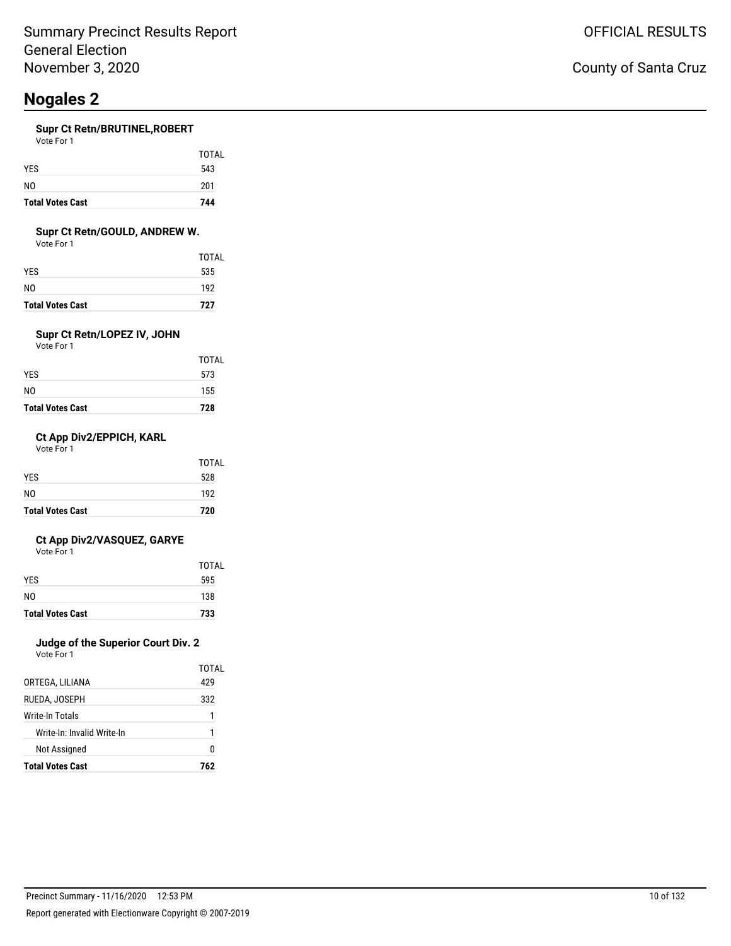#### **Supr Ct Retn/BRUTINEL,ROBERT**

| Vote For 1 |              |
|------------|--------------|
|            | <b>TOTAL</b> |
| <b>YES</b> | 543          |
| NO.        | 201          |

#### **Supr Ct Retn/GOULD, ANDREW W.**

**Total Votes Cast 744**

Vote For 1

| <b>Total Votes Cast</b> | 727          |
|-------------------------|--------------|
| N0                      | 192          |
| YES                     | 535          |
|                         | <b>TOTAL</b> |

### **Supr Ct Retn/LOPEZ IV, JOHN**

Vote For 1

| <b>Total Votes Cast</b> | 728   |
|-------------------------|-------|
| NO                      | 155   |
| YES                     | 573   |
|                         | TOTAL |

#### **Ct App Div2/EPPICH, KARL**

Vote For 1

| <b>Total Votes Cast</b> | 720          |
|-------------------------|--------------|
| N <sub>0</sub>          | 192          |
| <b>YES</b>              | 528          |
|                         | <b>TOTAL</b> |

#### **Ct App Div2/VASQUEZ, GARYE**

Vote For 1

| <b>Total Votes Cast</b> | 733   |
|-------------------------|-------|
| N <sub>0</sub>          | 138   |
| <b>YES</b>              | 595   |
|                         | TOTAL |

### **Judge of the Superior Court Div. 2**

|                            | TOTAL |
|----------------------------|-------|
| ORTEGA, LILIANA            | 429   |
| RUEDA. JOSEPH              | 332   |
| Write-In Totals            | 1     |
| Write-In: Invalid Write-In | 1     |
| <b>Not Assigned</b>        | O     |
| <b>Total Votes Cast</b>    | 762   |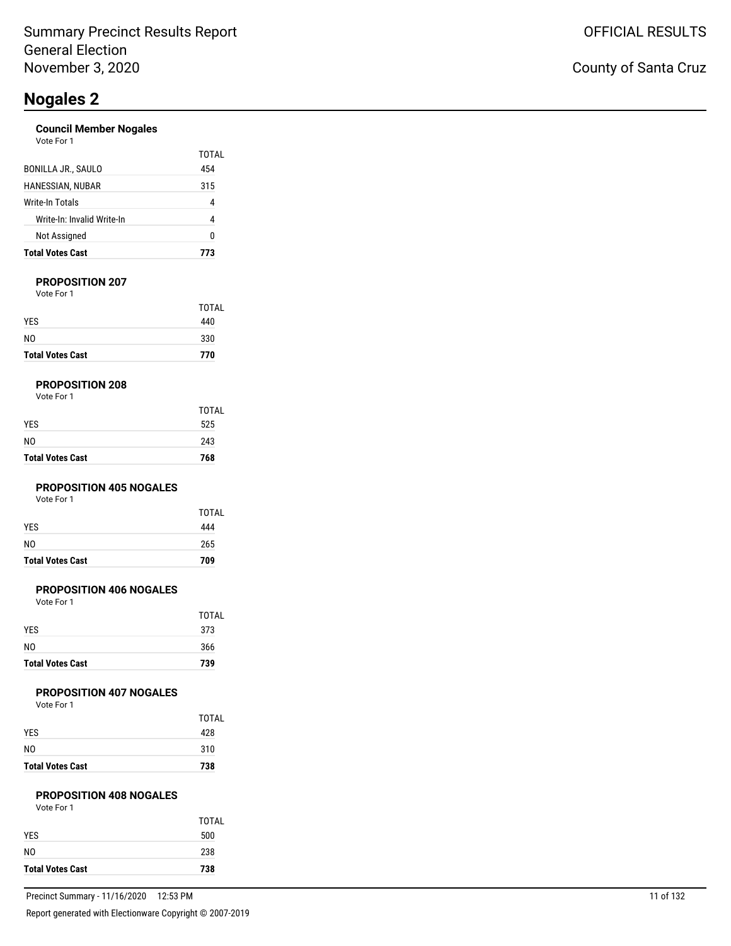#### **Council Member Nogales**

| <b>Total Votes Cast</b>    |       |
|----------------------------|-------|
| Not Assigned               | N     |
| Write-In: Invalid Write-In | 4     |
| Write-In Totals            | 4     |
| HANESSIAN, NUBAR           | 315   |
| BONILLA JR., SAULO         | 454   |
| Vote For 1                 | TOTAL |

#### **PROPOSITION 207**

Vote For 1

| <b>Total Votes Cast</b> | 770          |
|-------------------------|--------------|
| N <sub>0</sub>          | 330          |
| <b>YES</b>              | 440          |
|                         | <b>TOTAL</b> |

#### **PROPOSITION 208**

| Vote For 1 |  |
|------------|--|
|------------|--|

| <b>Total Votes Cast</b> | 768   |
|-------------------------|-------|
| NO                      | 243   |
| <b>YES</b>              | 525   |
|                         | TOTAL |

#### **PROPOSITION 405 NOGALES**

Vote For 1

| <b>Total Votes Cast</b> | 709   |
|-------------------------|-------|
| N <sub>0</sub>          | 265   |
| <b>YES</b>              | 444   |
|                         | TOTAL |

#### **PROPOSITION 406 NOGALES**

Vote For 1

| <b>TOTAL</b> |
|--------------|
| 373          |
| 366          |
| 739          |
|              |

#### **PROPOSITION 407 NOGALES**

Vote For 1

| <b>Total Votes Cast</b> | 738   |
|-------------------------|-------|
| N <sub>0</sub>          | 310   |
| <b>YES</b>              | 428   |
|                         | TOTAL |

### **PROPOSITION 408 NOGALES**

| Vote For 1 |  |
|------------|--|
|------------|--|

|                         | TOTAL |
|-------------------------|-------|
| <b>YES</b>              | 500   |
| N <sub>0</sub>          | 238   |
| <b>Total Votes Cast</b> | 738   |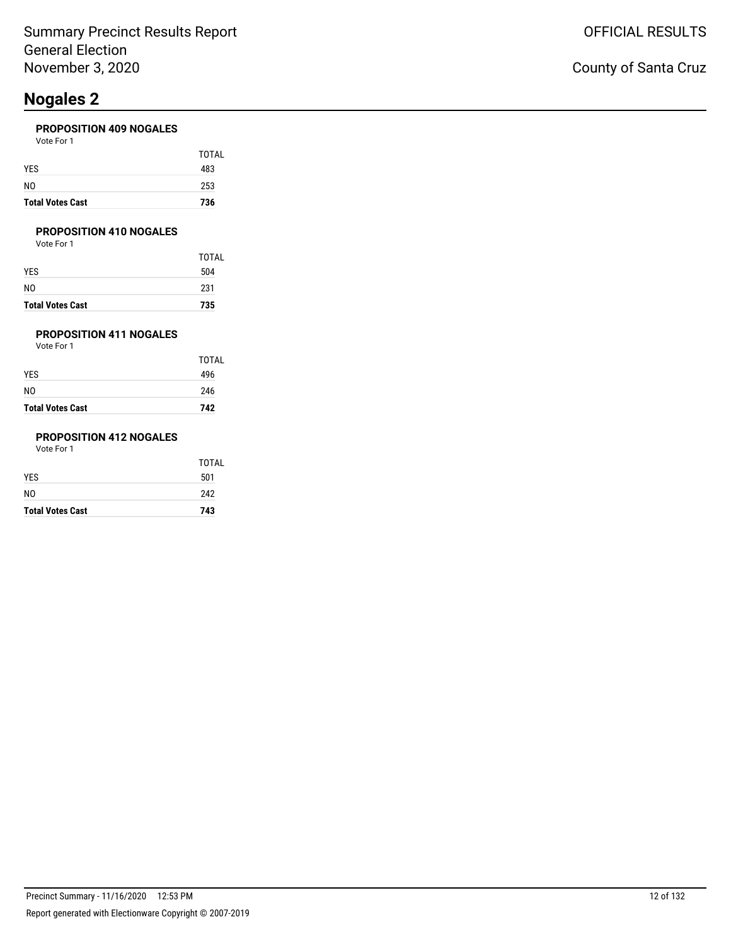#### **PROPOSITION 409 NOGALES**

| <b>Total Votes Cast</b> | 736   |
|-------------------------|-------|
| NO                      | 253   |
| YES                     | 483   |
|                         | TOTAL |
| Vote For 1              |       |

#### **PROPOSITION 410 NOGALES**

Vote For 1

|                         | TOTAL |
|-------------------------|-------|
| YES                     | 504   |
| NO                      | 231   |
| <b>Total Votes Cast</b> | 735   |

### **PROPOSITION 411 NOGALES**

Vote For 1

| <b>Total Votes Cast</b> | 742          |
|-------------------------|--------------|
| NO                      | 246          |
| YES                     | 496          |
|                         | <b>TOTAL</b> |

### **PROPOSITION 412 NOGALES**

| <b>Total Votes Cast</b> | 743          |
|-------------------------|--------------|
| NO                      | 242          |
| YES                     | 501          |
|                         | <b>TOTAL</b> |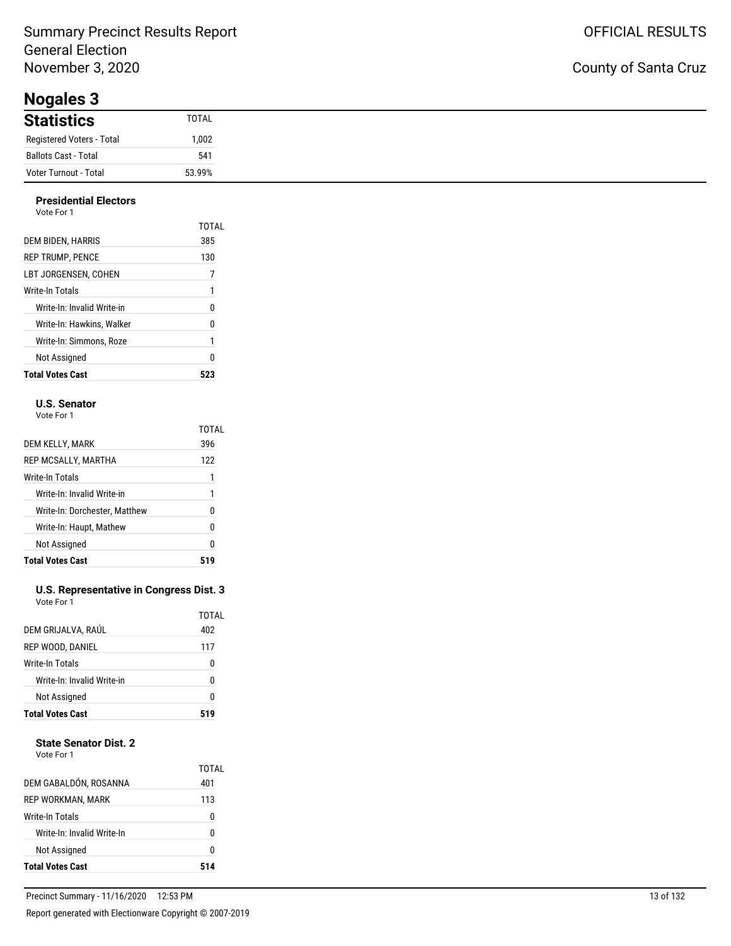### Summary Precinct Results Report General Election November 3, 2020

**Nogales 3**

### County of Santa Cruz

| nogaloo o                 |        |
|---------------------------|--------|
| <b>Statistics</b>         | TOTAL  |
| Registered Voters - Total | 1,002  |
| Ballots Cast - Total      | 541    |
| Voter Turnout - Total     | 53.99% |

#### **Presidential Electors** Vote For 1

| <b>Total Votes Cast</b>    | 523   |
|----------------------------|-------|
| Not Assigned               | 0     |
| Write-In: Simmons. Roze    | 1     |
| Write-In: Hawkins. Walker  | 0     |
| Write-In: Invalid Write-in | 0     |
| Write-In Totals            | 1     |
| LBT JORGENSEN. COHEN       | 7     |
| <b>REP TRUMP, PENCE</b>    | 130   |
| DEM BIDEN, HARRIS          | 385   |
|                            | TOTAL |
| .                          |       |

#### **U.S. Senator**

Vote For 1

|                               | TOTAL |
|-------------------------------|-------|
| DEM KELLY, MARK               | 396   |
| REP MCSALLY, MARTHA           | 122   |
| Write-In Totals               |       |
| Write-In: Invalid Write-in    | 1     |
| Write-In: Dorchester, Matthew | N     |
| Write-In: Haupt, Mathew       | ŋ     |
| Not Assigned                  | 0     |
| <b>Total Votes Cast</b>       |       |

#### **U.S. Representative in Congress Dist. 3** Vote For 1

| <b>Total Votes Cast</b>    | 519   |
|----------------------------|-------|
| Not Assigned               | ŋ     |
| Write-In: Invalid Write-in | U     |
| Write-In Totals            | 0     |
| REP WOOD, DANIEL           | 117   |
| DEM GRIJALVA, RAÚL         | 402   |
|                            | TOTAL |

#### **State Senator Dist. 2**

| Vote For 1 |  |
|------------|--|
|            |  |

| <b>Total Votes Cast</b>    | 514          |
|----------------------------|--------------|
| Not Assigned               | n            |
| Write-In: Invalid Write-In | n            |
| Write-In Totals            | 0            |
| REP WORKMAN, MARK          | 113          |
| DEM GABALDÓN, ROSANNA      | TOTAL<br>401 |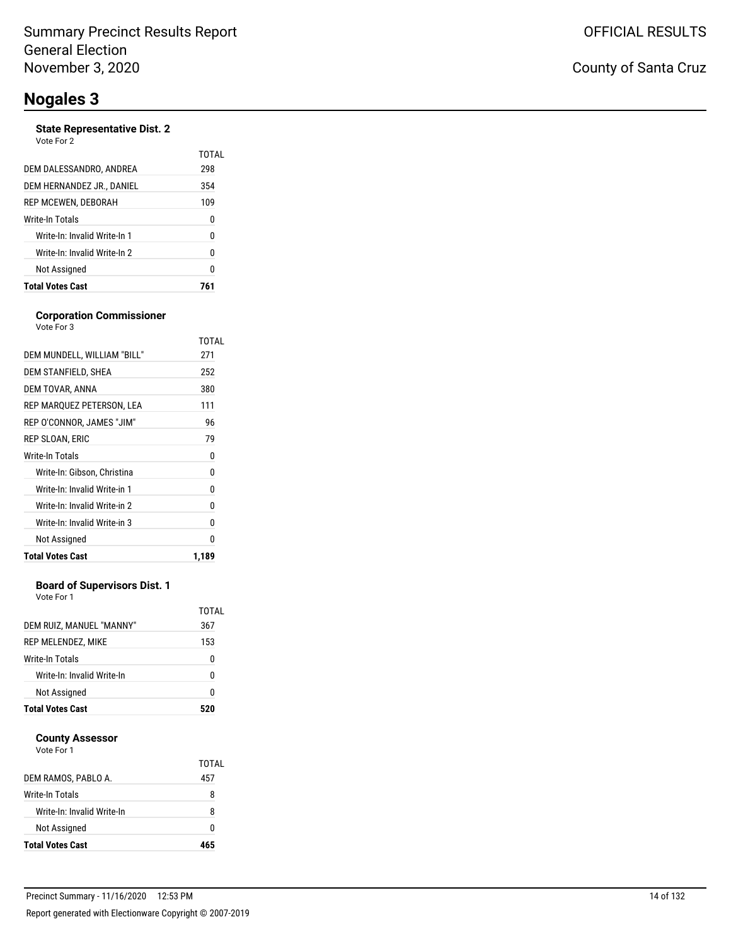#### **State Representative Dist. 2** Vote For

| <b>Total Votes Cast</b>      | 761          |
|------------------------------|--------------|
| Not Assigned                 | 0            |
| Write-In: Invalid Write-In 2 | 0            |
| Write-In: Invalid Write-In 1 | 0            |
| Write-In Totals              | 0            |
| REP MCEWEN, DEBORAH          | 109          |
| DEM HERNANDEZ JR., DANIEL    | 354          |
| DEM DALESSANDRO, ANDREA      | TOTAL<br>298 |
| vuue rui z                   |              |

#### **Corporation Commissioner**

| Not Assigned                                                 | 0      |
|--------------------------------------------------------------|--------|
| Write-In: Invalid Write-in 2<br>Write-In: Invalid Write-in 3 | 0<br>0 |
|                                                              |        |
| Write-In: Invalid Write-in 1                                 | 0      |
| Write-In: Gibson, Christina                                  | 0      |
| <b>Write-In Totals</b>                                       | 0      |
| REP SLOAN, ERIC                                              | 79     |
| REP O'CONNOR, JAMES "JIM"                                    | 96     |
| REP MARQUEZ PETERSON, LEA                                    | 111    |
| DEM TOVAR, ANNA                                              | 380    |
| DEM STANFIELD, SHEA                                          | 252    |
| DEM MUNDELL, WILLIAM "BILL"                                  | 271    |
|                                                              | TOTAL  |

#### **Board of Supervisors Dist. 1**

Vote For 1

| DEM RUIZ, MANUEL "MANNY"   | TOTAL<br>367 |
|----------------------------|--------------|
| REP MELENDEZ, MIKE         | 153          |
| <b>Write-In Totals</b>     | 0            |
| Write-In: Invalid Write-In | N            |
| Not Assigned               | 0            |
| <b>Total Votes Cast</b>    |              |

#### **County Assessor**

| DEM RAMOS, PABLO A.        | TOTAL<br>457 |
|----------------------------|--------------|
| Write-In Totals            | 8            |
| Write-In: Invalid Write-In | 8            |
| Not Assigned               | O            |
| <b>Total Votes Cast</b>    | 465          |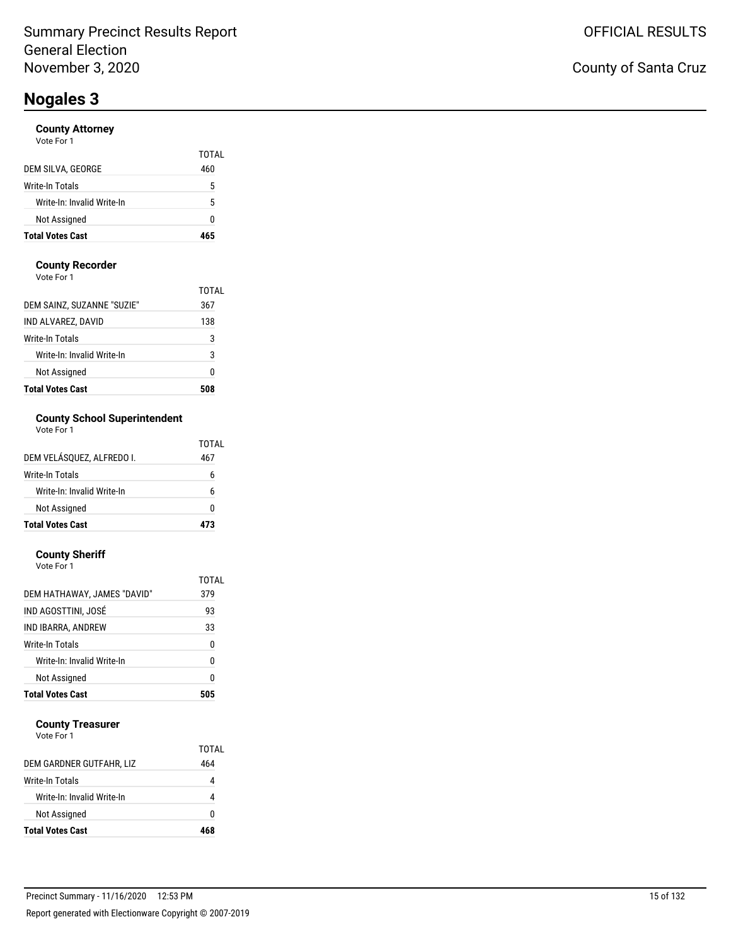#### **County Attorney**

| <b>Total Votes Cast</b>    |              |
|----------------------------|--------------|
| Not Assigned               | 0            |
| Write-In: Invalid Write-In | 5            |
| Write-In Totals            | 5            |
| DEM SILVA, GEORGE          | TOTAL<br>460 |
| Vote For 1                 |              |

#### **County Recorder**

Vote For 1

| <b>Total Votes Cast</b>    |       |
|----------------------------|-------|
| Not Assigned               | Ω     |
| Write-In: Invalid Write-In | 3     |
| Write-In Totals            | 3     |
| IND ALVAREZ, DAVID         | 138   |
| DEM SAINZ, SUZANNE "SUZIE" | 367   |
|                            | TOTAL |

### **County School Superintendent**

| Vote For 1 |  |
|------------|--|
|------------|--|

|                            | TOTAL |
|----------------------------|-------|
| DEM VELÁSOUEZ. ALFREDO I.  | 467   |
| Write-In Totals            | 6     |
| Write-In: Invalid Write-In | 6     |
| Not Assigned               | n     |
| <b>Total Votes Cast</b>    | 73    |

#### **County Sheriff** Vote For 1

| <b>Total Votes Cast</b>     | 505          |
|-----------------------------|--------------|
| Not Assigned                | 0            |
| Write-In: Invalid Write-In  | 0            |
| Write-In Totals             | 0            |
| IND IBARRA, ANDREW          | 33           |
| IND AGOSTTINI, JOSÉ         | 93           |
| DEM HATHAWAY, JAMES "DAVID" | TOTAL<br>379 |
| <b>VULCIUI</b>              |              |

#### **County Treasurer**

| <b>Total Votes Cast</b>    | 468   |
|----------------------------|-------|
| Not Assigned               | o     |
| Write-In: Invalid Write-In |       |
| Write-In Totals            |       |
| DEM GARDNER GUTFAHR, LIZ   | 464   |
|                            | TOTAL |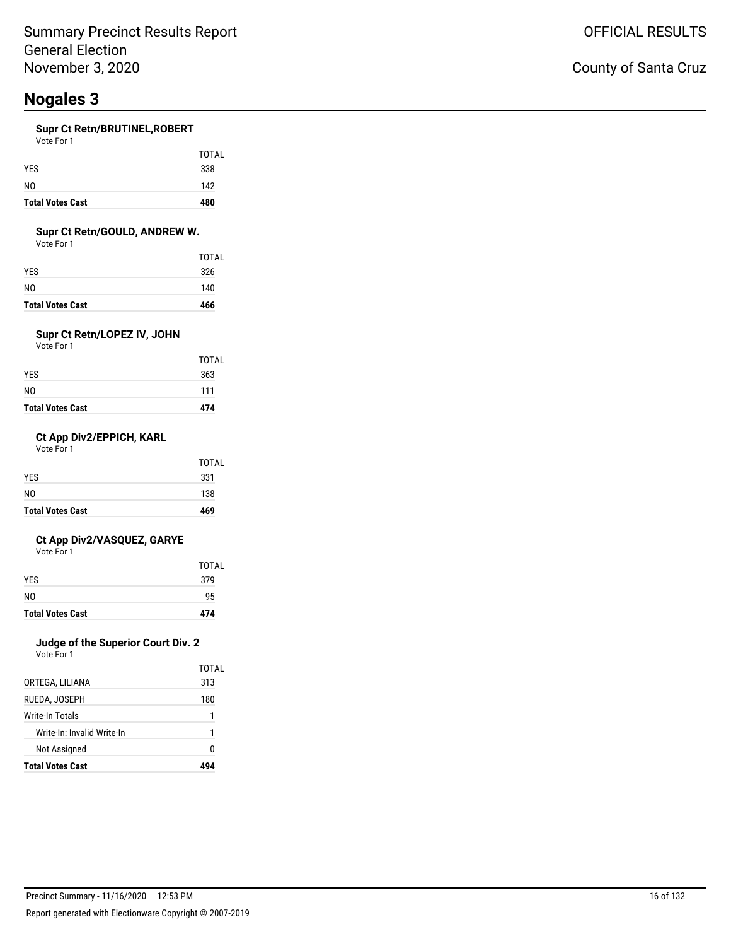#### **Supr Ct Retn/BRUTINEL,ROBERT**

| Vote For 1 |  |
|------------|--|
|            |  |
|            |  |

| <b>Total Votes Cast</b> | 480 |
|-------------------------|-----|
| NO.                     | 142 |
| <b>YES</b>              | 338 |

TOTAL

#### **Supr Ct Retn/GOULD, ANDREW W.**

Vote For 1

| <b>Total Votes Cast</b> | 466   |
|-------------------------|-------|
| N0                      | 140   |
| YES                     | 326   |
|                         | TOTAL |

### **Supr Ct Retn/LOPEZ IV, JOHN**

Vote For 1

| <b>Total Votes Cast</b> | 474   |
|-------------------------|-------|
| NO                      | 111   |
| YES.                    | 363   |
|                         | TOTAL |

#### **Ct App Div2/EPPICH, KARL**

Vote For 1

| <b>Total Votes Cast</b> | 469   |
|-------------------------|-------|
| NO.                     | 138   |
| <b>YES</b>              | 331   |
|                         | TOTAL |

#### **Ct App Div2/VASQUEZ, GARYE**

Vote For 1

| <b>Total Votes Cast</b> | 474          |
|-------------------------|--------------|
| N <sub>0</sub>          | 95           |
| <b>YES</b>              | 379          |
|                         | <b>TOTAL</b> |

### **Judge of the Superior Court Div. 2**

Vote For 1

| TOTAI |
|-------|
| 313   |
| 180   |
| 1     |
| 1     |
| n     |
|       |
|       |

### County of Santa Cruz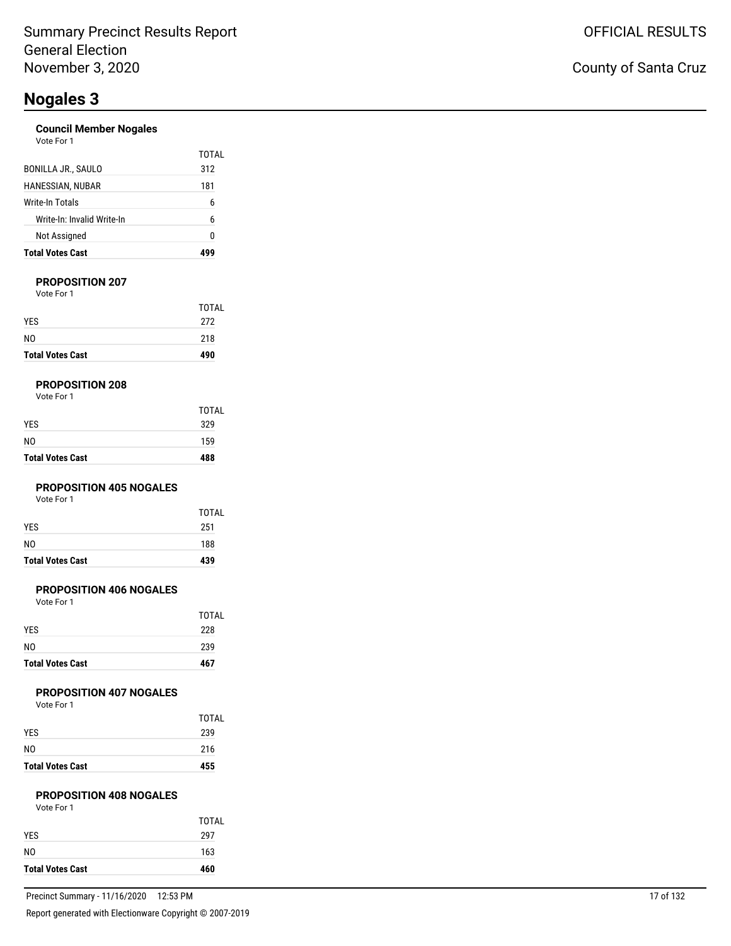#### **Council Member Nogales**

| <b>Total Votes Cast</b>    |       |
|----------------------------|-------|
| Not Assigned               | 0     |
| Write-In: Invalid Write-In | 6     |
| Write-In Totals            | 6     |
| HANESSIAN, NUBAR           | 181   |
| BONILLA JR., SAULO         | 312   |
|                            | TOTAI |
| Vote For 1                 |       |

#### **PROPOSITION 207**

Vote For 1

| <b>Total Votes Cast</b> | 490   |
|-------------------------|-------|
| N <sub>0</sub>          | 218   |
| <b>YES</b>              | 272   |
|                         | TOTAL |

#### **PROPOSITION 208**

| <b>Total Votes Cast</b> | 488          |
|-------------------------|--------------|
| N <sub>0</sub>          | 159          |
| <b>YES</b>              | 329          |
|                         | <b>TOTAL</b> |

#### **PROPOSITION 405 NOGALES**

Vote For 1

| <b>Total Votes Cast</b> | 439   |
|-------------------------|-------|
| N <sub>0</sub>          | 188   |
| <b>YES</b>              | 251   |
|                         | TOTAL |

#### **PROPOSITION 406 NOGALES**

Vote For 1

| <b>Total Votes Cast</b> | 467          |
|-------------------------|--------------|
| N <sub>0</sub>          | 239          |
| <b>YES</b>              | 228          |
|                         | <b>TOTAL</b> |

#### **PROPOSITION 407 NOGALES**

Vote For 1

| <b>Total Votes Cast</b> | 455   |
|-------------------------|-------|
| N <sub>0</sub>          | 216   |
| <b>YES</b>              | 239   |
|                         | TOTAL |

#### **PROPOSITION 408 NOGALES**

| Vote For 1 |  |
|------------|--|
|------------|--|

| <b>Total Votes Cast</b> | 460          |
|-------------------------|--------------|
| N <sub>0</sub>          | 163          |
| <b>YES</b>              | 297          |
|                         | <b>TOTAL</b> |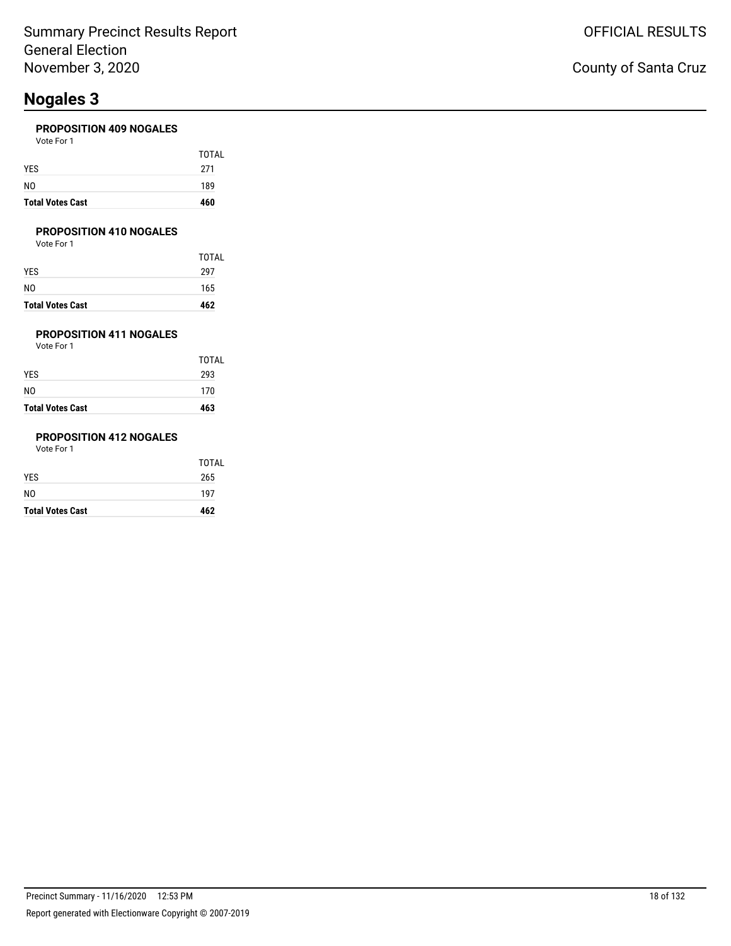#### **PROPOSITION 409 NOGALES**

| <b>Total Votes Cast</b> | 460   |
|-------------------------|-------|
| NO                      | 189   |
| YES                     | 271   |
|                         | TOTAL |
| Vote For 1              |       |

#### **PROPOSITION 410 NOGALES**

Vote For 1

| <b>Total Votes Cast</b> | 462          |
|-------------------------|--------------|
| N0                      | 165          |
| YES                     | 297          |
|                         | <b>TOTAL</b> |

### **PROPOSITION 411 NOGALES**

Vote For 1

| <b>Total Votes Cast</b> | 463          |
|-------------------------|--------------|
| N0                      | 170          |
| YES.                    | 293          |
|                         | <b>TOTAL</b> |

### **PROPOSITION 412 NOGALES**

| <b>Total Votes Cast</b> | 462          |
|-------------------------|--------------|
| NO                      | 197          |
| YES                     | 265          |
|                         | <b>TOTAL</b> |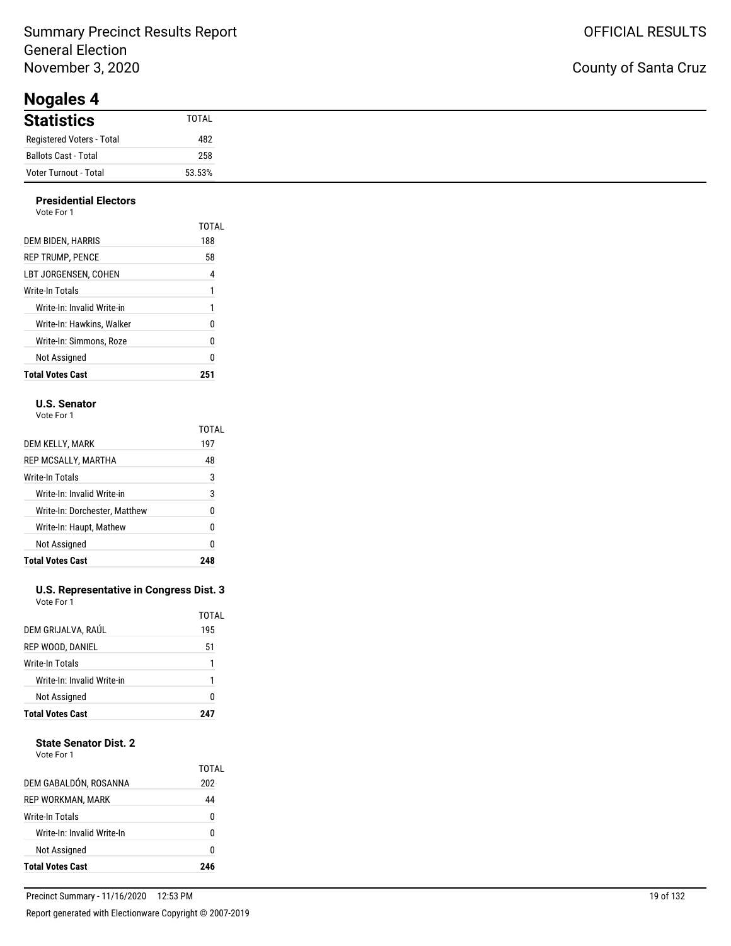### Summary Precinct Results Report General Election November 3, 2020

**Nogales 4**

#### **Presidential Electors** Vote For 1

| <b>Total Votes Cast</b>    | 251   |
|----------------------------|-------|
| Not Assigned               | 0     |
| Write-In: Simmons. Roze    | 0     |
| Write-In: Hawkins. Walker  | 0     |
| Write-In: Invalid Write-in | 1     |
| Write-In Totals            | 1     |
| LBT JORGENSEN. COHEN       | 4     |
| <b>REP TRUMP. PENCE</b>    | 58    |
| DEM BIDEN, HARRIS          | 188   |
| VOIP FOI T                 | TOTAL |

#### **U.S. Senator**

Vote For 1

|                               | TOTAL |
|-------------------------------|-------|
| DEM KELLY, MARK               | 197   |
| REP MCSALLY, MARTHA           | 48    |
| Write-In Totals               | 3     |
| Write-In: Invalid Write-in    | 3     |
| Write-In: Dorchester, Matthew | N     |
| Write-In: Haupt, Mathew       | 0     |
| Not Assigned                  | 0     |
| <b>Total Votes Cast</b>       |       |

#### **U.S. Representative in Congress Dist. 3** Vote For 1

| <b>Total Votes Cast</b>    |       |
|----------------------------|-------|
| Not Assigned               | 0     |
| Write-In: Invalid Write-in |       |
| Write-In Totals            | 1     |
| REP WOOD, DANIEL           | 51    |
| DEM GRIJALVA, RAÚL         | 195   |
|                            | TOTAL |

#### **State Senator Dist. 2**

| DEM GABALDÓN, ROSANNA      | TOTAL<br>202 |
|----------------------------|--------------|
| REP WORKMAN, MARK          | 44           |
| Write-In Totals            | U            |
| Write-In: Invalid Write-In | U            |
| Not Assigned               | O            |
| <b>Total Votes Cast</b>    | 946          |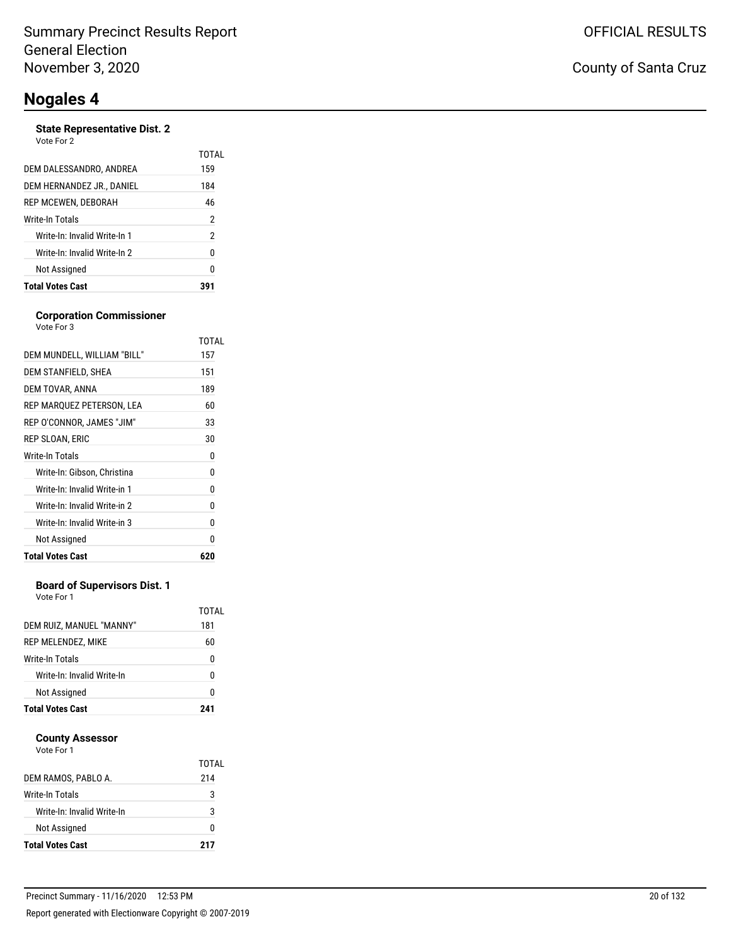#### **State Representative Dist. 2**

| Vote For 2 |  |
|------------|--|
|            |  |

|                              | TOTAL |
|------------------------------|-------|
| DEM DALESSANDRO, ANDREA      | 159   |
| DEM HERNANDEZ JR., DANIEL    | 184   |
| REP MCEWEN, DEBORAH          | 46    |
| Write-In Totals              | 2     |
| Write-In: Invalid Write-In 1 | 2     |
| Write-In: Invalid Write-In 2 | 0     |
| Not Assigned                 | n     |
| <b>Total Votes Cast</b>      |       |

#### **Corporation Commissioner**

| <b>Total Votes Cast</b>      | 620   |
|------------------------------|-------|
| Not Assigned                 | 0     |
| Write-In: Invalid Write-in 3 | 0     |
| Write-In: Invalid Write-in 2 | 0     |
| Write-In: Invalid Write-in 1 | 0     |
| Write-In: Gibson, Christina  | 0     |
| Write-In Totals              | 0     |
| REP SLOAN, ERIC              | 30    |
| REP O'CONNOR, JAMES "JIM"    | 33    |
| REP MARQUEZ PETERSON, LEA    | 60    |
| DEM TOVAR, ANNA              | 189   |
| DEM STANFIELD, SHEA          | 151   |
| DEM MUNDELL, WILLIAM "BILL"  | 157   |
|                              | TOTAL |
| Vote For 3                   |       |

#### **Board of Supervisors Dist. 1**

Vote For 1

| DEM RUIZ, MANUEL "MANNY"   | TOTAL<br>181 |
|----------------------------|--------------|
| REP MELENDEZ, MIKE         | 60           |
| <b>Write-In Totals</b>     | n            |
| Write-In: Invalid Write-In | n            |
| Not Assigned               | n            |
| <b>Total Votes Cast</b>    | 241          |

#### **County Assessor**

| DEM RAMOS, PABLO A.        | TOTAL<br>214 |
|----------------------------|--------------|
| Write-In Totals            | 3            |
| Write-In: Invalid Write-In | 3            |
| Not Assigned               |              |
| <b>Total Votes Cast</b>    | 217          |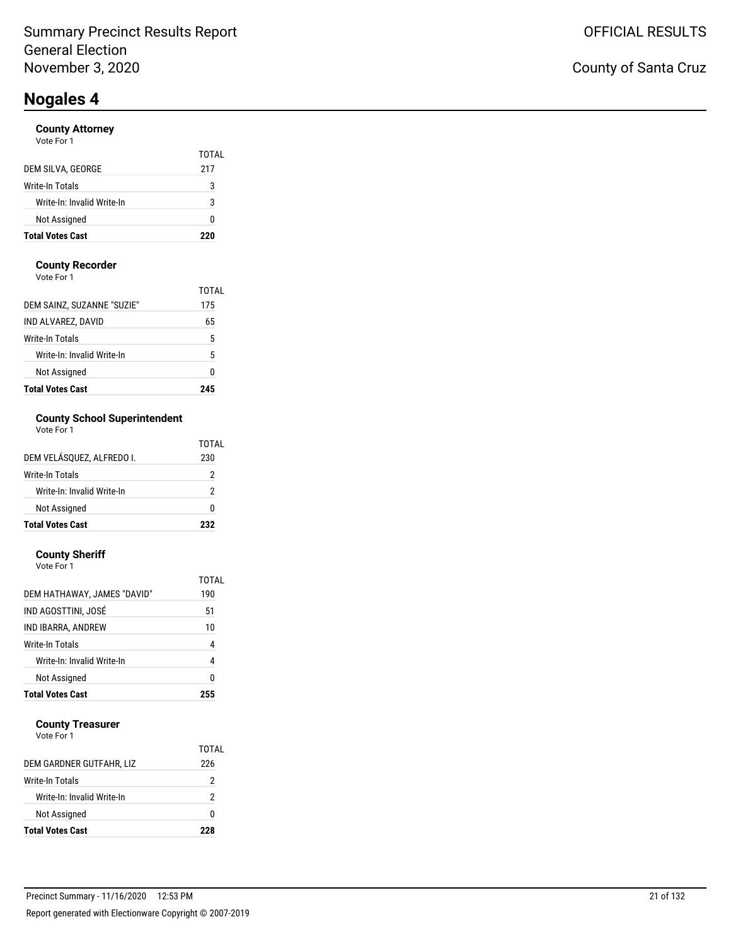#### **County Attorney**

|                            | TOTAL |
|----------------------------|-------|
| DEM SILVA, GEORGE          | 217   |
| <b>Write-In Totals</b>     | 3     |
| Write-In: Invalid Write-In | 3     |
| Not Assigned               | n     |
| <b>Total Votes Cast</b>    | 220   |

#### **County Recorder**

Vote For 1

| <b>Total Votes Cast</b>    | 245   |
|----------------------------|-------|
| Not Assigned               | Ω     |
| Write-In: Invalid Write-In | 5     |
| Write-In Totals            | 5     |
| IND ALVAREZ, DAVID         | 65    |
| DEM SAINZ, SUZANNE "SUZIE" | 175   |
|                            | TOTAI |

### **County School Superintendent**

| Vote For 1 |  |
|------------|--|
|------------|--|

| <b>Total Votes Cast</b>    | 232   |
|----------------------------|-------|
| Not Assigned               | n     |
| Write-In: Invalid Write-In | 2     |
| Write-In Totals            | 2     |
| DEM VELÁSOUEZ. ALFREDO I.  | 230   |
|                            | TOTAL |

#### **County Sheriff**

| Vote For 1                  |       |
|-----------------------------|-------|
|                             | TOTAL |
| DEM HATHAWAY, JAMES "DAVID" | 190   |
| IND AGOSTTINI, JOSÉ         | 51    |
| IND IBARRA, ANDREW          | 10    |
| Write-In Totals             | 4     |
| Write-In: Invalid Write-In  | 4     |
| Not Assigned                | 0     |
| <b>Total Votes Cast</b>     | 255   |

#### **County Treasurer**

|                            | TOTAL |
|----------------------------|-------|
| DEM GARDNER GUTFAHR, LIZ   | 226   |
| Write-In Totals            | 2     |
| Write-In: Invalid Write-In | 2     |
| Not Assigned               | o     |
| <b>Total Votes Cast</b>    | 22R   |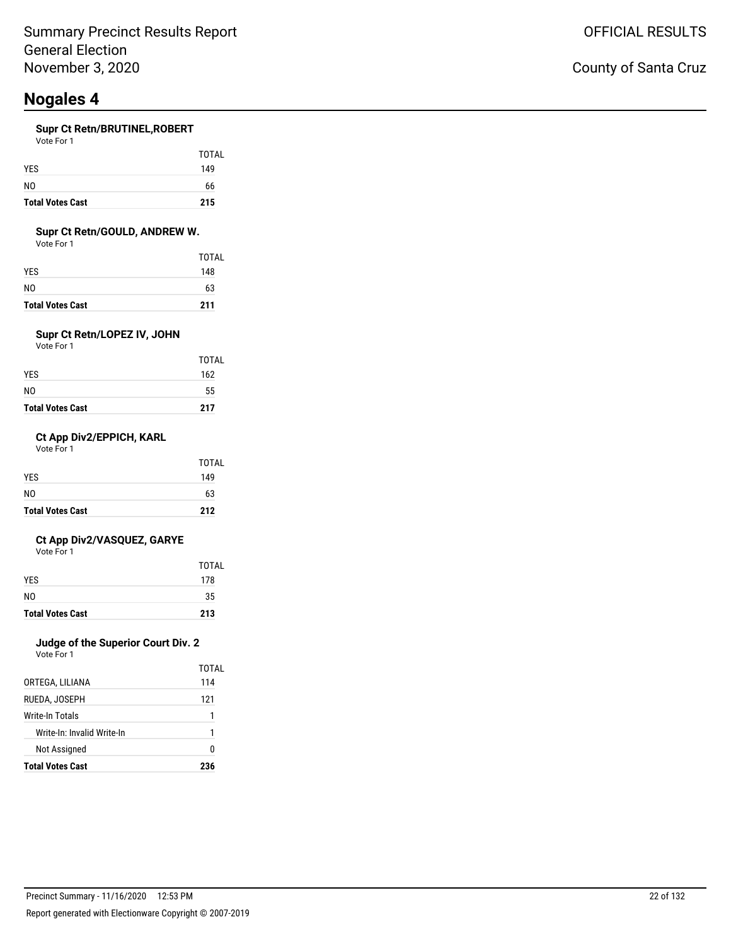#### **Supr Ct Retn/BRUTINEL,ROBERT**

| <b>Total Votes Cast</b> | 215   |
|-------------------------|-------|
| N <sub>0</sub>          | 66    |
| <b>YES</b>              | 149   |
|                         | TOTAL |
| Vote For 1              |       |

#### **Supr Ct Retn/GOULD, ANDREW W.**

Vote For 1

| <b>Total Votes Cast</b> | 211   |
|-------------------------|-------|
| NO                      | 63    |
| YES.                    | 148   |
|                         | TOTAL |

### **Supr Ct Retn/LOPEZ IV, JOHN**

Vote For 1

| <b>Total Votes Cast</b> | 217   |
|-------------------------|-------|
| N0                      | 55    |
| YES                     | 162   |
|                         | TOTAL |

#### **Ct App Div2/EPPICH, KARL**

Vote For 1

| <b>Total Votes Cast</b> | 212          |
|-------------------------|--------------|
| N <sub>0</sub>          | 63           |
| <b>YES</b>              | 149          |
|                         | <b>TOTAL</b> |

#### **Ct App Div2/VASQUEZ, GARYE**

Vote For 1

| N <sub>0</sub><br><b>Total Votes Cast</b> | 35<br>213           |
|-------------------------------------------|---------------------|
|                                           |                     |
| <b>YES</b>                                | <b>TOTAL</b><br>178 |

### **Judge of the Superior Court Div. 2**

Vote For 1

|                            | TOTAI |
|----------------------------|-------|
| ORTEGA, LILIANA            | 114   |
| RUEDA, JOSEPH              | 121   |
| Write-In Totals            | 1     |
| Write-In: Invalid Write-In | 1     |
| Not Assigned               | n     |
| <b>Total Votes Cast</b>    | 236   |

### County of Santa Cruz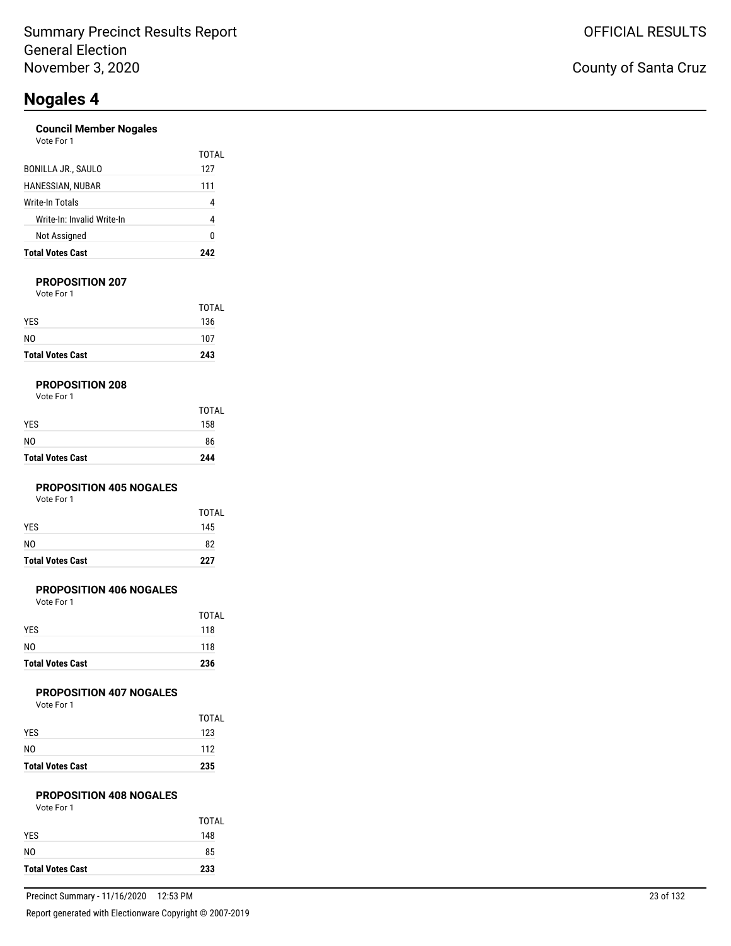#### **Council Member Nogales**

| <b>Total Votes Cast</b>    | 242          |
|----------------------------|--------------|
| Not Assigned               | 0            |
| Write-In: Invalid Write-In | 4            |
| Write-In Totals            | 4            |
| HANESSIAN, NUBAR           | 111          |
| BONILLA JR., SAULO         | TOTAL<br>127 |
| Vote For 1                 |              |

#### **PROPOSITION 207**

Vote For 1

| <b>Total Votes Cast</b> | 243          |
|-------------------------|--------------|
| NO                      | 107          |
| <b>YES</b>              | 136          |
|                         | <b>TOTAL</b> |

#### **PROPOSITION 208**

| <b>Total Votes Cast</b> | 244          |
|-------------------------|--------------|
| NO                      | 86           |
| YES                     | 158          |
|                         | <b>TOTAL</b> |

#### **PROPOSITION 405 NOGALES**

Vote For 1

| <b>Total Votes Cast</b> | 227   |
|-------------------------|-------|
| N <sub>0</sub>          | 82    |
| <b>YES</b>              | 145   |
|                         | TOTAL |

#### **PROPOSITION 406 NOGALES**

Vote For 1

| <b>Total Votes Cast</b> | 236          |
|-------------------------|--------------|
| N <sub>0</sub>          | 118          |
| <b>YES</b>              | 118          |
|                         | <b>TOTAL</b> |

#### **PROPOSITION 407 NOGALES**

Vote For 1

| <b>Total Votes Cast</b> | 235   |
|-------------------------|-------|
| N <sub>0</sub>          | 112   |
| <b>YES</b>              | 123   |
|                         | TOTAL |

#### **PROPOSITION 408 NOGALES**

| Vote For 1 |  |
|------------|--|
|            |  |

|                         | TOTAL |
|-------------------------|-------|
| <b>YES</b>              | 148   |
| N <sub>0</sub>          | 85    |
| <b>Total Votes Cast</b> | 233   |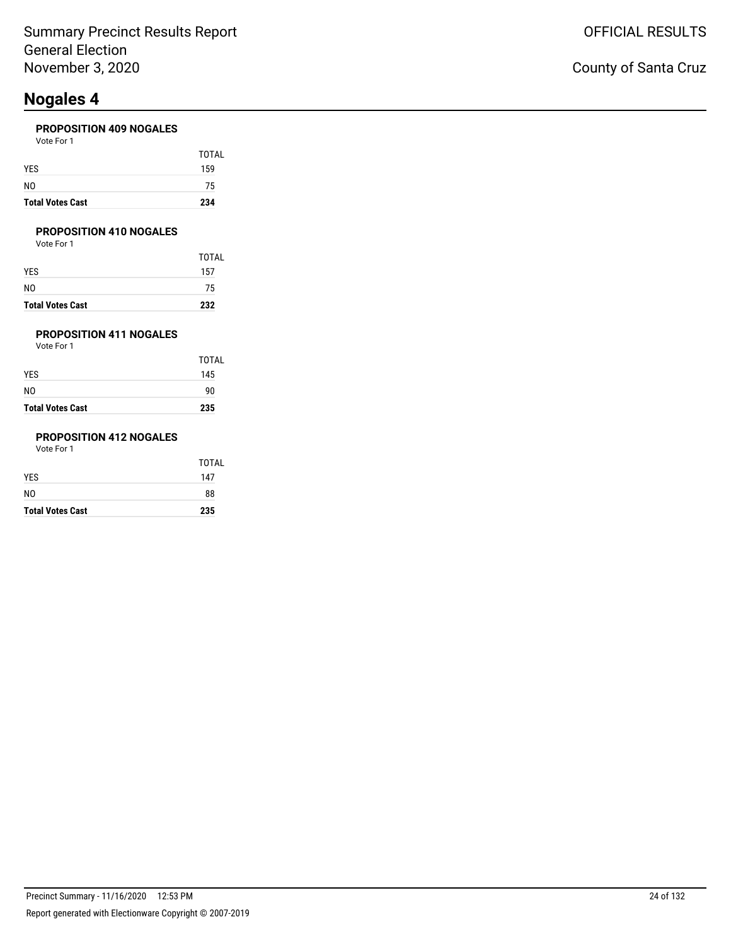#### **PROPOSITION 409 NOGALES**

| <b>Total Votes Cast</b> | 234   |
|-------------------------|-------|
| NO                      | 75    |
| YES                     | 159   |
|                         | TOTAL |
| Vote For 1              |       |

#### **PROPOSITION 410 NOGALES**

Vote For 1

| <b>Total Votes Cast</b> | 232   |
|-------------------------|-------|
| NO                      | 75    |
| YES.                    | 157   |
|                         | TOTAL |

### **PROPOSITION 411 NOGALES**

Vote For 1

| <b>Total Votes Cast</b> | 235   |
|-------------------------|-------|
| N0                      | 90    |
| YES                     | 145   |
|                         | TOTAL |

### **PROPOSITION 412 NOGALES**

| <b>Total Votes Cast</b> | 235   |
|-------------------------|-------|
| NO                      | 88    |
| YES                     | 147   |
|                         | TOTAL |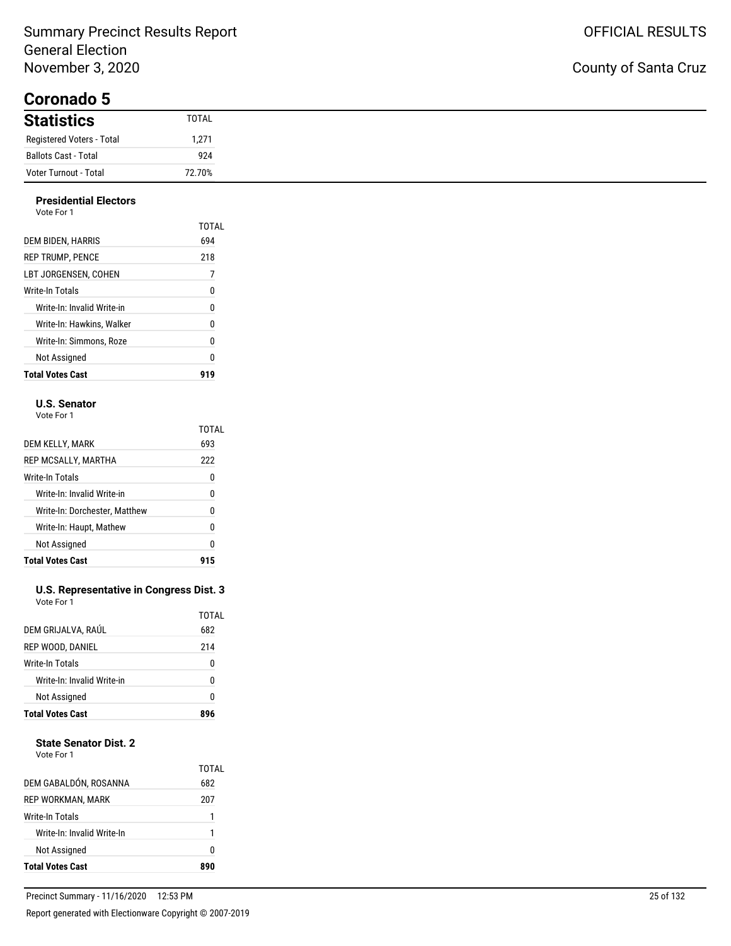### Summary Precinct Results Report General Election November 3, 2020

**Coronado 5**

### County of Santa Cruz

| <b>Statistics</b>         | TOTAL  |
|---------------------------|--------|
| Registered Voters - Total | 1,271  |
| Ballots Cast - Total      | 924    |
| Voter Turnout - Total     | 72.70% |

#### **Presidential Electors** Vote For 1

| <b>Total Votes Cast</b>    |       |
|----------------------------|-------|
| Not Assigned               | 0     |
| Write-In: Simmons. Roze    | 0     |
| Write-In: Hawkins. Walker  | 0     |
| Write-In: Invalid Write-in | 0     |
| Write-In Totals            | 0     |
| LBT JORGENSEN. COHEN       | 7     |
| <b>REP TRUMP, PENCE</b>    | 218   |
| DEM BIDEN, HARRIS          | 694   |
|                            | TOTAL |
| .                          |       |

#### **U.S. Senator**

Vote For 1

|                               | TOTAL |
|-------------------------------|-------|
| DEM KELLY, MARK               | 693   |
| REP MCSALLY, MARTHA           | 222   |
| Write-In Totals               | 0     |
| Write-In: Invalid Write-in    | 0     |
| Write-In: Dorchester, Matthew | 0     |
| Write-In: Haupt, Mathew       | 0     |
| Not Assigned                  | 0     |
| <b>Total Votes Cast</b>       |       |

#### **U.S. Representative in Congress Dist. 3** Vote For 1

| 214<br>REP WOOD, DANIEL<br><b>Write-In Totals</b><br>0<br>Write-In: Invalid Write-in<br>U<br>Not Assigned<br>0 | <b>Total Votes Cast</b> |              |
|----------------------------------------------------------------------------------------------------------------|-------------------------|--------------|
|                                                                                                                |                         |              |
|                                                                                                                |                         |              |
|                                                                                                                |                         |              |
|                                                                                                                |                         |              |
|                                                                                                                | DEM GRIJALVA, RAÚL      | TOTAL<br>682 |

#### **State Senator Dist. 2**

| Vote For 1 |  |
|------------|--|
|            |  |

| Not Assigned               | n            |
|----------------------------|--------------|
| Write-In: Invalid Write-In | 1            |
| Write-In Totals            |              |
| REP WORKMAN, MARK          | 207          |
| DEM GABALDÓN, ROSANNA      | TOTAL<br>682 |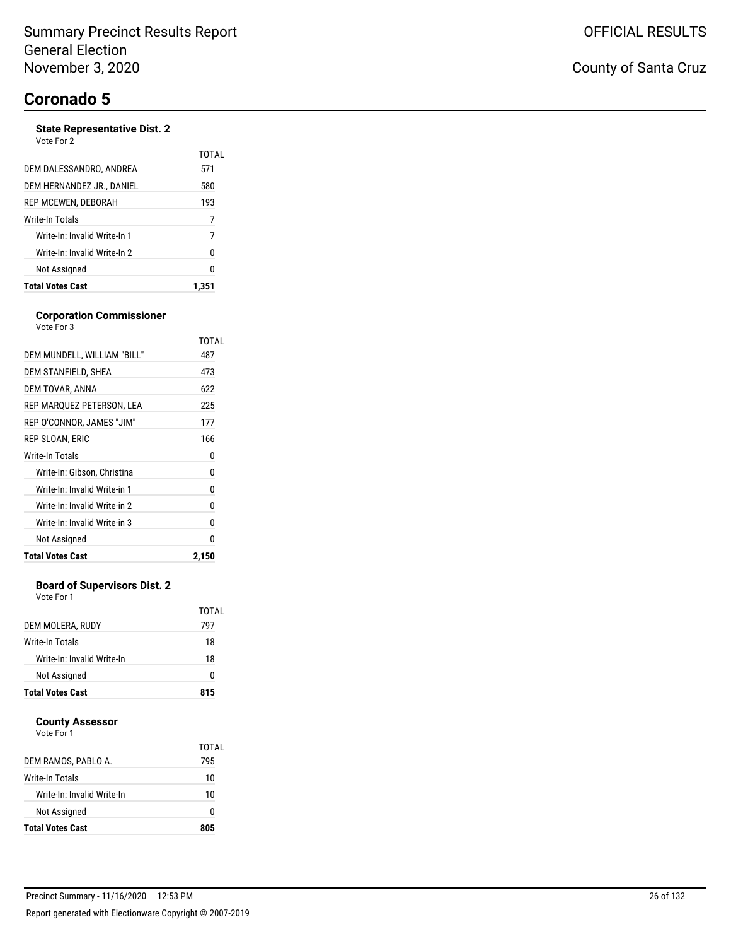#### **State Representative Dist. 2** Vote For 2

| <b>Total Votes Cast</b>      | 1.351        |
|------------------------------|--------------|
| Not Assigned                 | 0            |
| Write-In: Invalid Write-In 2 | 0            |
| Write-In: Invalid Write-In 1 | 7            |
| Write-In Totals              | 7            |
| REP MCEWEN, DEBORAH          | 193          |
| DEM HERNANDEZ JR., DANIEL    | 580          |
| DEM DALESSANDRO. ANDREA      | TOTAL<br>571 |
| <u>vuu vu a</u>              |              |

#### **Corporation Commissioner** Vote For 3

|                              | TOTAL |
|------------------------------|-------|
| DEM MUNDELL, WILLIAM "BILL"  | 487   |
| DEM STANFIELD, SHEA          | 473   |
| DEM TOVAR, ANNA              | 622   |
| REP MARQUEZ PETERSON, LEA    | 225   |
| REP O'CONNOR, JAMES "JIM"    | 177   |
| REP SLOAN, ERIC              | 166   |
| Write-In Totals              | 0     |
| Write-In: Gibson, Christina  | 0     |
| Write-In: Invalid Write-in 1 | 0     |
| Write-In: Invalid Write-in 2 | 0     |
| Write-In: Invalid Write-in 3 | 0     |
| Not Assigned                 | N     |
| <b>Total Votes Cast</b>      | 2,150 |

#### **Board of Supervisors Dist. 2**

Vote For 1

|                            | TOTAL |
|----------------------------|-------|
| DEM MOLERA, RUDY           | 797   |
| Write-In Totals            | 18    |
| Write-In: Invalid Write-In | 18    |
| Not Assigned               | 0     |
| <b>Total Votes Cast</b>    | 815   |

#### **County Assessor**

|                            | TOTAL |
|----------------------------|-------|
| DEM RAMOS, PABLO A.        | 795   |
| Write-In Totals            | 10    |
| Write-In: Invalid Write-In | 10    |
| Not Assigned               | O     |
| <b>Total Votes Cast</b>    | 805   |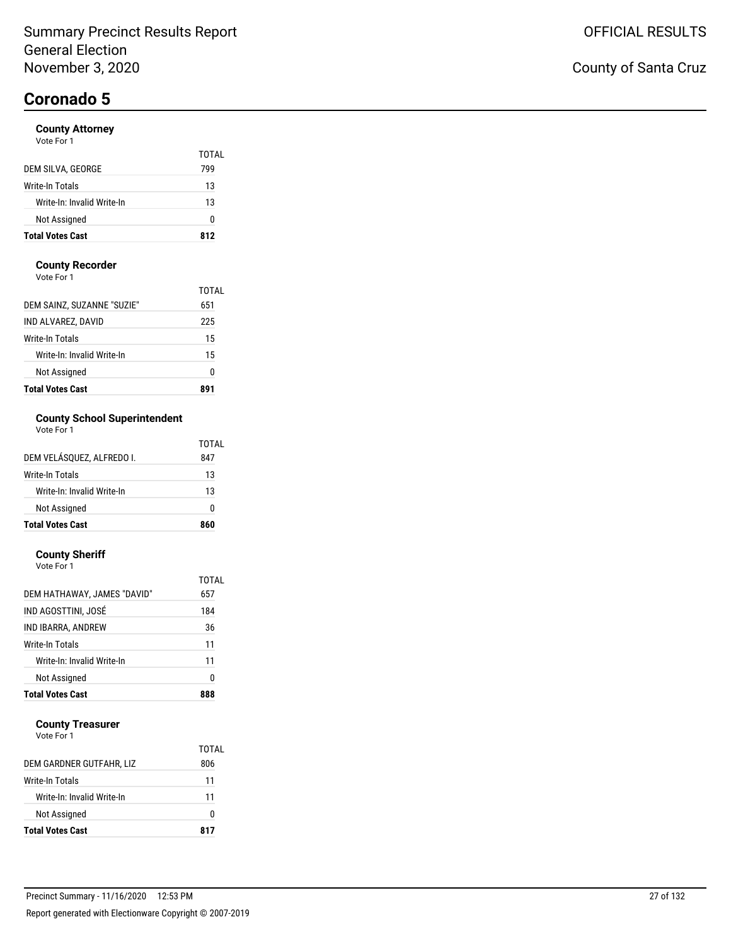TOTAL

## **Coronado 5**

#### **County Attorney**

| Vote For 1        |     |
|-------------------|-----|
|                   | тот |
| DEM SILVA, GEORGE | 799 |

| Write-In Totals            | 13  |
|----------------------------|-----|
| Write-In: Invalid Write-In | 13  |
| <b>Not Assigned</b>        |     |
| <b>Total Votes Cast</b>    | 812 |

#### **County Recorder**

Vote For 1

| <b>Total Votes Cast</b>    |       |
|----------------------------|-------|
| Not Assigned               | Ω     |
| Write-In: Invalid Write-In | 15    |
| Write-In Totals            | 15    |
| IND ALVAREZ, DAVID         | 225   |
| DEM SAINZ, SUZANNE "SUZIE" | 651   |
|                            | TOTAI |

### **County School Superintendent**

| Vote For 1 |  |
|------------|--|
|------------|--|

| <b>Total Votes Cast</b>    | 860   |
|----------------------------|-------|
| Not Assigned               | ŋ     |
| Write-In: Invalid Write-In | 13    |
| Write-In Totals            | 13    |
| DEM VELÁSQUEZ, ALFREDO I.  | 847   |
|                            | TOTAL |

#### **County Sheriff**

| Vote For 1                  |       |
|-----------------------------|-------|
|                             | TOTAL |
| DEM HATHAWAY, JAMES "DAVID" | 657   |
| IND AGOSTTINI. JOSÉ         | 184   |
| IND IBARRA, ANDREW          | 36    |
| <b>Write-In Totals</b>      | 11    |
| Write-In: Invalid Write-In  | 11    |
| Not Assigned                | 0     |
| <b>Total Votes Cast</b>     |       |

#### **County Treasurer**

|                            | TOTAL |
|----------------------------|-------|
| DEM GARDNER GUTFAHR, LIZ   | 806   |
| Write-In Totals            | 11    |
| Write-In: Invalid Write-In | 11    |
| Not Assigned               | O     |
| <b>Total Votes Cast</b>    | 817   |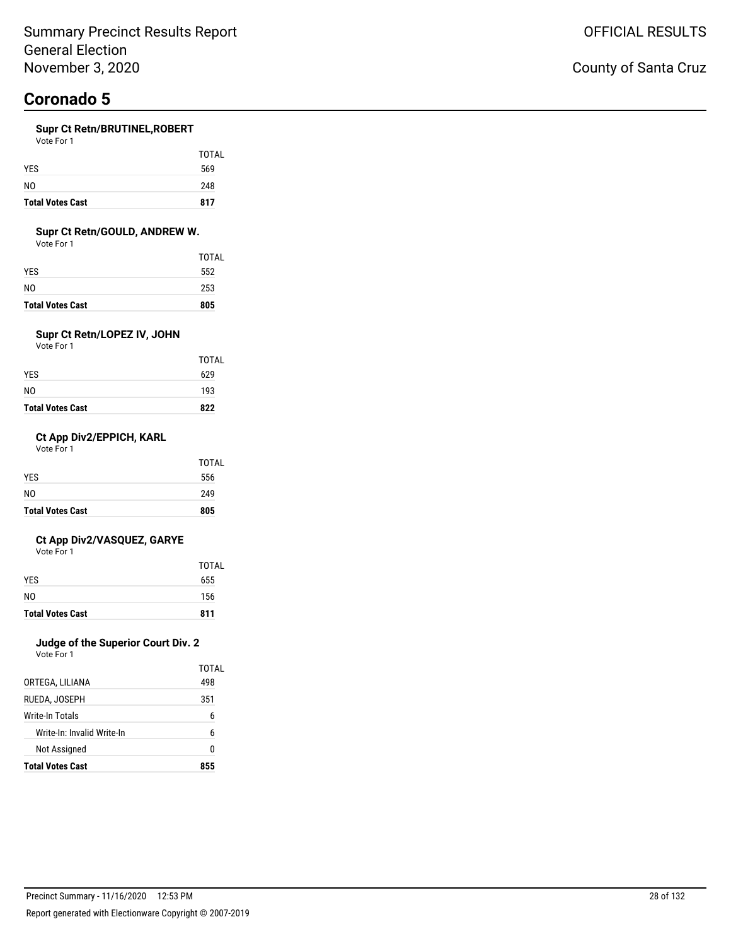#### **Supr Ct Retn/BRUTINEL,ROBERT**  $V_{\alpha+}$

| <b>Total Votes Cast</b> | 817   |
|-------------------------|-------|
| N <sub>0</sub>          | 248   |
| <b>YES</b>              | 569   |
|                         | TOTAL |
| VOLE FOI I              |       |

#### **Supr Ct Retn/GOULD, ANDREW W.**

Vote For 1

| <b>Total Votes Cast</b> | 805   |
|-------------------------|-------|
| N0                      | 253   |
| YES                     | 552   |
|                         | TOTAL |

### **Supr Ct Retn/LOPEZ IV, JOHN**

Vote For 1

| <b>Total Votes Cast</b> | 822          |
|-------------------------|--------------|
| NO                      | 193          |
| YES                     | 629          |
|                         | <b>TOTAL</b> |

#### **Ct App Div2/EPPICH, KARL**

Vote For 1

| <b>Total Votes Cast</b> | 805   |
|-------------------------|-------|
| N <sub>0</sub>          | 249   |
| <b>YES</b>              | 556   |
|                         | TOTAL |

#### **Ct App Div2/VASQUEZ, GARYE**

Vote For 1

|                         | TOTAL |
|-------------------------|-------|
| <b>YES</b>              | 655   |
| N <sub>0</sub>          | 156   |
| <b>Total Votes Cast</b> | 811   |

### **Judge of the Superior Court Div. 2**

| <b>Total Votes Cast</b>    | 855   |
|----------------------------|-------|
| Not Assigned               | N     |
| Write-In: Invalid Write-In | 6     |
| <b>Write-In Totals</b>     | 6     |
| RUEDA, JOSEPH              | 351   |
| ORTEGA, LILIANA            | 498   |
|                            | TOTAL |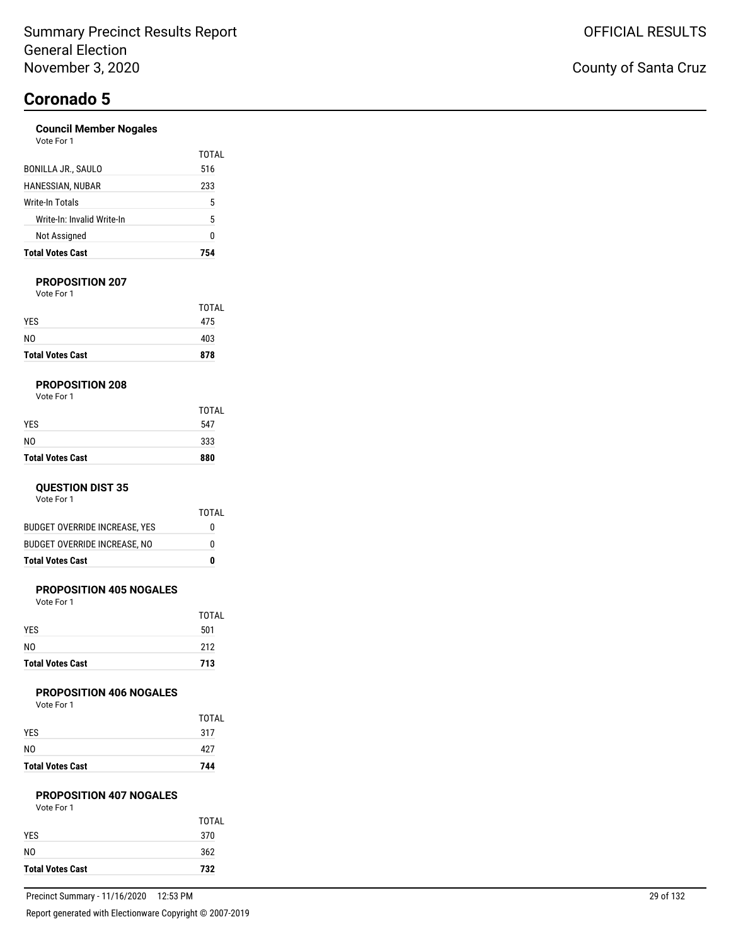#### **Council Member Nogales** Vote For 1

| <b>Total Votes Cast</b>    | 754          |
|----------------------------|--------------|
| Not Assigned               | U            |
| Write-In: Invalid Write-In | 5            |
| Write-In Totals            | 5            |
| HANESSIAN, NUBAR           | 233          |
| <b>BONILLA JR., SAULO</b>  | TOTAL<br>516 |
| <b>VULCIUI</b>             |              |

#### **PROPOSITION 207**

Vote For 1

| <b>Total Votes Cast</b> | 878   |
|-------------------------|-------|
| N <sub>0</sub>          | 403   |
| <b>YES</b>              | 475   |
|                         | TOTAL |

#### **PROPOSITION 208**

| <b>Total Votes Cast</b> | 880   |
|-------------------------|-------|
| N <sub>0</sub>          | 333   |
| <b>YES</b>              | 547   |
|                         | TOTAL |

#### **QUESTION DIST 35**

Vote For 1

|                                      | TOTAL |
|--------------------------------------|-------|
| <b>BUDGET OVERRIDE INCREASE, YES</b> | 0     |
| <b>BUDGET OVERRIDE INCREASE, NO</b>  | 0     |
| <b>Total Votes Cast</b>              | Λ     |

#### **PROPOSITION 405 NOGALES**

Vote For 1

| <b>Total Votes Cast</b> | 713          |
|-------------------------|--------------|
| N <sub>0</sub>          | 212          |
| <b>YES</b>              | 501          |
|                         | <b>TOTAL</b> |

#### **PROPOSITION 406 NOGALES**

Vote For 1

| <b>Total Votes Cast</b> | 744          |
|-------------------------|--------------|
| N <sub>0</sub>          | 427          |
| <b>YES</b>              | 317          |
|                         | <b>TOTAL</b> |

#### **PROPOSITION 407 NOGALES**

| Vote For 1 |  |
|------------|--|
|            |  |

| <b>Total Votes Cast</b> | 732        |
|-------------------------|------------|
| <b>YES</b><br>N0        | 370<br>362 |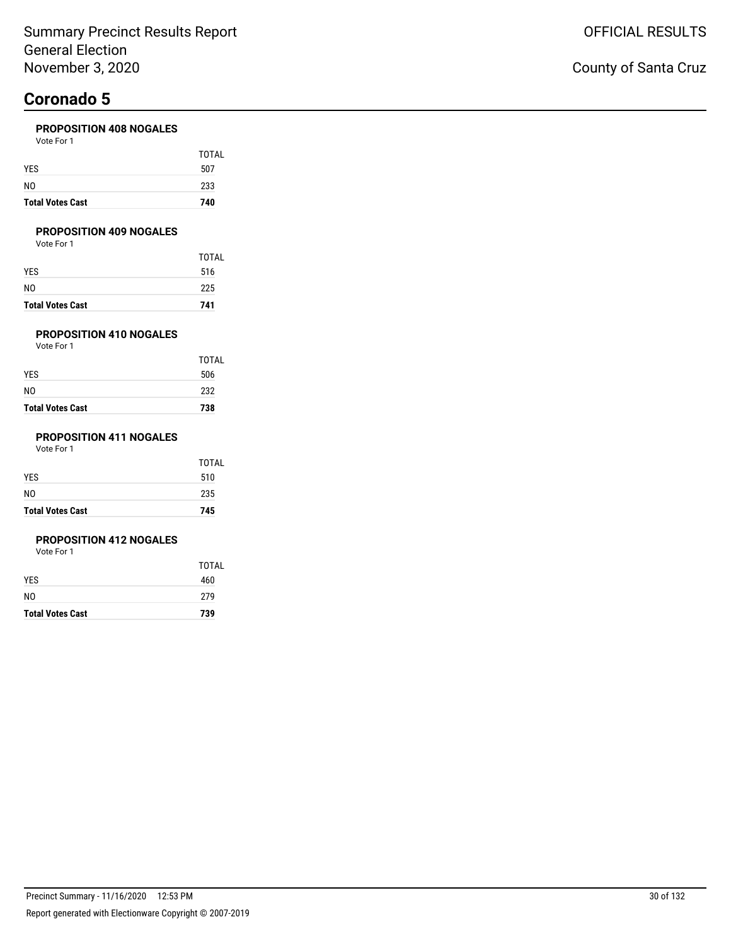#### **PROPOSITION 408 NOGALES**

| <b>Total Votes Cast</b> | 740   |
|-------------------------|-------|
| NO                      | 233   |
| YES                     | 507   |
|                         | TOTAL |
| Vote For 1              |       |

#### **PROPOSITION 409 NOGALES**

Vote For 1

|                         | TOTAL |
|-------------------------|-------|
| YES                     | 516   |
| NO                      | 225   |
| <b>Total Votes Cast</b> | 741   |

#### **PROPOSITION 410 NOGALES**

Vote For 1

| <b>Total Votes Cast</b> | 738          |
|-------------------------|--------------|
| NO                      | 232          |
| YES                     | 506          |
|                         | <b>TOTAL</b> |

#### **PROPOSITION 411 NOGALES**

Vote For 1

| <b>Total Votes Cast</b> | 745   |
|-------------------------|-------|
| N <sub>0</sub>          | 235   |
| <b>YES</b>              | 510   |
|                         | TOTAL |

#### **PROPOSITION 412 NOGALES**

|                         | TOTAL |
|-------------------------|-------|
| <b>YES</b>              | 460   |
| N0                      | 279   |
| <b>Total Votes Cast</b> | 739   |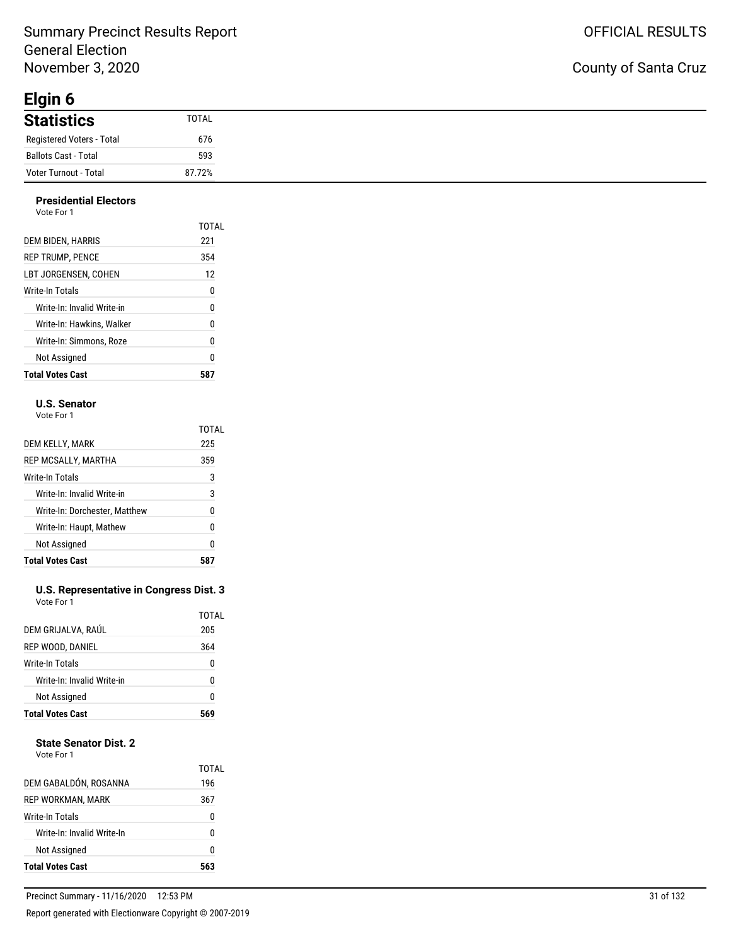### Summary Precinct Results Report General Election November 3, 2020

**Elgin 6**

### County of Santa Cruz

| <u>- y… v</u>             |        |
|---------------------------|--------|
| <b>Statistics</b>         | TOTAL  |
| Registered Voters - Total | 676    |
| Ballots Cast - Total      | 593    |
| Voter Turnout - Total     | 87.72% |

#### **Presidential Electors** Vote For 1

| <b>Total Votes Cast</b>    | 587   |
|----------------------------|-------|
| Not Assigned               | 0     |
| Write-In: Simmons. Roze    | 0     |
| Write-In: Hawkins. Walker  | 0     |
| Write-In: Invalid Write-in | 0     |
| Write-In Totals            | 0     |
| LBT JORGENSEN. COHEN       | 12    |
| <b>REP TRUMP, PENCE</b>    | 354   |
| DEM BIDEN, HARRIS          | 221   |
| .                          | TOTAL |

#### **U.S. Senator**

Vote For 1

|                               | TOTAL |
|-------------------------------|-------|
| DEM KELLY, MARK               | 225   |
| REP MCSALLY, MARTHA           | 359   |
| Write-In Totals               | 3     |
| Write-In: Invalid Write-in    | 3     |
| Write-In: Dorchester, Matthew | 0     |
| Write-In: Haupt, Mathew       | 0     |
| Not Assigned                  | 0     |
| <b>Total Votes Cast</b>       |       |

#### **U.S. Representative in Congress Dist. 3** Vote For 1

| Write-In: Invalid Write-in<br>Not Assigned |              |
|--------------------------------------------|--------------|
|                                            | 0            |
|                                            | U            |
| Write-In Totals                            | 0            |
| REP WOOD, DANIEL                           | 364          |
| DEM GRIJALVA, RAÚL                         | TOTAL<br>205 |

#### **State Senator Dist. 2**

| Not Assigned               | 0            |
|----------------------------|--------------|
|                            |              |
| Write-In: Invalid Write-In | n            |
| Write-In Totals            | 0            |
| REP WORKMAN, MARK          | 367          |
| DEM GABALDÓN, ROSANNA      | TOTAL<br>196 |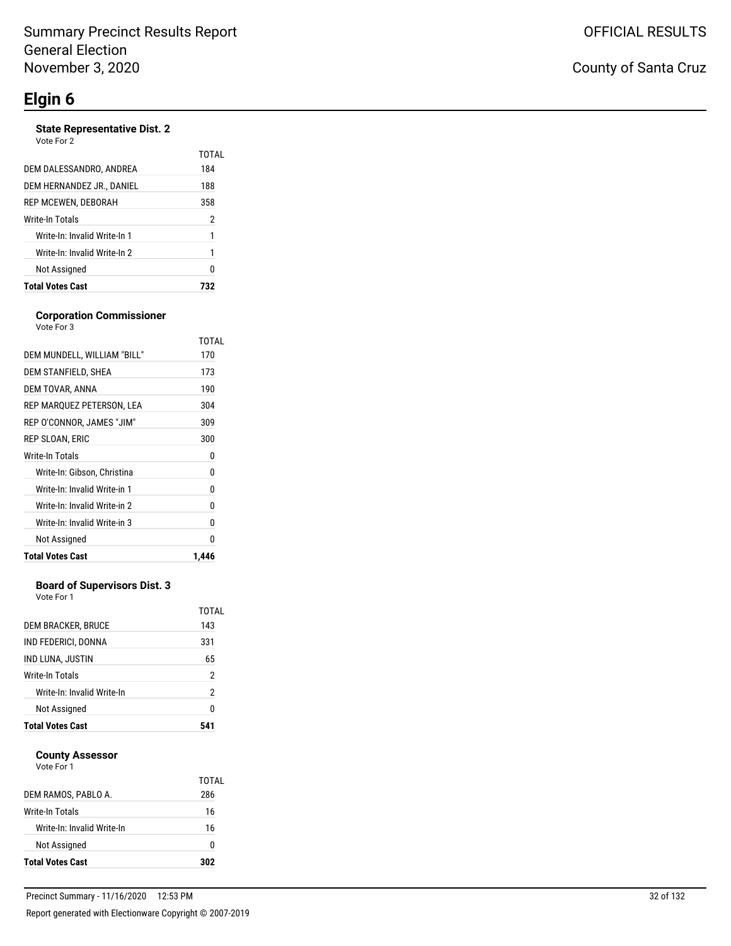#### **State Representative Dist. 2**

Vote For 2

|                              | TOTAL |
|------------------------------|-------|
| DEM DALESSANDRO, ANDREA      | 184   |
| DEM HERNANDEZ JR., DANIEL    | 188   |
| REP MCEWEN, DEBORAH          | 358   |
| <b>Write-In Totals</b>       | 2     |
| Write-In: Invalid Write-In 1 |       |
| Write-In: Invalid Write-In 2 |       |
| Not Assigned                 | N     |
| <b>Total Votes Cast</b>      |       |

#### **Corporation Commissioner** Vote For 3

|                              | TOTAL |
|------------------------------|-------|
| DEM MUNDELL. WILLIAM "BILL"  | 170   |
| DEM STANFIELD, SHEA          | 173   |
| DEM TOVAR, ANNA              | 190   |
| REP MARQUEZ PETERSON, LEA    | 304   |
| REP O'CONNOR, JAMES "JIM"    | 309   |
| REP SLOAN. ERIC              | 300   |
| <b>Write-In Totals</b>       | 0     |
| Write-In: Gibson, Christina  | 0     |
| Write-In: Invalid Write-in 1 | N     |
| Write-In: Invalid Write-in 2 | 0     |
| Write-In: Invalid Write-in 3 | 0     |
| Not Assigned                 | O     |
| <b>Total Votes Cast</b>      | 1,446 |

#### **Board of Supervisors Dist. 3**

Vote For 1

| 2<br>n       |
|--------------|
|              |
|              |
| 2            |
| 65           |
| 331          |
| TOTAL<br>143 |
|              |

#### **County Assessor**

| <b>Total Votes Cast</b>    | 302   |
|----------------------------|-------|
| Not Assigned               | 0     |
| Write-In: Invalid Write-In | 16    |
| Write-In Totals            | 16    |
| DEM RAMOS, PABLO A.        | 286   |
|                            | TOTAL |
| Vote For 1                 |       |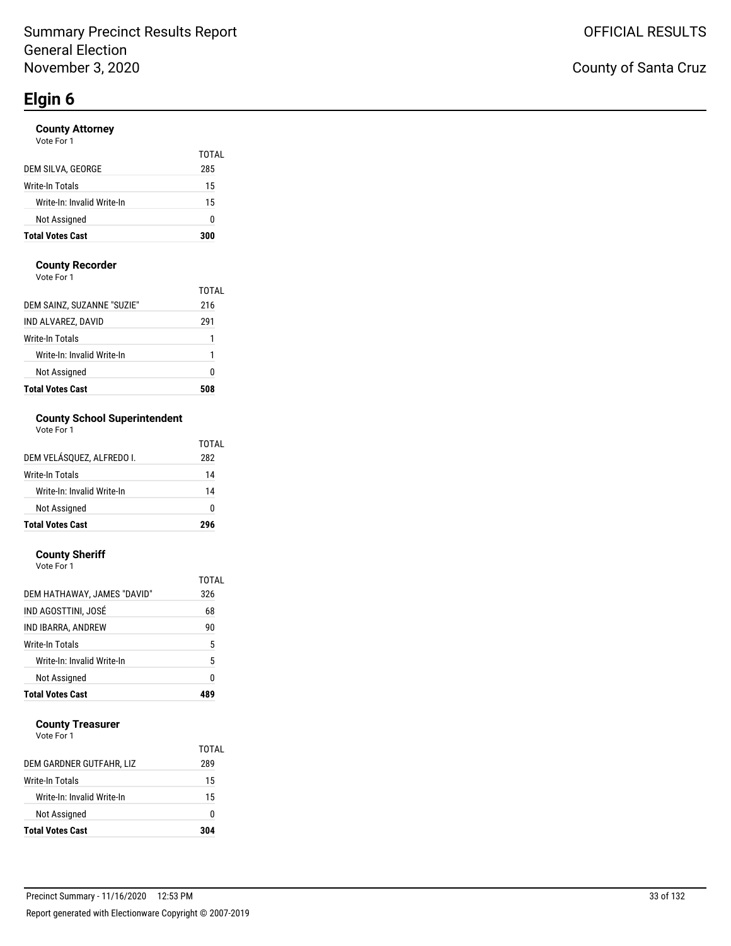#### **County Attorney**

| Vote For 1 |  |
|------------|--|
|            |  |

|                            | TOTAL |
|----------------------------|-------|
| DEM SILVA, GEORGE          | 285   |
| Write-In Totals            | 15    |
| Write-In: Invalid Write-In | 15    |
| Not Assigned               | o     |
| <b>Total Votes Cast</b>    | 300   |

#### **County Recorder**

Vote For 1

| <b>Total Votes Cast</b>    |       |
|----------------------------|-------|
| Not Assigned               | 0     |
| Write-In: Invalid Write-In | 1     |
| Write-In Totals            | 1     |
| IND ALVAREZ, DAVID         | 291   |
| DEM SAINZ, SUZANNE "SUZIE" | 216   |
|                            | TOTAL |

#### **County School Superintendent**  $\mathbf 1$

| <b>Total Votes Cast</b>    | 296   |
|----------------------------|-------|
| Not Assigned               | ŋ     |
| Write-In: Invalid Write-In | 14    |
| Write-In Totals            | 14    |
| DEM VELÁSQUEZ, ALFREDO I.  | 282   |
|                            | TOTAL |

#### **County Sheriff**

| <b>Total Votes Cast</b>     |       |
|-----------------------------|-------|
| Not Assigned                | 0     |
| Write-In: Invalid Write-In  | 5     |
| Write-In Totals             | 5     |
| IND IBARRA, ANDREW          | 90    |
| IND AGOSTTINI, JOSÉ         | 68    |
| DEM HATHAWAY, JAMES "DAVID" | 326   |
|                             | TOTAL |
| Vote For 1                  |       |

#### **County Treasurer**

|                            | TOTAL |
|----------------------------|-------|
| DEM GARDNER GUTFAHR, LIZ   | 289   |
| Write-In Totals            | 15    |
| Write-In: Invalid Write-In | 15    |
| Not Assigned               | O     |
| <b>Total Votes Cast</b>    | 304   |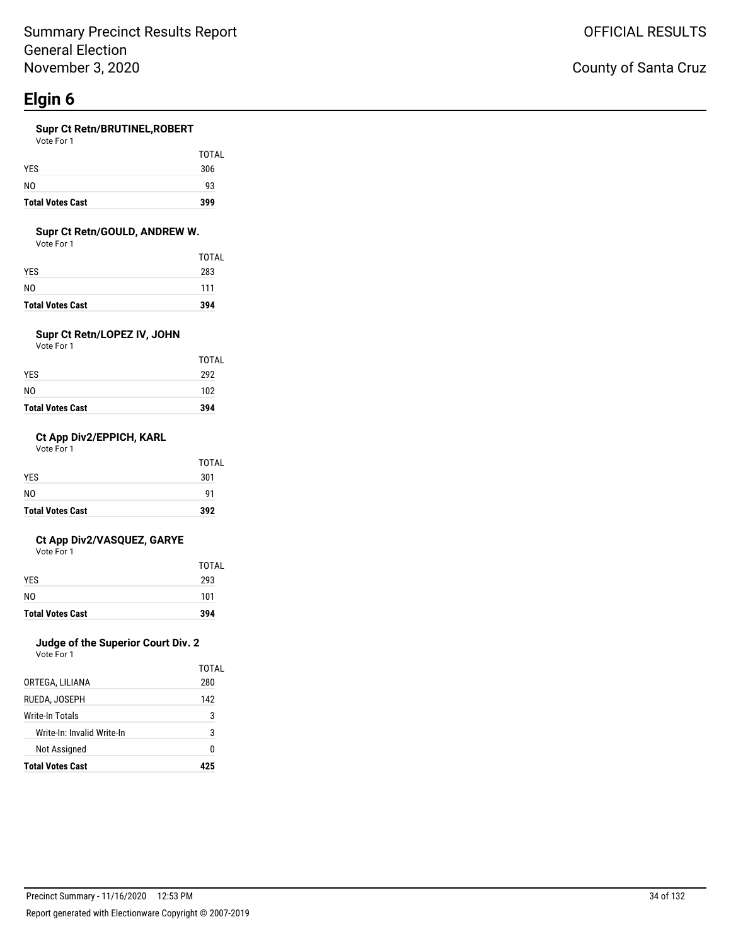#### **Supr Ct Retn/BRUTINEL,ROBERT**

Vote For 1

| <b>Total Votes Cast</b> | 399          |
|-------------------------|--------------|
| N <sub>0</sub>          | 93           |
| <b>YES</b>              | 306          |
|                         | <b>TOTAL</b> |

#### **Supr Ct Retn/GOULD, ANDREW W.**

Vote For 1

| <b>Total Votes Cast</b> | 394          |
|-------------------------|--------------|
| N0                      | 111          |
| YES                     | 283          |
|                         | <b>TOTAL</b> |

### **Supr Ct Retn/LOPEZ IV, JOHN**

Vote For 1

| <b>Total Votes Cast</b> | 394   |
|-------------------------|-------|
| 292<br>NO<br>102        |       |
| YES                     |       |
|                         | TOTAL |

#### **Ct App Div2/EPPICH, KARL**

Vote For 1

| <b>Total Votes Cast</b> | 392   |
|-------------------------|-------|
| NO.                     | 91    |
| <b>YES</b>              | 301   |
|                         | TOTAL |

#### **Ct App Div2/VASQUEZ, GARYE**

Vote For 1

| <b>Total Votes Cast</b> | 394   |
|-------------------------|-------|
| NO.                     | 101   |
| <b>YFS</b>              | 293   |
|                         | TOTAL |

### **Judge of the Superior Court Div. 2**

| <b>Total Votes Cast</b>    | 475   |
|----------------------------|-------|
| Not Assigned               | N     |
| Write-In: Invalid Write-In | 3     |
| Write-In Totals            | 3     |
| RUEDA, JOSEPH              | 142   |
| ORTEGA, LILIANA            | 280   |
|                            | TOTAL |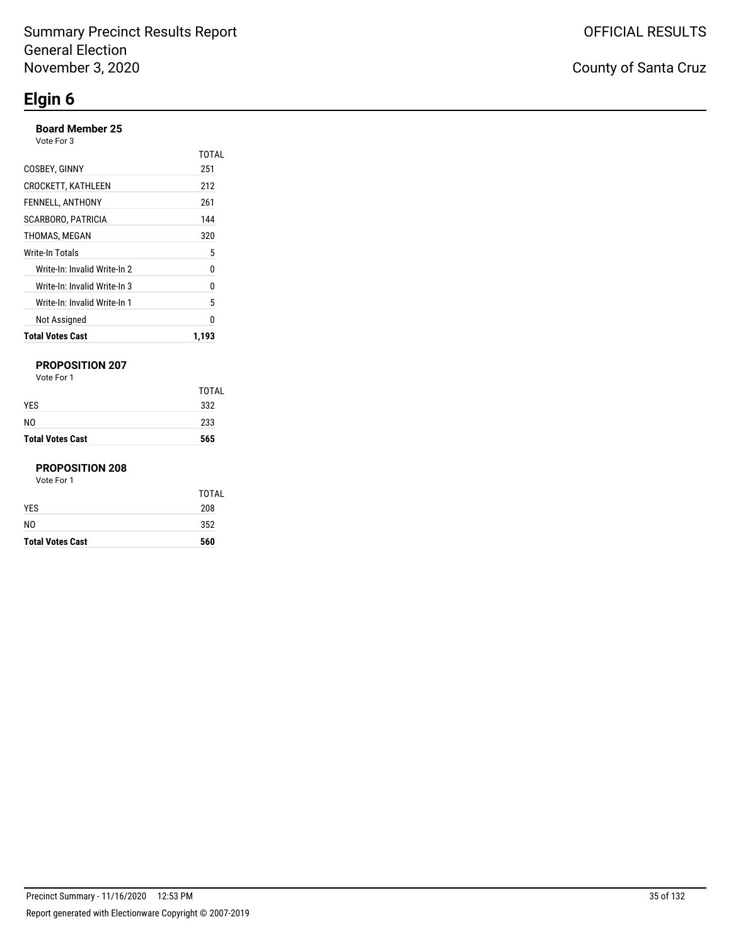#### **Board Member 25**

Vote For 3

| <b>Total Votes Cast</b>      | 1.193 |
|------------------------------|-------|
| Not Assigned                 | n     |
| Write-In: Invalid Write-In 1 | 5     |
| Write-In: Invalid Write-In 3 | 0     |
| Write-In: Invalid Write-In 2 | 0     |
| Write-In Totals              | 5     |
| THOMAS, MEGAN                | 320   |
| SCARBORO, PATRICIA           | 144   |
| FENNELL, ANTHONY             | 261   |
| <b>CROCKETT, KATHLEEN</b>    | 212   |
| COSBEY, GINNY                | 251   |
|                              | TOTAI |

#### **PROPOSITION 207**

Vote For 1

| <b>Total Votes Cast</b> | 565   |
|-------------------------|-------|
| NO                      | 233   |
| <b>YES</b>              | 332   |
|                         | TOTAL |

#### **PROPOSITION 208**

| <b>Total Votes Cast</b> | 560   |
|-------------------------|-------|
| N <sub>0</sub>          | 352   |
| <b>YES</b>              | 208   |
|                         | TOTAL |
| Vote For 1              |       |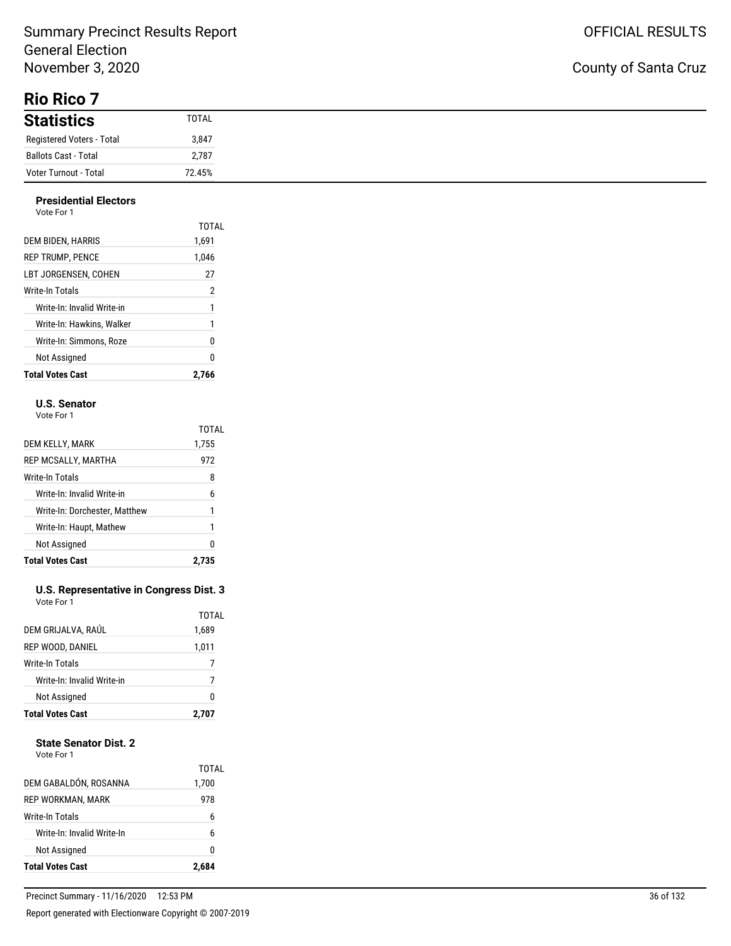### Summary Precinct Results Report General Election November 3, 2020

**Rio Rico 7**

| <b>Statistics</b>         | TOTAL  |
|---------------------------|--------|
| Registered Voters - Total | 3,847  |
| Ballots Cast - Total      | 2,787  |
| Voter Turnout - Total     | 72.45% |

#### **Presidential Electors** Vote For 1

| <b>Total Votes Cast</b>    | 2.766 |
|----------------------------|-------|
| Not Assigned               | 0     |
| Write-In: Simmons. Roze    | 0     |
| Write-In: Hawkins. Walker  | 1     |
| Write-In: Invalid Write-in | 1     |
| Write-In Totals            | 2     |
| LBT JORGENSEN. COHEN       | 27    |
| <b>REP TRUMP, PENCE</b>    | 1,046 |
| DEM BIDEN, HARRIS          | 1,691 |
|                            | TOTAL |
| , , , , , , , , ,          |       |

#### **U.S. Senator**

Vote For 1

|                               | TOTAL |
|-------------------------------|-------|
| DEM KELLY, MARK               | 1,755 |
| REP MCSALLY, MARTHA           | 972   |
| Write-In Totals               | 8     |
| Write-In: Invalid Write-in    | 6     |
| Write-In: Dorchester, Matthew | 1     |
| Write-In: Haupt, Mathew       | 1     |
| Not Assigned                  | ŋ     |
| <b>Total Votes Cast</b>       |       |

#### **U.S. Representative in Congress Dist. 3** Vote For 1

| <b>Total Votes Cast</b>    | 2,707 |
|----------------------------|-------|
| Not Assigned               | 0     |
| Write-In: Invalid Write-in | 7     |
| Write-In Totals            |       |
| REP WOOD, DANIEL           | 1,011 |
| DEM GRIJALVA, RAÚL         | 1,689 |
|                            | TOTAL |

#### **State Senator Dist. 2**

| <b>Total Votes Cast</b>    |                |
|----------------------------|----------------|
| Not Assigned               | 0              |
| Write-In: Invalid Write-In | 6              |
| Write-In Totals            | 6              |
| REP WORKMAN, MARK          | 978            |
| DEM GABALDÓN, ROSANNA      | TOTAI<br>1,700 |
|                            |                |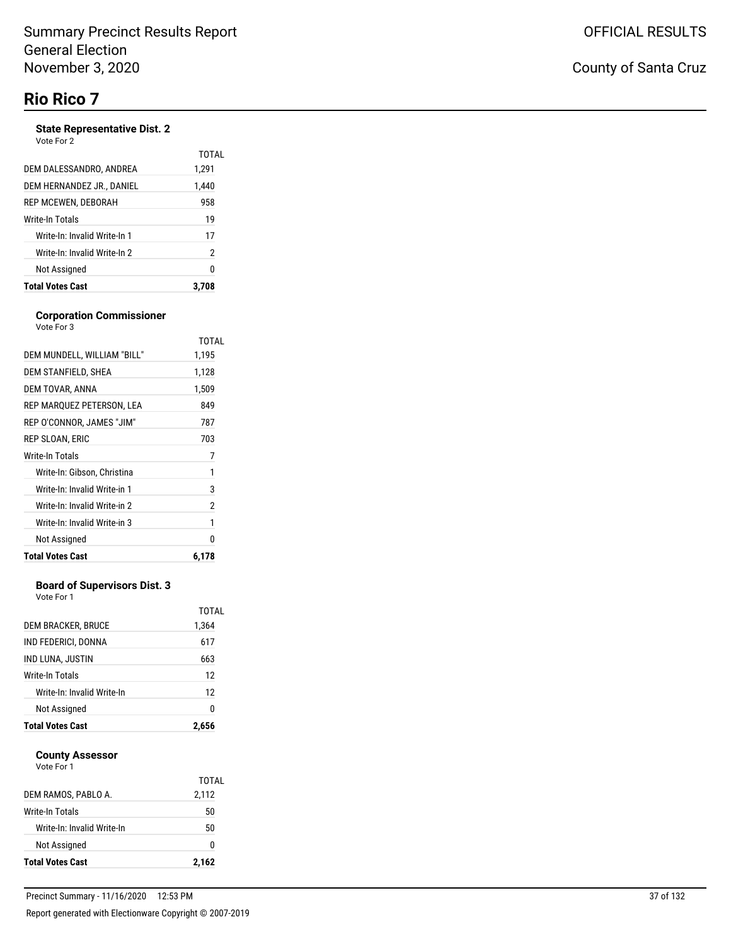# **Rio Rico 7**

#### **State Representative Dist. 2**

| Write-In: Invalid Write-In 2<br>Not Assigned | 17<br>$\overline{2}$<br>0 |
|----------------------------------------------|---------------------------|
|                                              |                           |
|                                              |                           |
| Write-In: Invalid Write-In 1                 |                           |
| Write-In Totals                              | 19                        |
| REP MCEWEN, DEBORAH                          | 958                       |
| DEM HERNANDEZ JR., DANIEL                    | 1.440                     |
| DEM DALESSANDRO, ANDREA                      | 1,291                     |
| Vote For 2                                   | TOTAL                     |

#### **Corporation Commissioner** Vote For 3

|                              | TOTAL |
|------------------------------|-------|
| DEM MUNDELL, WILLIAM "BILL"  | 1,195 |
| DEM STANFIELD, SHEA          | 1,128 |
| DEM TOVAR, ANNA              | 1,509 |
| REP MARQUEZ PETERSON, LEA    | 849   |
| REP O'CONNOR, JAMES "JIM"    | 787   |
| REP SLOAN, ERIC              | 703   |
| Write-In Totals              | 7     |
| Write-In: Gibson, Christina  | 1     |
| Write-In: Invalid Write-in 1 | 3     |
| Write-In: Invalid Write-in 2 | 2     |
| Write-In: Invalid Write-in 3 | 1     |
| Not Assigned                 | N     |
| <b>Total Votes Cast</b>      | 6,178 |

#### **Board of Supervisors Dist. 3**

Vote For 1

| <b>Total Votes Cast</b>    | 2,656          |
|----------------------------|----------------|
| Not Assigned               | 0              |
| Write-In: Invalid Write-In | 12             |
| Write-In Totals            | 12             |
| IND LUNA, JUSTIN           | 663            |
| IND FEDERICI, DONNA        | 617            |
| DEM BRACKER, BRUCE         | TOTAI<br>1,364 |
|                            |                |

#### **County Assessor** Vote For 1

| <b>Total Votes Cast</b>    |       |
|----------------------------|-------|
| Not Assigned               | 0     |
| Write-In: Invalid Write-In | 50    |
| Write-In Totals            | 50    |
| DEM RAMOS, PABLO A.        | 2,112 |
|                            | TOTAL |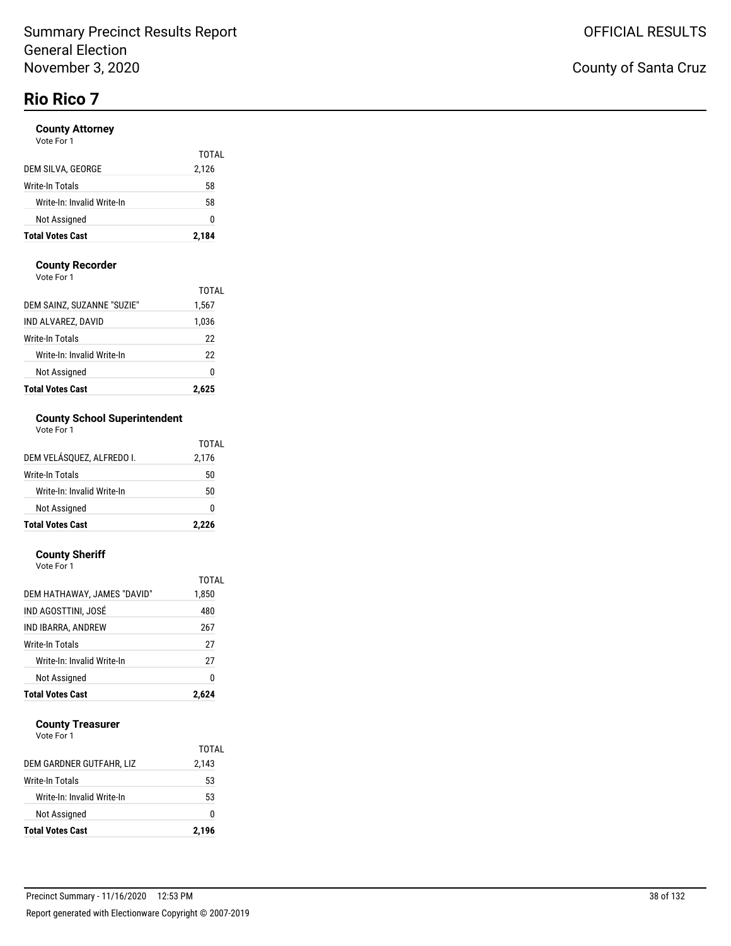# **Rio Rico 7**

#### **County Attorney**

| Not Assigned<br><b>Total Votes Cast</b> | 0<br>2,184 |
|-----------------------------------------|------------|
| Write-In: Invalid Write-In              | 58         |
| Write-In Totals                         | 58         |
| DEM SILVA, GEORGE                       | 2,126      |
|                                         | TOTAL      |

#### **County Recorder**

Vote For 1

| <b>Total Votes Cast</b>    | 2.625 |
|----------------------------|-------|
| Not Assigned               | 0     |
| Write-In: Invalid Write-In | 22    |
| Write-In Totals            | 22    |
| IND ALVAREZ. DAVID         | 1,036 |
| DEM SAINZ, SUZANNE "SUZIE" | 1,567 |
|                            | TOTAL |

### **County School Superintendent**

| Vote For 1                 |       |
|----------------------------|-------|
|                            | TOTAL |
| DEM VELÁSQUEZ, ALFREDO I.  | 2,176 |
| Write-In Totals            | 50    |
| Write-In: Invalid Write-In | 50    |
| Not Assigned               |       |

**Total Votes Cast 2,226**

#### **County Sheriff**

| Write-In: Invalid Write-In  | 27             |
|-----------------------------|----------------|
| Write-In Totals             | 27             |
| IND IBARRA, ANDREW          | 267            |
| IND AGOSTTINI. JOSÉ         | 480            |
| DEM HATHAWAY, JAMES "DAVID" | TOTAL<br>1,850 |
| Vote For 1                  |                |

#### **County Treasurer**

| <b>Total Votes Cast</b>    | 2,196 |
|----------------------------|-------|
| <b>Not Assigned</b>        | o     |
| Write-In: Invalid Write-In | 53    |
| Write-In Totals            | 53    |
| DEM GARDNER GUTFAHR, LIZ   | 2,143 |
|                            | TOTAL |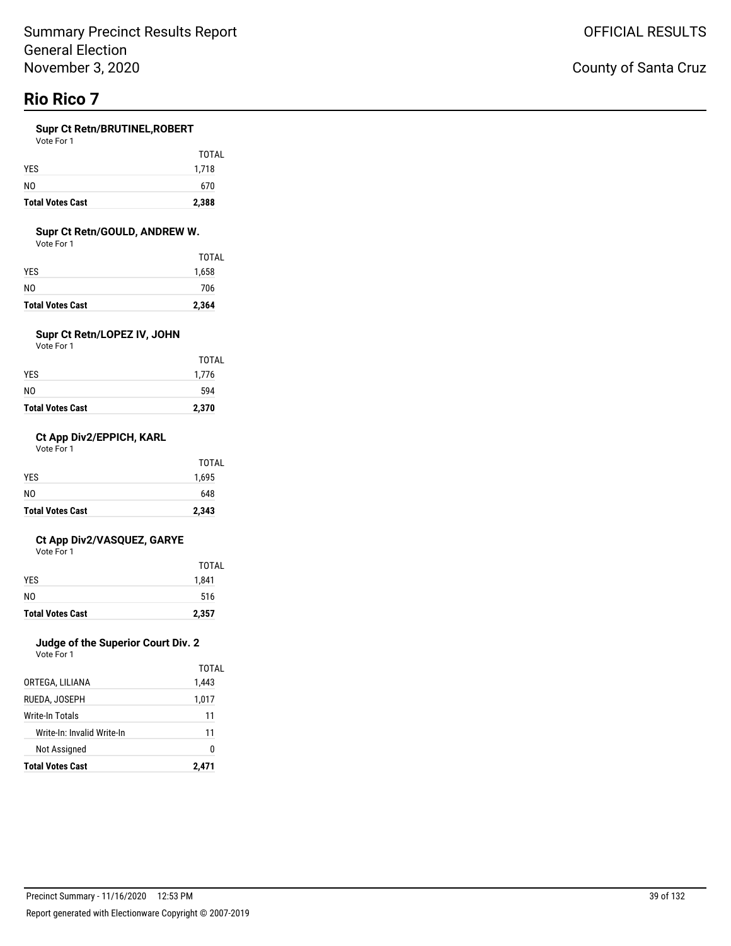# **Rio Rico 7**

#### **Supr Ct Retn/BRUTINEL,ROBERT**

| Vote For 1 |  |
|------------|--|
|------------|--|

| <b>Total Votes Cast</b> | 2,388 |
|-------------------------|-------|
| N <sub>0</sub>          | 670   |
| <b>YES</b>              | 1,718 |
|                         | TOTAL |

#### **Supr Ct Retn/GOULD, ANDREW W.**

Vote For 1

| <b>Total Votes Cast</b> | 2,364        |
|-------------------------|--------------|
| N0                      | 706          |
| YES                     | 1,658        |
|                         | <b>TOTAL</b> |

### **Supr Ct Retn/LOPEZ IV, JOHN**

Vote For 1

| <b>Total Votes Cast</b> | 2,370        |
|-------------------------|--------------|
| NO                      | 594          |
| YES                     | 1,776        |
|                         | <b>TOTAL</b> |

#### **Ct App Div2/EPPICH, KARL**

Vote For 1

| <b>Total Votes Cast</b> | 2,343        |
|-------------------------|--------------|
| N <sub>0</sub>          | 648          |
| <b>YES</b>              | 1,695        |
|                         | <b>TOTAL</b> |

#### **Ct App Div2/VASQUEZ, GARYE**

Vote For 1

| <b>Total Votes Cast</b> | 2,357 |
|-------------------------|-------|
| NO.                     | 516   |
| <b>YES</b>              | 1,841 |
|                         | TOTAL |

#### **Judge of the Superior Court Div. 2**

|                            | TOTAL |
|----------------------------|-------|
| ORTEGA, LILIANA            | 1,443 |
| RUEDA, JOSEPH              | 1,017 |
| <b>Write-In Totals</b>     | 11    |
| Write-In: Invalid Write-In | 11    |
| Not Assigned               | N     |
| <b>Total Votes Cast</b>    | 2,471 |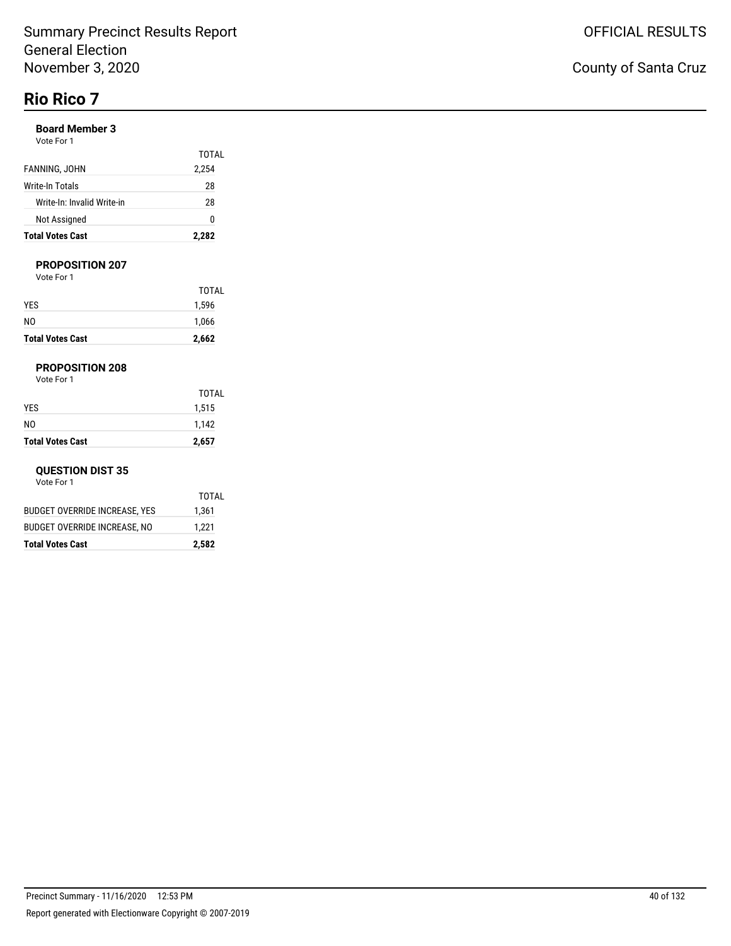# **Rio Rico 7**

#### **Board Member 3**

| Vote For 1 |  |  |
|------------|--|--|
|            |  |  |

| <b>Total Votes Cast</b>    | 2,282 |
|----------------------------|-------|
| Not Assigned               | n     |
| Write-In: Invalid Write-in | 28    |
| Write-In Totals            | 28    |
| FANNING, JOHN              | 2,254 |
|                            | TOTAL |

#### **PROPOSITION 207**

Vote For 1

| <b>Total Votes Cast</b> | 2,662 |
|-------------------------|-------|
| N <sub>0</sub>          | 1,066 |
| <b>YES</b>              | 1,596 |
|                         | TOTAL |

#### **PROPOSITION 208**

Vote For 1

| <b>Total Votes Cast</b> | 2,657        |
|-------------------------|--------------|
| N <sub>0</sub>          | 1,142        |
| <b>YES</b>              | 1,515        |
|                         | <b>TOTAL</b> |

#### **QUESTION DIST 35**

|                               | TOTAL |
|-------------------------------|-------|
| BUDGET OVERRIDE INCREASE, YES | 1,361 |
| BUDGET OVERRIDE INCREASE, NO  | 1,221 |
| Total Votes Cast              | 2,582 |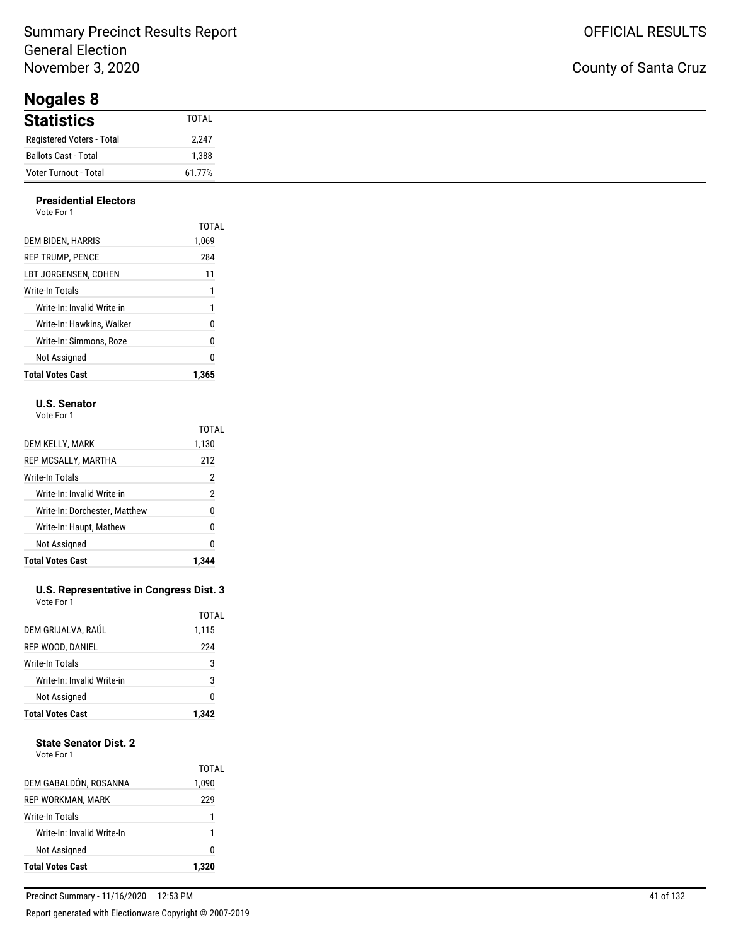**Nogales 8**

| $1.19$ gailer $\sim$      |              |
|---------------------------|--------------|
| <b>Statistics</b>         | <b>TOTAL</b> |
| Registered Voters - Total | 2,247        |
| Ballots Cast - Total      | ,388         |
| Voter Turnout - Total     | 61.77%       |

#### **Presidential Electors** Vote For 1

| <b>Total Votes Cast</b>    | 1.365          |
|----------------------------|----------------|
| Not Assigned               | 0              |
| Write-In: Simmons. Roze    | 0              |
| Write-In: Hawkins. Walker  | 0              |
| Write-In: Invalid Write-in | 1              |
| Write-In Totals            | 1              |
| LBT JORGENSEN. COHEN       | 11             |
| <b>REP TRUMP. PENCE</b>    | 284            |
| DEM BIDEN, HARRIS          | TOTAL<br>1,069 |
| VULT FUIT                  |                |

#### **U.S. Senator**

Vote For 1

|                               | <b>TOTAL</b>   |
|-------------------------------|----------------|
| DEM KELLY, MARK               | 1,130          |
| REP MCSALLY, MARTHA           | 212            |
| Write-In Totals               | 2              |
| Write-In: Invalid Write-in    | $\overline{2}$ |
| Write-In: Dorchester, Matthew | 0              |
| Write-In: Haupt, Mathew       | 0              |
| Not Assigned                  | 0              |
| <b>Total Votes Cast</b>       |                |

#### **U.S. Representative in Congress Dist. 3** Vote For 1

| <b>Total Votes Cast</b>    | 1.342 |
|----------------------------|-------|
| Not Assigned               | 0     |
| Write-In: Invalid Write-in | 3     |
| Write-In Totals            | 3     |
| <b>REP WOOD, DANIEL</b>    | 224   |
| DEM GRIJALVA, RAÚL         | 1,115 |
|                            | TOTAL |

### **State Senator Dist. 2**

| <b>Not Assigned</b>        | 1<br>0         |
|----------------------------|----------------|
|                            |                |
| Write-In: Invalid Write-In |                |
| Write-In Totals            | 1              |
| REP WORKMAN, MARK          | 229            |
| DEM GABALDÓN, ROSANNA      | TOTAL<br>1,090 |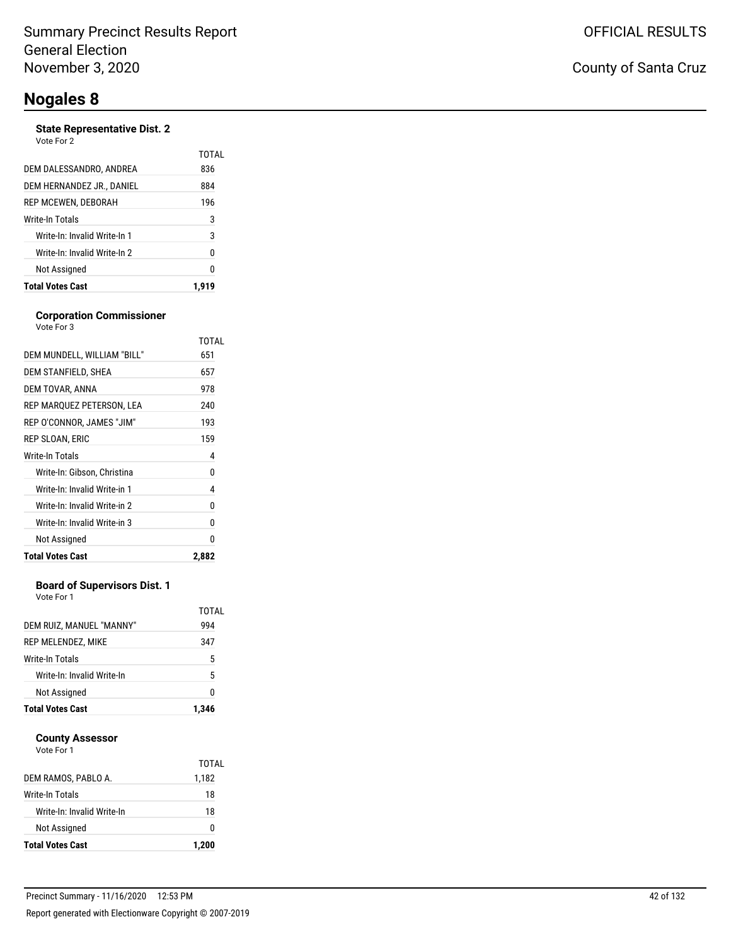#### **State Representative Dist. 2**

| Vote For 2 |  |
|------------|--|
|------------|--|

| <b>Total Votes Cast</b>      |       |
|------------------------------|-------|
| Not Assigned                 | 0     |
| Write-In: Invalid Write-In 2 | 0     |
| Write-In: Invalid Write-In 1 | 3     |
| Write-In Totals              | 3     |
| REP MCEWEN, DEBORAH          | 196   |
| DEM HERNANDEZ JR., DANIEL    | 884   |
| DEM DALESSANDRO, ANDREA      | 836   |
|                              | TOTAL |

#### **Corporation Commissioner**

| <b>Total Votes Cast</b>      | 2,882 |
|------------------------------|-------|
| Not Assigned                 | 0     |
| Write-In: Invalid Write-in 3 | 0     |
| Write-In: Invalid Write-in 2 | 0     |
| Write-In: Invalid Write-in 1 | 4     |
| Write-In: Gibson, Christina  | 0     |
| Write-In Totals              | 4     |
| REP SLOAN, ERIC              | 159   |
| REP O'CONNOR, JAMES "JIM"    | 193   |
| REP MARQUEZ PETERSON, LEA    | 240   |
| DEM TOVAR, ANNA              | 978   |
| DEM STANFIELD, SHEA          | 657   |
| DEM MUNDELL, WILLIAM "BILL"  | 651   |
| Vote For 3                   | TOTAL |

#### **Board of Supervisors Dist. 1**

Vote For 1

| DEM RUIZ, MANUEL "MANNY"<br>REP MELENDEZ, MIKE<br><b>Write-In Totals</b><br>Write-In: Invalid Write-In<br>Not Assigned | 1.346        |
|------------------------------------------------------------------------------------------------------------------------|--------------|
|                                                                                                                        | 0            |
|                                                                                                                        | 5            |
|                                                                                                                        | 5            |
|                                                                                                                        | 347          |
|                                                                                                                        | TOTAL<br>994 |

#### **County Assessor**

| <b>Total Votes Cast</b>    | 1,200          |
|----------------------------|----------------|
| Not Assigned               | 0              |
| Write-In: Invalid Write-In | 18             |
| Write-In Totals            | 18             |
| DEM RAMOS, PABLO A.        | TOTAL<br>1,182 |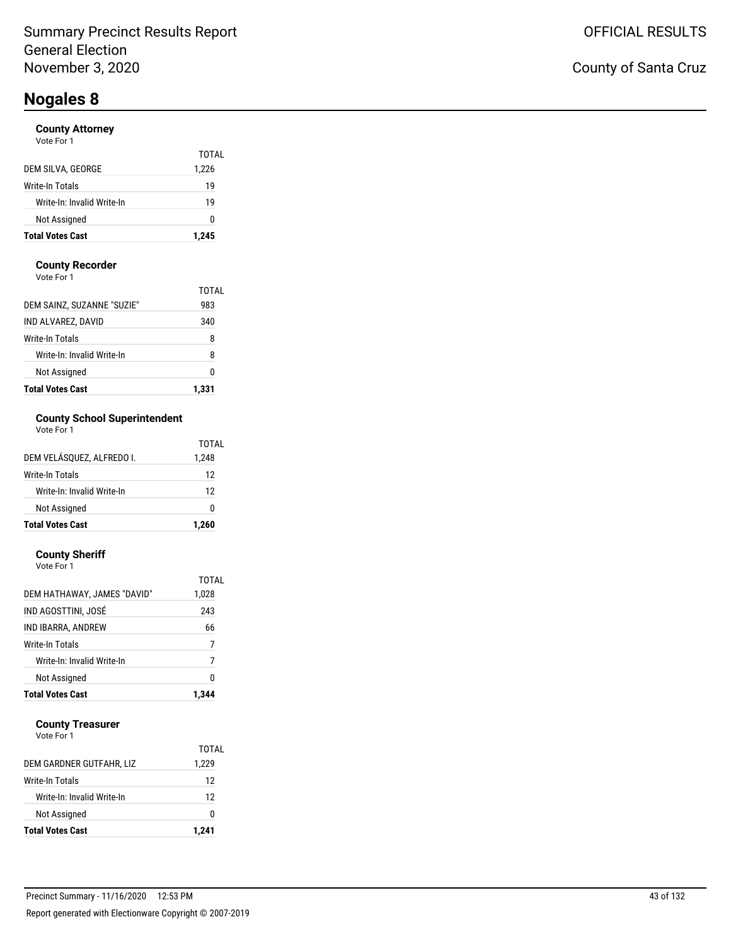#### **County Attorney**

| <b>Total Votes Cast</b>    | 1,245 |
|----------------------------|-------|
| Not Assigned               | o     |
| Write-In: Invalid Write-In | 19    |
| Write-In Totals            | 19    |
| DEM SILVA, GEORGE          | 1,226 |
|                            | TOTAL |

#### **County Recorder**

Vote For 1

| <b>Total Votes Cast</b>    | 1.331 |
|----------------------------|-------|
| Not Assigned               | 0     |
| Write-In: Invalid Write-In | 8     |
| Write-In Totals            | 8     |
| IND ALVAREZ, DAVID         | 340   |
| DEM SAINZ, SUZANNE "SUZIE" | 983   |
|                            | TOTAL |

### **County School Superintendent**

| Vote For 1 |  |
|------------|--|
|------------|--|

| <b>Total Votes Cast</b>    | 1.260 |
|----------------------------|-------|
| Not Assigned               | ŋ     |
| Write-In: Invalid Write-In | 12    |
| Write-In Totals            | 12    |
| DEM VELÁSQUEZ, ALFREDO I.  | 1,248 |
|                            | TOTAL |

#### **County Sheriff**

| Not Assigned                | 0     |
|-----------------------------|-------|
| Write-In: Invalid Write-In  | 7     |
| Write-In Totals             | 7     |
| IND IBARRA, ANDREW          | 66    |
| IND AGOSTTINI. JOSÉ         | 243   |
| DEM HATHAWAY, JAMES "DAVID" | 1,028 |
| Vote For 1                  | TOTAL |

#### **County Treasurer**

| <b>Total Votes Cast</b>    | 1,241 |
|----------------------------|-------|
| Not Assigned               | O     |
| Write-In: Invalid Write-In | 12    |
| Write-In Totals            | 12    |
| DEM GARDNER GUTFAHR, LIZ   | 1,229 |
|                            | TOTAL |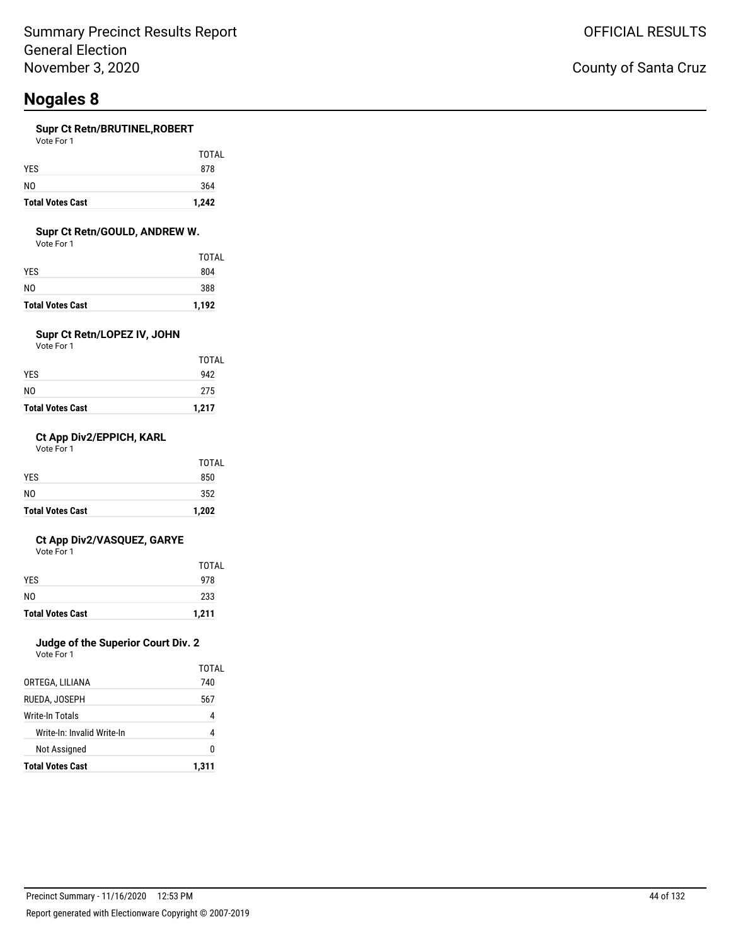#### **Supr Ct Retn/BRUTINEL,ROBERT**

Vote For 1

| <b>Total Votes Cast</b> | 1,242        |
|-------------------------|--------------|
| NO.                     | 364          |
| <b>YES</b>              | 878          |
|                         | <b>TOTAL</b> |

#### **Supr Ct Retn/GOULD, ANDREW W.**

Vote For 1

| <b>Total Votes Cast</b> | 1,192 |
|-------------------------|-------|
| NO                      | 388   |
| YES.                    | 804   |
|                         | TOTAL |

### **Supr Ct Retn/LOPEZ IV, JOHN**

Vote For 1

| <b>Total Votes Cast</b> | 1,217        |
|-------------------------|--------------|
| NO                      | 275          |
| YES                     | 942          |
|                         | <b>TOTAL</b> |

#### **Ct App Div2/EPPICH, KARL**

Vote For 1

| <b>Total Votes Cast</b> | 1,202        |
|-------------------------|--------------|
| N <sub>0</sub>          | 352          |
| <b>YES</b>              | 850          |
|                         | <b>TOTAL</b> |

#### **Ct App Div2/VASQUEZ, GARYE**

Vote For 1

| <b>Total Votes Cast</b> | 1,211 |
|-------------------------|-------|
| NO.                     | 233   |
| <b>YES</b>              | 978   |
|                         | TOTAL |

### **Judge of the Superior Court Div. 2**

| <b>Not Assigned</b>        | n     |
|----------------------------|-------|
| Write-In: Invalid Write-In | 4     |
| Write-In Totals            | 4     |
| RUEDA. JOSEPH              | 567   |
| ORTEGA, LILIANA            | 740   |
|                            | TOTAL |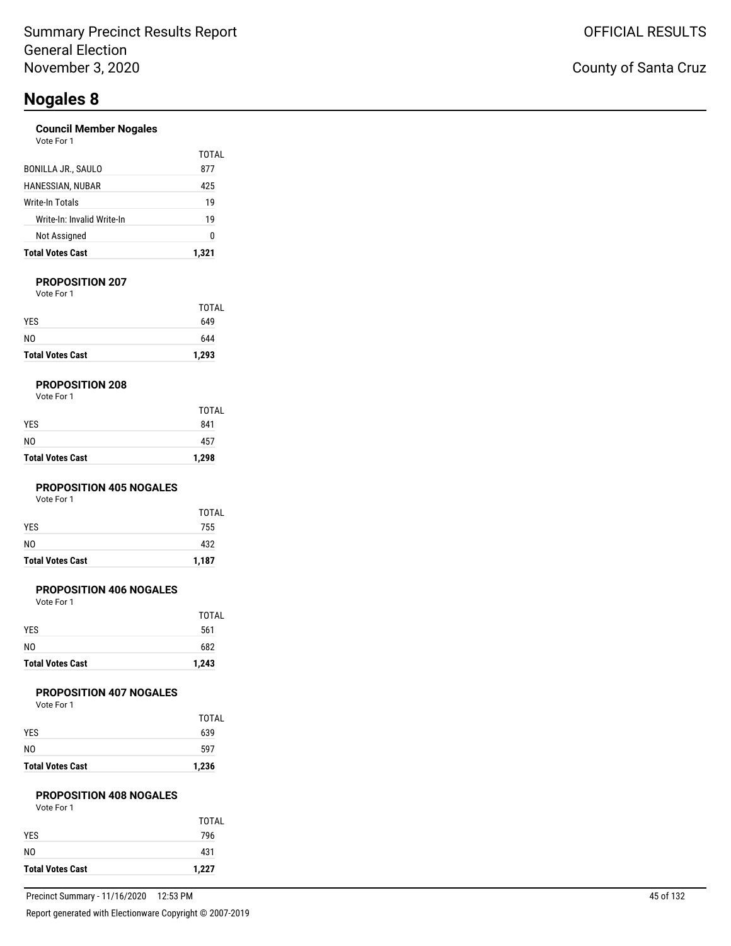#### **Council Member Nogales** Vote For 1

| <b>Total Votes Cast</b>    | 1.321        |
|----------------------------|--------------|
| Not Assigned               | 0            |
| Write-In: Invalid Write-In | 19           |
| Write-In Totals            | 19           |
| HANESSIAN, NUBAR           | 425          |
| <b>BONILLA JR., SAULO</b>  | TOTAL<br>877 |
| <b>VULCIUI</b>             |              |

#### **PROPOSITION 207**

Vote For 1

| <b>Total Votes Cast</b> | 1,293        |
|-------------------------|--------------|
| NO.                     | 644          |
| <b>YES</b>              | 649          |
|                         | <b>TOTAL</b> |

#### **PROPOSITION 208**

| Vote For 1 |  |
|------------|--|
|------------|--|

| <b>Total Votes Cast</b> | 1,298        |
|-------------------------|--------------|
| N <sub>0</sub>          | 457          |
| <b>YES</b>              | 841          |
|                         | <b>TOTAL</b> |

#### **PROPOSITION 405 NOGALES**

Vote For 1

| <b>Total Votes Cast</b> | 1,187 |
|-------------------------|-------|
| N <sub>0</sub>          | 432   |
| <b>YES</b>              | 755   |
|                         | TOTAL |

#### **PROPOSITION 406 NOGALES**

Vote For 1

| <b>Total Votes Cast</b> | 1,243        |
|-------------------------|--------------|
| N <sub>0</sub>          | 682          |
| <b>YES</b>              | 561          |
|                         | <b>TOTAL</b> |

#### **PROPOSITION 407 NOGALES**

Vote For 1

| <b>Total Votes Cast</b> | 1,236        |
|-------------------------|--------------|
| NO                      | 597          |
| <b>YES</b>              | 639          |
|                         | <b>TOTAL</b> |

#### **PROPOSITION 408 NOGALES**

| Vote For 1 |  |
|------------|--|
|            |  |

| <b>Total Votes Cast</b> | 1,227 |
|-------------------------|-------|
| N0                      | 431   |
| <b>YES</b>              | 796   |
|                         | TOTAL |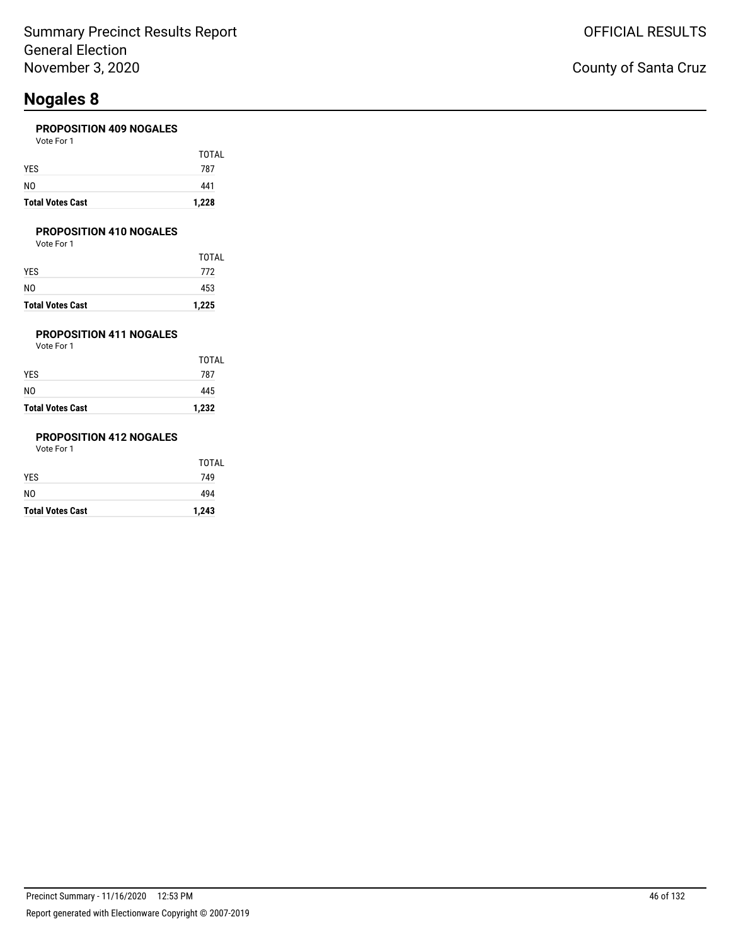#### **PROPOSITION 409 NOGALES**

| <b>Total Votes Cast</b> | 1,228 |
|-------------------------|-------|
| NO                      | 441   |
| YES                     | 787   |
|                         | TOTAL |
| Vote For 1              |       |

#### **PROPOSITION 410 NOGALES**

Vote For 1

| <b>Total Votes Cast</b> | 1,225 |
|-------------------------|-------|
| NO                      | 453   |
| YES                     | 772   |
|                         | TOTAL |

### **PROPOSITION 411 NOGALES**

Vote For 1

| <b>Total Votes Cast</b> | 1,232 |
|-------------------------|-------|
| NO                      | 445   |
| YES                     | 787   |
|                         | TOTAL |

### **PROPOSITION 412 NOGALES**

| <b>Total Votes Cast</b> | 1,243 |
|-------------------------|-------|
| NO.                     | 494   |
| YES                     | 749   |
|                         | TOTAL |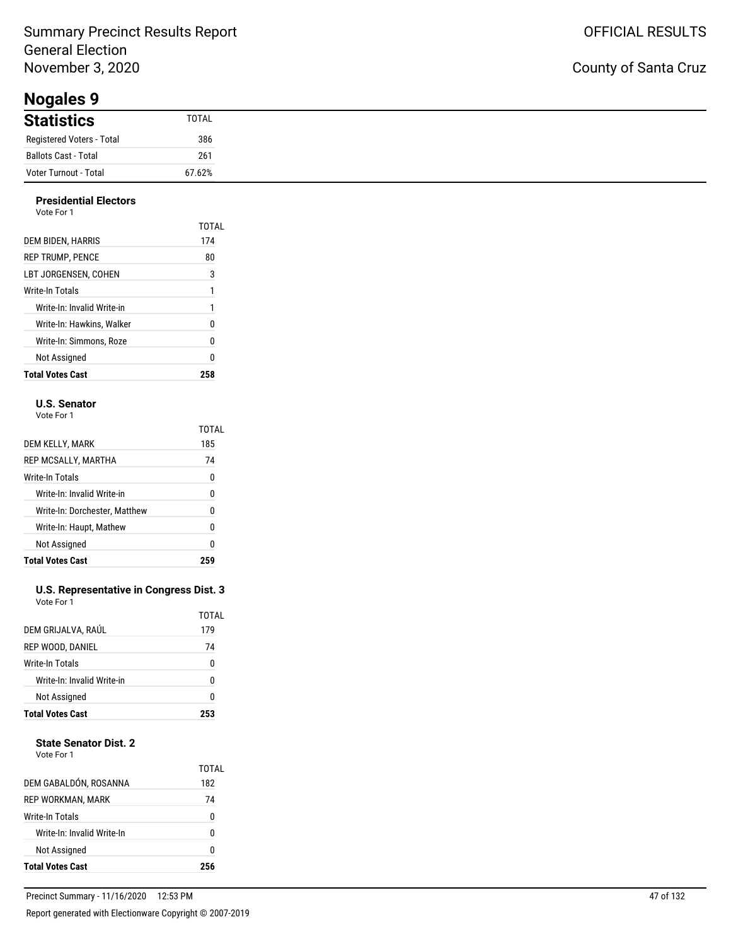**Nogales 9**

## County of Santa Cruz

| nogaloo s                 |        |
|---------------------------|--------|
| <b>Statistics</b>         | TOTAL  |
| Registered Voters - Total | 386    |
| Ballots Cast - Total      | 261    |
| Voter Turnout - Total     | 67.62% |

#### **Presidential Electors** Vote For 1

| <b>Total Votes Cast</b>    | 258   |
|----------------------------|-------|
| Not Assigned               | 0     |
| Write-In: Simmons. Roze    | 0     |
| Write-In: Hawkins. Walker  | 0     |
| Write-In: Invalid Write-in | 1     |
| Write-In Totals            | 1     |
| LBT JORGENSEN. COHEN       | 3     |
| <b>REP TRUMP, PENCE</b>    | 80    |
| DEM BIDEN, HARRIS          | 174   |
|                            | TOTAL |
| .                          |       |

#### **U.S. Senator**

Vote For 1

|                               | TOTAL |
|-------------------------------|-------|
| DEM KELLY, MARK               | 185   |
| REP MCSALLY, MARTHA           | 74    |
| Write-In Totals               | 0     |
| Write-In: Invalid Write-in    | 0     |
| Write-In: Dorchester, Matthew | N     |
| Write-In: Haupt, Mathew       | 0     |
| Not Assigned                  | 0     |
| <b>Total Votes Cast</b>       |       |

#### **U.S. Representative in Congress Dist. 3** Vote For 1

| <b>Total Votes Cast</b>    |       |
|----------------------------|-------|
| <b>Not Assigned</b>        | ŋ     |
| Write-In: Invalid Write-in | ŋ     |
| Write-In Totals            | 0     |
| REP WOOD, DANIEL           | 74    |
| DEM GRIJALVA, RAÚL         | 179   |
|                            | TOTAL |

#### **State Senator Dist. 2**

| DEM GABALDÓN, ROSANNA      | TOTAL<br>182 |
|----------------------------|--------------|
| REP WORKMAN, MARK          | 74           |
| Write-In Totals            | 0            |
| Write-In: Invalid Write-In | n            |
| Not Assigned               | 0            |
| <b>Total Votes Cast</b>    | 256          |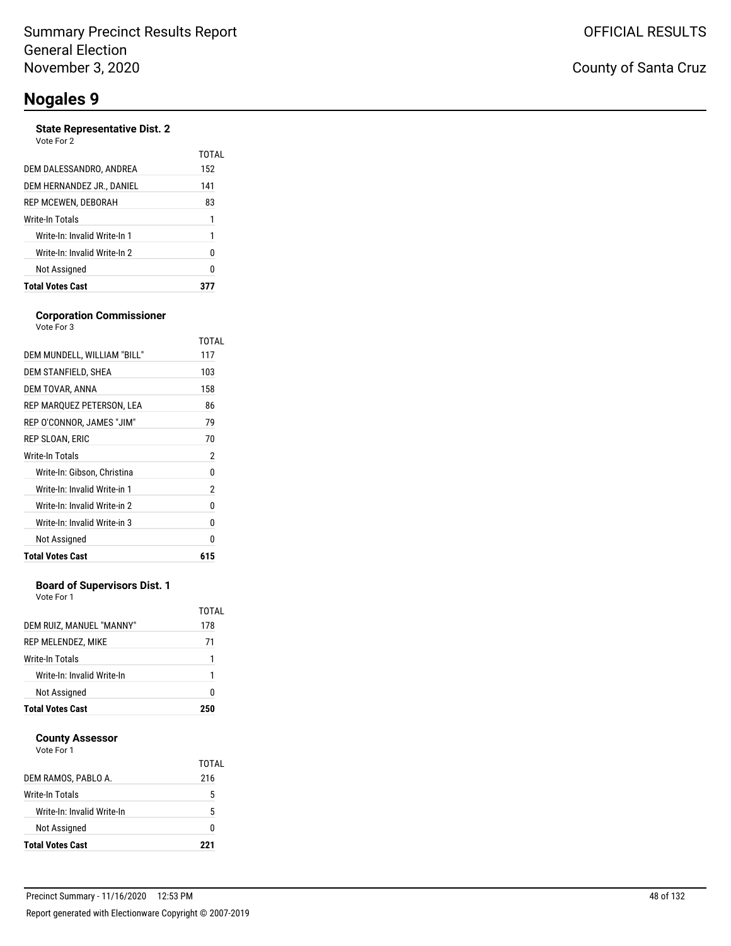#### **State Representative Dist. 2**

| Vote For 2 |  |
|------------|--|
|            |  |

|                              | TOTAL |
|------------------------------|-------|
| DEM DALESSANDRO, ANDREA      | 152   |
| DEM HERNANDEZ JR., DANIEL    | 141   |
| REP MCEWEN, DEBORAH          | 83    |
| Write-In Totals              | 1     |
| Write-In: Invalid Write-In 1 | 1     |
| Write-In: Invalid Write-In 2 | N     |
| Not Assigned                 | N     |
| <b>Total Votes Cast</b>      |       |

#### **Corporation Commissioner** Vote For 3

|                              | TOTAL |
|------------------------------|-------|
| DEM MUNDELL, WILLIAM "BILL"  | 117   |
| DEM STANFIELD, SHEA          | 103   |
| DEM TOVAR, ANNA              | 158   |
| REP MARQUEZ PETERSON, LEA    | 86    |
| REP O'CONNOR, JAMES "JIM"    | 79    |
| REP SLOAN, ERIC              | 70    |
| Write-In Totals              | 2     |
| Write-In: Gibson, Christina  | 0     |
| Write-In: Invalid Write-in 1 | 2     |
| Write-In: Invalid Write-in 2 | 0     |
| Write-In: Invalid Write-in 3 | 0     |
| Not Assigned                 | 0     |
| <b>Total Votes Cast</b>      | 615   |
|                              |       |

#### **Board of Supervisors Dist. 1**

Vote For 1

| Not Assigned               | 1<br>N       |
|----------------------------|--------------|
|                            |              |
| Write-In: Invalid Write-In |              |
| Write-In Totals            | 1            |
| REP MELENDEZ, MIKE         | 71           |
| DEM RUIZ, MANUEL "MANNY"   | TOTAL<br>178 |

#### **County Assessor**

| DEM RAMOS, PABLO A.        | TOTAL<br>216 |
|----------------------------|--------------|
| Write-In Totals            | 5            |
| Write-In: Invalid Write-In | 5            |
| Not Assigned               |              |
| <b>Total Votes Cast</b>    | 221          |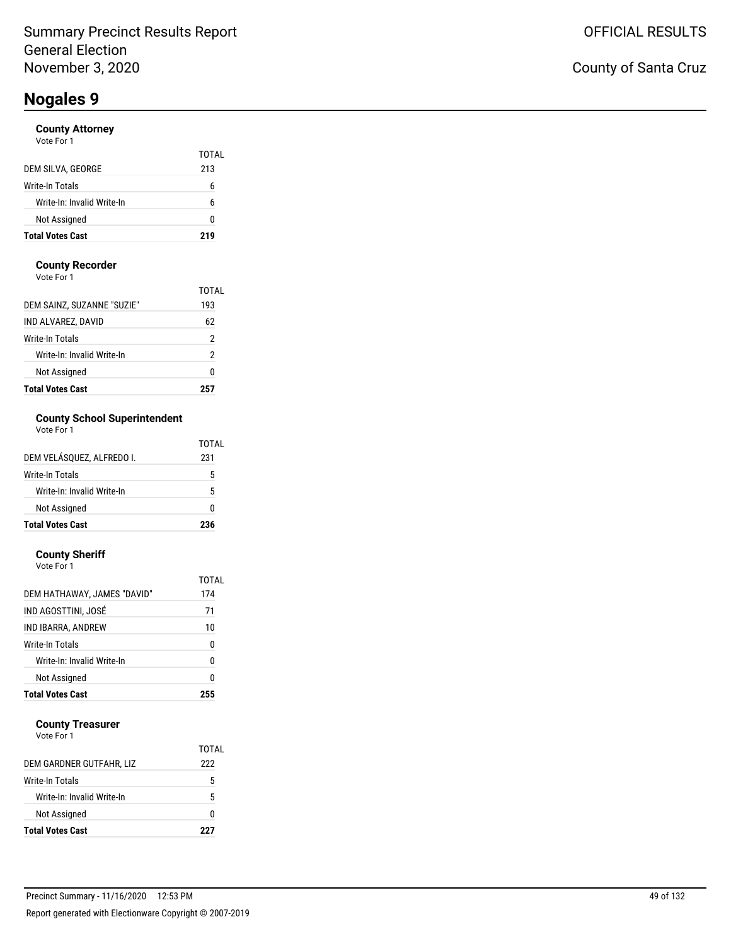#### **County Attorney**

| Vote For 1 |  |  |
|------------|--|--|
|            |  |  |

| <b>Total Votes Cast</b>    | 219   |
|----------------------------|-------|
| Not Assigned               | O     |
| Write-In: Invalid Write-In | ĥ     |
| Write-In Totals            | ĥ     |
| DEM SILVA, GEORGE          | 213   |
|                            | TOTAL |

#### **County Recorder**

Vote For 1

| <b>Total Votes Cast</b>    |       |
|----------------------------|-------|
| Not Assigned               | 0     |
| Write-In: Invalid Write-In | 2     |
| Write-In Totals            | 2     |
| IND ALVAREZ, DAVID         | 62    |
| DEM SAINZ, SUZANNE "SUZIE" | 193   |
|                            | TOTAI |

### **County School Superintendent**

| Vote For 1 |  |
|------------|--|
|------------|--|

| <b>Total Votes Cast</b>    | 236   |
|----------------------------|-------|
| Not Assigned               | ŋ     |
| Write-In: Invalid Write-In | 5     |
| <b>Write-In Totals</b>     | 5     |
| DEM VELÁSOUEZ. ALFREDO I.  | 231   |
|                            | TOTAL |

#### **County Sheriff**

| <b>Total Votes Cast</b>     | 255   |
|-----------------------------|-------|
| Not Assigned                | 0     |
| Write-In: Invalid Write-In  | 0     |
| Write-In Totals             | 0     |
| IND IBARRA, ANDREW          | 10    |
| IND AGOSTTINI, JOSÉ         | 71    |
| DEM HATHAWAY, JAMES "DAVID" | 174   |
|                             | TOTAL |
| Vote For 1                  |       |

#### **County Treasurer**

| Not Assigned                                  | O      |
|-----------------------------------------------|--------|
| Write-In Totals<br>Write-In: Invalid Write-In | 5<br>5 |
| DEM GARDNER GUTFAHR, LIZ                      | 222    |
|                                               | TOTAL  |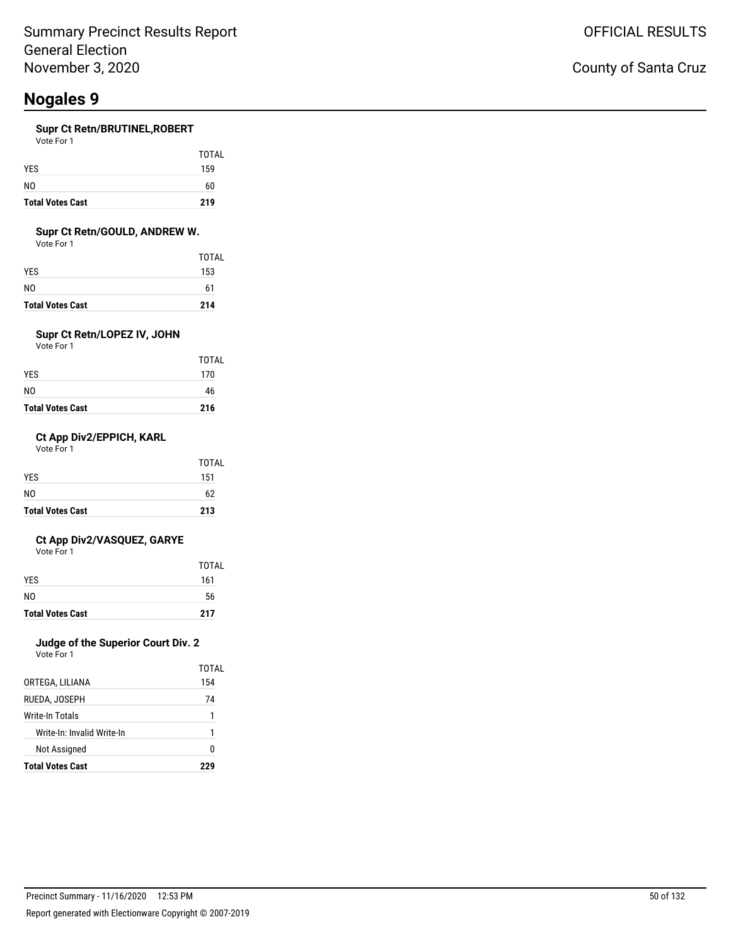#### **Supr Ct Retn/BRUTINEL,ROBERT**

Vote For 1

| <b>Total Votes Cast</b> | 219          |
|-------------------------|--------------|
| NO.                     | 60           |
| <b>YES</b>              | 159          |
|                         | <b>TOTAL</b> |

#### **Supr Ct Retn/GOULD, ANDREW W.**

Vote For 1

| <b>Total Votes Cast</b> | 214   |
|-------------------------|-------|
| N0                      | 61    |
| YES                     | 153   |
|                         | TOTAL |

### **Supr Ct Retn/LOPEZ IV, JOHN**

Vote For 1

| <b>Total Votes Cast</b> | 216   |
|-------------------------|-------|
| NO                      | 46    |
| YES                     | 170   |
|                         | TOTAL |

#### **Ct App Div2/EPPICH, KARL**

Vote For 1

| <b>Total Votes Cast</b> | 213          |
|-------------------------|--------------|
| N <sub>0</sub>          | 62           |
| <b>YES</b>              | 151          |
|                         | <b>TOTAL</b> |

#### **Ct App Div2/VASQUEZ, GARYE**

Vote For 1

|                         | TOTAL |
|-------------------------|-------|
| <b>YES</b>              | 161   |
| N <sub>0</sub>          | 56    |
| <b>Total Votes Cast</b> | 217   |

### **Judge of the Superior Court Div. 2**

Vote For 1

|                            | TOTAL |
|----------------------------|-------|
| ORTEGA, LILIANA            | 154   |
| RUEDA. JOSEPH              | 74    |
| Write-In Totals            | 1     |
| Write-In: Invalid Write-In | 1     |
| Not Assigned               | o     |
| <b>Total Votes Cast</b>    | ククロ   |

### County of Santa Cruz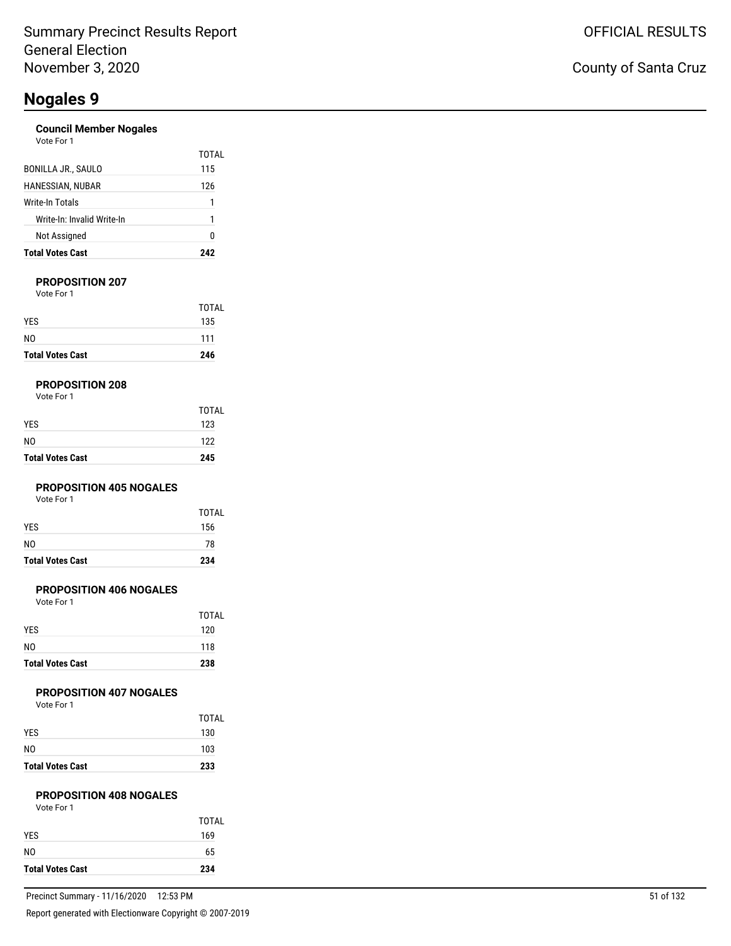#### **Council Member Nogales** Vote For 1

| <b>Total Votes Cast</b>    | 242   |
|----------------------------|-------|
| <b>Not Assigned</b>        | Ω     |
| Write-In: Invalid Write-In | 1     |
| Write-In Totals            | 1     |
| HANESSIAN, NUBAR           | 126   |
| BONILLA JR., SAULO         | 115   |
| vuuttuu 1                  | TOTAL |

#### **PROPOSITION 207**

Vote For 1

| <b>Total Votes Cast</b> | 246          |
|-------------------------|--------------|
| N <sub>0</sub>          | 111          |
| <b>YES</b>              | 135          |
|                         | <b>TOTAL</b> |

#### **PROPOSITION 208**

| <b>Total Votes Cast</b> | 245          |
|-------------------------|--------------|
| N <sub>0</sub>          | 122          |
| <b>YES</b>              | 123          |
|                         | <b>TOTAL</b> |

#### **PROPOSITION 405 NOGALES**

Vote For 1

| <b>Total Votes Cast</b> | 234   |
|-------------------------|-------|
| N <sub>0</sub>          | 78    |
| <b>YES</b>              | 156   |
|                         | TOTAL |

#### **PROPOSITION 406 NOGALES**

Vote For 1

| <b>Total Votes Cast</b> | 238          |
|-------------------------|--------------|
| N <sub>0</sub>          | 118          |
| <b>YES</b>              | 120          |
|                         | <b>TOTAL</b> |

#### **PROPOSITION 407 NOGALES**

Vote For 1

| <b>Total Votes Cast</b> | 233          |
|-------------------------|--------------|
| NO.                     | 103          |
| <b>YES</b>              | 130          |
|                         | <b>TOTAL</b> |

#### **PROPOSITION 408 NOGALES** Vote For 1

| <b>Total Votes Cast</b> | 234   |
|-------------------------|-------|
| N0                      | 65    |
| <b>YES</b>              | 169   |
|                         | TOTAL |
| Vote For 1              |       |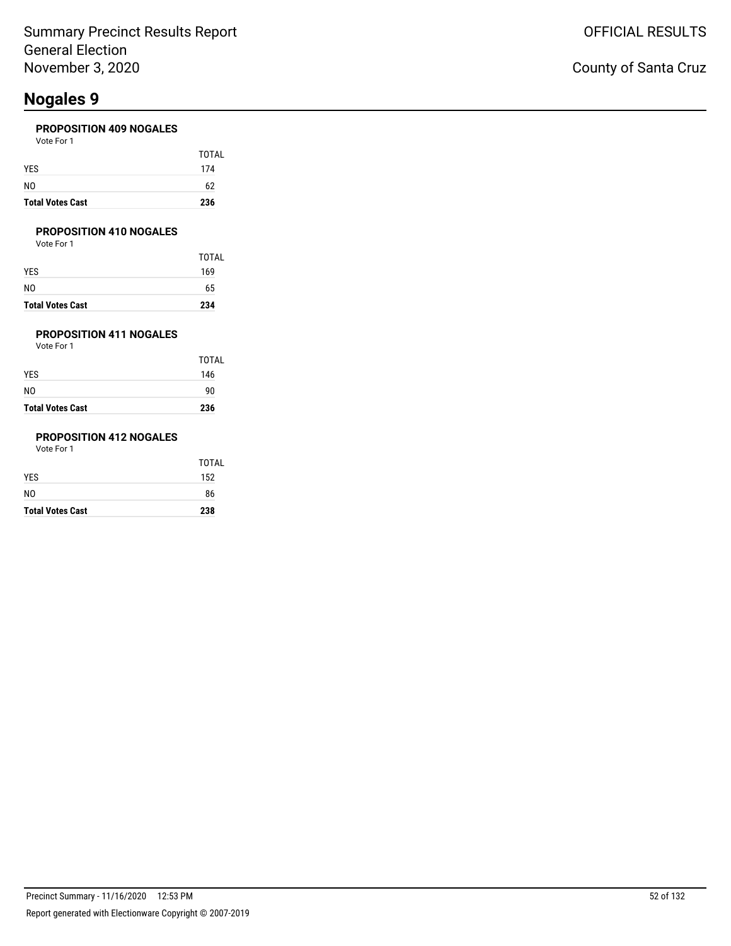#### **PROPOSITION 409 NOGALES**

| <b>Total Votes Cast</b> | 236   |
|-------------------------|-------|
| NO                      | 62    |
| YES                     | 174   |
|                         | TOTAL |
| Vote For 1              |       |

#### **PROPOSITION 410 NOGALES**

Vote For 1

| <b>Total Votes Cast</b> | 234   |
|-------------------------|-------|
| NO                      | 65    |
| YES                     | 169   |
|                         | TOTAL |

### **PROPOSITION 411 NOGALES**

Vote For 1

| <b>Total Votes Cast</b> | 236   |
|-------------------------|-------|
| N0                      | 90    |
| YES                     | 146   |
|                         | TOTAL |

### **PROPOSITION 412 NOGALES**

| <b>Total Votes Cast</b> | 238          |
|-------------------------|--------------|
| NO.                     | 86           |
| YES                     | 152          |
|                         | <b>TOTAL</b> |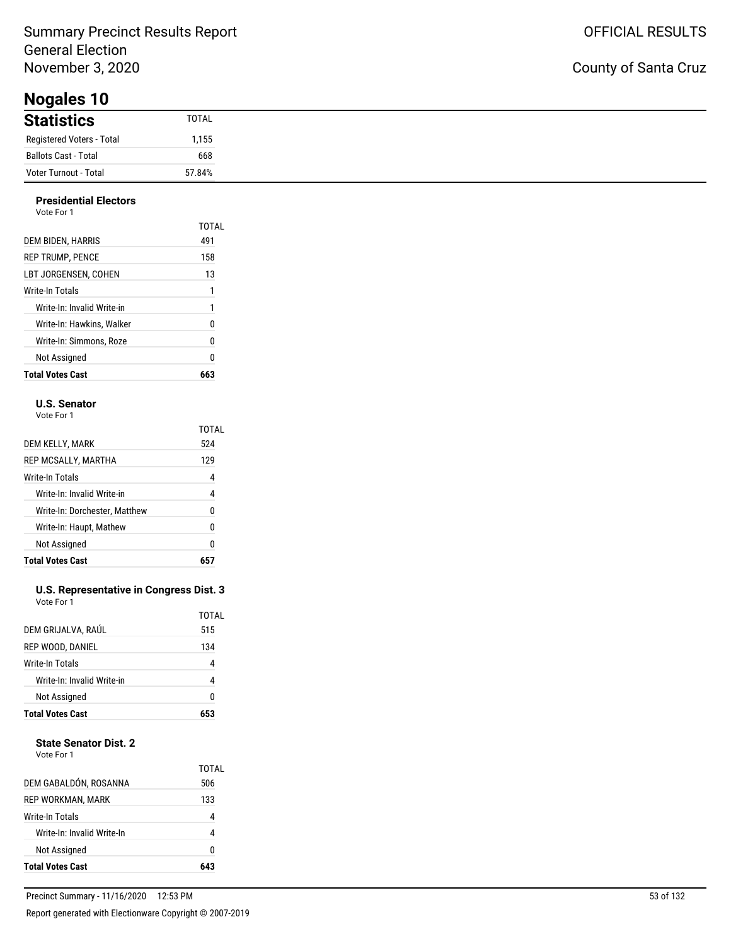**Nogales 10**

| <b>Statistics</b>         | TOTAL  |
|---------------------------|--------|
| Registered Voters - Total | 1,155  |
| Ballots Cast - Total      | 668    |
| Voter Turnout - Total     | 57.84% |

### **Presidential Electors**

| 1<br>1<br>0<br>0<br>0 |
|-----------------------|
|                       |
|                       |
|                       |
|                       |
|                       |
| 13                    |
| 158                   |
| 491                   |
| TOTAL                 |
|                       |

#### **U.S. Senator**

Vote For 1

|                               | TOTAL |
|-------------------------------|-------|
| DEM KELLY, MARK               | 524   |
| REP MCSALLY, MARTHA           | 129   |
| Write-In Totals               | 4     |
| Write-In: Invalid Write-in    | 4     |
| Write-In: Dorchester, Matthew | N     |
| Write-In: Haupt, Mathew       | 0     |
| Not Assigned                  | 0     |
| <b>Total Votes Cast</b>       |       |

#### **U.S. Representative in Congress Dist. 3** Vote For 1

| <b>Total Votes Cast</b>    |              |
|----------------------------|--------------|
| <b>Not Assigned</b>        | ŋ            |
| Write-In: Invalid Write-in | 4            |
| Write-In Totals            | 4            |
| REP WOOD, DANIEL           | 134          |
| DEM GRIJALVA, RAÚL         | TOTAL<br>515 |
|                            |              |

#### **State Senator Dist. 2**

|                            | 0            |
|----------------------------|--------------|
| Not Assigned               |              |
| Write-In: Invalid Write-In |              |
| Write-In Totals            |              |
| <b>REP WORKMAN, MARK</b>   | 133          |
| DEM GABALDÓN, ROSANNA      | TOTAL<br>506 |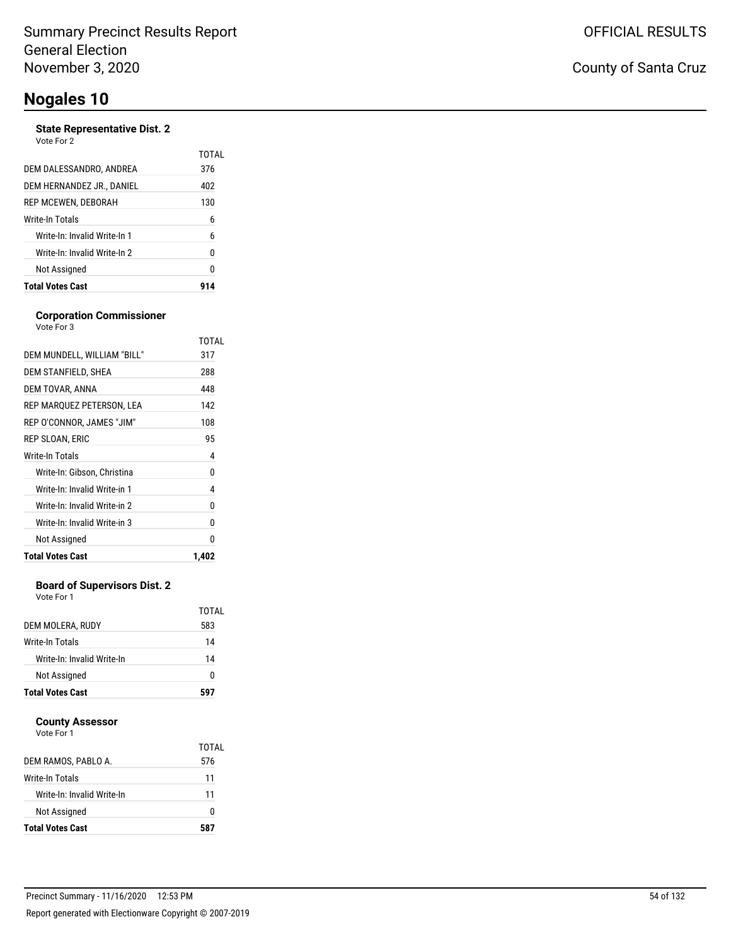#### **State Representative Dist. 2**

| Vote For 2 |  |
|------------|--|
|            |  |

| <b>Total Votes Cast</b>      |              |
|------------------------------|--------------|
| Not Assigned                 | 0            |
| Write-In: Invalid Write-In 2 | N            |
| Write-In: Invalid Write-In 1 | 6            |
| Write-In Totals              | 6            |
| REP MCEWEN, DEBORAH          | 130          |
| DEM HERNANDEZ JR., DANIEL    | 402          |
| DEM DALESSANDRO, ANDREA      | 376          |
|                              | <b>TOTAL</b> |

#### **Corporation Commissioner** Vote For 3

| DEM MUNDELL, WILLIAM "BILL"<br>DEM STANFIELD, SHEA<br>DEM TOVAR, ANNA<br>REP MARQUEZ PETERSON, LEA<br>REP O'CONNOR, JAMES "JIM"<br>REP SLOAN. ERIC<br>Write-In Totals<br>Write-In: Gibson, Christina<br>Write-In: Invalid Write-in 1<br>Write-In: Invalid Write-in 2<br>Write-In: Invalid Write-in 3<br>Not Assigned<br><b>Total Votes Cast</b> | TOTAL |
|-------------------------------------------------------------------------------------------------------------------------------------------------------------------------------------------------------------------------------------------------------------------------------------------------------------------------------------------------|-------|
|                                                                                                                                                                                                                                                                                                                                                 | 317   |
|                                                                                                                                                                                                                                                                                                                                                 |       |
|                                                                                                                                                                                                                                                                                                                                                 | 288   |
|                                                                                                                                                                                                                                                                                                                                                 | 448   |
|                                                                                                                                                                                                                                                                                                                                                 | 142   |
|                                                                                                                                                                                                                                                                                                                                                 | 108   |
|                                                                                                                                                                                                                                                                                                                                                 | 95    |
|                                                                                                                                                                                                                                                                                                                                                 | 4     |
|                                                                                                                                                                                                                                                                                                                                                 | 0     |
|                                                                                                                                                                                                                                                                                                                                                 | 4     |
|                                                                                                                                                                                                                                                                                                                                                 | 0     |
|                                                                                                                                                                                                                                                                                                                                                 | 0     |
|                                                                                                                                                                                                                                                                                                                                                 | 0     |
|                                                                                                                                                                                                                                                                                                                                                 | 1,402 |

#### **Board of Supervisors Dist. 2**

Vote For 1

| <b>Total Votes Cast</b>    | 597          |
|----------------------------|--------------|
| Not Assigned               | o            |
| Write-In: Invalid Write-In | 14           |
| Write-In Totals            | 14           |
| DEM MOLERA, RUDY           | TOTAL<br>583 |

#### **County Assessor**

|                            | TOTAL |
|----------------------------|-------|
| DEM RAMOS, PABLO A.        | 576   |
| Write-In Totals            | 11    |
| Write-In: Invalid Write-In | 11    |
| Not Assigned               | O     |
| <b>Total Votes Cast</b>    | 587   |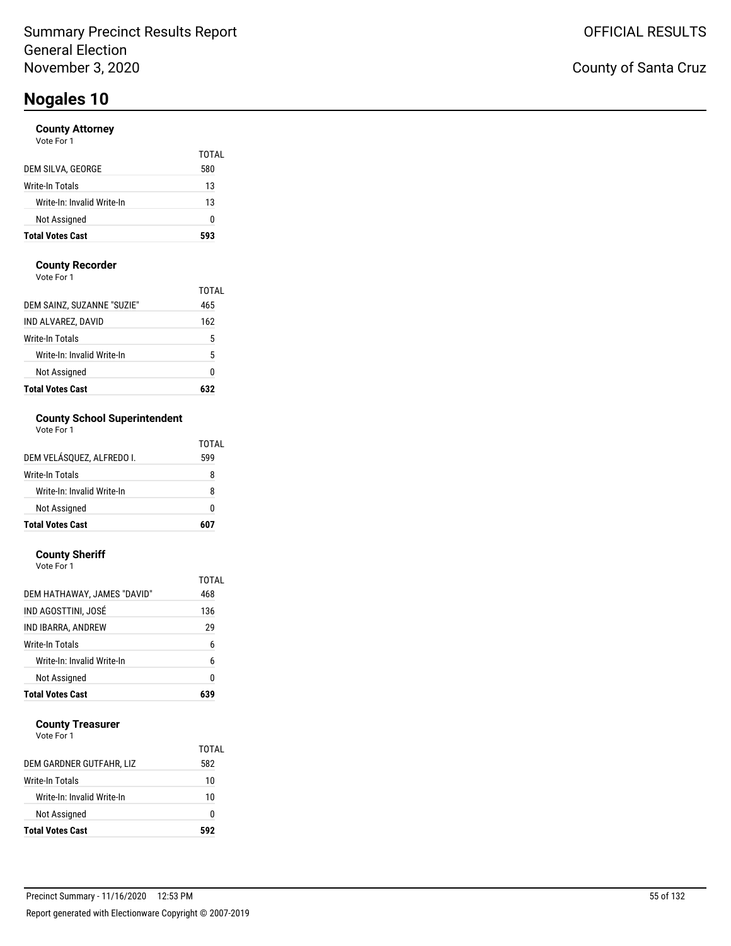#### **County Attorney**

| <b>Total Votes Cast</b>    | 593          |
|----------------------------|--------------|
| Not Assigned               | 0            |
| Write-In: Invalid Write-In | 13           |
| Write-In Totals            | 13           |
| DEM SILVA, GEORGE          | TOTAL<br>580 |
| Vote For 1                 |              |

#### **County Recorder**

Vote For 1

| <b>Total Votes Cast</b>    |       |
|----------------------------|-------|
| Not Assigned               | Ω     |
| Write-In: Invalid Write-In | 5     |
| Write-In Totals            | 5     |
| IND ALVAREZ, DAVID         | 162   |
| DEM SAINZ, SUZANNE "SUZIE" | 465   |
|                            | TOTAI |

### **County School Superintendent**

| Vote For 1 |  |
|------------|--|
|------------|--|

| <b>Total Votes Cast</b>    | 607   |
|----------------------------|-------|
| Not Assigned               | ŋ     |
| Write-In: Invalid Write-In | 8     |
| Write-In Totals            | 8     |
| DEM VELÁSQUEZ, ALFREDO I.  | 599   |
|                            | TOTAL |

#### **County Sheriff**

| Vote For 1                  |       |
|-----------------------------|-------|
|                             | TOTAL |
| DEM HATHAWAY, JAMES "DAVID" | 468   |
| IND AGOSTTINI. JOSÉ         | 136   |
| IND IBARRA, ANDREW          | 29    |
| Write-In Totals             | 6     |
| Write-In: Invalid Write-In  | 6     |
| Not Assigned                | 0     |
| <b>Total Votes Cast</b>     | 639   |

#### **County Treasurer**

|                            | TOTAL |
|----------------------------|-------|
| DEM GARDNER GUTFAHR, LIZ   | 582   |
| Write-In Totals            | 10    |
| Write-In: Invalid Write-In | 10    |
| Not Assigned               | O     |
| <b>Total Votes Cast</b>    | 592   |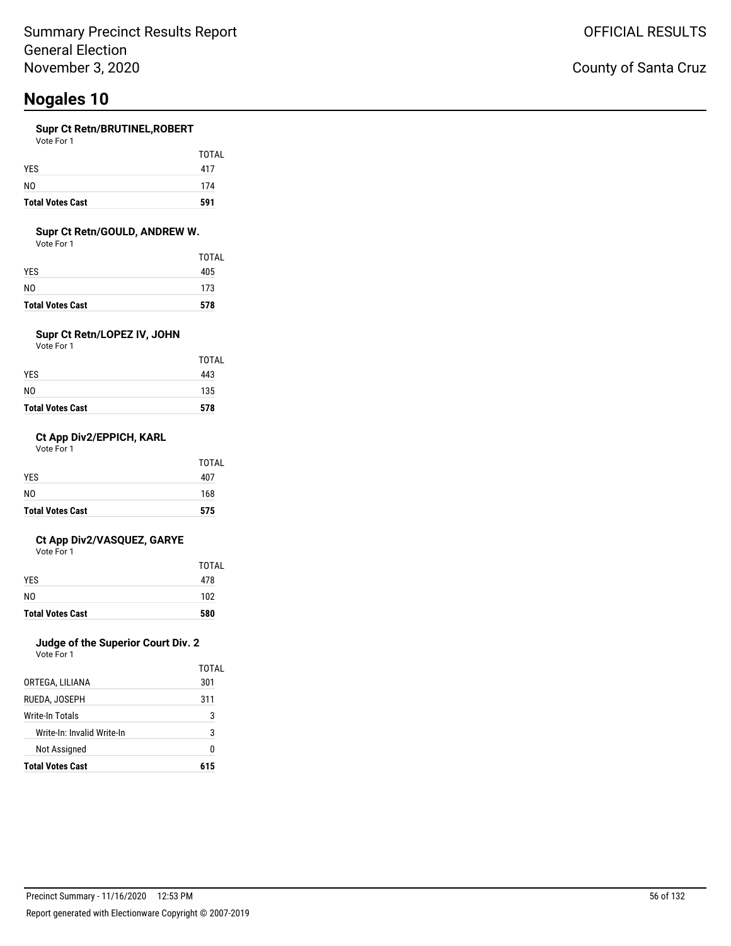#### **Supr Ct Retn/BRUTINEL,ROBERT**

| <b>Total Votes Cast</b> | 591   |
|-------------------------|-------|
| N0                      | 174   |
| <b>YES</b>              | 417   |
|                         | TOTAL |
| Vote For 1              |       |

#### **Supr Ct Retn/GOULD, ANDREW W.**

Vote For 1

| <b>Total Votes Cast</b> | 578   |
|-------------------------|-------|
| N0                      | 173   |
| YES                     | 405   |
|                         | TOTAL |

### **Supr Ct Retn/LOPEZ IV, JOHN**

Vote For 1

| <b>Total Votes Cast</b> | 578   |
|-------------------------|-------|
| N0                      | 135   |
| YES.                    | 443   |
|                         | TOTAL |

#### **Ct App Div2/EPPICH, KARL**

Vote For 1

| <b>Total Votes Cast</b> | 575   |
|-------------------------|-------|
| N <sub>0</sub>          | 168   |
| <b>YES</b>              | 407   |
|                         | TOTAL |

#### **Ct App Div2/VASQUEZ, GARYE**

Vote For 1

|                         | TOTAL |
|-------------------------|-------|
| <b>YES</b>              | 478   |
| N <sub>0</sub>          | 102   |
| <b>Total Votes Cast</b> | 580   |

### **Judge of the Superior Court Div. 2**

Vote For 1

|                            | TOTAI |
|----------------------------|-------|
| ORTEGA, LILIANA            | 301   |
| RUEDA, JOSEPH              | 311   |
| Write-In Totals            | 3     |
| Write-In: Invalid Write-In | 3     |
| Not Assigned               | N     |
| <b>Total Votes Cast</b>    | 615   |

### County of Santa Cruz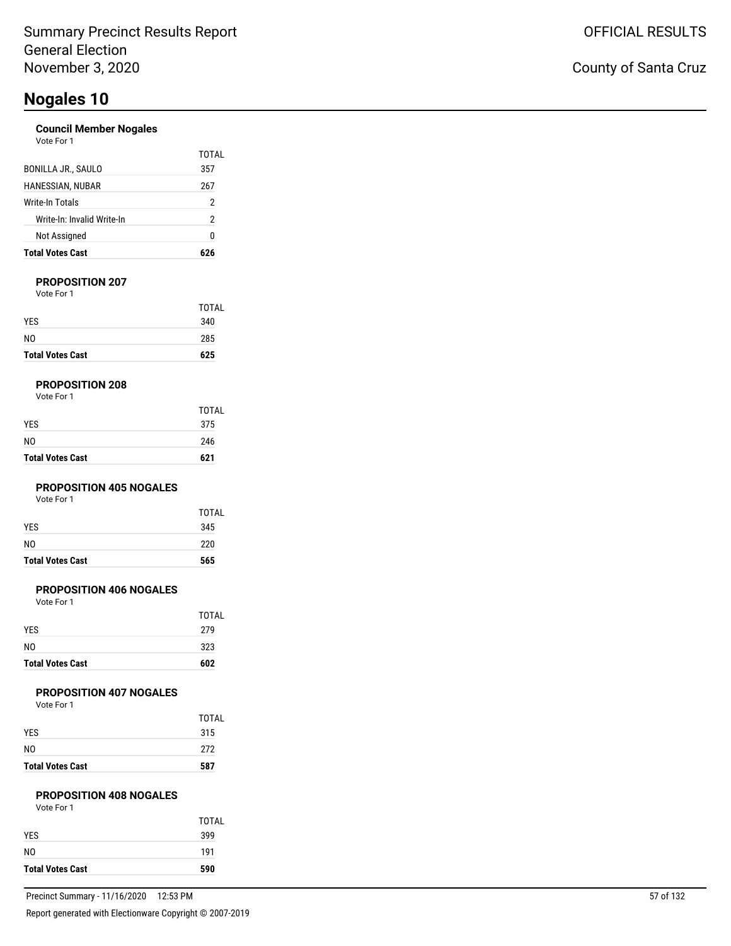#### **Council Member Nogales**

| Vote For |  |
|----------|--|
|          |  |

| <b>Total Votes Cast</b>    |       |
|----------------------------|-------|
| Not Assigned               | 0     |
| Write-In: Invalid Write-In | 2     |
| Write-In Totals            | 2     |
| HANESSIAN, NUBAR           | 267   |
| BONILLA JR., SAULO         | 357   |
|                            | TOTAI |

#### **PROPOSITION 207**

Vote For 1

| <b>Total Votes Cast</b> | 625   |
|-------------------------|-------|
| N <sub>0</sub>          | 285   |
| <b>YES</b>              | 340   |
|                         | TOTAL |

#### **PROPOSITION 208**

| Vote For 1 |  |
|------------|--|
|------------|--|

| <b>Total Votes Cast</b> | 621          |
|-------------------------|--------------|
| NO                      | 246          |
| YES.                    | 375          |
|                         | <b>TOTAL</b> |

#### **PROPOSITION 405 NOGALES**

Vote For 1

| <b>Total Votes Cast</b> | 565   |
|-------------------------|-------|
| N <sub>0</sub>          | 220   |
| <b>YES</b>              | 345   |
|                         | TOTAL |

#### **PROPOSITION 406 NOGALES**

Vote For 1

| <b>Total Votes Cast</b> | 602          |
|-------------------------|--------------|
| NO.                     | 323          |
| <b>YES</b>              | 279          |
|                         | <b>TOTAL</b> |

#### **PROPOSITION 407 NOGALES**

Vote For 1

| <b>Total Votes Cast</b> | 587   |
|-------------------------|-------|
| NO                      | 272   |
| <b>YES</b>              | 315   |
|                         | TOTAL |

### **PROPOSITION 408 NOGALES**

| <b>Total Votes Cast</b> | 590 |
|-------------------------|-----|
| N <sub>0</sub>          | 191 |
| <b>YES</b>              | 399 |
|                         | тот |
| Vote For 1              |     |

TOTAL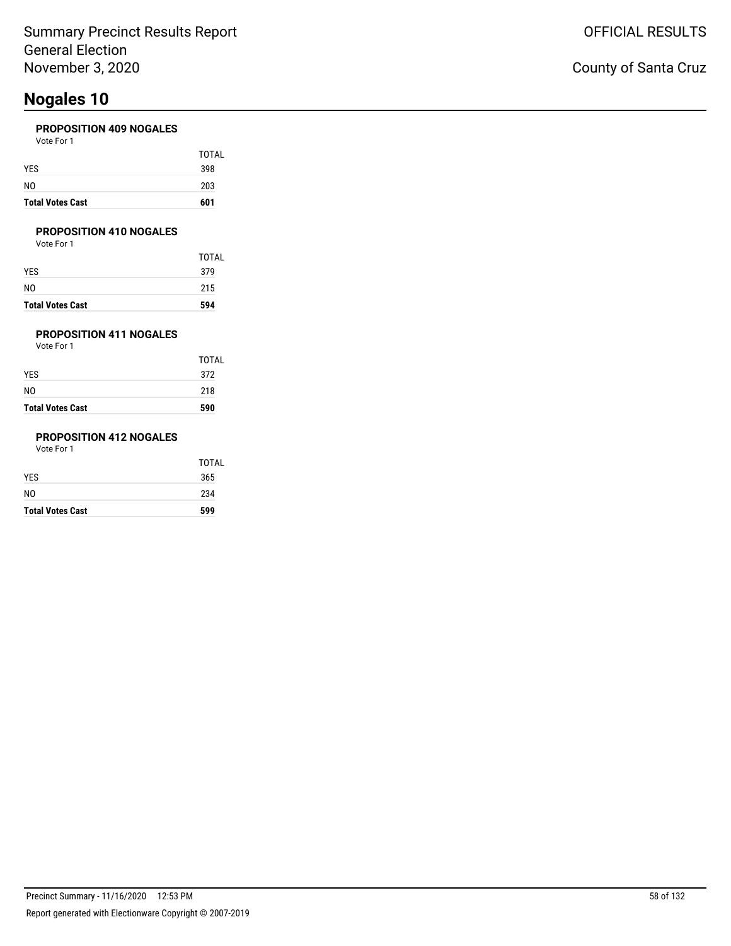#### **PROPOSITION 409 NOGALES**

| <b>Total Votes Cast</b> | 601   |
|-------------------------|-------|
| N <sub>0</sub>          | 203   |
| <b>YES</b>              | 398   |
|                         | TOTAL |
| Vote For 1              |       |

#### **PROPOSITION 410 NOGALES**

Vote For 1

| <b>Total Votes Cast</b> | 594   |
|-------------------------|-------|
| NO                      | 215   |
| YES                     | 379   |
|                         | TOTAL |

### **PROPOSITION 411 NOGALES**

Vote For 1

| <b>Total Votes Cast</b> | 590          |
|-------------------------|--------------|
| N0                      | 218          |
| YES.                    | 372          |
|                         | <b>TOTAL</b> |

### **PROPOSITION 412 NOGALES**

| <b>Total Votes Cast</b> | 599   |
|-------------------------|-------|
| NO.                     | 234   |
| YES                     | 365   |
|                         | TOTAL |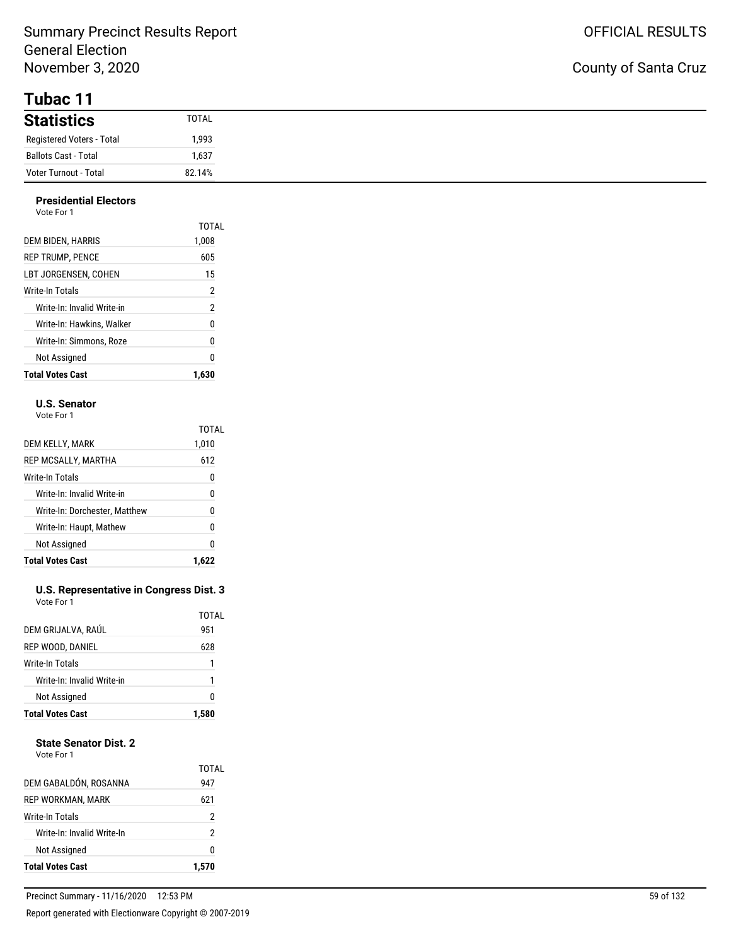**Tubac 11**

| <b>Statistics</b>           | TOTAL  |
|-----------------------------|--------|
| Registered Voters - Total   | 1,993  |
| <b>Ballots Cast - Total</b> | 1,637  |
| Voter Turnout - Total       | 82.14% |

#### **Presidential Electors** Vote For 1

| <b>Total Votes Cast</b>    | 1.630          |
|----------------------------|----------------|
| Not Assigned               | 0              |
| Write-In: Simmons, Roze    | 0              |
| Write-In: Hawkins. Walker  | 0              |
| Write-In: Invalid Write-in | $\overline{2}$ |
| Write-In Totals            | 2              |
| LBT JORGENSEN. COHEN       | 15             |
| <b>REP TRUMP. PENCE</b>    | 605            |
| DEM BIDEN, HARRIS          | TOTAL<br>1,008 |
| VULT FUIT                  |                |

#### **U.S. Senator**

Vote For 1

|                               | <b>TOTAL</b> |
|-------------------------------|--------------|
| DEM KELLY, MARK               | 1,010        |
| REP MCSALLY, MARTHA           | 612          |
| Write-In Totals               | 0            |
| Write-In: Invalid Write-in    | 0            |
| Write-In: Dorchester, Matthew | 0            |
| Write-In: Haupt, Mathew       | 0            |
| Not Assigned                  | 0            |
| <b>Total Votes Cast</b>       | 1.6          |

#### **U.S. Representative in Congress Dist. 3** Vote For 1

| <b>Total Votes Cast</b>    | 1.580 |
|----------------------------|-------|
| Not Assigned               | 0     |
| Write-In: Invalid Write-in | 1     |
| Write-In Totals            | 1     |
| REP WOOD, DANIEL           | 628   |
| DEM GRIJALVA, RAÚL         | 951   |
|                            | TOTAL |

#### **State Senator Dist. 2**

Vote For 1

| <b>Total Votes Cast</b>    | 1.570        |
|----------------------------|--------------|
| Not Assigned               | 0            |
| Write-In: Invalid Write-In | 2            |
| Write-In Totals            | 2            |
| <b>REP WORKMAN, MARK</b>   | 621          |
| DEM GABALDÓN, ROSANNA      | TOTAL<br>947 |
|                            |              |

L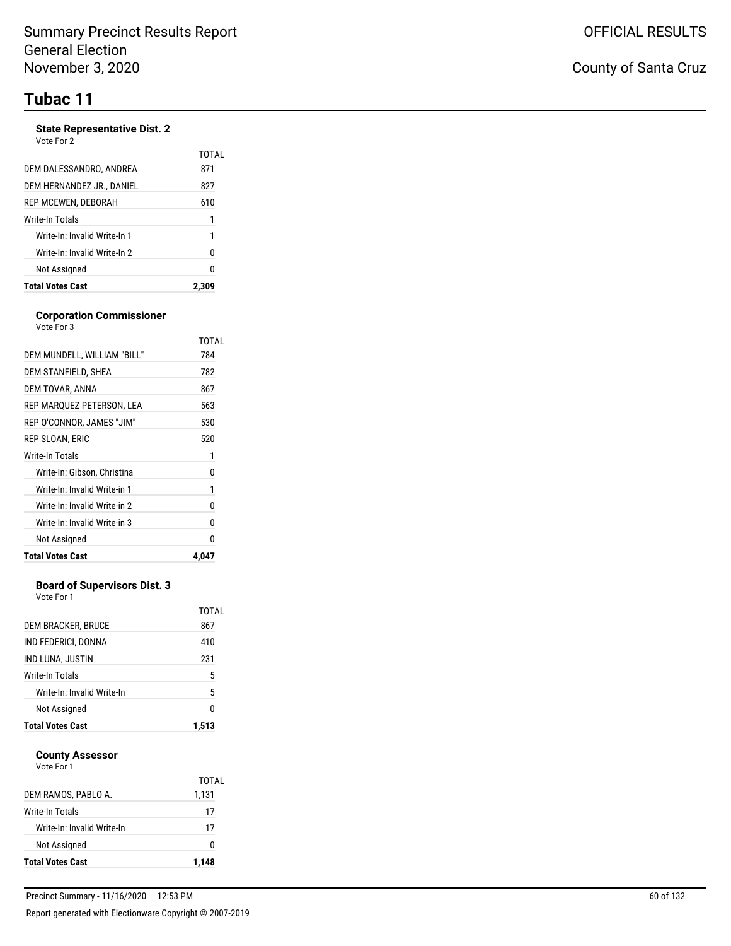# **Tubac 11**

#### **State Representative Dist. 2**

| Vote For 2 |  |
|------------|--|
|------------|--|

|                              | TOTAL |
|------------------------------|-------|
| DEM DALESSANDRO, ANDREA      | 871   |
| DEM HERNANDEZ JR., DANIEL    | 827   |
| REP MCEWEN, DEBORAH          | 610   |
| Write-In Totals              | 1     |
| Write-In: Invalid Write-In 1 | 1     |
| Write-In: Invalid Write-In 2 | 0     |
| Not Assigned                 | N     |
| <b>Total Votes Cast</b>      |       |

#### **Corporation Commissioner** Vote For 3

|                              | TOTAL |
|------------------------------|-------|
| DEM MUNDELL, WILLIAM "BILL"  | 784   |
| DEM STANFIELD, SHEA          | 782   |
| DEM TOVAR, ANNA              | 867   |
| REP MARQUEZ PETERSON, LEA    | 563   |
| REP O'CONNOR, JAMES "JIM"    | 530   |
| REP SLOAN, ERIC              | 520   |
| Write-In Totals              | 1     |
| Write-In: Gibson, Christina  | 0     |
| Write-In: Invalid Write-in 1 | 1     |
| Write-In: Invalid Write-in 2 | 0     |
| Write-In: Invalid Write-in 3 | 0     |
| Not Assigned                 | N     |
| <b>Total Votes Cast</b>      | 4,047 |

#### **Board of Supervisors Dist. 3**

Vote For 1

| <b>Total Votes Cast</b>    | 1.513        |
|----------------------------|--------------|
| Not Assigned               | 0            |
| Write-In: Invalid Write-In | 5            |
| Write-In Totals            | 5            |
| IND LUNA, JUSTIN           | 231          |
| IND FEDERICI, DONNA        | 410          |
| DEM BRACKER, BRUCE         | TOTAL<br>867 |
|                            |              |

#### **County Assessor** Vote For 1

| <b>Total Votes Cast</b>    | 1.148 |
|----------------------------|-------|
| Not Assigned               | 0     |
| Write-In: Invalid Write-In | 17    |
| Write-In Totals            | 17    |
| DEM RAMOS. PABLO A.        | 1,131 |
| <b>VULLET UIT</b>          | TOTAL |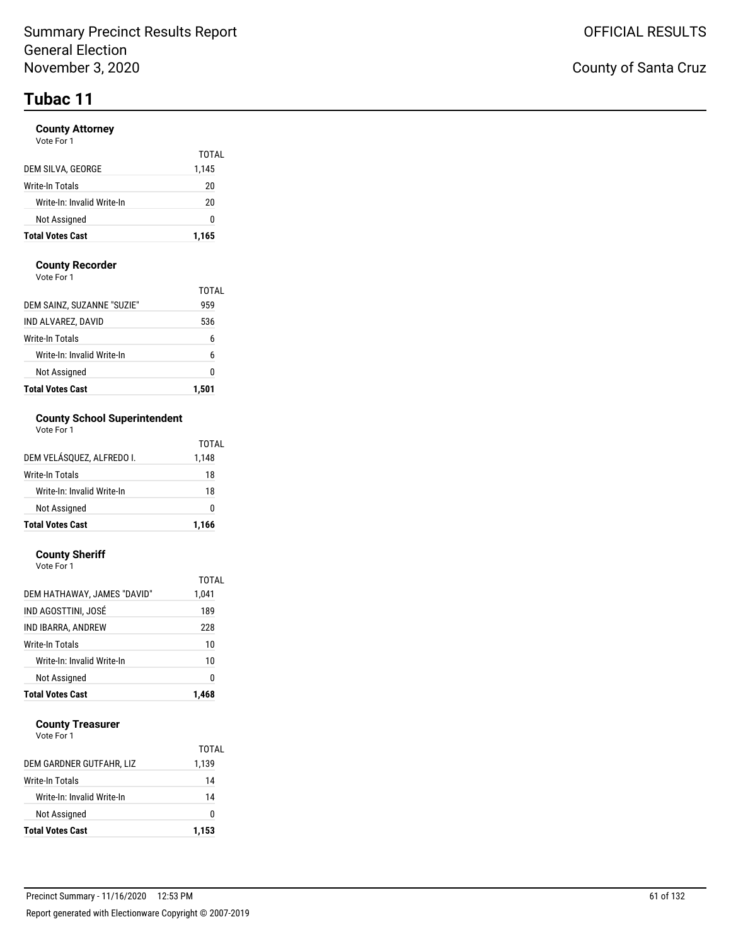# **Tubac 11**

#### **County Attorney**

| Vote For 1 |  |
|------------|--|
|            |  |

| <b>Total Votes Cast</b>    | 1,165 |
|----------------------------|-------|
| Not Assigned               | O     |
| Write-In: Invalid Write-In | 20    |
| Write-In Totals            | 20    |
| DEM SILVA, GEORGE          | 1,145 |
|                            | TOTAL |

#### **County Recorder**

Vote For 1

| <b>Total Votes Cast</b>    |              |
|----------------------------|--------------|
| Not Assigned               | 0            |
| Write-In: Invalid Write-In | 6            |
| Write-In Totals            | 6            |
| IND ALVAREZ, DAVID         | 536          |
| DEM SAINZ, SUZANNE "SUZIE" | TOTAI<br>959 |

### **County School Superintendent**

| Vote For 1 |  |
|------------|--|
|------------|--|

| <b>Total Votes Cast</b>    | 1,166 |
|----------------------------|-------|
| Not Assigned               | ŋ     |
| Write-In: Invalid Write-In | 18    |
| Write-In Totals            | 18    |
| DEM VELÁSOUEZ. ALFREDO I.  | 1,148 |
|                            | TOTAL |

#### **County Sheriff**

| <b>Total Votes Cast</b>     | 1.468 |
|-----------------------------|-------|
| Not Assigned                | 0     |
| Write-In: Invalid Write-In  | 10    |
| Write-In Totals             | 10    |
| IND IBARRA, ANDREW          | 228   |
| IND AGOSTTINI, JOSÉ         | 189   |
| DEM HATHAWAY, JAMES "DAVID" | 1,041 |
|                             | TOTAL |
| Vote For 1                  |       |

#### **County Treasurer**

| <b>Total Votes Cast</b>    | 1,153 |
|----------------------------|-------|
| Not Assigned               | o     |
| Write-In: Invalid Write-In | 14    |
| Write-In Totals            | 14    |
| DEM GARDNER GUTFAHR, LIZ   | 1,139 |
|                            | TOTAL |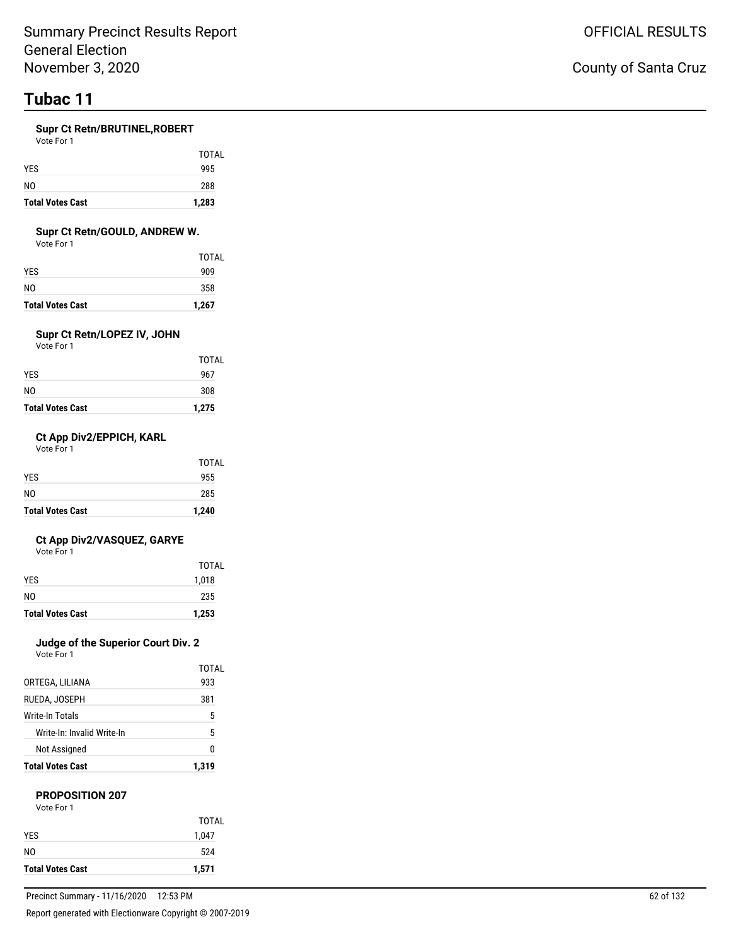# **Tubac 11**

#### **Supr Ct Retn/BRUTINEL,ROBERT**

Vote For 1

| <b>Total Votes Cast</b> | 1,283        |
|-------------------------|--------------|
| N <sub>0</sub>          | 288          |
| <b>YES</b>              | 995          |
|                         | <b>TOTAL</b> |

#### **Supr Ct Retn/GOULD, ANDREW W.**

Vote For 1

| <b>Total Votes Cast</b> | 1,267 |
|-------------------------|-------|
| NO                      | 358   |
| YES.                    | 909   |
|                         | TOTAL |

### **Supr Ct Retn/LOPEZ IV, JOHN**

Vote For 1

| <b>Total Votes Cast</b> | 1,275        |
|-------------------------|--------------|
| NO                      | 308          |
| YES                     | 967          |
|                         | <b>TOTAL</b> |

#### **Ct App Div2/EPPICH, KARL**

Vote For 1

| <b>Total Votes Cast</b> | 1,240 |
|-------------------------|-------|
| NO.                     | 285   |
|                         | 955   |
| <b>YES</b>              | TOTAL |

#### **Ct App Div2/VASQUEZ, GARYE**

Vote For 1

| <b>Total Votes Cast</b> | 1,253 |
|-------------------------|-------|
| N <sub>0</sub>          | 235   |
| <b>YES</b>              | 1,018 |
|                         | TOTAL |

### **Judge of the Superior Court Div. 2**

Vote For 1

| <b>Total Votes Cast</b>    | 1.319 |
|----------------------------|-------|
| Not Assigned               | N     |
| Write-In: Invalid Write-In | 5     |
| Write-In Totals            | 5     |
| RUEDA, JOSEPH              | 381   |
| ORTEGA, LILIANA            | 933   |
|                            | TOTAL |

#### **PROPOSITION 207**

| Vote For 1 |  |
|------------|--|
|            |  |

| <b>Total Votes Cast</b> | 1,571 |
|-------------------------|-------|
| N0                      | 524   |
| <b>YFS</b>              | 1,047 |
|                         | TOTAL |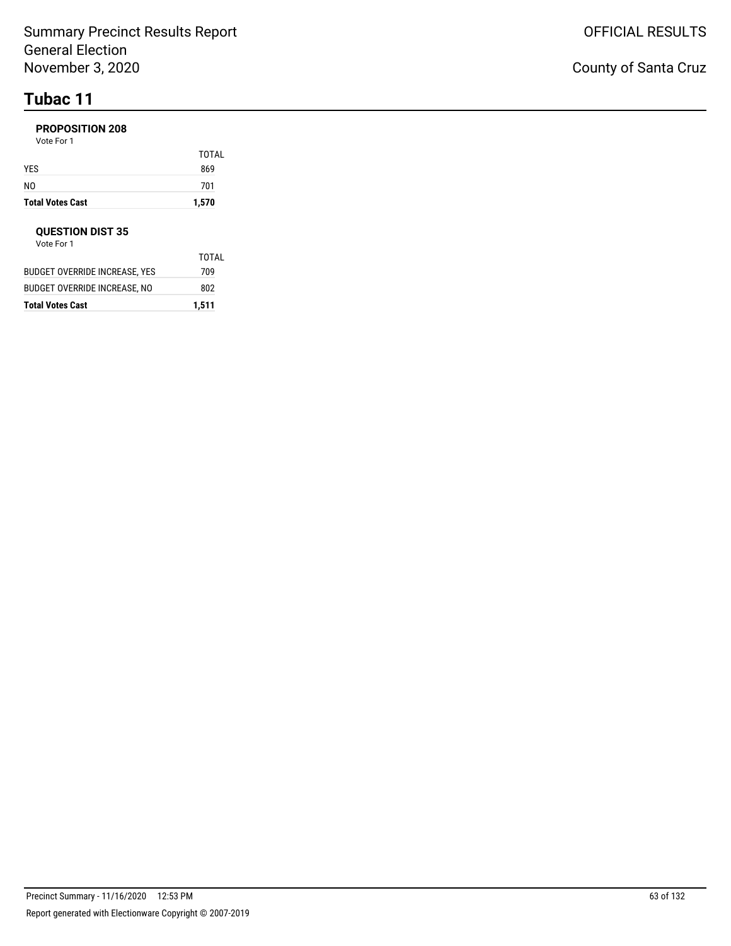# **Tubac 11**

#### **PROPOSITION 208**

Vote For 1

| <b>Total Votes Cast</b> | 1,570 |
|-------------------------|-------|
| NO                      | 701   |
| YES                     | 869   |
|                         | TOTAL |

#### **QUESTION DIST 35**

| Total Votes Cast              | 1,511 |
|-------------------------------|-------|
| BUDGET OVERRIDE INCREASE. NO  | 802   |
| BUDGET OVERRIDE INCREASE. YES | 709   |
|                               | TOTAL |
| Vote For 1                    |       |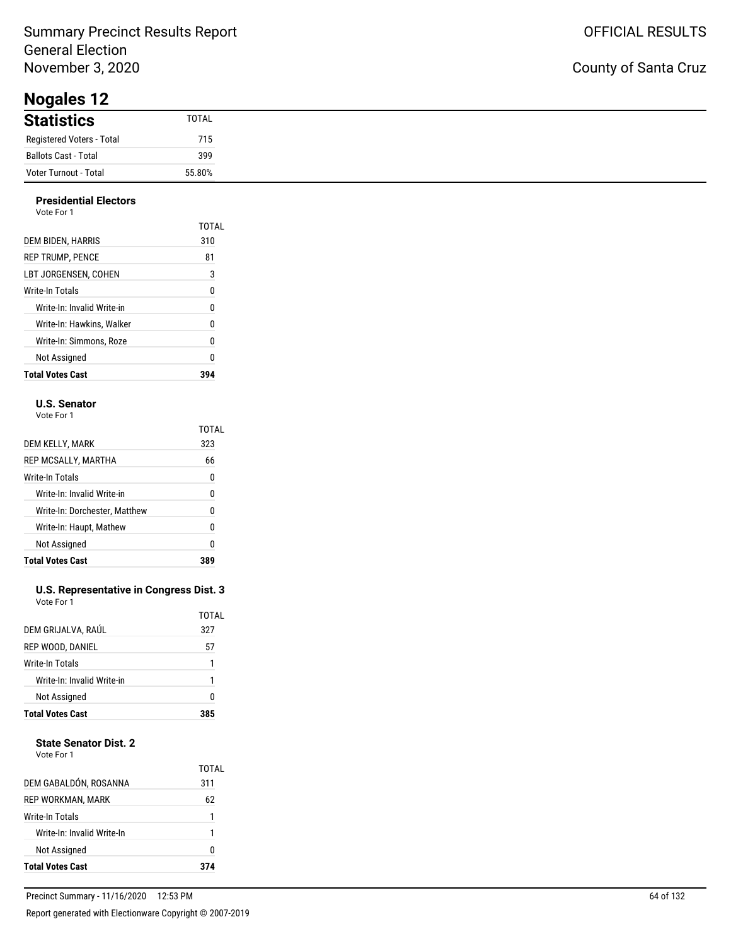**Nogales 12**

| $1.05$ and $1 - 1$          |              |
|-----------------------------|--------------|
| <b>Statistics</b>           | <b>TOTAL</b> |
| Registered Voters - Total   | 715          |
| <b>Ballots Cast - Total</b> | 399          |
| Voter Turnout - Total       | 55.80%       |

#### **Presidential Electors** Vote For 1

| <b>Total Votes Cast</b>    |       |
|----------------------------|-------|
| Not Assigned               | 0     |
| Write-In: Simmons. Roze    | 0     |
| Write-In: Hawkins. Walker  | 0     |
| Write-In: Invalid Write-in | 0     |
| Write-In Totals            | 0     |
| LBT JORGENSEN. COHEN       | 3     |
| <b>REP TRUMP, PENCE</b>    | 81    |
| DEM BIDEN, HARRIS          | 310   |
|                            | TOTAL |
| 1 U U U                    |       |

#### **U.S. Senator**

Vote For 1

|                               | TOTAL |
|-------------------------------|-------|
| DEM KELLY, MARK               | 323   |
| REP MCSALLY, MARTHA           | 66    |
| Write-In Totals               | 0     |
| Write-In: Invalid Write-in    | 0     |
| Write-In: Dorchester, Matthew | N     |
| Write-In: Haupt, Mathew       | 0     |
| Not Assigned                  | 0     |
| <b>Total Votes Cast</b>       |       |

#### **U.S. Representative in Congress Dist. 3** Vote For 1

| <b>Write-In Totals</b>                  | 1 |
|-----------------------------------------|---|
| Write-In: Invalid Write-in              |   |
| Not Assigned<br><b>Total Votes Cast</b> | ŋ |

### **State Senator Dist. 2**

| Vote For 1 |  |
|------------|--|
|            |  |

| <b>Not Assigned</b>        | n            |
|----------------------------|--------------|
| Write-In: Invalid Write-In | 1            |
| Write-In Totals            |              |
| REP WORKMAN, MARK          | 62           |
| DEM GABALDÓN, ROSANNA      | TOTAL<br>311 |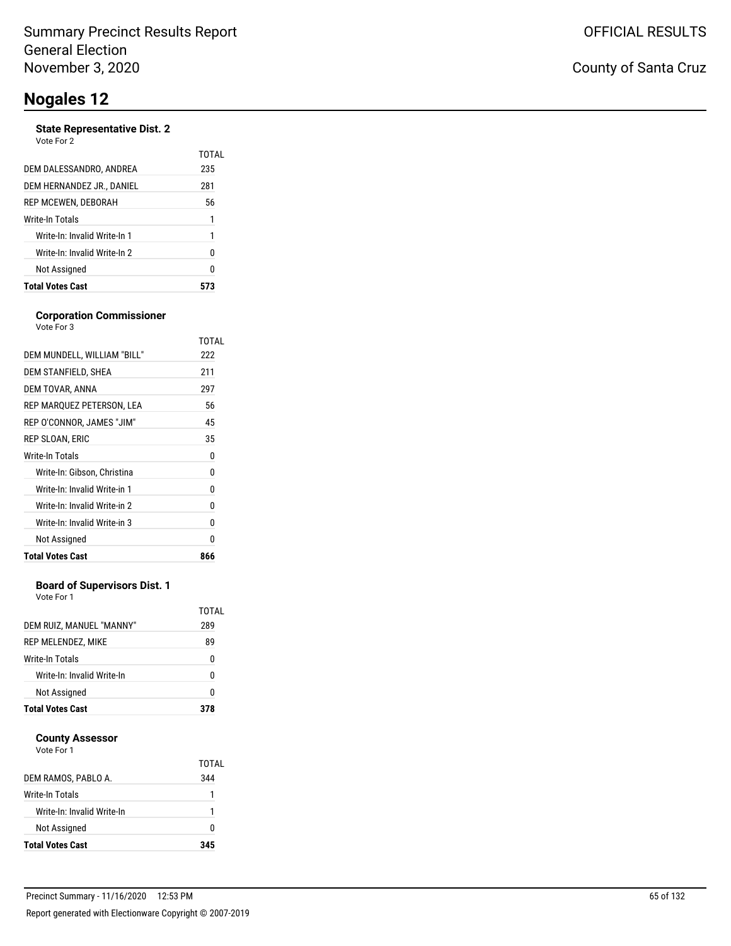#### **State Representative Dist. 2** Vote For 2

| <b>Total Votes Cast</b>      |       |
|------------------------------|-------|
| Not Assigned                 | 0     |
| Write-In: Invalid Write-In 2 | 0     |
| Write-In: Invalid Write-In 1 | 1     |
| Write-In Totals              | 1     |
| REP MCEWEN, DEBORAH          | 56    |
| DEM HERNANDEZ JR., DANIEL    | 281   |
| DEM DALESSANDRO, ANDREA      | 235   |
| VULCIUI <i>L</i>             | TOTAL |

#### **Corporation Commissioner** Vote For 3

|                              | TOTAL |
|------------------------------|-------|
| DEM MUNDELL, WILLIAM "BILL"  | 222   |
| DEM STANFIELD, SHEA          | 211   |
| DEM TOVAR, ANNA              | 297   |
| REP MARQUEZ PETERSON, LEA    | 56    |
| REP O'CONNOR, JAMES "JIM"    | 45    |
| REP SLOAN, ERIC              | 35    |
| Write-In Totals              | 0     |
| Write-In: Gibson, Christina  | 0     |
| Write-In: Invalid Write-in 1 | 0     |
| Write-In: Invalid Write-in 2 | 0     |
| Write-In: Invalid Write-in 3 | 0     |
| Not Assigned                 | 0     |
| <b>Total Votes Cast</b>      | 866   |
|                              |       |

#### **Board of Supervisors Dist. 1**

Vote For 1

| DEM RUIZ, MANUEL "MANNY"   | TOTAL<br>289 |
|----------------------------|--------------|
| REP MELENDEZ, MIKE         | 89           |
| <b>Write-In Totals</b>     | 0            |
| Write-In: Invalid Write-In | n            |
| Not Assigned               | 0            |
| <b>Total Votes Cast</b>    | 378          |

#### **County Assessor**

| DEM RAMOS, PABLO A.        | TOTAL<br>344 |
|----------------------------|--------------|
| <b>Write-In Totals</b>     |              |
| Write-In: Invalid Write-In |              |
| Not Assigned               | n            |
| <b>Total Votes Cast</b>    | 345          |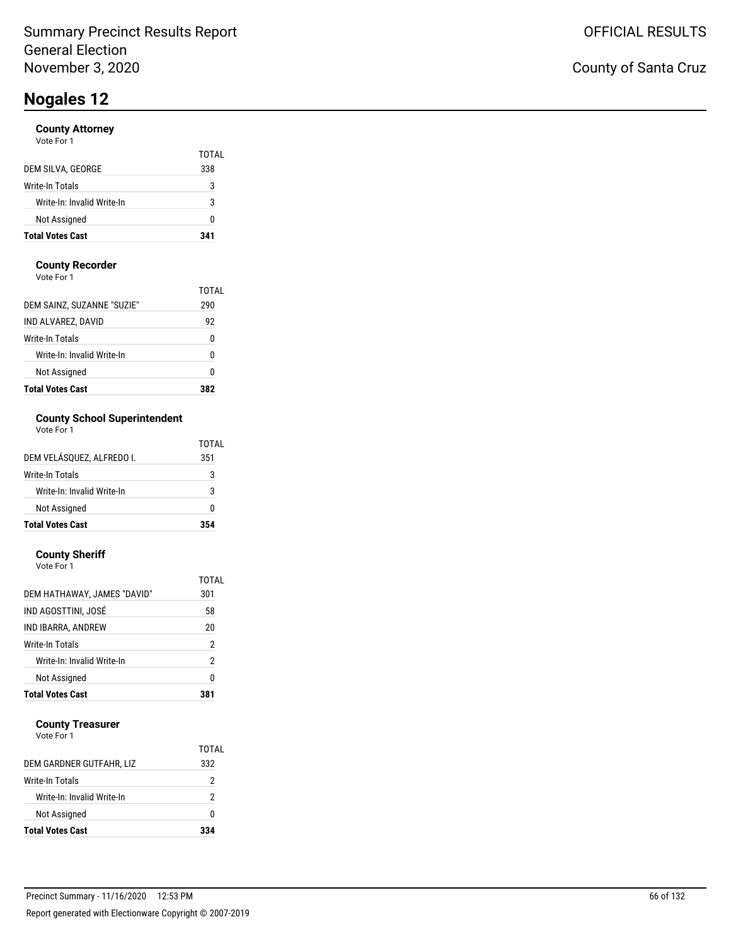#### **County Attorney**

| Vote For 1 |  |
|------------|--|
|------------|--|

| <b>Total Votes Cast</b>    | 341   |
|----------------------------|-------|
| Not Assigned               | 0     |
| Write-In: Invalid Write-In | 3     |
| Write-In Totals            | 3     |
| DEM SILVA, GEORGE          | 338   |
|                            | TOTAL |

#### **County Recorder**

Vote For 1

| <b>Total Votes Cast</b>    |       |
|----------------------------|-------|
| Not Assigned               | 0     |
| Write-In: Invalid Write-In | 0     |
| Write-In Totals            | 0     |
| IND ALVAREZ, DAVID         | 92    |
| DEM SAINZ, SUZANNE "SUZIE" | 290   |
|                            | TOTAI |

### **County School Superintendent**

| Vote For 1 |
|------------|
|------------|

| <b>Total Votes Cast</b>    | 354   |
|----------------------------|-------|
| Not Assigned               | n     |
| Write-In: Invalid Write-In | 3     |
| Write-In Totals            | 3     |
| DEM VELÁSQUEZ, ALFREDO I.  | 351   |
|                            | TOTAL |

#### **County Sheriff**

| <b>Total Votes Cast</b>     | 381            |
|-----------------------------|----------------|
| Not Assigned                | 0              |
| Write-In: Invalid Write-In  | $\overline{2}$ |
| Write-In Totals             | $\overline{2}$ |
| IND IBARRA, ANDREW          | 20             |
| IND AGOSTTINI, JOSÉ         | 58             |
| DEM HATHAWAY, JAMES "DAVID" | 301            |
|                             | TOTAL          |
| Vote For 1                  |                |

#### **County Treasurer**

| Not Assigned                                  | o      |
|-----------------------------------------------|--------|
| Write-In Totals<br>Write-In: Invalid Write-In | 2<br>2 |
| DEM GARDNER GUTFAHR, LIZ                      | 332    |
|                                               | TOTAL  |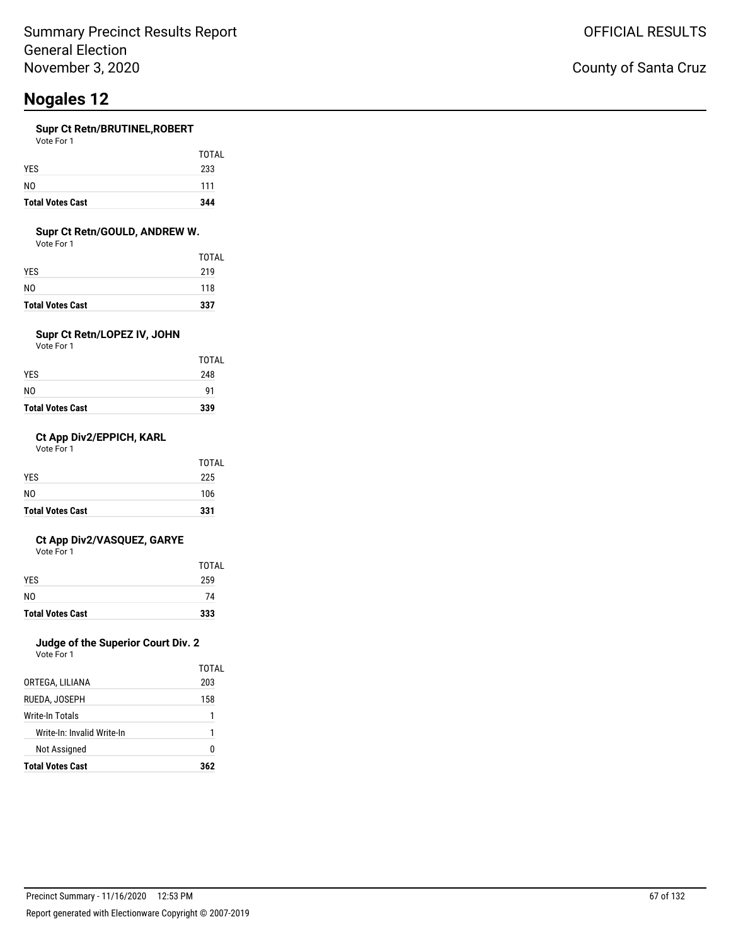#### **Supr Ct Retn/BRUTINEL,ROBERT**

| Vote For 1 |  |  |
|------------|--|--|
|            |  |  |

| <b>Total Votes Cast</b> | 344   |
|-------------------------|-------|
| N <sub>0</sub>          | 111   |
| <b>YES</b>              | 233   |
|                         | TOTAL |

#### **Supr Ct Retn/GOULD, ANDREW W.**

Vote For 1

| <b>Total Votes Cast</b> | 337   |
|-------------------------|-------|
| N0                      | 118   |
| YES                     | 219   |
|                         | TOTAL |

### **Supr Ct Retn/LOPEZ IV, JOHN**

Vote For 1

| <b>Total Votes Cast</b> | 339   |
|-------------------------|-------|
| N0                      | 91    |
| YES                     | 248   |
|                         | TOTAL |

#### **Ct App Div2/EPPICH, KARL**

Vote For 1

| <b>Total Votes Cast</b> | 331   |
|-------------------------|-------|
| NO.                     | 106   |
| <b>YES</b>              | 225   |
|                         | TOTAL |

#### **Ct App Div2/VASQUEZ, GARYE**

Vote For 1

| <b>Total Votes Cast</b> | 333          |
|-------------------------|--------------|
| N <sub>0</sub>          | 74           |
| <b>YES</b>              | 259          |
|                         | <b>TOTAL</b> |

### **Judge of the Superior Court Div. 2**

Vote For 1

|                            | TOTAL |
|----------------------------|-------|
| ORTEGA, LILIANA            | 203   |
| RUEDA. JOSEPH              | 158   |
| Write-In Totals            | 1     |
| Write-In: Invalid Write-In | 1     |
| <b>Not Assigned</b>        | O     |
| <b>Total Votes Cast</b>    | 362   |

### County of Santa Cruz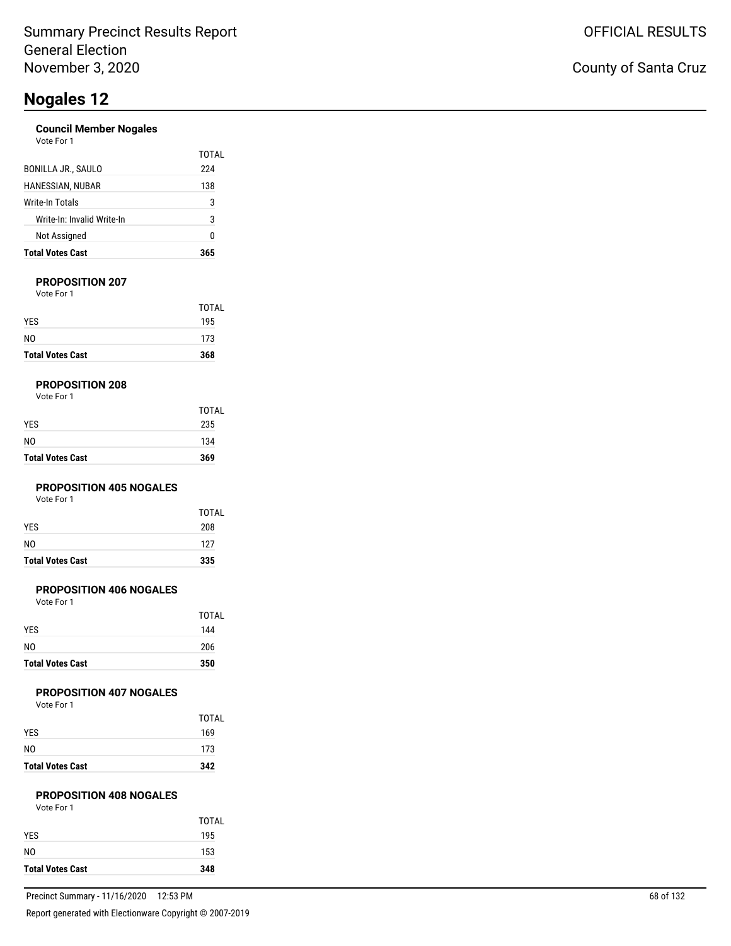#### **Council Member Nogales**

| Vote For 1 |  |
|------------|--|
|            |  |

| <b>Total Votes Cast</b>    | 365   |
|----------------------------|-------|
| Not Assigned               | 0     |
| Write-In: Invalid Write-In | 3     |
| Write-In Totals            | 3     |
| HANESSIAN, NUBAR           | 138   |
| <b>BONILLA JR., SAULO</b>  | 224   |
|                            | TOTAL |

#### **PROPOSITION 207**

Vote For 1

| <b>Total Votes Cast</b> | 368          |
|-------------------------|--------------|
| N <sub>0</sub>          | 173          |
| <b>YES</b>              | 195          |
|                         | <b>TOTAL</b> |

#### **PROPOSITION 208**

| Vote For 1 |  |  |
|------------|--|--|
|------------|--|--|

| <b>Total Votes Cast</b> | 369   |
|-------------------------|-------|
| N <sub>0</sub>          | 134   |
| <b>YES</b>              | 235   |
|                         | TOTAL |

#### **PROPOSITION 405 NOGALES**

Vote For 1

| <b>Total Votes Cast</b> | 335   |
|-------------------------|-------|
| NO.                     | 127   |
| <b>YES</b>              | 208   |
|                         | TOTAL |

#### **PROPOSITION 406 NOGALES**

Vote For 1

| TOTAL<br>144 |
|--------------|
| 206          |
| 350          |
|              |

#### **PROPOSITION 407 NOGALES**

Vote For 1

| <b>Total Votes Cast</b> | 342          |
|-------------------------|--------------|
| NO.                     | 173          |
| <b>YES</b>              | 169          |
|                         | <b>TOTAL</b> |

#### **PROPOSITION 408 NOGALES**

| Vote For 1 |  |
|------------|--|
|            |  |

|                         | <b>TOTAL</b> |
|-------------------------|--------------|
| <b>YES</b>              | 195          |
| N <sub>0</sub>          | 153          |
| <b>Total Votes Cast</b> | 348          |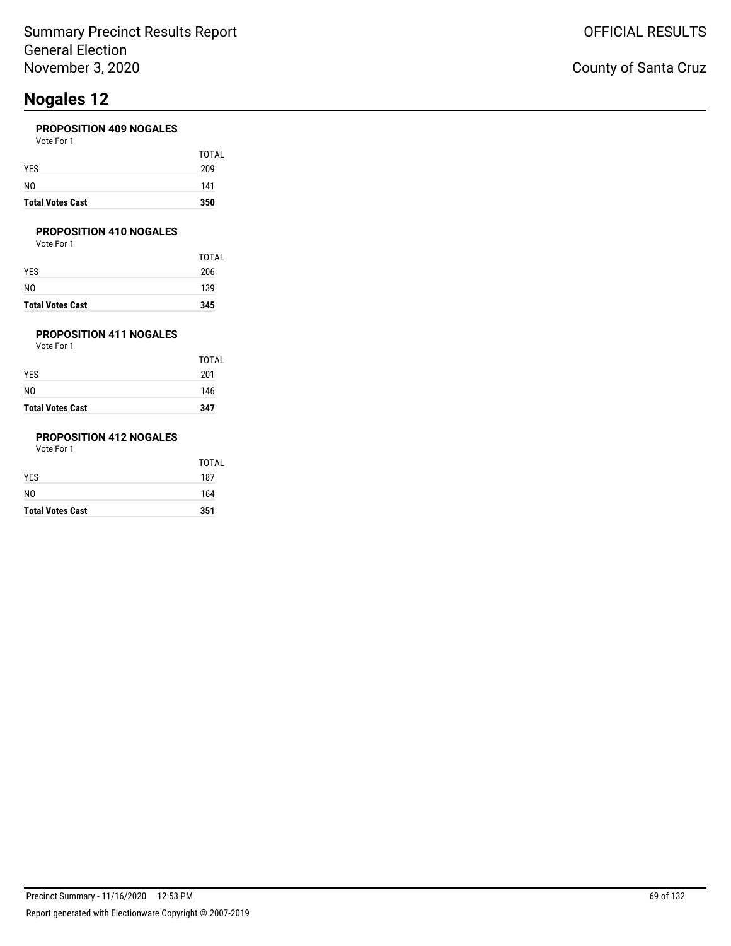#### **PROPOSITION 409 NOGALES**

| <b>Total Votes Cast</b> | 350   |
|-------------------------|-------|
| NO                      | 141   |
| YES                     | 209   |
|                         | TOTAL |
| Vote For 1              |       |

#### **PROPOSITION 410 NOGALES**

Vote For 1

| <b>TOTAL</b> |
|--------------|
| 206          |
| 139          |
| 345          |
|              |

### **PROPOSITION 411 NOGALES**

Vote For 1

| <b>Total Votes Cast</b> | 347   |
|-------------------------|-------|
| NO                      | 146   |
| YES                     | 201   |
|                         | TOTAL |

### **PROPOSITION 412 NOGALES**

| <b>Total Votes Cast</b> | 351   |
|-------------------------|-------|
| NO.                     | 164   |
| YES                     | 187   |
|                         | TOTAL |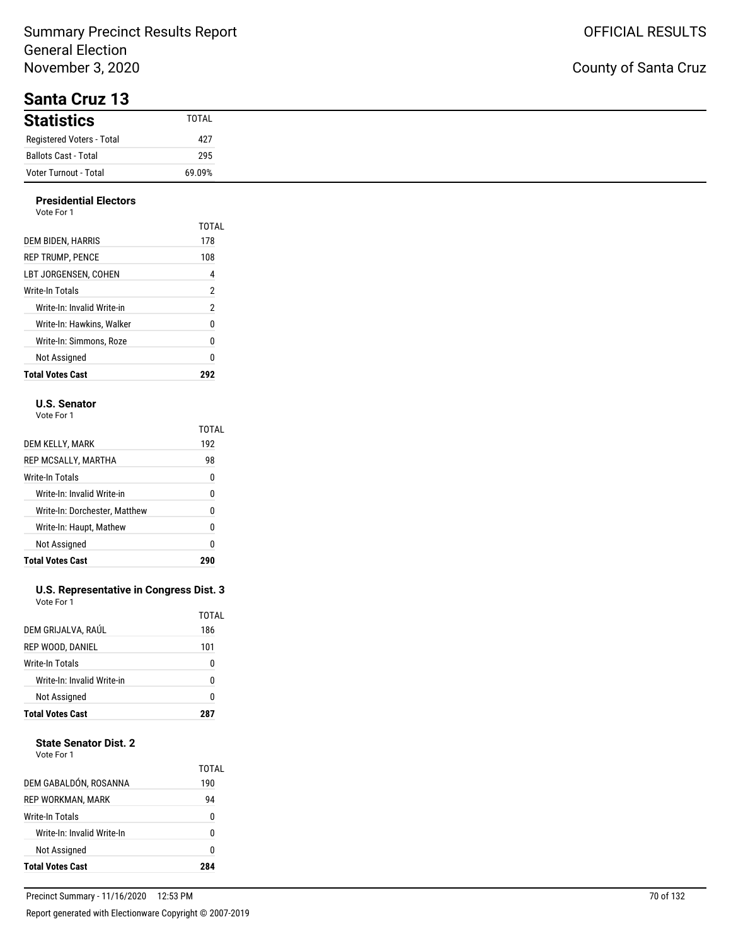### County of Santa Cruz

| 9411949194119             |        |
|---------------------------|--------|
| <b>Statistics</b>         | TOTAL  |
| Registered Voters - Total | 427    |
| Ballots Cast - Total      | 295    |
| Voter Turnout - Total     | 69.09% |

#### **Presidential Electors** Vote For 1

| <b>Total Votes Cast</b>    | 292            |
|----------------------------|----------------|
| Not Assigned               | 0              |
| Write-In: Simmons. Roze    | 0              |
| Write-In: Hawkins. Walker  | 0              |
| Write-In: Invalid Write-in | $\overline{2}$ |
| Write-In Totals            | 2              |
| LBT JORGENSEN. COHEN       | 4              |
| <b>REP TRUMP. PENCE</b>    | 108            |
| DEM BIDEN, HARRIS          | 178            |
|                            | TOTAL          |
| 1 IU JU                    |                |

#### **U.S. Senator**

Vote For 1

|                               | TOTAL |
|-------------------------------|-------|
| DEM KELLY, MARK               | 192   |
| REP MCSALLY, MARTHA           | 98    |
| Write-In Totals               | 0     |
| Write-In: Invalid Write-in    | 0     |
| Write-In: Dorchester, Matthew | N     |
| Write-In: Haupt, Mathew       | 0     |
| Not Assigned                  | 0     |
| <b>Total Votes Cast</b>       |       |

#### **U.S. Representative in Congress Dist. 3** Vote For 1

| <b>Total Votes Cast</b>    |       |
|----------------------------|-------|
| Not Assigned               | 0     |
| Write-In: Invalid Write-in | U     |
| Write-In Totals            | 0     |
| REP WOOD, DANIEL           | 101   |
| DEM GRIJALVA, RAÚL         | 186   |
|                            | TOTAL |

#### **State Senator Dist. 2**

| DEM GABALDÓN, ROSANNA<br>REP WORKMAN, MARK<br>Write-In Totals<br>Write-In: Invalid Write-In<br>Not Assigned |              |
|-------------------------------------------------------------------------------------------------------------|--------------|
|                                                                                                             | O            |
|                                                                                                             | N            |
|                                                                                                             | 0            |
|                                                                                                             | 94           |
|                                                                                                             | TOTAL<br>190 |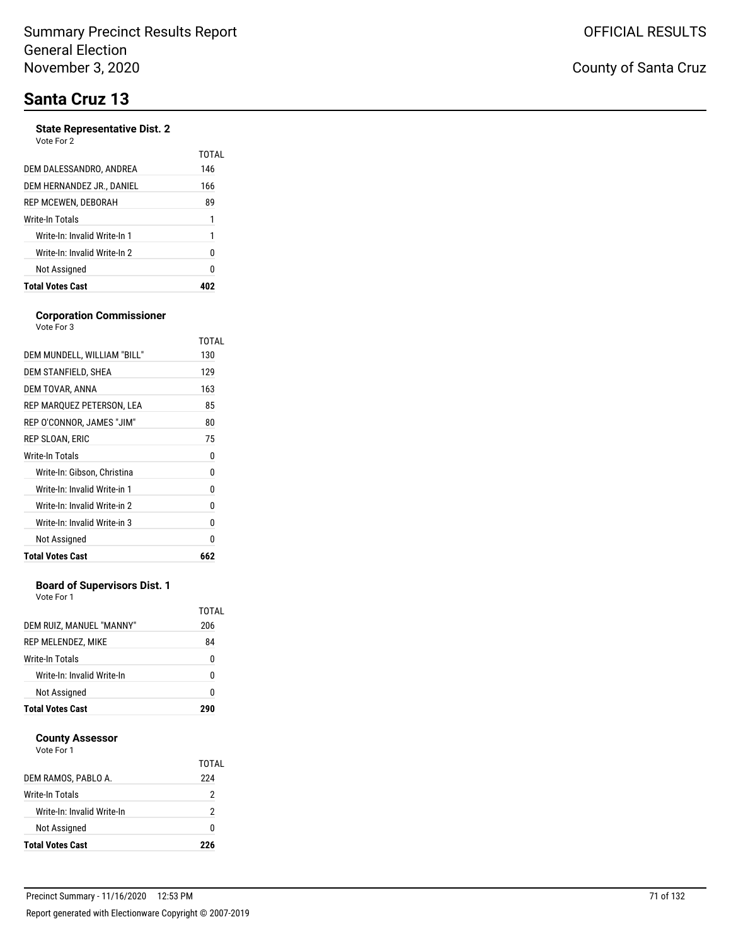# **Santa Cruz 13**

#### **State Representative Dist. 2**

|                              | TOTAL |
|------------------------------|-------|
| DEM DALESSANDRO, ANDREA      | 146   |
| DEM HERNANDEZ JR., DANIEL    | 166   |
| REP MCEWEN, DEBORAH          | 89    |
| Write-In Totals              | 1     |
| Write-In: Invalid Write-In 1 | 1     |
| Write-In: Invalid Write-In 2 | 0     |
| Not Assigned                 | 0     |
| <b>Total Votes Cast</b>      |       |

#### **Corporation Commissioner**

| Vote For 3                   |       |
|------------------------------|-------|
|                              | TOTAL |
| DEM MUNDELL, WILLIAM "BILL"  | 130   |
| DEM STANFIELD, SHEA          | 129   |
| DEM TOVAR, ANNA              | 163   |
| REP MARQUEZ PETERSON, LEA    | 85    |
| REP O'CONNOR, JAMES "JIM"    | 80    |
| REP SLOAN, ERIC              | 75    |
| <b>Write-In Totals</b>       | 0     |
| Write-In: Gibson, Christina  | 0     |
| Write-In: Invalid Write-in 1 | 0     |
| Write-In: Invalid Write-in 2 | 0     |
| Write-In: Invalid Write-in 3 | 0     |
| Not Assigned                 | 0     |
| <b>Total Votes Cast</b>      | 662   |

#### **Board of Supervisors Dist. 1**

Vote For 1

| DEM RUIZ, MANUEL "MANNY"<br>REP MELENDEZ, MIKE<br><b>Write-In Totals</b><br>Write-In: Invalid Write-In<br>Not Assigned |              |
|------------------------------------------------------------------------------------------------------------------------|--------------|
|                                                                                                                        | 0            |
|                                                                                                                        | n            |
|                                                                                                                        | 0            |
|                                                                                                                        | 84           |
|                                                                                                                        | TOTAL<br>206 |

#### **County Assessor**

| DEM RAMOS, PABLO A.        | TOTAL<br>224 |
|----------------------------|--------------|
| Write-In Totals            | 2            |
| Write-In: Invalid Write-In | 2            |
| Not Assigned               | O            |
| <b>Total Votes Cast</b>    | ツクム          |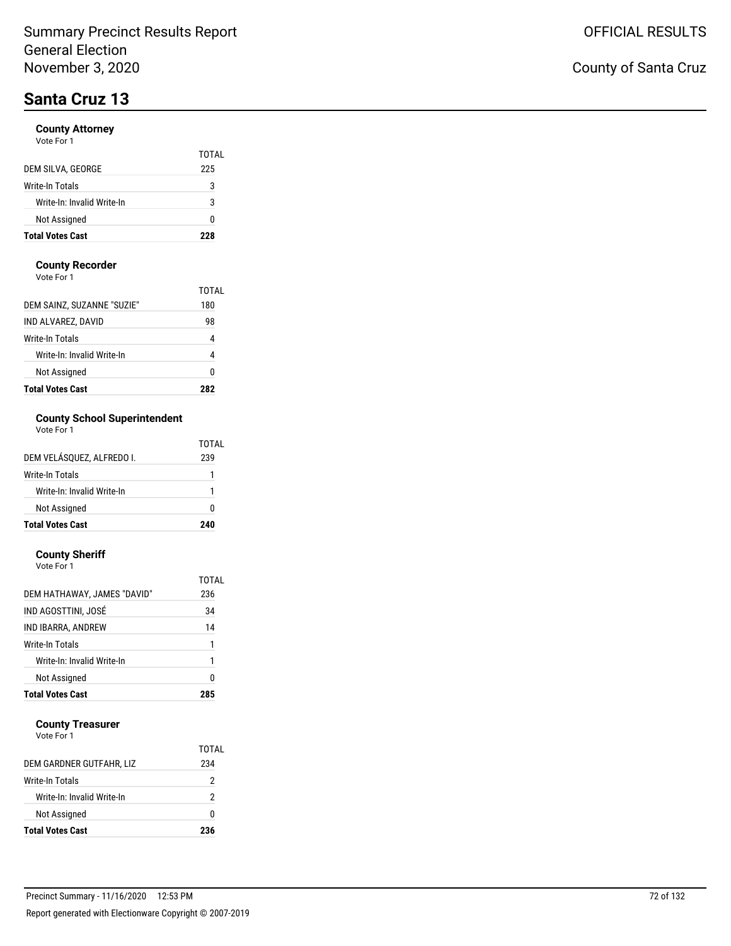# **Santa Cruz 13**

#### **County Attorney** Vote For

| <b>Total Votes Cast</b>    | 228   |
|----------------------------|-------|
| Not Assigned               | ŋ     |
| Write-In: Invalid Write-In | 3     |
| Write-In Totals            | 3     |
| DEM SILVA, GEORGE          | 225   |
|                            | TOTAL |
| VOIP FOI T                 |       |

#### **County Recorder**

Vote For 1

| <b>Total Votes Cast</b>    | 787   |
|----------------------------|-------|
| Not Assigned               | Ω     |
| Write-In: Invalid Write-In | 4     |
| Write-In Totals            | 4     |
| IND ALVAREZ, DAVID         | 98    |
| DEM SAINZ, SUZANNE "SUZIE" | 180   |
|                            | TOTAI |

### **County School Superintendent**

| Vote For 1 |  |
|------------|--|
|            |  |

| <b>Total Votes Cast</b>    | 240   |
|----------------------------|-------|
| Not Assigned               | O     |
| Write-In: Invalid Write-In |       |
| Write-In Totals            |       |
| DEM VELÁSQUEZ, ALFREDO I.  | 239   |
|                            | TOTAL |

#### **County Sheriff**

| <b>Total Votes Cast</b>     | 285   |
|-----------------------------|-------|
| Not Assigned                | 0     |
| Write-In: Invalid Write-In  | 1     |
| Write-In Totals             | 1     |
| IND IBARRA, ANDREW          | 14    |
| IND AGOSTTINI, JOSÉ         | 34    |
| DEM HATHAWAY, JAMES "DAVID" | 236   |
|                             | TOTAL |
| Vote For 1                  |       |

#### **County Treasurer**

|                            | TOTAL |
|----------------------------|-------|
| DEM GARDNER GUTFAHR, LIZ   | 234   |
| Write-In Totals            | 2     |
| Write-In: Invalid Write-In | 2     |
| <b>Not Assigned</b>        | O     |
| <b>Total Votes Cast</b>    | 236   |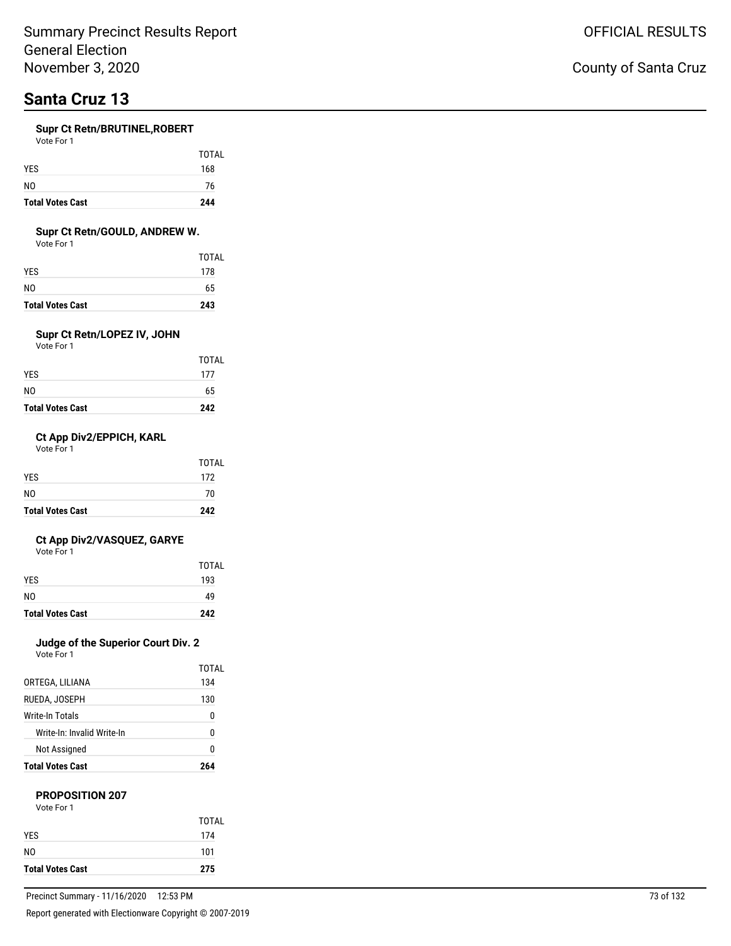# **Santa Cruz 13**

#### **Supr Ct Retn/BRUTINEL,ROBERT**

| Vote For 1 |  |  |
|------------|--|--|
|            |  |  |

| <b>Total Votes Cast</b> | 244   |
|-------------------------|-------|
| N <sub>0</sub>          | 76    |
| <b>YES</b>              | 168   |
|                         | TOTAL |

#### **Supr Ct Retn/GOULD, ANDREW W.**

Vote For 1

| <b>Total Votes Cast</b> | 243          |
|-------------------------|--------------|
| N0                      | 65           |
| YES                     | 178          |
|                         | <b>TOTAL</b> |

### **Supr Ct Retn/LOPEZ IV, JOHN**

Vote For 1

| <b>Total Votes Cast</b> | 242   |
|-------------------------|-------|
| N0                      | 65    |
| YES                     | 177   |
|                         | TOTAL |

#### **Ct App Div2/EPPICH, KARL**

Vote For 1

| <b>Total Votes Cast</b> | 242   |
|-------------------------|-------|
| N <sub>0</sub>          | 70    |
| <b>YES</b>              | 172   |
|                         | TOTAL |

#### **Ct App Div2/VASQUEZ, GARYE**

Vote For 1

| <b>Total Votes Cast</b> | 242   |
|-------------------------|-------|
| N <sub>0</sub>          | 49    |
| <b>YES</b>              | 193   |
|                         | TOTAL |

### **Judge of the Superior Court Div. 2**

Vote For 1

| <b>Total Votes Cast</b>    | 964   |
|----------------------------|-------|
| Not Assigned               | N     |
| Write-In: Invalid Write-In | 0     |
| Write-In Totals            | n     |
| RUEDA, JOSEPH              | 130   |
| ORTEGA, LILIANA            | 134   |
|                            | TOTAL |

#### **PROPOSITION 207**

| Vote For 1 |  |
|------------|--|
|            |  |

| <b>Total Votes Cast</b> | 275          |
|-------------------------|--------------|
| N0                      | 101          |
| <b>YFS</b>              | 174          |
|                         | <b>TOTAL</b> |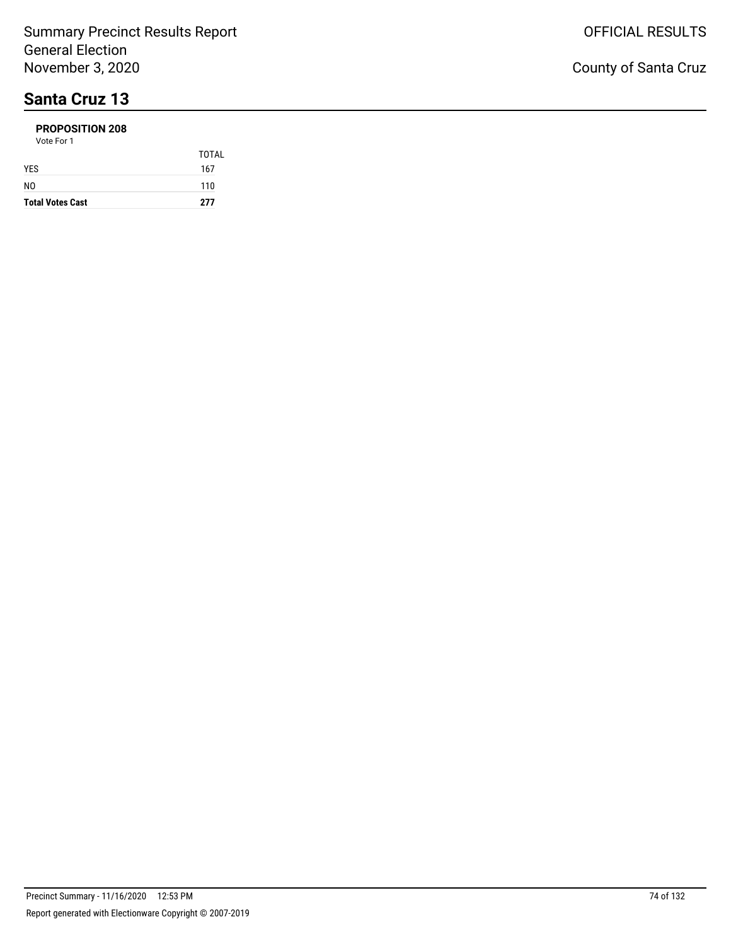# **Santa Cruz 13**

#### **PROPOSITION 208**

| <b>Total Votes Cast</b> | 277   |
|-------------------------|-------|
| N <sub>0</sub>          | 110   |
| <b>YES</b>              | 167   |
|                         | TOTAL |
| Vote For 1              |       |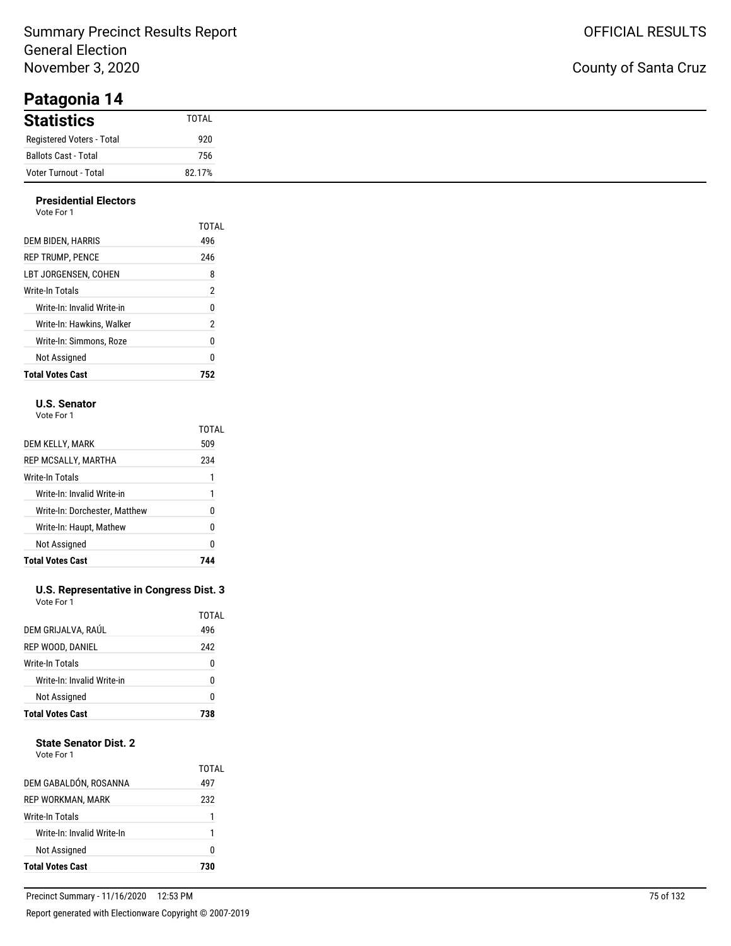### County of Santa Cruz

| . <b></b>                 |              |
|---------------------------|--------------|
| <b>Statistics</b>         | <b>TOTAL</b> |
| Registered Voters - Total | 920          |
| Ballots Cast - Total      | 756          |
| Voter Turnout - Total     | 82.17%       |

#### **Presidential Electors**

| Not Assigned               | 0     |
|----------------------------|-------|
| Write-In: Simmons, Roze    | 0     |
| Write-In: Hawkins, Walker  | 2     |
| Write-In: Invalid Write-in | 0     |
| Write-In Totals            | 2     |
| LBT JORGENSEN. COHEN       | 8     |
| <b>REP TRUMP, PENCE</b>    | 246   |
| DEM BIDEN, HARRIS          | 496   |
| Vote For 1                 | TOTAL |

#### **U.S. Senator**

Vote For 1

|                               | TOTAL |
|-------------------------------|-------|
| DEM KELLY, MARK               | 509   |
| REP MCSALLY, MARTHA           | 234   |
| Write-In Totals               |       |
| Write-In: Invalid Write-in    | 1     |
| Write-In: Dorchester, Matthew | N     |
| Write-In: Haupt, Mathew       | 0     |
| Not Assigned                  | 0     |
| <b>Total Votes Cast</b>       |       |

#### **U.S. Representative in Congress Dist. 3** Vote For 1

| <b>Total Votes Cast</b>    | 738   |
|----------------------------|-------|
| Not Assigned               | 0     |
| Write-In: Invalid Write-in | U     |
| Write-In Totals            | 0     |
| REP WOOD, DANIEL           | 242   |
| DEM GRIJALVA, RAÚL         | 496   |
|                            | TOTAL |

#### **State Senator Dist. 2**

| Vote For 1 |  |
|------------|--|
|            |  |

| <b>Total Votes Cast</b>    | 730          |
|----------------------------|--------------|
| Not Assigned               | O            |
| Write-In: Invalid Write-In | 1            |
| Write-In Totals            |              |
| REP WORKMAN, MARK          | 232          |
| DEM GABALDÓN, ROSANNA      | TOTAL<br>497 |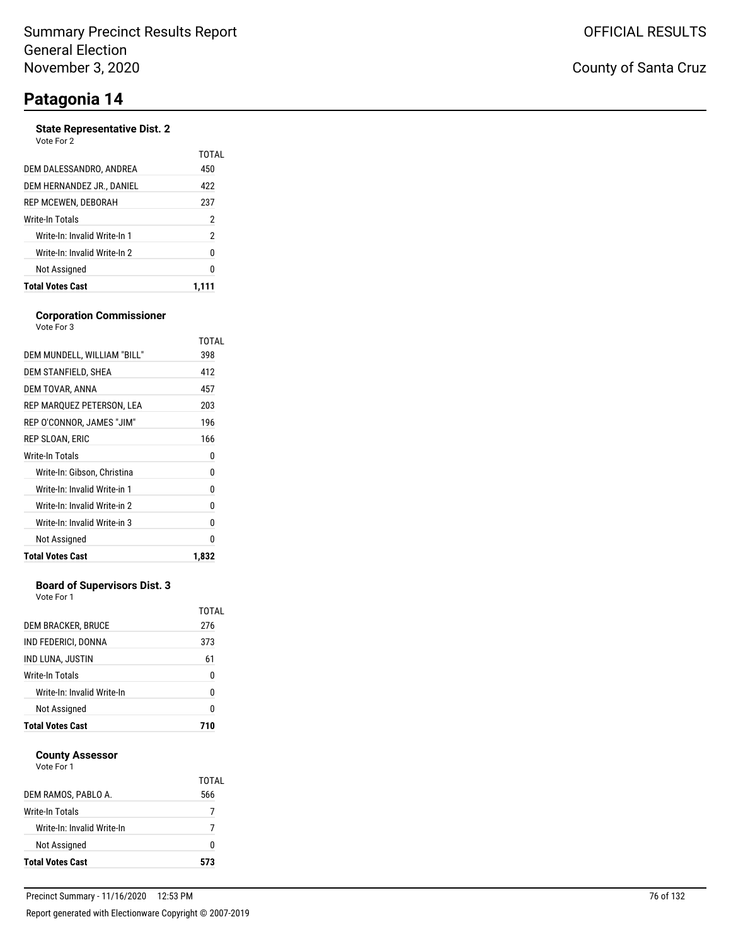#### **State Representative Dist. 2** Vote For 2

| <b>Total Votes Cast</b>      | 1.111 |
|------------------------------|-------|
| Not Assigned                 | 0     |
| Write-In: Invalid Write-In 2 | 0     |
| Write-In: Invalid Write-In 1 | 2     |
| Write-In Totals              | 2     |
| REP MCEWEN, DEBORAH          | 237   |
| DEM HERNANDEZ JR., DANIEL    | 422   |
| DEM DALESSANDRO, ANDREA      | 450   |
|                              | TOTAI |

#### **Corporation Commissioner**

| Vote For 3                   |       |
|------------------------------|-------|
|                              | TOTAL |
| DEM MUNDELL, WILLIAM "BILL"  | 398   |
| DEM STANFIELD, SHEA          | 412   |
| DEM TOVAR, ANNA              | 457   |
| REP MARQUEZ PETERSON, LEA    | 203   |
| REP O'CONNOR, JAMES "JIM"    | 196   |
| REP SLOAN, ERIC              | 166   |
| Write-In Totals              | 0     |
| Write-In: Gibson, Christina  | 0     |
| Write-In: Invalid Write-in 1 | 0     |
| Write-In: Invalid Write-in 2 | 0     |
| Write-In: Invalid Write-in 3 | 0     |
| Not Assigned                 | 0     |
| <b>Total Votes Cast</b>      | 1,832 |

#### **Board of Supervisors Dist. 3**

Vote For 1

| Not Assigned<br><b>Total Votes Cast</b> | N<br>71 N    |
|-----------------------------------------|--------------|
| Write-In: Invalid Write-In              | 0            |
| Write-In Totals                         | 0            |
| IND LUNA, JUSTIN                        | 61           |
| IND FEDERICI, DONNA                     | 373          |
| DEM BRACKER, BRUCE                      | TOTAL<br>276 |

#### **County Assessor**

| Vote For 1 |  |
|------------|--|
|            |  |

|                            | TOTAI |
|----------------------------|-------|
| DEM RAMOS, PABLO A.        | 566   |
| Write-In Totals            | 7     |
| Write-In: Invalid Write-In |       |
| Not Assigned               | O     |
| <b>Total Votes Cast</b>    | 573   |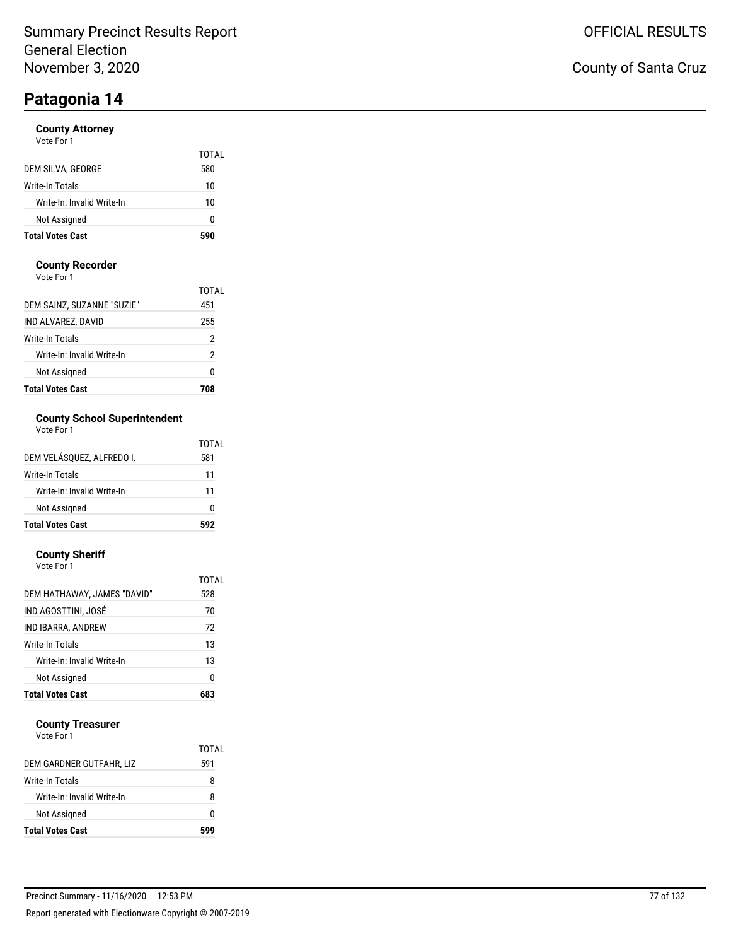#### **County Attorney**

| Vote For 1 |  |
|------------|--|
|------------|--|

| <b>Total Votes Cast</b>    | 590   |
|----------------------------|-------|
| Not Assigned               | n     |
| Write-In: Invalid Write-In | 10    |
| Write-In Totals            | 10    |
| DEM SILVA, GEORGE          | 580   |
|                            | TOTAL |

#### **County Recorder**

Vote For 1

| <b>Total Votes Cast</b>    | 708   |
|----------------------------|-------|
| Not Assigned               | 0     |
| Write-In: Invalid Write-In | 2     |
| Write-In Totals            | 2     |
| IND ALVAREZ, DAVID         | 255   |
| DEM SAINZ, SUZANNE "SUZIE" | 451   |
|                            | TOTAI |

### **County School Superintendent**

| Vote For 1 |  |
|------------|--|
|------------|--|

| <b>Total Votes Cast</b>    | 507   |
|----------------------------|-------|
| Not Assigned               | O     |
| Write-In: Invalid Write-In | 11    |
| Write-In Totals            | 11    |
| DEM VELÁSOUEZ. ALFREDO I.  | 581   |
|                            | TOTAL |

#### **County Sheriff**

| Vote For 1 |  |  |
|------------|--|--|
|            |  |  |

| <b>Total Votes Cast</b>     |              |
|-----------------------------|--------------|
| Not Assigned                | 0            |
| Write-In: Invalid Write-In  | 13           |
| Write-In Totals             | 13           |
| IND IBARRA, ANDREW          | 72           |
| IND AGOSTTINI, JOSÉ         | 70           |
| DEM HATHAWAY, JAMES "DAVID" | 528          |
|                             | <b>TOTAL</b> |

#### **County Treasurer**

| Write-In: Invalid Write-In | R   |
|----------------------------|-----|
|                            |     |
| Not Assigned               | O   |
| <b>Total Votes Cast</b>    | 599 |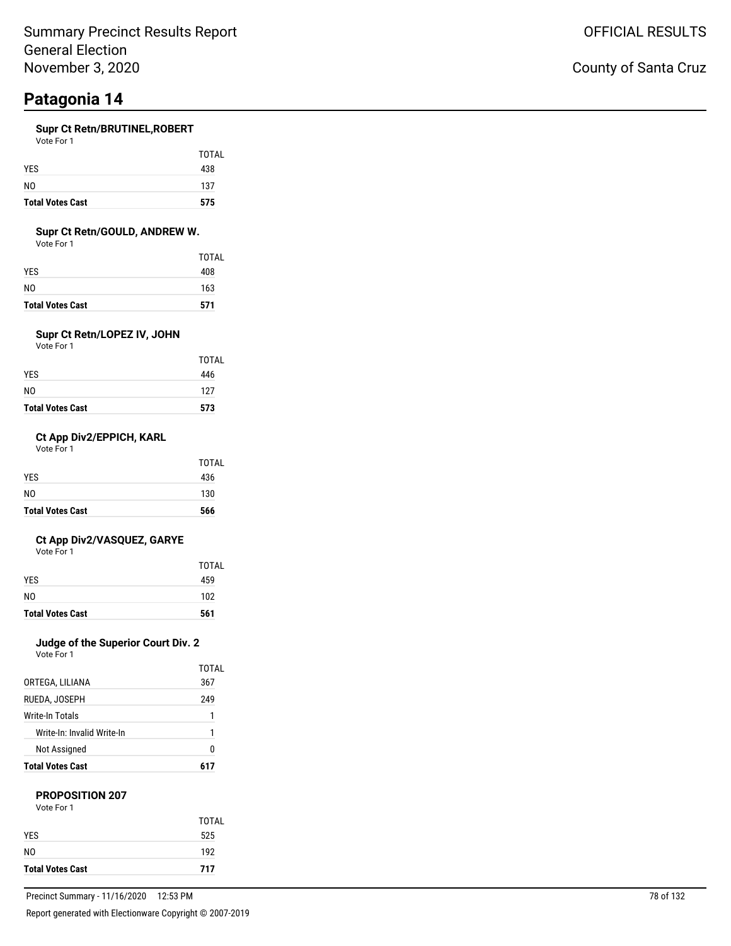#### **Supr Ct Retn/BRUTINEL,ROBERT**

| Vote For 1 |  |
|------------|--|
|            |  |
|            |  |

| 575 |
|-----|
| 137 |
| 438 |
|     |

TOTAL

#### **Supr Ct Retn/GOULD, ANDREW W.**

Vote For 1

| <b>Total Votes Cast</b> | 571          |
|-------------------------|--------------|
| NO                      | 163          |
| YES                     | 408          |
|                         | <b>TOTAL</b> |

### **Supr Ct Retn/LOPEZ IV, JOHN**

Vote For 1

| <b>Total Votes Cast</b> | 573   |
|-------------------------|-------|
| NO                      | 127   |
| YES                     | 446   |
|                         | TOTAL |

#### **Ct App Div2/EPPICH, KARL**

Vote For 1

| <b>Total Votes Cast</b> | 566   |
|-------------------------|-------|
| NO.                     | 130   |
| <b>YES</b>              | 436   |
|                         | TOTAL |

#### **Ct App Div2/VASQUEZ, GARYE**

Vote For 1

| <b>Total Votes Cast</b> | 561   |
|-------------------------|-------|
| N <sub>0</sub>          | 102   |
| <b>YES</b>              | 459   |
|                         | TOTAL |

### **Judge of the Superior Court Div. 2**

Vote For 1

|                            | TOTAI |
|----------------------------|-------|
| ORTEGA, LILIANA            | 367   |
| RUEDA, JOSEPH              | 249   |
| Write-In Totals            | 1     |
| Write-In: Invalid Write-In | 1     |
| Not Assigned               | N     |
| <b>Total Votes Cast</b>    | 617   |

#### **PROPOSITION 207**

| Vote For 1 |  |
|------------|--|
|            |  |

| <b>Total Votes Cast</b> | 717   |
|-------------------------|-------|
| NO.                     | 192   |
| <b>YFS</b>              | 525   |
|                         | TOTAL |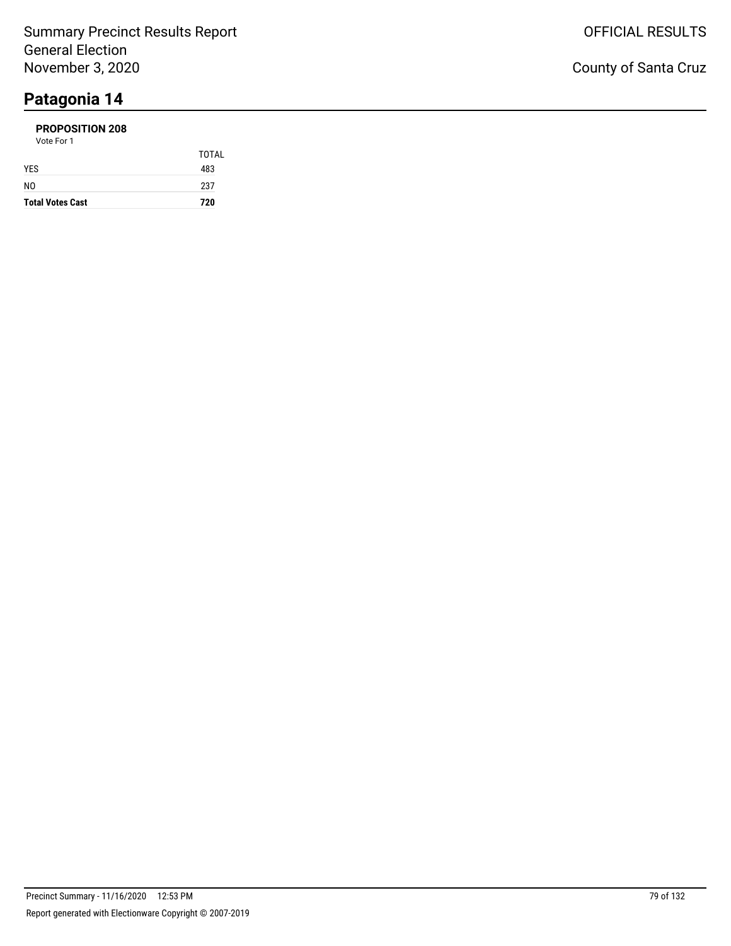#### **PROPOSITION 208** Vote For 1

| <b>Total Votes Cast</b> | 720   |
|-------------------------|-------|
| NO                      | 237   |
| YES                     | 483   |
|                         | TOTAL |
| VULTE FUIT              |       |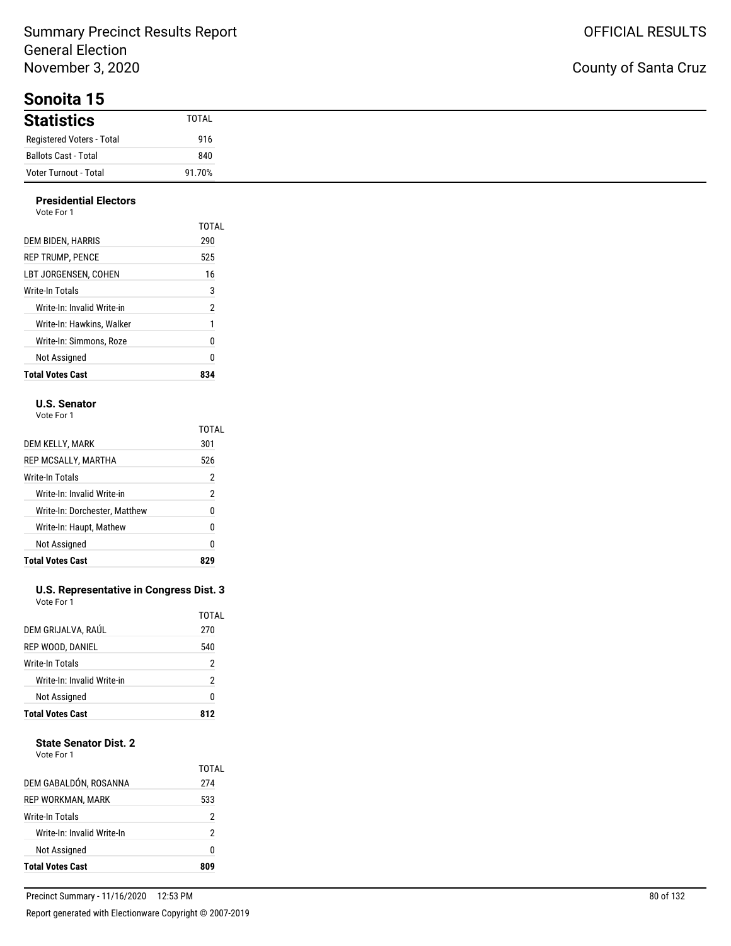**Sonoita 15**

### County of Santa Cruz

| <b>Statistics</b>         | TOTAL  |
|---------------------------|--------|
| Registered Voters - Total | 916    |
| Ballots Cast - Total      | 840    |
| Voter Turnout - Total     | 91.70% |

#### **Presidential Electors** Vote For 1

| <b>Total Votes Cast</b>    | 834   |
|----------------------------|-------|
| Not Assigned               | 0     |
| Write-In: Simmons. Roze    | 0     |
| Write-In: Hawkins. Walker  | 1     |
| Write-In: Invalid Write-in | 2     |
| Write-In Totals            | 3     |
| LBT JORGENSEN. COHEN       | 16    |
| <b>REP TRUMP. PENCE</b>    | 525   |
| DEM BIDEN, HARRIS          | 290   |
|                            | TOTAL |

#### **U.S. Senator**

Vote For 1

|                               | TOTAL |
|-------------------------------|-------|
| DEM KELLY, MARK               | 301   |
| REP MCSALLY, MARTHA           | 526   |
| Write-In Totals               | 2     |
| Write-In: Invalid Write-in    | 2     |
| Write-In: Dorchester, Matthew | 0     |
| Write-In: Haupt, Mathew       | 0     |
| Not Assigned                  | 0     |
| <b>Total Votes Cast</b>       |       |

#### **U.S. Representative in Congress Dist. 3** Vote For 1

| DEM GRIJALVA, RAÚL<br>REP WOOD, DANIEL<br>Write-In Totals<br>Write-In: Invalid Write-in<br>Not Assigned |              |
|---------------------------------------------------------------------------------------------------------|--------------|
|                                                                                                         | 0            |
|                                                                                                         | 2            |
|                                                                                                         | 2            |
|                                                                                                         | 540          |
|                                                                                                         | TOTAL<br>270 |

#### **State Senator Dist. 2**

| Vote For 1 |  |
|------------|--|
|            |  |

| Not Assigned               | 2<br>0       |
|----------------------------|--------------|
|                            |              |
| Write-In: Invalid Write-In |              |
| Write-In Totals            | 2            |
| <b>REP WORKMAN, MARK</b>   | 533          |
| DEM GABALDÓN, ROSANNA      | TOTAL<br>274 |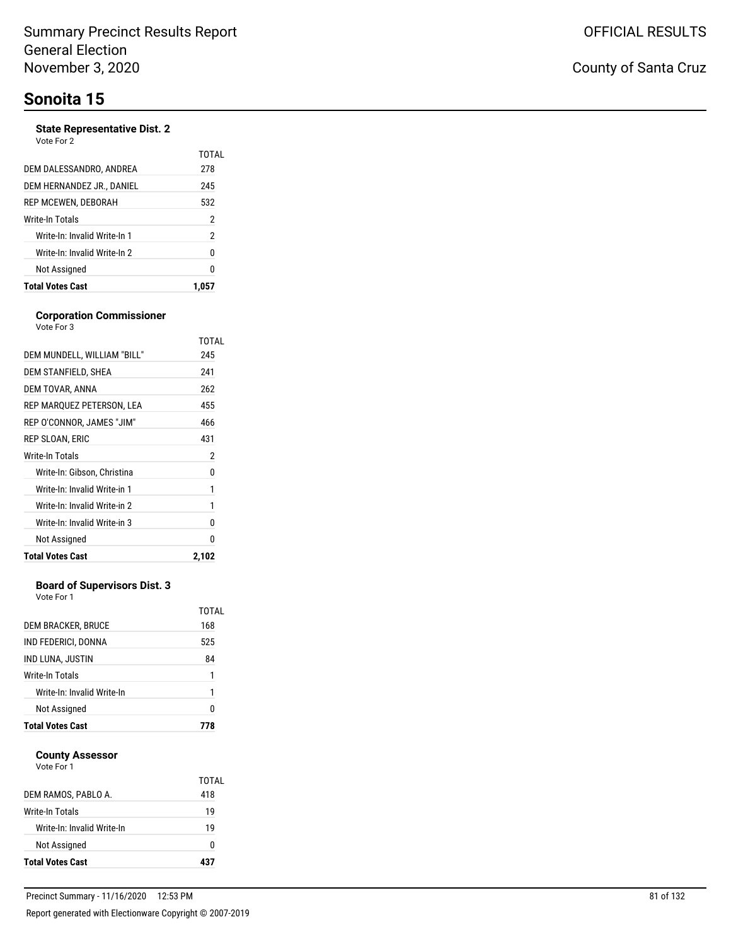#### **State Representative Dist. 2** Vote For 2

| REP MCEWEN, DEBORAH<br>Write-In Totals<br>Write-In: Invalid Write-In 1<br>Write-In: Invalid Write-In 2<br>Not Assigned | 532<br>2<br>2<br>0<br>n |
|------------------------------------------------------------------------------------------------------------------------|-------------------------|
|                                                                                                                        |                         |
|                                                                                                                        |                         |
|                                                                                                                        |                         |
|                                                                                                                        |                         |
|                                                                                                                        |                         |
| DEM HERNANDEZ JR., DANIEL                                                                                              | 245                     |
| DEM DALESSANDRO, ANDREA                                                                                                | 278                     |
|                                                                                                                        | TOTAI                   |

#### **Corporation Commissioner**

| <b>Total Votes Cast</b>      | 2,102 |
|------------------------------|-------|
| Not Assigned                 | 0     |
| Write-In: Invalid Write-in 3 | 0     |
| Write-In: Invalid Write-in 2 | 1     |
| Write-In: Invalid Write-in 1 | 1     |
| Write-In: Gibson, Christina  | 0     |
| Write-In Totals              | 2     |
| REP SLOAN, ERIC              | 431   |
| REP O'CONNOR, JAMES "JIM"    | 466   |
| REP MARQUEZ PETERSON, LEA    | 455   |
| DEM TOVAR, ANNA              | 262   |
| DEM STANFIELD, SHEA          | 241   |
| DEM MUNDELL, WILLIAM "BILL"  | 245   |
|                              | TOTAL |
| Vote For 3                   |       |

#### **Board of Supervisors Dist. 3**

Vote For 1

| Not Assigned               | n            |
|----------------------------|--------------|
| Write-In: Invalid Write-In |              |
| Write-In Totals            | 1            |
| IND LUNA, JUSTIN           | 84           |
| IND FEDERICI, DONNA        | 525          |
| DEM BRACKER, BRUCE         | TOTAL<br>168 |

#### **County Assessor**

| <b>Total Votes Cast</b>    |       |
|----------------------------|-------|
| Not Assigned               | U     |
| Write-In: Invalid Write-In | 19    |
| Write-In Totals            | 19    |
| DEM RAMOS, PABLO A.        | 418   |
|                            | TOTAL |
| Vote For 1                 |       |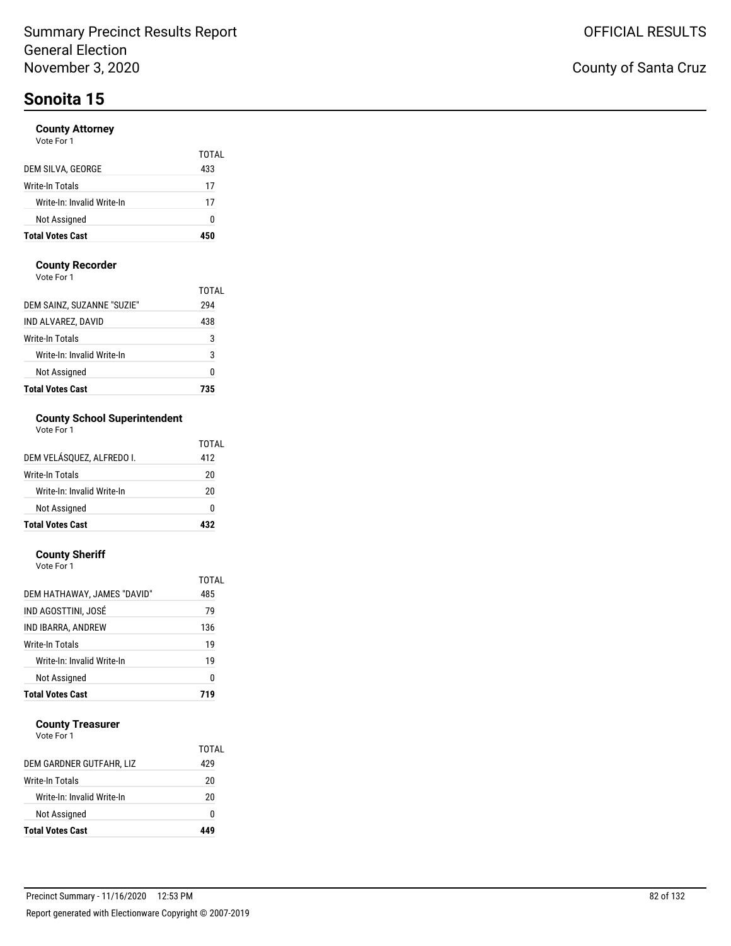#### **County Attorney**

| <b>Total Votes Cast</b>    | 45N   |
|----------------------------|-------|
| Not Assigned               | O     |
| Write-In: Invalid Write-In | 17    |
| Write-In Totals            | 17    |
| DEM SILVA, GEORGE          | 433   |
|                            | TOTAL |

#### **County Recorder**

Vote For 1

| <b>Total Votes Cast</b>    | 735   |
|----------------------------|-------|
| Not Assigned               | 0     |
| Write-In: Invalid Write-In | 3     |
| Write-In Totals            | 3     |
| IND ALVAREZ, DAVID         | 438   |
| DEM SAINZ, SUZANNE "SUZIE" | 294   |
|                            | TOTAL |

### **County School Superintendent**

| <b>Total Votes Cast</b>    | 437   |
|----------------------------|-------|
| Not Assigned               | ŋ     |
| Write-In: Invalid Write-In | 20    |
| <b>Write-In Totals</b>     | 20    |
| DEM VELÁSQUEZ, ALFREDO I.  | 412   |
|                            | TOTAL |

#### **County Sheriff**

| Vote For 1 |  |
|------------|--|
|            |  |

|                             | TOTAL |
|-----------------------------|-------|
| DEM HATHAWAY, JAMES "DAVID" | 485   |
| IND AGOSTTINI, JOSÉ         | 79    |
| IND IBARRA, ANDREW          | 136   |
| Write-In Totals             | 19    |
| Write-In: Invalid Write-In  | 19    |
| Not Assigned                | 0     |
| <b>Total Votes Cast</b>     | 719   |

#### **County Treasurer**

| <b>Total Votes Cast</b>    |       |
|----------------------------|-------|
| Not Assigned               | O     |
| Write-In: Invalid Write-In | 20    |
| Write-In Totals            | 20    |
| DEM GARDNER GUTFAHR, LIZ   | 429   |
|                            | TOTAL |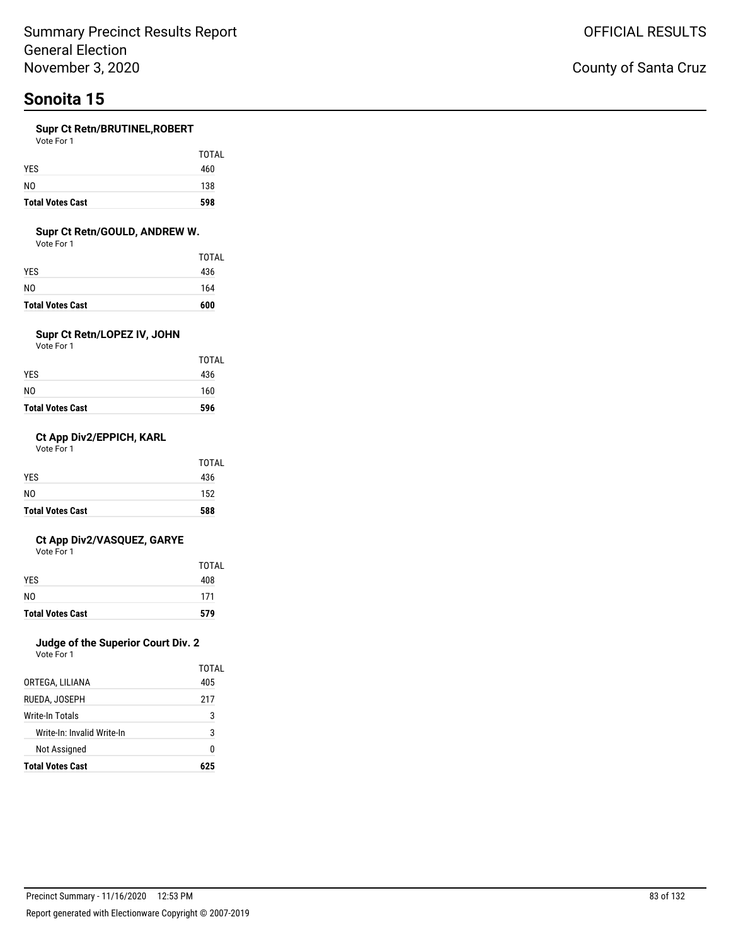#### **Supr Ct Retn/BRUTINEL,ROBERT**

Vote For 1

| <b>Total Votes Cast</b> | 598          |
|-------------------------|--------------|
| N <sub>0</sub>          | 138          |
| <b>YES</b>              | 460          |
|                         | <b>TOTAL</b> |

#### **Supr Ct Retn/GOULD, ANDREW W.**

Vote For 1

| <b>Total Votes Cast</b> | 600   |
|-------------------------|-------|
| N0                      | 164   |
| YES                     | 436   |
|                         | TOTAL |

### **Supr Ct Retn/LOPEZ IV, JOHN**

Vote For 1

| <b>Total Votes Cast</b> | 596   |
|-------------------------|-------|
| NO                      | 160   |
| YES                     | 436   |
|                         | TOTAL |

#### **Ct App Div2/EPPICH, KARL**

Vote For 1

| <b>Total Votes Cast</b> | 588   |
|-------------------------|-------|
| NO.                     | 152   |
| <b>YES</b>              | 436   |
|                         | TOTAL |

#### **Ct App Div2/VASQUEZ, GARYE**

Vote For 1

| <b>Total Votes Cast</b> | 579   |
|-------------------------|-------|
| N <sub>0</sub>          | 171   |
| <b>YES</b>              | 408   |
|                         | TOTAL |

### **Judge of the Superior Court Div. 2**

| <b>Total Votes Cast</b>    | 625   |
|----------------------------|-------|
| Not Assigned               | N     |
| Write-In: Invalid Write-In | 3     |
| <b>Write-In Totals</b>     | 3     |
| RUEDA, JOSEPH              | 217   |
| ORTEGA, LILIANA            | 405   |
|                            | TOTAL |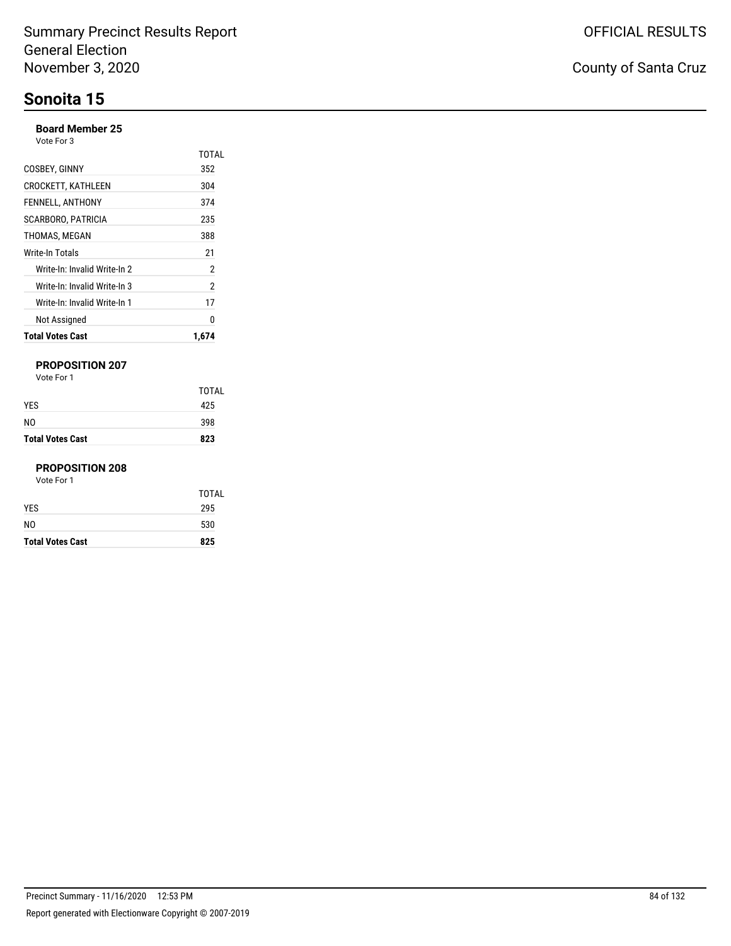#### **Board Member 25**

Vote For 3

| <b>Total Votes Cast</b>      | 1.674        |
|------------------------------|--------------|
| Not Assigned                 | 0            |
| Write-In: Invalid Write-In 1 | 17           |
| Write-In: Invalid Write-In 3 | 2            |
| Write-In: Invalid Write-In 2 | 2            |
| Write-In Totals              | 21           |
| THOMAS, MEGAN                | 388          |
| SCARBORO, PATRICIA           | 235          |
| FENNELL, ANTHONY             | 374          |
| <b>CROCKETT, KATHLEEN</b>    | 304          |
| COSBEY, GINNY                | 352          |
|                              | <b>TOTAL</b> |

#### **PROPOSITION 207**

Vote For 1

| NO.                     | 398 |
|-------------------------|-----|
| <b>Total Votes Cast</b> | 823 |

#### **PROPOSITION 208**

| <b>Total Votes Cast</b> | 825   |
|-------------------------|-------|
| N <sub>0</sub>          | 530   |
| <b>YES</b>              | 295   |
|                         | TOTAL |
| Vote For 1              |       |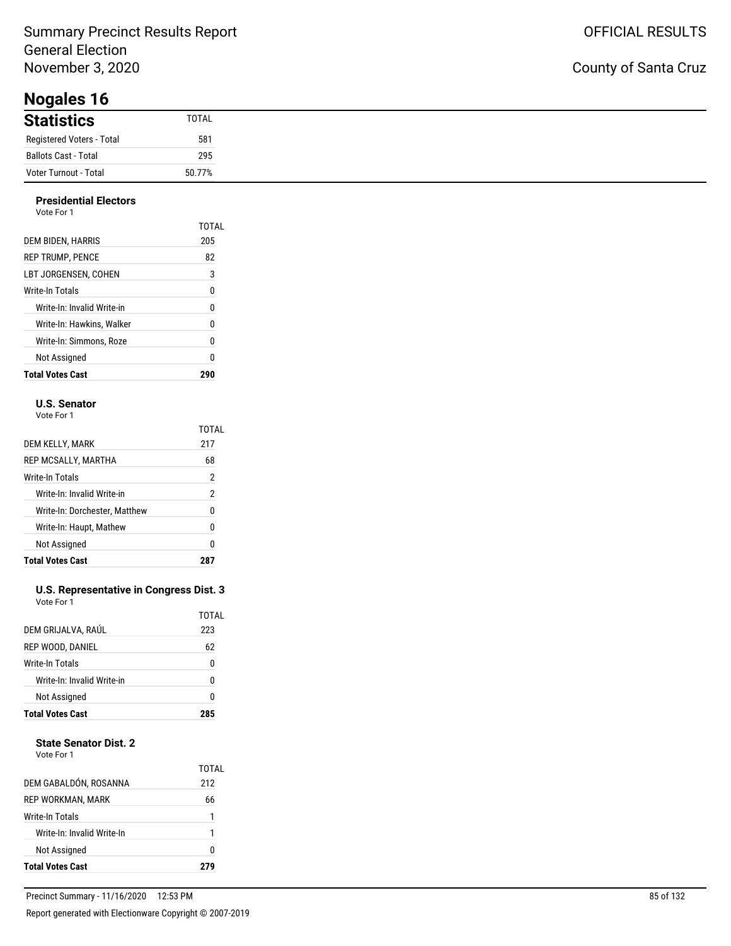**Nogales 16**

#### **Presidential Electors**

| Vote For 1                 |       |
|----------------------------|-------|
|                            | TOTAL |
| DEM BIDEN, HARRIS          | 205   |
| <b>REP TRUMP, PENCE</b>    | 82    |
| LBT JORGENSEN. COHEN       | 3     |
| Write-In Totals            | 0     |
| Write-In: Invalid Write-in | 0     |
| Write-In: Hawkins. Walker  | 0     |
| Write-In: Simmons, Roze    | 0     |
| Not Assigned               | 0     |
| <b>Total Votes Cast</b>    | 290   |

#### **U.S. Senator**

| Vote For 1 |  |
|------------|--|
|            |  |

|                               | TOTAL          |
|-------------------------------|----------------|
| DEM KELLY, MARK               | 217            |
| REP MCSALLY, MARTHA           | 68             |
| Write-In Totals               | $\overline{2}$ |
| Write-In: Invalid Write-in    | 2              |
| Write-In: Dorchester, Matthew | 0              |
| Write-In: Haupt, Mathew       | 0              |
| Not Assigned                  | 0              |
| <b>Total Votes Cast</b>       |                |

#### **U.S. Representative in Congress Dist. 3** Vote For 1

| <b>Total Votes Cast</b>    | ,     |
|----------------------------|-------|
| Not Assigned               | ŋ     |
| Write-In: Invalid Write-in | U     |
| <b>Write-In Totals</b>     | 0     |
| REP WOOD, DANIEL           | 62    |
| DEM GRIJALVA, RAÚL         | 223   |
|                            | TOTAL |

#### **State Senator Dist. 2**

| Not Assigned               | 1<br>O       |
|----------------------------|--------------|
|                            |              |
| Write-In: Invalid Write-In |              |
| Write-In Totals            |              |
| REP WORKMAN, MARK          | 66           |
| DEM GABALDÓN, ROSANNA      | TOTAL<br>212 |

### County of Santa Cruz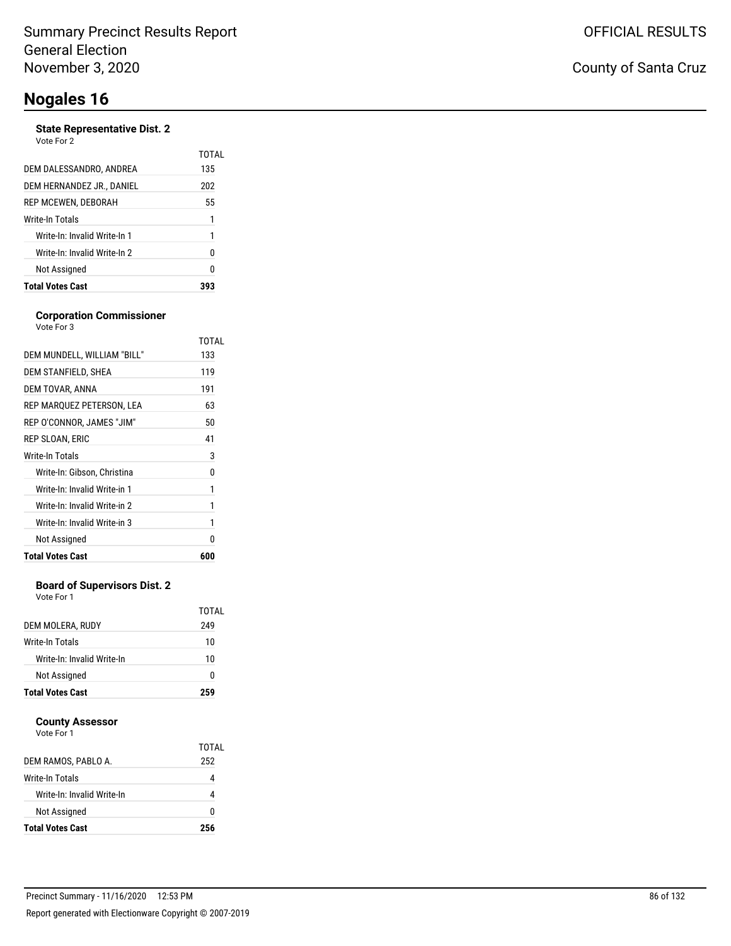#### **State Representative Dist. 2**

| Vote For 2 |  |
|------------|--|
|            |  |

| DEM DALESSANDRO, ANDREA      | 135 |
|------------------------------|-----|
| DEM HERNANDEZ JR., DANIEL    | 202 |
| REP MCEWEN, DEBORAH          | 55  |
| Write-In Totals              | 1   |
| Write-In: Invalid Write-In 1 | 1   |
| Write-In: Invalid Write-In 2 | N   |
| Not Assigned                 | 0   |
| <b>Total Votes Cast</b>      |     |

#### **Corporation Commissioner** Vote For 3

|                              | TOTAL |
|------------------------------|-------|
| DEM MUNDELL, WILLIAM "BILL"  | 133   |
| DEM STANFIELD, SHEA          | 119   |
| DEM TOVAR, ANNA              | 191   |
| REP MARQUEZ PETERSON, LEA    | 63    |
| REP O'CONNOR, JAMES "JIM"    | 50    |
| REP SLOAN, ERIC              | 41    |
| <b>Write-In Totals</b>       | 3     |
| Write-In: Gibson, Christina  | 0     |
| Write-In: Invalid Write-in 1 | 1     |
| Write-In: Invalid Write-in 2 | 1     |
| Write-In: Invalid Write-in 3 | 1     |
| Not Assigned                 | N     |
| <b>Total Votes Cast</b>      | 600   |
|                              |       |

#### **Board of Supervisors Dist. 2**

Vote For 1

|                            | TOTAL |
|----------------------------|-------|
| DEM MOLERA, RUDY           | 249   |
| Write-In Totals            | 10    |
| Write-In: Invalid Write-In | 10    |
| Not Assigned               | 0     |
| <b>Total Votes Cast</b>    | 259   |

#### **County Assessor**

|                            | TOTAL |
|----------------------------|-------|
| DEM RAMOS, PABLO A.        | 252   |
| Write-In Totals            |       |
| Write-In: Invalid Write-In |       |
| Not Assigned               | O     |
| <b>Total Votes Cast</b>    | 256   |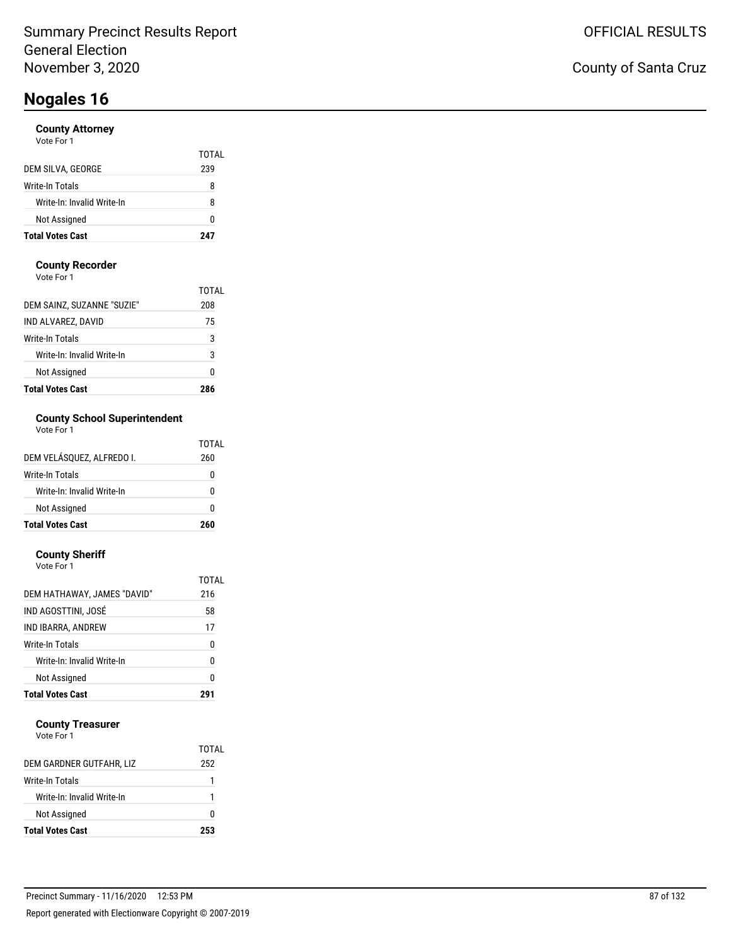#### **County Attorney**

| <b>Total Votes Cast</b>    | 247   |
|----------------------------|-------|
| Not Assigned               | O     |
| Write-In: Invalid Write-In | 8     |
| Write-In Totals            | 8     |
| DEM SILVA, GEORGE          | 239   |
|                            | TOTAL |

#### **County Recorder**

Vote For 1

| <b>Total Votes Cast</b>    | 786   |
|----------------------------|-------|
| Not Assigned               | 0     |
| Write-In: Invalid Write-In | 3     |
| Write-In Totals            | 3     |
| IND ALVAREZ, DAVID         | 75    |
| DEM SAINZ, SUZANNE "SUZIE" | 208   |
|                            | TOTAI |

### **County School Superintendent**

| Vote For 1 |  |
|------------|--|
|------------|--|

| <b>Total Votes Cast</b>    | 260   |
|----------------------------|-------|
| Not Assigned               | ŋ     |
| Write-In: Invalid Write-In | ŋ     |
| Write-In Totals            | ŋ     |
| DEM VELÁSQUEZ, ALFREDO I.  | 260   |
|                            | TOTAL |

#### **County Sheriff**

| <b>Total Votes Cast</b>     |       |
|-----------------------------|-------|
| Not Assigned                | 0     |
| Write-In: Invalid Write-In  | 0     |
| Write-In Totals             | 0     |
| IND IBARRA, ANDREW          | 17    |
| IND AGOSTTINI, JOSÉ         | 58    |
| DEM HATHAWAY, JAMES "DAVID" | 216   |
|                             | TOTAL |
| Vote For 1                  |       |

#### **County Treasurer**

|                            | TOTAL |
|----------------------------|-------|
| DEM GARDNER GUTFAHR, LIZ   | 252   |
| Write-In Totals            |       |
| Write-In: Invalid Write-In |       |
| Not Assigned               |       |
| <b>Total Votes Cast</b>    | 253   |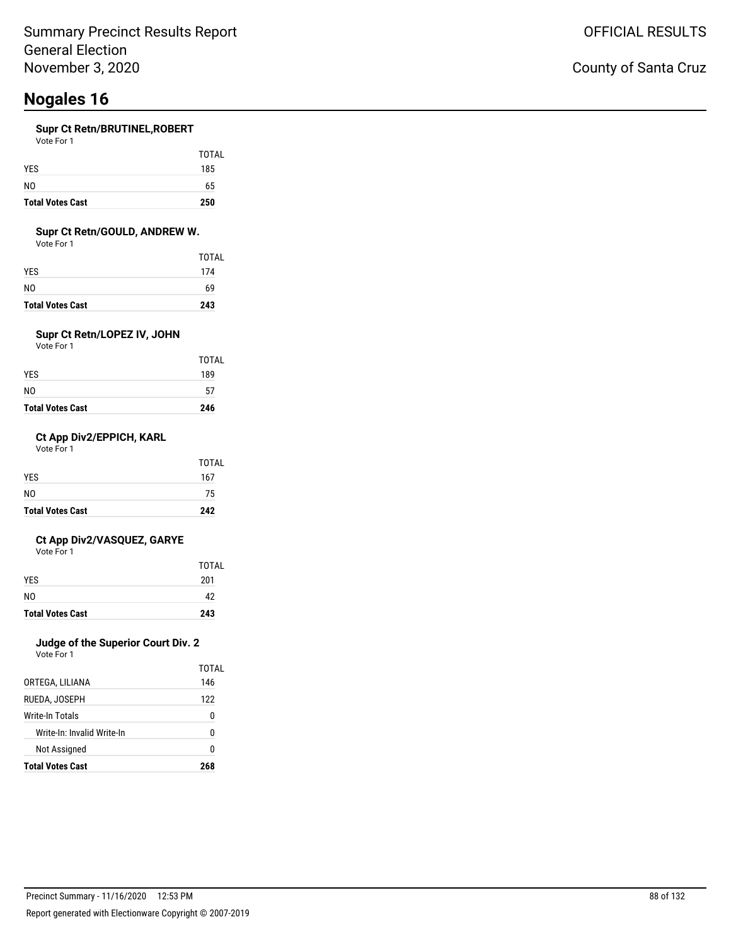#### **Supr Ct Retn/BRUTINEL,ROBERT**

| <b>Total Votes Cast</b> | 250   |
|-------------------------|-------|
| N <sub>0</sub>          | 65    |
| <b>YES</b>              | 185   |
|                         | TOTAL |

#### **Supr Ct Retn/GOULD, ANDREW W.**

Vote For 1

| <b>Total Votes Cast</b> | 243   |
|-------------------------|-------|
| NO                      | 69    |
| YES.                    | 174   |
|                         | TOTAL |

### **Supr Ct Retn/LOPEZ IV, JOHN**

Vote For 1

| <b>Total Votes Cast</b> | 246   |
|-------------------------|-------|
| NO                      | 57    |
| <b>YES</b>              | 189   |
|                         | TOTAL |

#### **Ct App Div2/EPPICH, KARL**

Vote For 1

| <b>Total Votes Cast</b> | 242          |
|-------------------------|--------------|
| N <sub>0</sub>          | 75           |
| <b>YES</b>              | 167          |
|                         | <b>TOTAL</b> |

#### **Ct App Div2/VASQUEZ, GARYE**

Vote For 1

| <b>Total Votes Cast</b> | 243   |
|-------------------------|-------|
| N <sub>0</sub>          | 42    |
| <b>YES</b>              | 201   |
|                         | TOTAL |

### **Judge of the Superior Court Div. 2**

|                            | TOTAL |
|----------------------------|-------|
| ORTEGA, LILIANA            | 146   |
| RUEDA, JOSEPH              | 122   |
| Write-In Totals            | O     |
| Write-In: Invalid Write-In | n     |
| Not Assigned               | N     |
| <b>Total Votes Cast</b>    | 268   |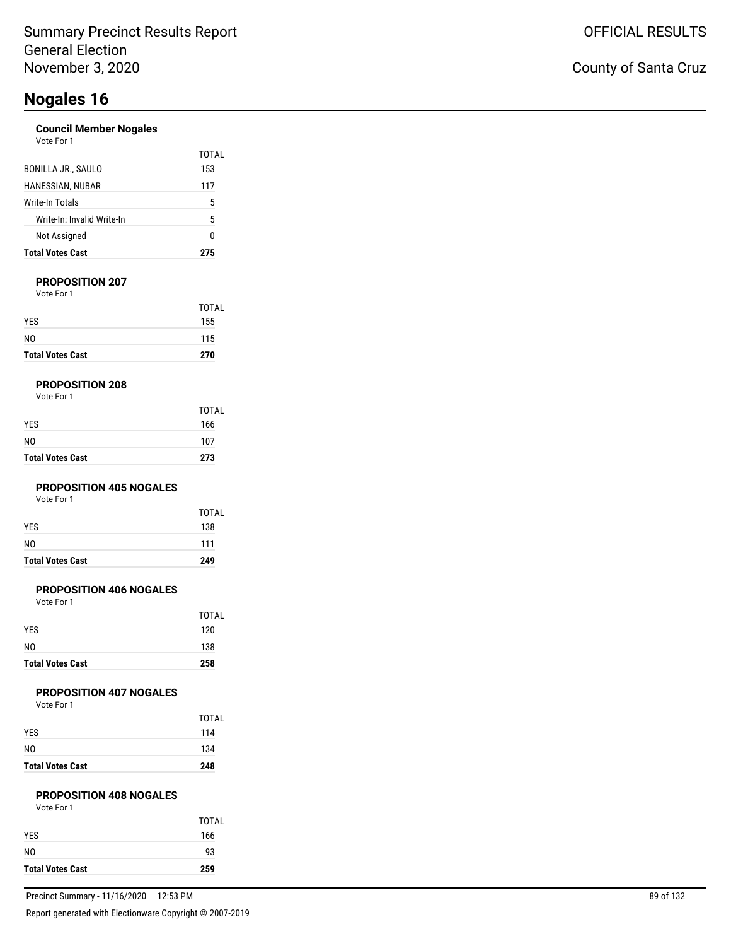#### **Council Member Nogales**

| Vote For 1 |  |  |
|------------|--|--|
|            |  |  |

| <b>Total Votes Cast</b>    | 275   |
|----------------------------|-------|
| Not Assigned               | 0     |
| Write-In: Invalid Write-In | 5     |
| Write-In Totals            | 5     |
| HANESSIAN, NUBAR           | 117   |
| BONILLA JR., SAULO         | 153   |
|                            | TOTAL |

#### **PROPOSITION 207**

Vote For 1

| <b>Total Votes Cast</b> | 270          |
|-------------------------|--------------|
| N <sub>0</sub>          | 115          |
| <b>YES</b>              | 155          |
|                         | <b>TOTAL</b> |

#### **PROPOSITION 208**

| Vote For 1 |  |
|------------|--|
|------------|--|

| <b>Total Votes Cast</b> | 273          |
|-------------------------|--------------|
| NO                      | 107          |
| <b>YES</b>              | 166          |
|                         | <b>TOTAL</b> |

#### **PROPOSITION 405 NOGALES**

Vote For 1

| <b>Total Votes Cast</b> | 249   |
|-------------------------|-------|
| NO.                     | 111   |
| <b>YES</b>              | 138   |
|                         | TOTAL |

#### **PROPOSITION 406 NOGALES**

Vote For 1

| <b>Total Votes Cast</b> | 258   |
|-------------------------|-------|
| N <sub>0</sub>          | 138   |
| <b>YES</b>              | 120   |
|                         | TOTAL |

#### **PROPOSITION 407 NOGALES**

Vote For 1

| <b>Total Votes Cast</b> | 248          |
|-------------------------|--------------|
| N <sub>0</sub>          | 134          |
| <b>YES</b>              | 114          |
|                         | <b>TOTAL</b> |

### **PROPOSITION 408 NOGALES**

|  | Vote For 1 |  |  |  |
|--|------------|--|--|--|
|--|------------|--|--|--|

| <b>Total Votes Cast</b> | 259          |
|-------------------------|--------------|
| N <sub>0</sub>          | 93           |
| <b>YES</b>              | 166          |
|                         | <b>TOTAL</b> |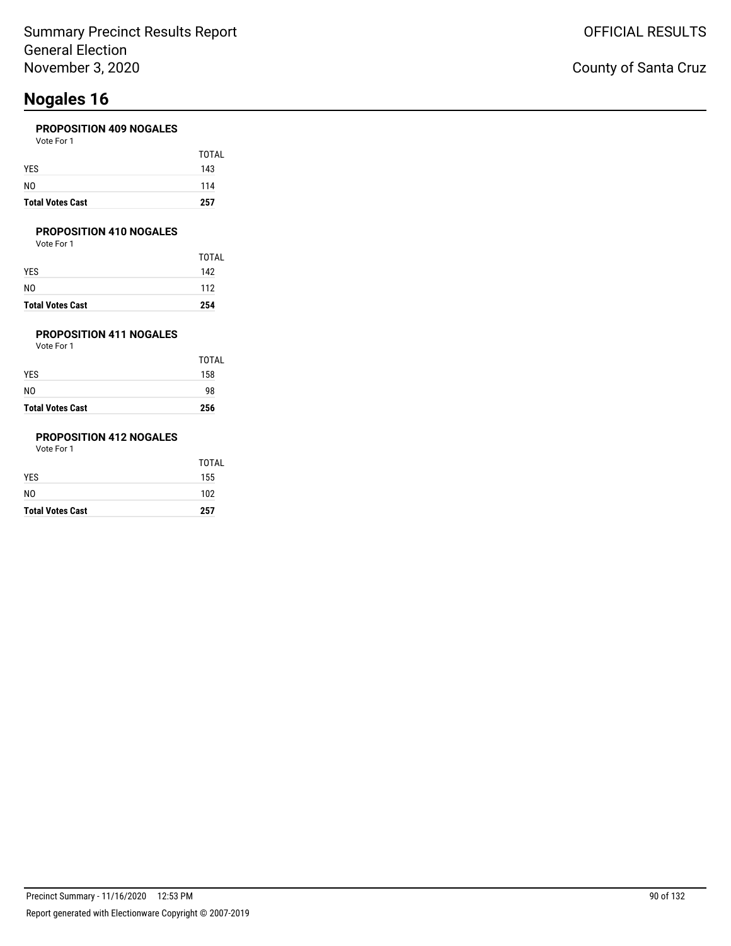#### **PROPOSITION 409 NOGALES**

| <b>Total Votes Cast</b> | 257   |
|-------------------------|-------|
| NO                      | 114   |
| <b>YES</b>              | 143   |
|                         | TOTAL |
| Vote For 1              |       |

#### **PROPOSITION 410 NOGALES**

Vote For 1

|                         | <b>TOTAL</b> |
|-------------------------|--------------|
| YES                     | 142          |
| NO                      | 112          |
| <b>Total Votes Cast</b> | 254          |

### **PROPOSITION 411 NOGALES**

Vote For 1

| <b>Total Votes Cast</b> | 256          |
|-------------------------|--------------|
| N0                      | 98           |
| YES.                    | 158          |
|                         | <b>TOTAL</b> |

### **PROPOSITION 412 NOGALES**

| <b>Total Votes Cast</b> | 257          |
|-------------------------|--------------|
| NO.                     | 102          |
| YES                     | 155          |
|                         | <b>TOTAL</b> |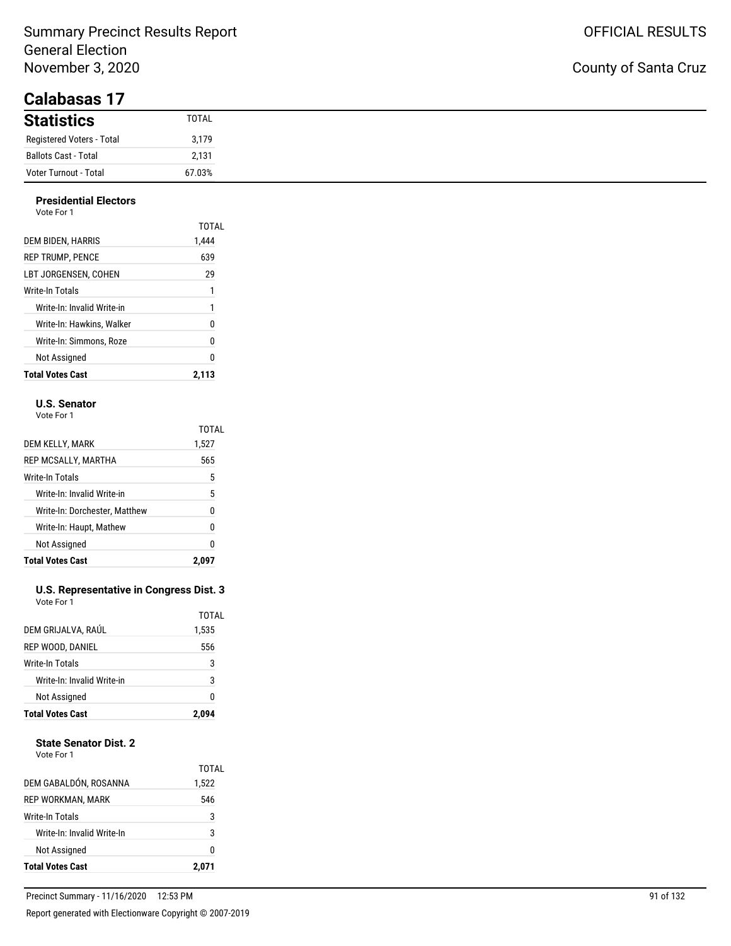### County of Santa Cruz

| $\sim$ unu $\sim$ u $\sim$ |        |
|----------------------------|--------|
| <b>Statistics</b>          | TOTAL  |
| Registered Voters - Total  | 3,179  |
| Ballots Cast - Total       | 2,131  |
| Voter Turnout - Total      | 67.03% |

#### **Presidential Electors** Vote For 1

| <b>Total Votes Cast</b>    | 2,113 |
|----------------------------|-------|
| Not Assigned               | 0     |
| Write-In: Simmons. Roze    | 0     |
| Write-In: Hawkins. Walker  | 0     |
| Write-In: Invalid Write-in | 1     |
| Write-In Totals            | 1     |
| LBT JORGENSEN. COHEN       | 29    |
| <b>REP TRUMP, PENCE</b>    | 639   |
| DEM BIDEN, HARRIS          | 1,444 |
|                            | TOTAL |

#### **U.S. Senator**

Vote For 1

|                               | TOTAL |
|-------------------------------|-------|
| DEM KELLY, MARK               | 1,527 |
| REP MCSALLY, MARTHA           | 565   |
| Write-In Totals               | 5     |
| Write-In: Invalid Write-in    | 5     |
| Write-In: Dorchester, Matthew | 0     |
| Write-In: Haupt, Mathew       | 0     |
| Not Assigned                  | 0     |
| <b>Total Votes Cast</b>       | 2.0   |

#### **U.S. Representative in Congress Dist. 3** Vote For 1

| <b>Total Votes Cast</b>    | 2,094 |
|----------------------------|-------|
| Not Assigned               | 0     |
| Write-In: Invalid Write-in | 3     |
| Write-In Totals            | 3     |
| REP WOOD, DANIEL           | 556   |
| DEM GRIJALVA, RAÚL         | 1,535 |
|                            | TOTAL |

#### **State Senator Dist. 2**

| <b>Total Votes Cast</b>    | 2,071          |
|----------------------------|----------------|
| Not Assigned               | n              |
| Write-In: Invalid Write-In | 3              |
| Write-In Totals            | 3              |
| REP WORKMAN, MARK          | 546            |
| DEM GABALDÓN, ROSANNA      | TOTAI<br>1,522 |
|                            |                |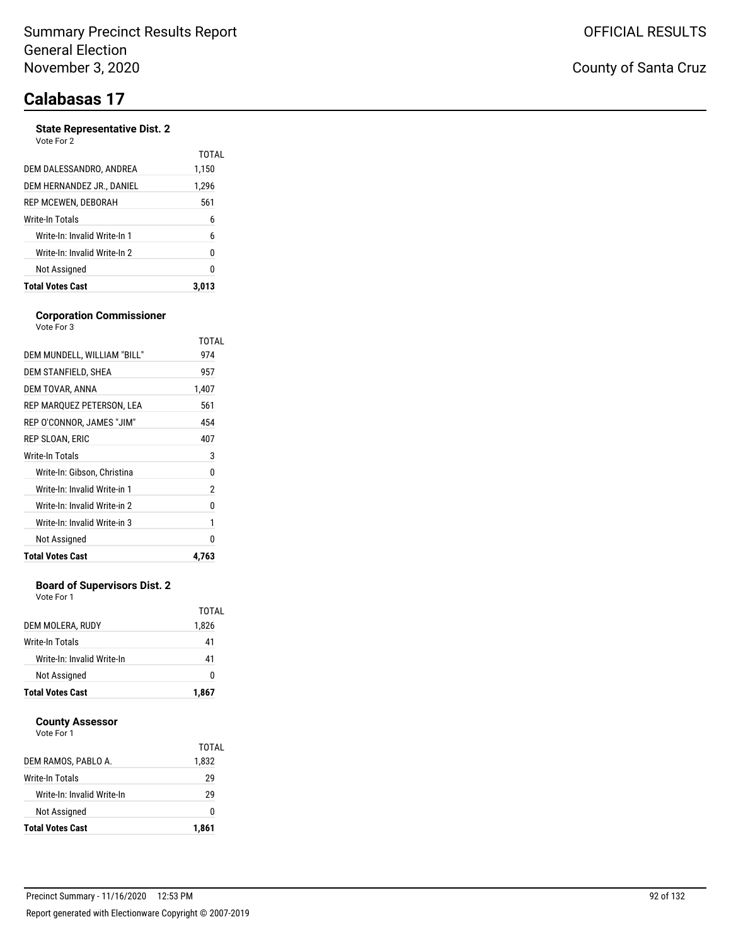#### **State Representative Dist. 2**

| <b>Total Votes Cast</b>      | 3.013 |
|------------------------------|-------|
| Not Assigned                 | 0     |
| Write-In: Invalid Write-In 2 | 0     |
| Write-In: Invalid Write-In 1 | 6     |
| Write-In Totals              | 6     |
| REP MCEWEN, DEBORAH          | 561   |
| DEM HERNANDEZ JR., DANIEL    | 1,296 |
| DEM DALESSANDRO. ANDREA      | 1,150 |
| Vote For 2                   | TOTAL |

#### **Corporation Commissioner** Vote For 3

|                              | TOTAL |
|------------------------------|-------|
| DEM MUNDELL, WILLIAM "BILL"  | 974   |
| DEM STANFIELD, SHEA          | 957   |
| DEM TOVAR, ANNA              | 1,407 |
| REP MARQUEZ PETERSON, LEA    | 561   |
| REP O'CONNOR, JAMES "JIM"    | 454   |
| REP SLOAN, ERIC              | 407   |
| <b>Write-In Totals</b>       | 3     |
| Write-In: Gibson, Christina  | 0     |
| Write-In: Invalid Write-in 1 | 2     |
| Write-In: Invalid Write-in 2 | 0     |
| Write-In: Invalid Write-in 3 | 1     |
| Not Assigned                 | n     |
| <b>Total Votes Cast</b>      | 4,763 |

#### **Board of Supervisors Dist. 2**

Vote For 1

| <b>Total Votes Cast</b>    | 1,867          |
|----------------------------|----------------|
| Not Assigned               | O              |
| Write-In: Invalid Write-In | 41             |
| Write-In Totals            | 41             |
| DEM MOLERA, RUDY           | TOTAL<br>1,826 |

#### **County Assessor**

|                            | TOTAL |
|----------------------------|-------|
| DEM RAMOS, PABLO A.        | 1,832 |
| Write-In Totals            | 29    |
| Write-In: Invalid Write-In | 29    |
| Not Assigned               | 0     |
| <b>Total Votes Cast</b>    | 1,861 |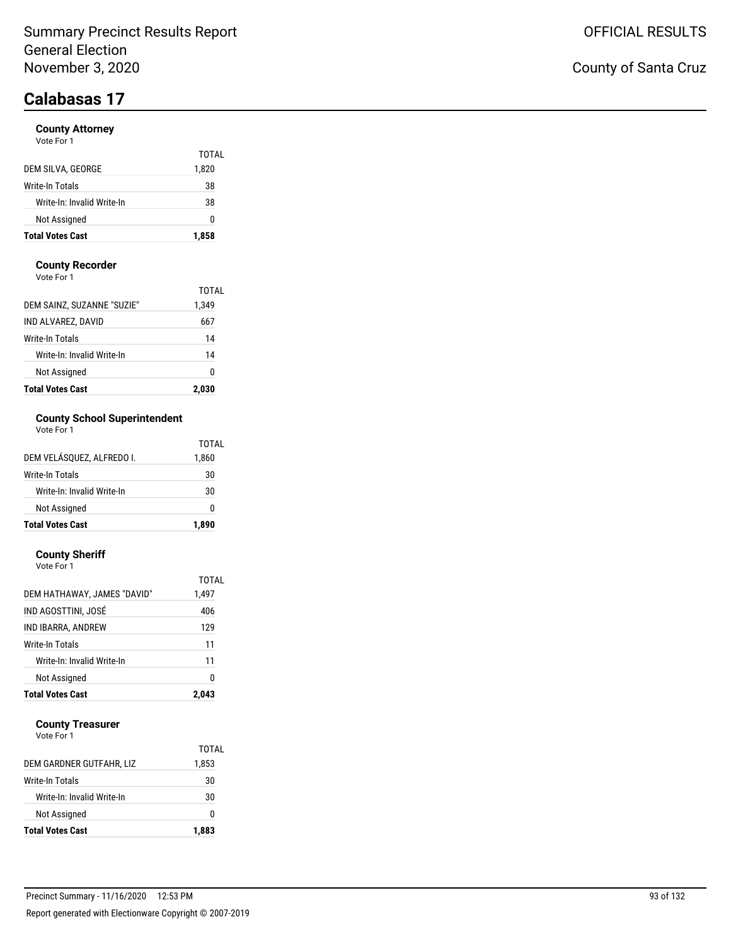#### **County Attorney**

| Vote For 1 |  |
|------------|--|
|------------|--|

| <b>Total Votes Cast</b>    | 1,858 |
|----------------------------|-------|
| Not Assigned               | O     |
| Write-In: Invalid Write-In | 38    |
| Write-In Totals            | 38    |
| DEM SILVA, GEORGE          | 1,820 |
|                            | TOTAL |

#### **County Recorder**

Vote For 1

| <b>Total Votes Cast</b>    | 2.030 |
|----------------------------|-------|
| Not Assigned               | Ω     |
| Write-In: Invalid Write-In | 14    |
| Write-In Totals            | 14    |
| IND ALVAREZ, DAVID         | 667   |
| DEM SAINZ, SUZANNE "SUZIE" | 1,349 |
|                            | TOTAI |

### **County School Superintendent**

| Vote For 1 |  |
|------------|--|
|------------|--|

| <b>Total Votes Cast</b>    | 1.890 |
|----------------------------|-------|
| Not Assigned               | ŋ     |
| Write-In: Invalid Write-In | 30    |
| Write-In Totals            | 30    |
| DEM VELÁSOUEZ. ALFREDO I.  | 1,860 |
|                            | TOTAL |

#### **County Sheriff**

| <b>Total Votes Cast</b>     | 2.043 |
|-----------------------------|-------|
| Not Assigned                | 0     |
| Write-In: Invalid Write-In  | 11    |
| Write-In Totals             | 11    |
| IND IBARRA, ANDREW          | 129   |
| IND AGOSTTINI, JOSÉ         | 406   |
| DEM HATHAWAY, JAMES "DAVID" | 1,497 |
|                             | TOTAI |
| Vote For 1                  |       |

#### **County Treasurer**

| <b>Total Votes Cast</b>    | 1,883 |
|----------------------------|-------|
| Not Assigned               | O     |
| Write-In: Invalid Write-In | 30    |
| Write-In Totals            | 30    |
| DEM GARDNER GUTFAHR, LIZ   | 1,853 |
|                            | TOTAL |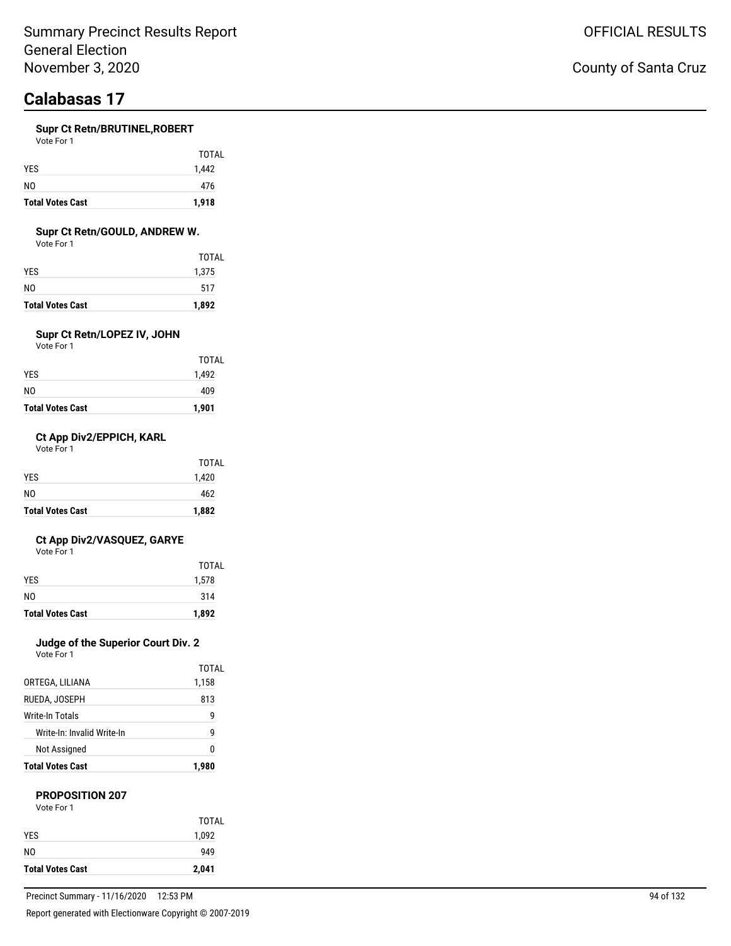#### **Supr Ct Retn/BRUTINEL,ROBERT**

| <b>Total Votes Cast</b> | 1,918 |
|-------------------------|-------|
| N0                      | 476   |
| <b>YES</b>              | 1,442 |
|                         | TOTAL |
| Vote For 1              |       |

#### **Supr Ct Retn/GOULD, ANDREW W.**

Vote For 1

| <b>Total Votes Cast</b> | 1,892 |
|-------------------------|-------|
| N0                      | 517   |
| YES.                    | 1,375 |
|                         | TOTAL |

### **Supr Ct Retn/LOPEZ IV, JOHN**

Vote For 1

| <b>Total Votes Cast</b> | 1,901        |
|-------------------------|--------------|
| NO                      | 409          |
| YES                     | 1,492        |
|                         | <b>TOTAL</b> |

#### **Ct App Div2/EPPICH, KARL**

Vote For 1

| <b>Total Votes Cast</b> | 1,882 |
|-------------------------|-------|
| N <sub>0</sub>          | 462   |
| <b>YES</b>              | 1,420 |
|                         | TOTAL |

#### **Ct App Div2/VASQUEZ, GARYE**

Vote For 1

| <b>Total Votes Cast</b> | 1,892 |
|-------------------------|-------|
| NO.                     | 314   |
| <b>YES</b>              | 1,578 |
|                         | TOTAL |

### **Judge of the Superior Court Div. 2**

Vote For 1

| <b>Total Votes Cast</b>    | 1.980 |
|----------------------------|-------|
| Not Assigned               | N     |
| Write-In: Invalid Write-In | g     |
| Write-In Totals            | g     |
| RUEDA, JOSEPH              | 813   |
| ORTEGA, LILIANA            | 1,158 |
|                            | TOTAL |

#### **PROPOSITION 207**

| Vote For |  |
|----------|--|
|----------|--|

|                         | <b>TOTAL</b> |
|-------------------------|--------------|
| <b>YES</b>              | 1,092        |
| NO.                     | 949          |
| <b>Total Votes Cast</b> | 2,041        |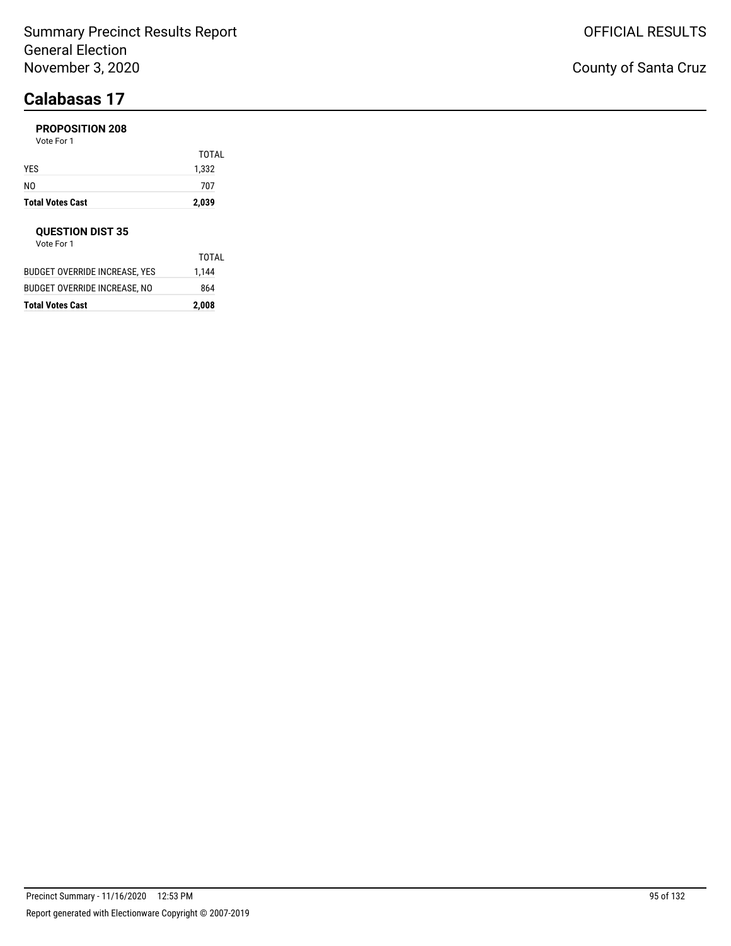### **PROPOSITION 208**

Vote For 1

| <b>Total Votes Cast</b> | 2,039 |
|-------------------------|-------|
| NO                      | 707   |
| YES                     | 1,332 |
|                         | TOTAL |

#### **QUESTION DIST 35**

| <b>Total Votes Cast</b>       | 2,008 |
|-------------------------------|-------|
| BUDGET OVERRIDE INCREASE. NO  | 864   |
| BUDGET OVERRIDE INCREASE. YES | 1,144 |
|                               | TOTAL |
| Vote For 1                    |       |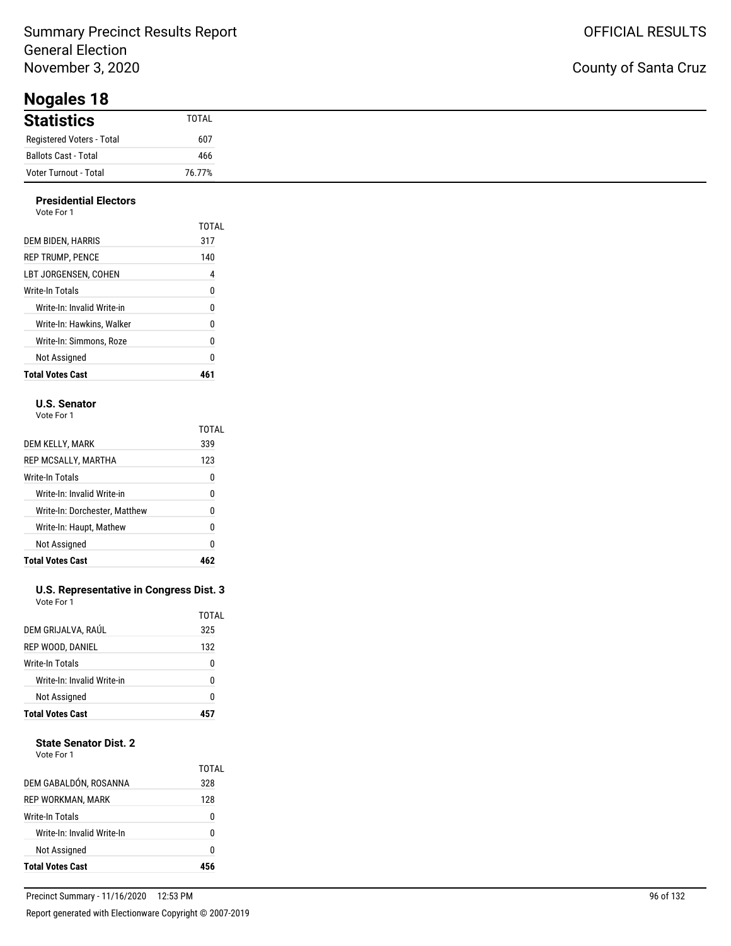**Nogales 18**

#### **Presidential Electors**

| <b>Total Votes Cast</b>    | ۸ı    |
|----------------------------|-------|
| Not Assigned               | 0     |
| Write-In: Simmons. Roze    | 0     |
| Write-In: Hawkins, Walker  | 0     |
| Write-In: Invalid Write-in | 0     |
| Write-In Totals            | 0     |
| LBT JORGENSEN. COHEN       | 4     |
| <b>REP TRUMP, PENCE</b>    | 140   |
| DEM BIDEN, HARRIS          | 317   |
|                            | TOTAL |
| Vote For 1                 |       |

#### **U.S. Senator**

Vote For 1

|                               | TOTAL |
|-------------------------------|-------|
| DEM KELLY, MARK               | 339   |
| REP MCSALLY, MARTHA           | 123   |
| Write-In Totals               | 0     |
| Write-In: Invalid Write-in    | 0     |
| Write-In: Dorchester, Matthew | N     |
| Write-In: Haupt, Mathew       | 0     |
| Not Assigned                  | 0     |
| <b>Total Votes Cast</b>       |       |

#### **U.S. Representative in Congress Dist. 3** Vote For 1

|                            | TOTAL |
|----------------------------|-------|
| DEM GRIJALVA, RAÚL         | 325   |
| REP WOOD, DANIEL           | 132   |
| Write-In Totals            | 0     |
| Write-In: Invalid Write-in | ŋ     |
| Not Assigned               | ŋ     |
| <b>Total Votes Cast</b>    |       |

#### **State Senator Dist. 2**

| Vote For 1 |  |
|------------|--|
|            |  |

| DEM GABALDÓN, ROSANNA<br>328<br>REP WORKMAN, MARK<br>128<br>Write-In Totals<br>0<br>Write-In: Invalid Write-In<br>n<br>Not Assigned<br>n | <b>Total Votes Cast</b> |       |
|------------------------------------------------------------------------------------------------------------------------------------------|-------------------------|-------|
|                                                                                                                                          |                         |       |
|                                                                                                                                          |                         |       |
|                                                                                                                                          |                         |       |
|                                                                                                                                          |                         |       |
|                                                                                                                                          |                         | TOTAI |

### County of Santa Cruz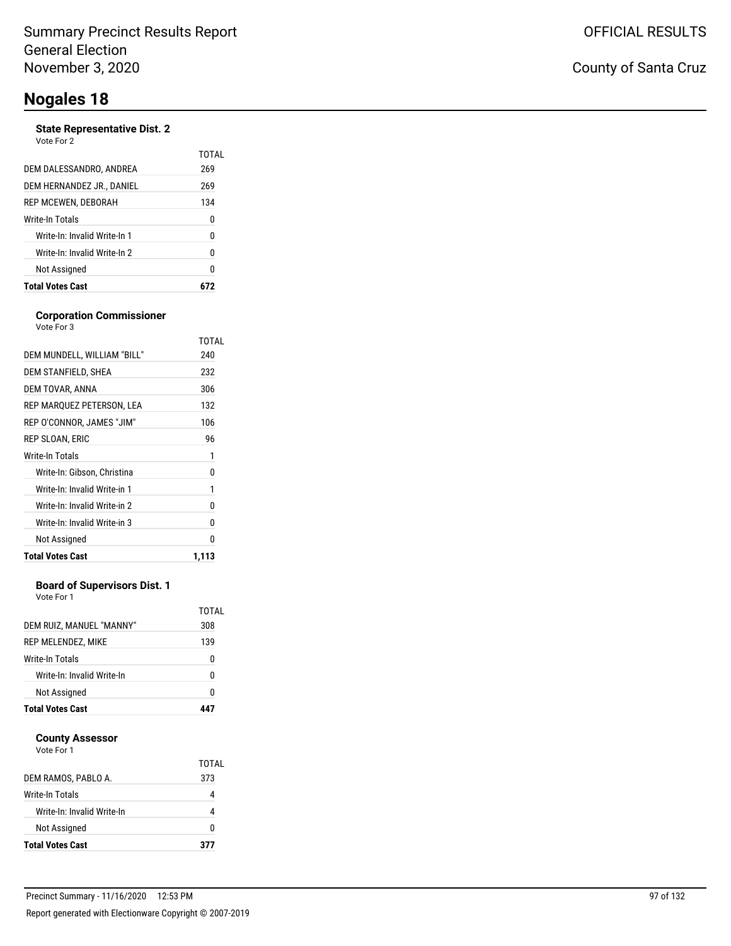#### **State Representative Dist. 2**

| <b>State Representative Dist. 2</b><br>Vote For 2 |       |
|---------------------------------------------------|-------|
|                                                   | TOTAI |
| DEM DALESSANDRO, ANDREA                           | 269   |
| DEM HERNANDEZ JR., DANIEL                         | 269   |
| REP MCEWEN. DEBORAH                               | 134   |
| Write-In Totals                                   | 0     |
| Write-In: Invalid Write-In 1                      | 0     |
| Write-In: Invalid Write-In 2                      | 0     |
| Not Assigned                                      | 0     |
| <b>Total Votes Cast</b>                           |       |
|                                                   |       |

#### **Corporation Commissioner** Vote For 3

|                              | TOTAL |
|------------------------------|-------|
| DEM MUNDELL, WILLIAM "BILL"  | 240   |
| DEM STANFIELD, SHEA          | 232   |
| DEM TOVAR, ANNA              | 306   |
| REP MARQUEZ PETERSON, LEA    | 132   |
| REP O'CONNOR, JAMES "JIM"    | 106   |
| REP SLOAN, ERIC              | 96    |
| Write-In Totals              | 1     |
| Write-In: Gibson, Christina  | 0     |
| Write-In: Invalid Write-in 1 | 1     |
| Write-In: Invalid Write-in 2 | 0     |
| Write-In: Invalid Write-in 3 | 0     |
| Not Assigned                 | N     |
| <b>Total Votes Cast</b>      | 1.113 |

#### **Board of Supervisors Dist. 1**

Vote For 1

| <b>Total Votes Cast</b>    |              |
|----------------------------|--------------|
| Not Assigned               | N            |
| Write-In: Invalid Write-In | n            |
| Write-In Totals            |              |
| REP MELENDEZ, MIKE         | 139          |
| DEM RUIZ, MANUEL "MANNY"   | TOTAL<br>308 |
|                            |              |

#### **County Assessor**

| DEM RAMOS, PABLO A.        | TOTAL<br>373 |
|----------------------------|--------------|
| Write-In Totals            |              |
| Write-In: Invalid Write-In |              |
| Not Assigned               |              |
| <b>Total Votes Cast</b>    | 377          |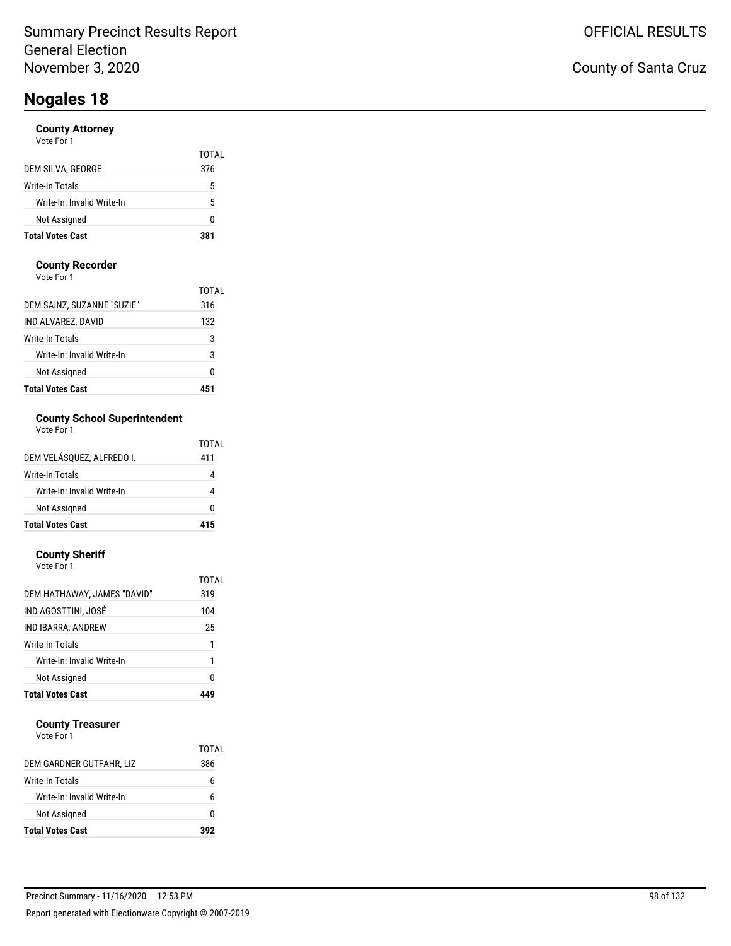#### **County Attorney** Vote For 1

| <b>Total Votes Cast</b>    | 381   |
|----------------------------|-------|
| Not Assigned               | ŋ     |
| Write-In: Invalid Write-In | 5     |
| Write-In Totals            | 5     |
| DEM SILVA, GEORGE          | 376   |
|                            | TOTAL |
| vuueruu i                  |       |

#### **County Recorder**

Vote For 1

| <b>Total Votes Cast</b>    |       |
|----------------------------|-------|
| Not Assigned               | Ω     |
| Write-In: Invalid Write-In | 3     |
| Write-In Totals            | 3     |
| IND ALVAREZ, DAVID         | 132   |
| DEM SAINZ, SUZANNE "SUZIE" | 316   |
|                            | TOTAI |

#### **County School Superintendent** Vote For 1

|  |  |  | VOLE FOL I |  |
|--|--|--|------------|--|
|  |  |  |            |  |

| DEM VELÁSQUEZ, ALFREDO I.  | TOTAI<br>411 |
|----------------------------|--------------|
| <b>Write-In Totals</b>     |              |
| Write-In: Invalid Write-In |              |
| Not Assigned               | U            |
| <b>Total Votes Cast</b>    | 415          |

#### **County Sheriff**

| Vote For 1                  |       |
|-----------------------------|-------|
|                             | TOTAL |
| DEM HATHAWAY, JAMES "DAVID" | 319   |
| IND AGOSTTINI. JOSÉ         | 104   |
| IND IBARRA, ANDREW          | 25    |
| Write-In Totals             | 1     |
| Write-In: Invalid Write-In  | 1     |
| Not Assigned                | 0     |
| <b>Total Votes Cast</b>     |       |

#### **County Treasurer**

|                            | TOTAL |
|----------------------------|-------|
| DEM GARDNER GUTFAHR, LIZ   | 386   |
| Write-In Totals            | h     |
| Write-In: Invalid Write-In | ĥ     |
| Not Assigned               | O     |
| <b>Total Votes Cast</b>    | 392   |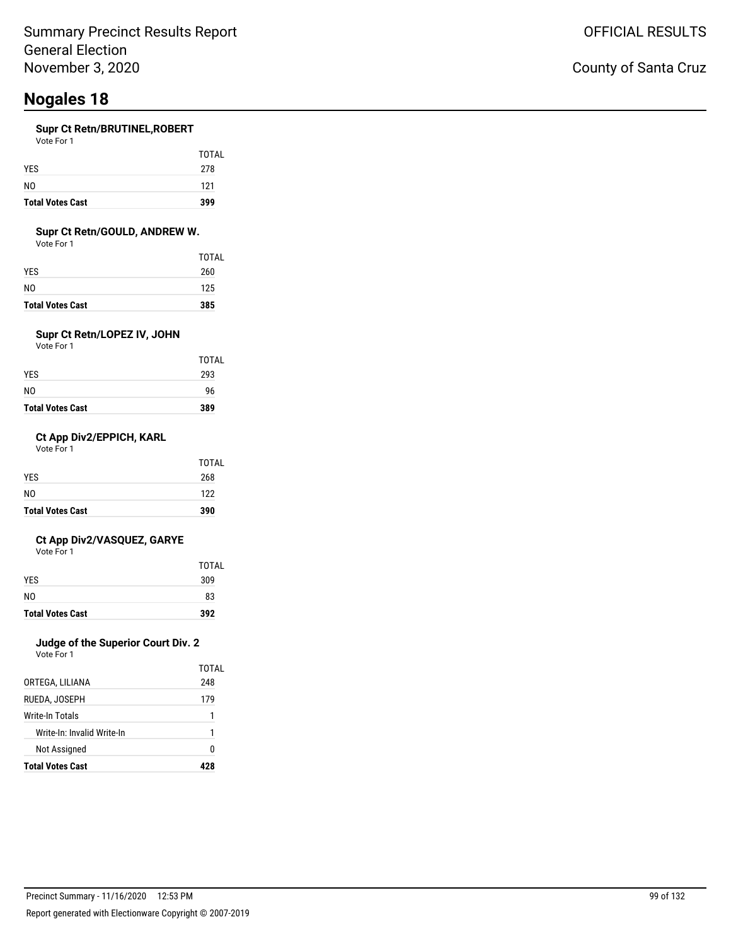#### **Supr Ct Retn/BRUTINEL,ROBERT**

| <b>Total Votes Cast</b> | 399   |
|-------------------------|-------|
| N <sub>0</sub>          | 121   |
| <b>YES</b>              | 278   |
|                         | TOTAL |

#### **Supr Ct Retn/GOULD, ANDREW W.**

Vote For 1

| <b>Total Votes Cast</b> | 385   |
|-------------------------|-------|
| NO                      | 125   |
| YES                     | 260   |
|                         | TOTAL |

### **Supr Ct Retn/LOPEZ IV, JOHN**

Vote For 1

| <b>Total Votes Cast</b> | 389          |
|-------------------------|--------------|
| NO                      | 96           |
| YES                     | 293          |
|                         | <b>TOTAL</b> |

#### **Ct App Div2/EPPICH, KARL**

Vote For 1

| <b>Total Votes Cast</b> | 390   |
|-------------------------|-------|
| NO.                     | 122   |
| <b>YES</b>              | 268   |
|                         | TOTAL |

#### **Ct App Div2/VASQUEZ, GARYE**

Vote For 1

| <b>Total Votes Cast</b> | 392   |
|-------------------------|-------|
| N <sub>0</sub>          | 83    |
| <b>YES</b>              | 309   |
|                         | TOTAL |

### **Judge of the Superior Court Div. 2**

Vote For 1

|                            | TOTAL |
|----------------------------|-------|
| ORTEGA, LILIANA            | 248   |
| RUEDA. JOSEPH              | 179   |
| Write-In Totals            | 1     |
| Write-In: Invalid Write-In | 1     |
| Not Assigned               | O     |
| <b>Total Votes Cast</b>    |       |

### County of Santa Cruz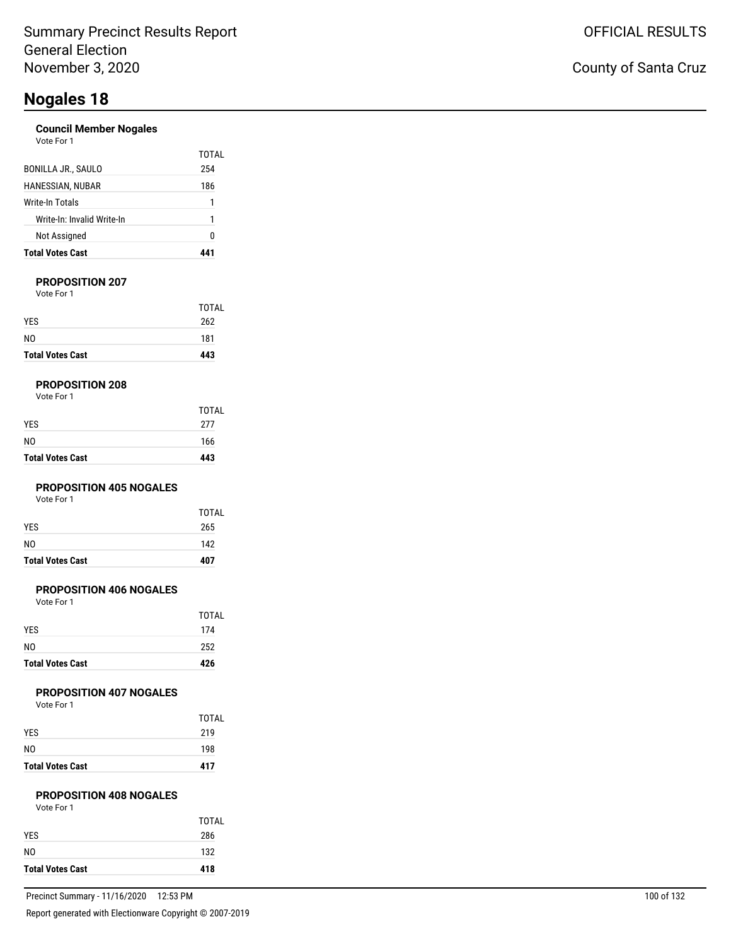#### **Council Member Nogales**

| Vote For 1 |  |
|------------|--|
|            |  |

| <b>Total Votes Cast</b>    |       |
|----------------------------|-------|
| Not Assigned               | 0     |
| Write-In: Invalid Write-In | 1     |
| Write-In Totals            | 1     |
| HANESSIAN, NUBAR           | 186   |
| <b>BONILLA JR., SAULO</b>  | 254   |
|                            | TOTAL |

#### **PROPOSITION 207**

Vote For 1

| <b>Total Votes Cast</b> | 443   |
|-------------------------|-------|
| N <sub>0</sub>          | 181   |
| <b>YES</b>              | 262   |
|                         | TOTAL |

#### **PROPOSITION 208**

| Vote For 1 |  |
|------------|--|
|------------|--|

| <b>Total Votes Cast</b> | 443   |
|-------------------------|-------|
| NO.                     | 166   |
| YES                     | 277   |
|                         | TOTAL |

#### **PROPOSITION 405 NOGALES**

Vote For 1

| <b>Total Votes Cast</b> | 407          |
|-------------------------|--------------|
| NO                      | 142          |
| <b>YES</b>              | 265          |
|                         | <b>TOTAL</b> |

#### **PROPOSITION 406 NOGALES**

Vote For 1

| <b>Total Votes Cast</b> | 426          |
|-------------------------|--------------|
| N <sub>0</sub>          | 252          |
| <b>YES</b>              | 174          |
|                         | <b>TOTAL</b> |

#### **PROPOSITION 407 NOGALES**

Vote For 1

| <b>Total Votes Cast</b> | 417   |
|-------------------------|-------|
| N <sub>0</sub>          | 198   |
| <b>YES</b>              | 219   |
|                         | TOTAL |

#### **PROPOSITION 408 NOGALES**

| <b>Total Votes Cast</b> | 418   |
|-------------------------|-------|
| N <sub>0</sub>          | 132   |
| <b>YES</b>              | 286   |
|                         | TOTAL |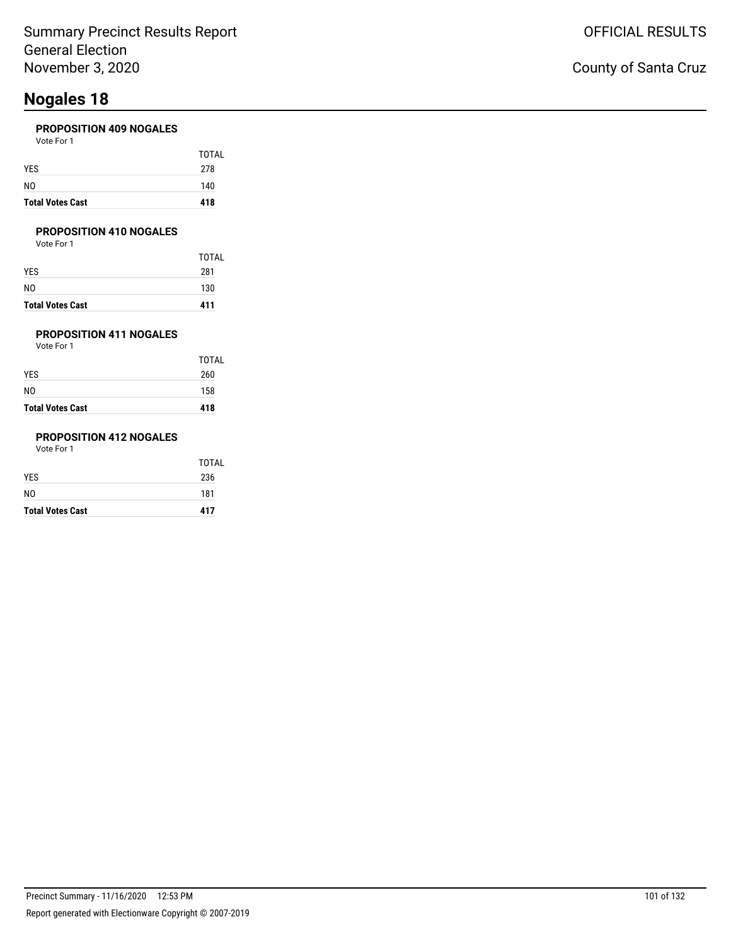#### **PROPOSITION 409 NOGALES**

| <b>Total Votes Cast</b> | 418   |
|-------------------------|-------|
| NO                      | 140   |
| YES                     | 278   |
|                         | TOTAL |
| Vote For 1              |       |

#### **PROPOSITION 410 NOGALES**

Vote For 1

|                         | <b>TOTAL</b> |
|-------------------------|--------------|
| YES                     | 281          |
| N0                      | 130          |
| <b>Total Votes Cast</b> | 411          |

### **PROPOSITION 411 NOGALES**

Vote For 1

|                         | TOTAL |
|-------------------------|-------|
| YES                     | 260   |
| N0                      | 158   |
| <b>Total Votes Cast</b> | 418   |

### **PROPOSITION 412 NOGALES**

| <b>Total Votes Cast</b> | 417          |
|-------------------------|--------------|
| NO.                     | 181          |
| YES                     | 236          |
|                         | <b>TOTAL</b> |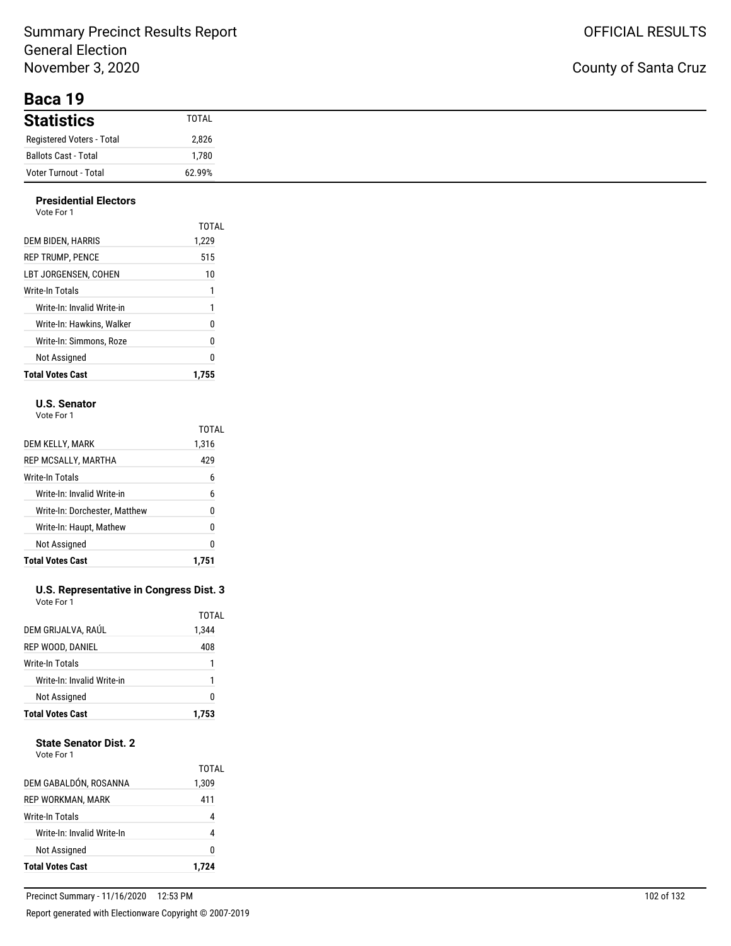**Baca 19**

| <b>Statistics</b>           | <b>TOTAL</b> |
|-----------------------------|--------------|
| Registered Voters - Total   | 2,826        |
| <b>Ballots Cast - Total</b> | .780,        |
| Voter Turnout - Total       | 62.99%       |

#### **Presidential Electors**

| <b>Total Votes Cast</b>    | 1.755          |
|----------------------------|----------------|
| Not Assigned               | 0              |
| Write-In: Simmons. Roze    | 0              |
| Write-In: Hawkins, Walker  | 0              |
| Write-In: Invalid Write-in | 1              |
| Write-In Totals            | 1              |
| LBT JORGENSEN. COHEN       | 10             |
| <b>REP TRUMP, PENCE</b>    | 515            |
| DEM BIDEN, HARRIS          | TOTAL<br>1.229 |
| Vote For 1                 |                |

#### **U.S. Senator**

Vote For 1

|                               | TOTAL |
|-------------------------------|-------|
| DEM KELLY, MARK               | 1,316 |
| REP MCSALLY, MARTHA           | 429   |
| Write-In Totals               | 6     |
| Write-In: Invalid Write-in    | 6     |
| Write-In: Dorchester, Matthew | 0     |
| Write-In: Haupt, Mathew       | 0     |
| Not Assigned                  | 0     |
| <b>Total Votes Cast</b>       | 1.751 |

#### **U.S. Representative in Congress Dist. 3** Vote For 1

| <b>Total Votes Cast</b>    | 1.753          |
|----------------------------|----------------|
| <b>Not Assigned</b>        | 0              |
| Write-In: Invalid Write-in | 1              |
| Write-In Totals            | 1              |
| REP WOOD, DANIEL           | 408            |
| DEM GRIJALVA, RAÚL         | TOTAL<br>1,344 |
|                            |                |

#### **State Senator Dist. 2**

| REP WORKMAN, MARK<br>Write-In Totals<br>Write-In: Invalid Write-In<br>Not Assigned |                |
|------------------------------------------------------------------------------------|----------------|
|                                                                                    | 0              |
|                                                                                    | 4              |
|                                                                                    |                |
|                                                                                    | 411            |
| DEM GABALDÓN, ROSANNA                                                              | TOTAL<br>1,309 |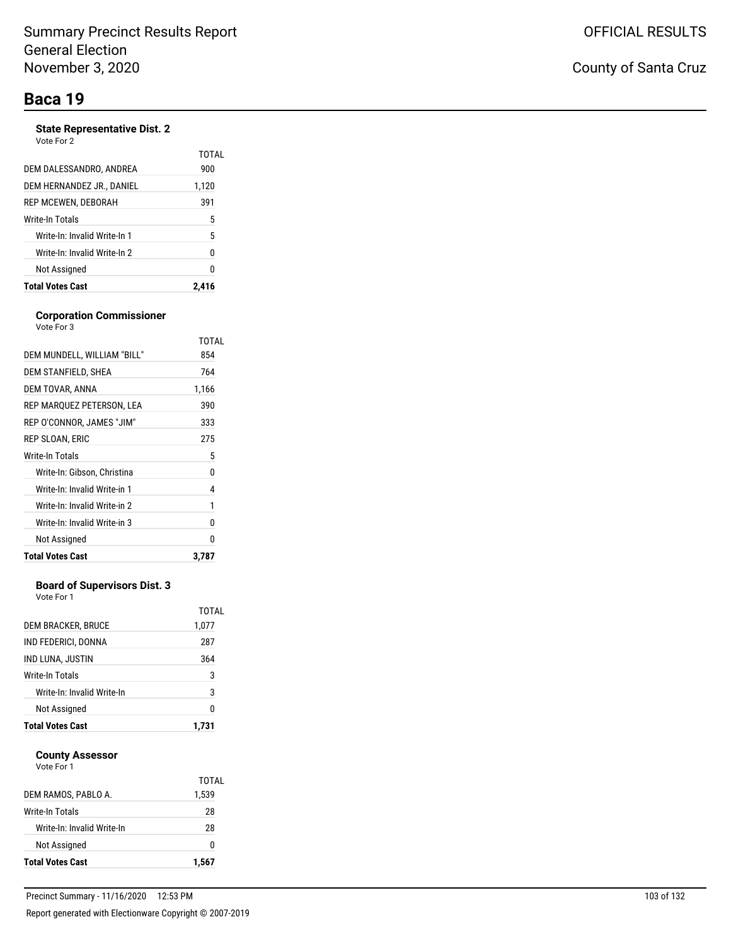### **Baca 19**

#### **State Representative Dist. 2**

| Vote For | 2 |
|----------|---|
|----------|---|

|                              | TOTAL |
|------------------------------|-------|
| DEM DALESSANDRO, ANDREA      | 900   |
| DEM HERNANDEZ JR., DANIEL    | 1,120 |
| REP MCEWEN, DEBORAH          | 391   |
| Write-In Totals              | 5     |
| Write-In: Invalid Write-In 1 | 5     |
| Write-In: Invalid Write-In 2 | 0     |
| Not Assigned                 | N     |
| <b>Total Votes Cast</b>      | 2.416 |

#### **Corporation Commissioner** Vote For 3

|                              | TOTAL |
|------------------------------|-------|
| DEM MUNDELL, WILLIAM "BILL"  | 854   |
| DEM STANFIELD, SHEA          | 764   |
| DEM TOVAR, ANNA              | 1,166 |
| REP MARQUEZ PETERSON, LEA    | 390   |
| REP O'CONNOR, JAMES "JIM"    | 333   |
| REP SLOAN, ERIC              | 275   |
| <b>Write-In Totals</b>       | 5     |
| Write-In: Gibson, Christina  | 0     |
| Write-In: Invalid Write-in 1 | 4     |
| Write-In: Invalid Write-in 2 | 1     |
| Write-In: Invalid Write-in 3 | 0     |
| Not Assigned                 | O     |
| <b>Total Votes Cast</b>      | 3.787 |

#### **Board of Supervisors Dist. 3**

Vote For 1

| 0              |
|----------------|
| 3              |
| 3              |
| 364            |
| 287            |
| TOTAL<br>1,077 |
|                |

#### **County Assessor** Vote For 1

| <b>Total Votes Cast</b>    | 1.567          |
|----------------------------|----------------|
| Not Assigned               | O              |
| Write-In: Invalid Write-In | 28             |
| Write-In Totals            | 28             |
| DEM RAMOS, PABLO A.        | TOTAL<br>1,539 |
| .                          |                |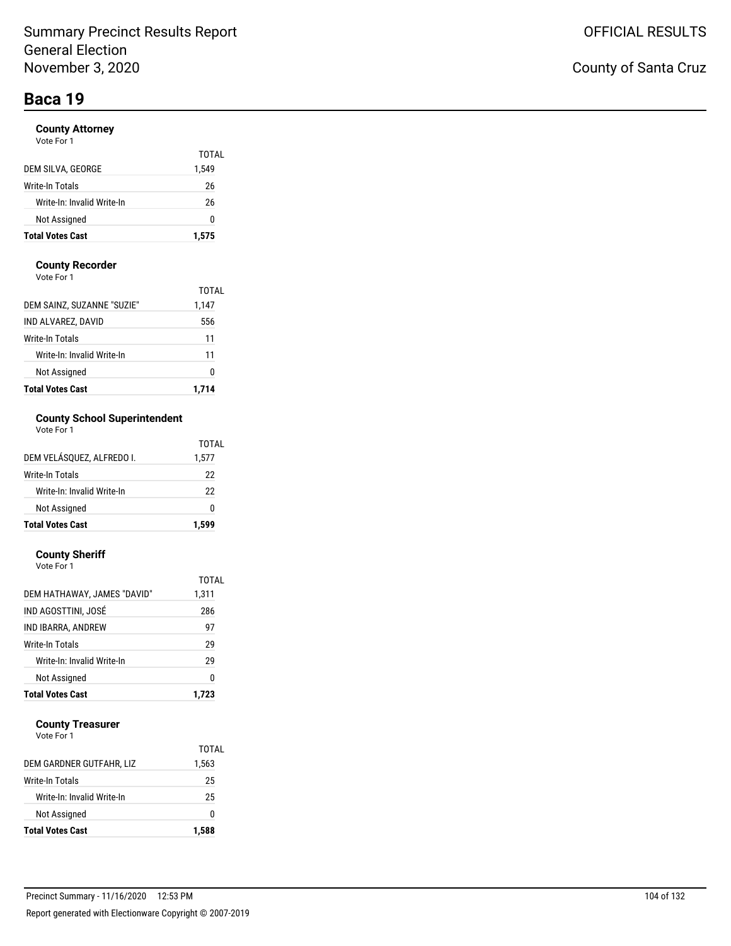# **Baca 19**

#### **County Attorney**

| <b>Total Votes Cast</b>    | 1,575 |
|----------------------------|-------|
| Not Assigned               | O     |
| Write-In: Invalid Write-In | 26    |
| Write-In Totals            | 26    |
| DEM SILVA, GEORGE          | 1,549 |
|                            | TOTAL |

#### **County Recorder**

Vote For 1

| <b>Total Votes Cast</b>    | 1.714 |
|----------------------------|-------|
| Not Assigned               | 0     |
| Write-In: Invalid Write-In | 11    |
| Write-In Totals            | 11    |
| IND ALVAREZ, DAVID         | 556   |
| DEM SAINZ, SUZANNE "SUZIE" | 1,147 |
|                            | TOTAL |

#### **County School Superintendent**  $\overline{1}$

| <b>Total Votes Cast</b>    | 1.599 |
|----------------------------|-------|
| Not Assigned               | ŋ     |
| Write-In: Invalid Write-In | 22    |
| Write-In Totals            | 22    |
| DEM VELÁSQUEZ, ALFREDO I.  | 1,577 |
|                            | TOTAL |

#### **County Sheriff**

| Vote For 1                  |       |
|-----------------------------|-------|
|                             | TOTAL |
| DEM HATHAWAY, JAMES "DAVID" | 1,311 |
| IND AGOSTTINI, JOSÉ         | 286   |
| IND IBARRA, ANDREW          | 97    |
| Write-In Totals             | 29    |
| Write-In: Invalid Write-In  | 29    |
| Not Assigned                | 0     |
| <b>Total Votes Cast</b>     | 1.723 |

#### **County Treasurer**

| <b>Total Votes Cast</b>    | 1,588 |
|----------------------------|-------|
| Not Assigned               | O     |
| Write-In: Invalid Write-In | 25    |
| Write-In Totals            | 25    |
| DEM GARDNER GUTFAHR, LIZ   | 1,563 |
|                            | TOTAL |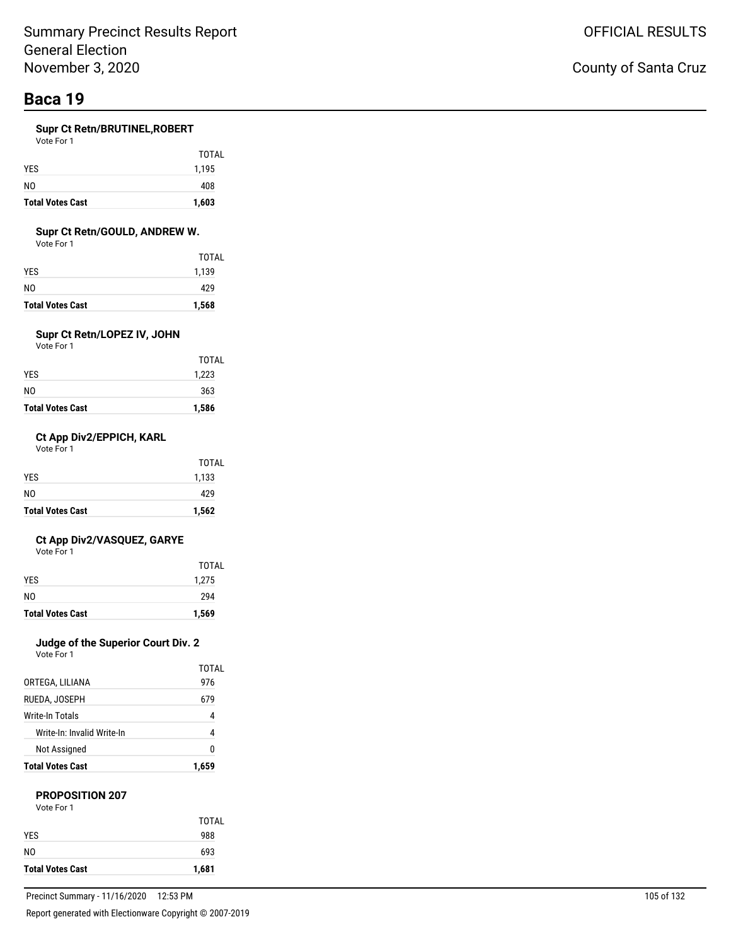# **Baca 19**

#### **Supr Ct Retn/BRUTINEL,ROBERT**

Vote For 1

| <b>Total Votes Cast</b> | 1,603        |
|-------------------------|--------------|
| N <sub>0</sub>          | 408          |
| <b>YES</b>              | 1,195        |
|                         | <b>TOTAL</b> |

#### **Supr Ct Retn/GOULD, ANDREW W.**

Vote For 1

| <b>Total Votes Cast</b> | 1,568        |
|-------------------------|--------------|
| N0                      | 429          |
| YES                     | 1,139        |
|                         | <b>TOTAL</b> |

### **Supr Ct Retn/LOPEZ IV, JOHN**

Vote For 1

| <b>Total Votes Cast</b> | 1,586 |
|-------------------------|-------|
| NO                      | 363   |
| YES                     | 1,223 |
|                         | TOTAL |

#### **Ct App Div2/EPPICH, KARL**

Vote For 1

| <b>Total Votes Cast</b> | 1,562 |
|-------------------------|-------|
| N <sub>0</sub>          | 429   |
| <b>YES</b>              | 1,133 |
|                         | TOTAL |

#### **Ct App Div2/VASQUEZ, GARYE**

Vote For 1

|                         | TOTAL |
|-------------------------|-------|
| <b>YES</b>              | 1,275 |
| N <sub>0</sub>          | 294   |
| <b>Total Votes Cast</b> | 1,569 |

### **Judge of the Superior Court Div. 2**

Vote For 1

| <b>Total Votes Cast</b>    | 1,659 |
|----------------------------|-------|
| Not Assigned               | N     |
| Write-In: Invalid Write-In | 4     |
| Write-In Totals            | 4     |
| RUEDA, JOSEPH              | 679   |
| ORTEGA, LILIANA            | 976   |
|                            | TOTAL |

#### **PROPOSITION 207**

| Vote For 1 |
|------------|
|            |

|                         | TOTAL |
|-------------------------|-------|
| <b>YES</b>              | 988   |
| N <sub>0</sub>          | 693   |
| <b>Total Votes Cast</b> | 1,681 |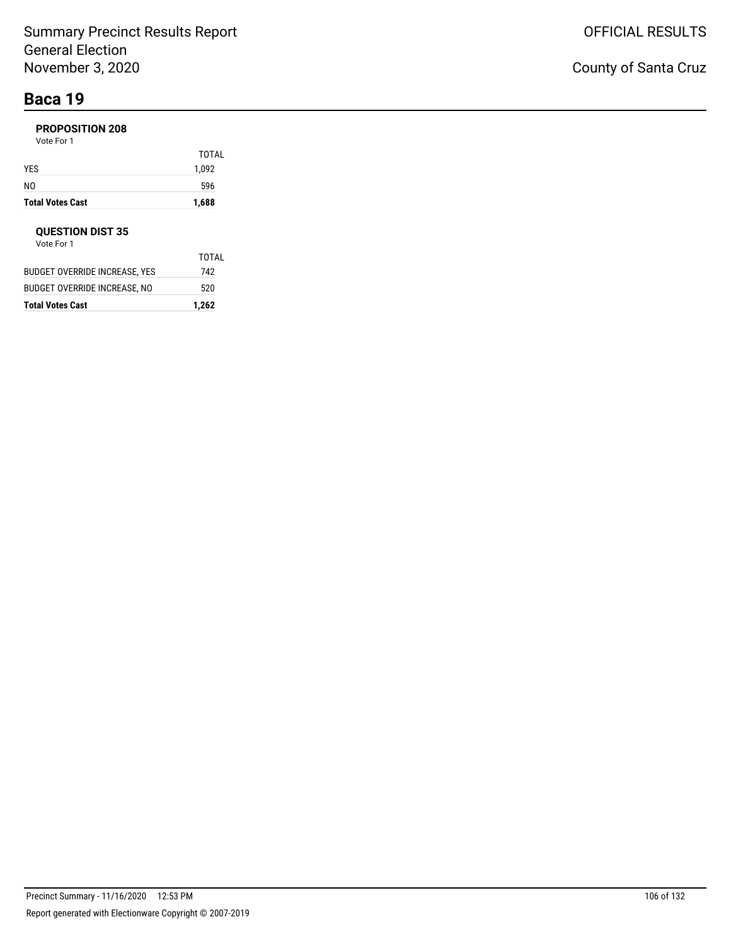# **Baca 19**

### **PROPOSITION 208**

Vote For 1

| <b>Total Votes Cast</b> | 1,688 |
|-------------------------|-------|
| NO                      | 596   |
| YES                     | 1,092 |
|                         | TOTAL |

#### **QUESTION DIST 35**

| <b>Total Votes Cast</b>       | 1,262 |
|-------------------------------|-------|
| BUDGET OVERRIDE INCREASE, NO  | 520   |
| BUDGET OVERRIDE INCREASE. YES | 742   |
|                               | TOTAL |
| Vote For 1                    |       |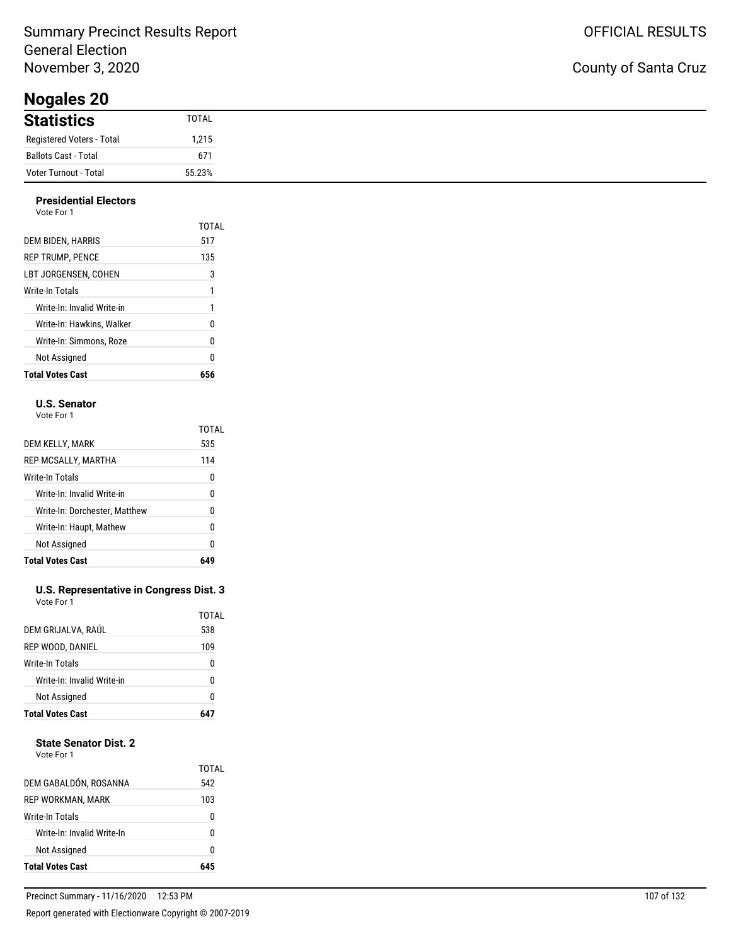**Nogales 20**

### County of Santa Cruz

| $110$ guico $-9$          |        |
|---------------------------|--------|
| <b>Statistics</b>         | TOTAL  |
| Registered Voters - Total | 1,215  |
| Ballots Cast - Total      | 671    |
| Voter Turnout - Total     | 55.23% |

#### **Presidential Electors** Vote For 1

| <b>Total Votes Cast</b>    | 656   |
|----------------------------|-------|
| Not Assigned               | 0     |
| Write-In: Simmons. Roze    | 0     |
| Write-In: Hawkins. Walker  | 0     |
| Write-In: Invalid Write-in | 1     |
| Write-In Totals            | 1     |
| LBT JORGENSEN. COHEN       | 3     |
| <b>REP TRUMP, PENCE</b>    | 135   |
| DEM BIDEN, HARRIS          | 517   |
|                            | TOTAL |
| , , , , , , , , ,          |       |

#### **U.S. Senator**

Vote For 1

|                               | TOTAL |
|-------------------------------|-------|
| DEM KELLY, MARK               | 535   |
| REP MCSALLY, MARTHA           | 114   |
| Write-In Totals               | 0     |
| Write-In: Invalid Write-in    | 0     |
| Write-In: Dorchester, Matthew | 0     |
| Write-In: Haupt, Mathew       | 0     |
| Not Assigned                  | 0     |
| <b>Total Votes Cast</b>       |       |

#### **U.S. Representative in Congress Dist. 3** Vote For 1

| <b>Not Assigned</b>        | 0            |
|----------------------------|--------------|
| Write-In: Invalid Write-in | U            |
| Write-In Totals            | 0            |
| REP WOOD, DANIEL           | 109          |
| DEM GRIJALVA, RAÚL         | TOTAL<br>538 |

#### **State Senator Dist. 2**

| Vote For 1 |  |
|------------|--|
|            |  |

| Not Assigned               | 0            |
|----------------------------|--------------|
| Write-In: Invalid Write-In | n            |
| Write-In Totals            | 0            |
| REP WORKMAN, MARK          | 103          |
| DEM GABALDÓN, ROSANNA      | TOTAL<br>542 |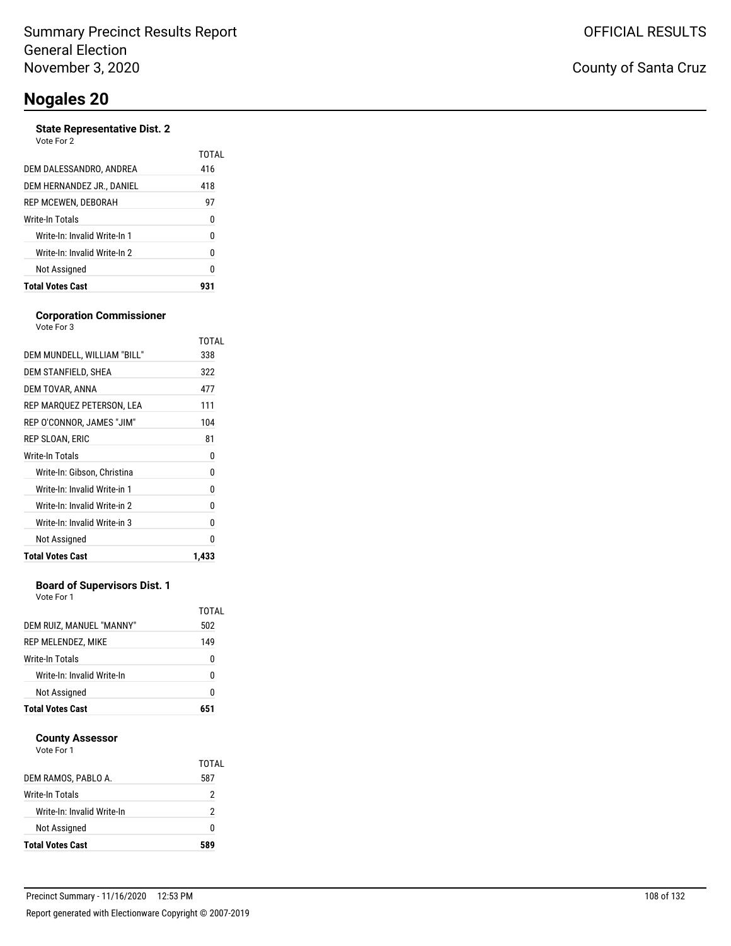#### **State Representative Dist. 2** Vote For 2

|                              | TOTAI |
|------------------------------|-------|
| DEM DALESSANDRO, ANDREA      | 416   |
| DEM HERNANDEZ JR., DANIEL    | 418   |
| REP MCEWEN, DEBORAH          | 97    |
| Write-In Totals              | 0     |
| Write-In: Invalid Write-In 1 | 0     |
| Write-In: Invalid Write-In 2 | 0     |
| Not Assigned                 | 0     |
| <b>Total Votes Cast</b>      |       |

#### **Corporation Commissioner**

| Vote For 3                   |       |
|------------------------------|-------|
|                              | TOTAL |
| DEM MUNDELL, WILLIAM "BILL"  | 338   |
| DEM STANFIELD, SHEA          | 322   |
| DEM TOVAR, ANNA              | 477   |
| REP MARQUEZ PETERSON, LEA    | 111   |
| REP O'CONNOR, JAMES "JIM"    | 104   |
| REP SLOAN, ERIC              | 81    |
| Write-In Totals              | 0     |
| Write-In: Gibson, Christina  | 0     |
| Write-In: Invalid Write-in 1 | 0     |
| Write-In: Invalid Write-in 2 | 0     |
| Write-In: Invalid Write-in 3 | 0     |
| Not Assigned                 | U     |
| <b>Total Votes Cast</b>      | 1,433 |

#### **Board of Supervisors Dist. 1**

Vote For 1

| DEM RUIZ, MANUEL "MANNY"   | TOTAL<br>502 |
|----------------------------|--------------|
| REP MELENDEZ, MIKE         | 149          |
| Write-In Totals            | 0            |
| Write-In: Invalid Write-In | N            |
| Not Assigned               | 0            |
| <b>Total Votes Cast</b>    | 651          |

#### **County Assessor**

| DEM RAMOS, PABLO A.        | TOTAI<br>587 |
|----------------------------|--------------|
| Write-In Totals            | 2            |
| Write-In: Invalid Write-In | 2            |
| Not Assigned               | n            |
| <b>Total Votes Cast</b>    | 589          |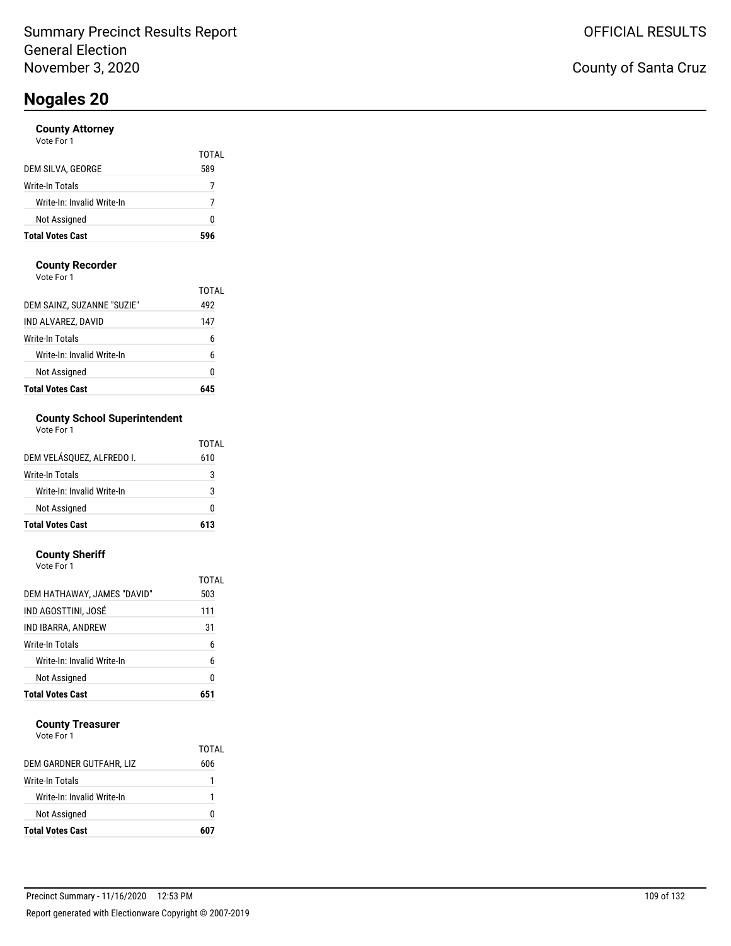### **County Attorney**

|                            | TOTAL |
|----------------------------|-------|
| DEM SILVA, GEORGE          | 589   |
| Write-In Totals            |       |
| Write-In: Invalid Write-In |       |
| Not Assigned               | 0     |
| <b>Total Votes Cast</b>    | 596   |

### **County Recorder**

Vote For 1

| <b>Total Votes Cast</b>    |              |
|----------------------------|--------------|
| Not Assigned               | Ω            |
| Write-In: Invalid Write-In | 6            |
| Write-In Totals            | 6            |
| IND ALVAREZ, DAVID         | 147          |
| DEM SAINZ, SUZANNE "SUZIE" | TOTAI<br>492 |

## **County School Superintendent**

| Vote For 1 |  |
|------------|--|
|------------|--|

| <b>Total Votes Cast</b>    | 613   |
|----------------------------|-------|
| Not Assigned               | ŋ     |
| Write-In: Invalid Write-In | 3     |
| Write-In Totals            | 3     |
| DEM VELÁSQUEZ, ALFREDO I.  | 610   |
|                            | TOTAL |

#### **County Sheriff**

| <b>Total Votes Cast</b>     | 651   |
|-----------------------------|-------|
| Not Assigned                | 0     |
| Write-In: Invalid Write-In  | 6     |
| Write-In Totals             | 6     |
| IND IBARRA, ANDREW          | 31    |
| IND AGOSTTINI, JOSÉ         | 111   |
| DEM HATHAWAY, JAMES "DAVID" | 503   |
|                             | TOTAL |
| Vote For 1                  |       |

### **County Treasurer**

| <b>Total Votes Cast</b>    | 607   |
|----------------------------|-------|
| Not Assigned               | 0     |
| Write-In: Invalid Write-In |       |
| Write-In Totals            |       |
| DEM GARDNER GUTFAHR, LIZ   | 606   |
|                            | TOTAL |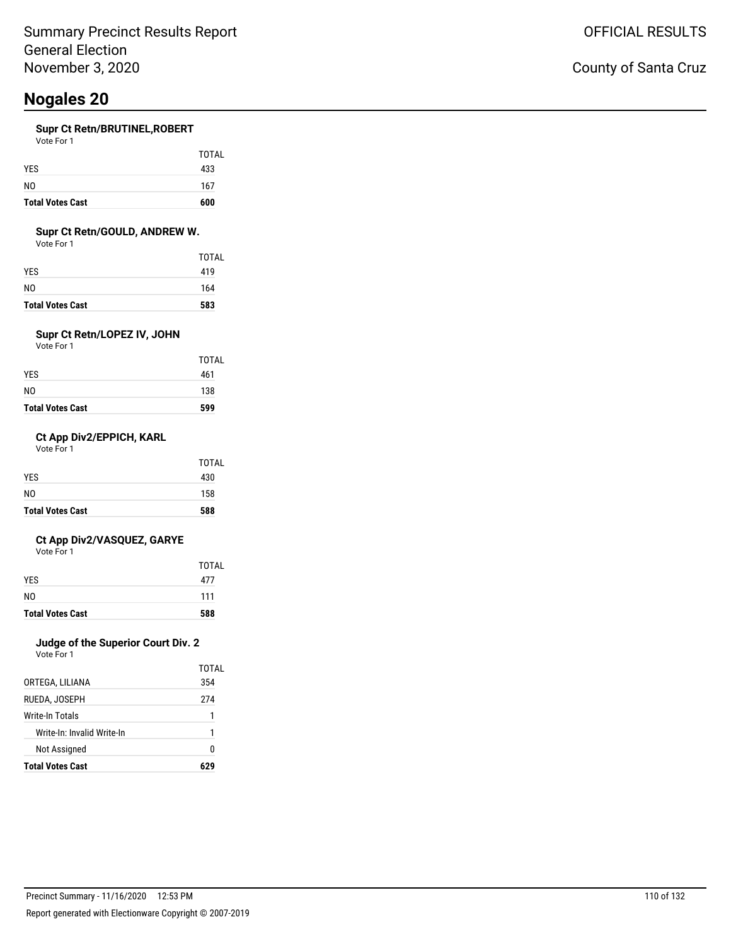#### **Supr Ct Retn/BRUTINEL,ROBERT**

| <b>Total Votes Cast</b> | 600   |
|-------------------------|-------|
| N <sub>0</sub>          | 167   |
| <b>YES</b>              | 433   |
|                         | TOTAL |

### **Supr Ct Retn/GOULD, ANDREW W.**

Vote For 1

| <b>Total Votes Cast</b> | 583   |
|-------------------------|-------|
| NO                      | 164   |
| YES.                    | 419   |
|                         | TOTAL |

## **Supr Ct Retn/LOPEZ IV, JOHN**

Vote For 1

| <b>Total Votes Cast</b> | 599   |
|-------------------------|-------|
| NO                      | 138   |
| YES.                    | 461   |
|                         | TOTAL |

### **Ct App Div2/EPPICH, KARL**

Vote For 1

| <b>Total Votes Cast</b> | 588   |
|-------------------------|-------|
| N <sub>0</sub>          | 158   |
| <b>YES</b>              | 430   |
|                         | TOTAL |

### **Ct App Div2/VASQUEZ, GARYE**

Vote For 1

|                         | TOTAL |
|-------------------------|-------|
| <b>YES</b>              | 477   |
| N <sub>0</sub>          | 111   |
| <b>Total Votes Cast</b> | 588   |

## **Judge of the Superior Court Div. 2**

| <b>Total Votes Cast</b>    | 67.   |
|----------------------------|-------|
| Not Assigned               | N     |
| Write-In: Invalid Write-In | 1     |
| Write-In Totals            | 1     |
| RUEDA, JOSEPH              | 274   |
| ORTEGA, LILIANA            | 354   |
|                            | TOTAI |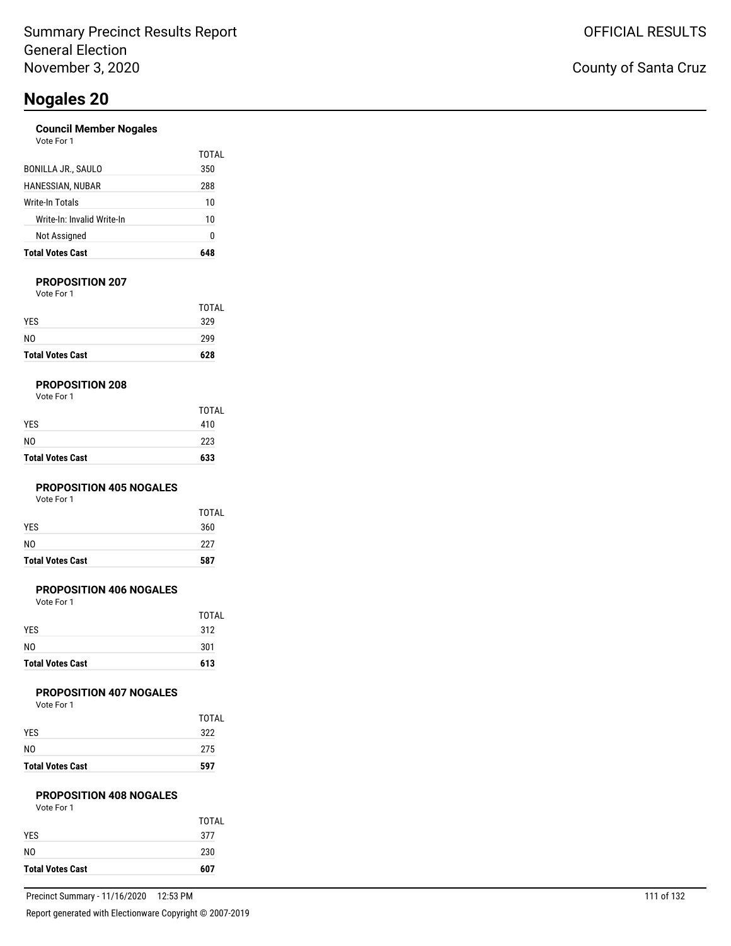### **Council Member Nogales**

| Vote For 1 |  |
|------------|--|
|            |  |

| <b>Total Votes Cast</b>    |       |
|----------------------------|-------|
| Not Assigned               | 0     |
| Write-In: Invalid Write-In | 10    |
| Write-In Totals            | 10    |
| HANESSIAN, NUBAR           | 288   |
| BONILLA JR., SAULO         | 350   |
|                            | TOTAI |

### **PROPOSITION 207**

Vote For 1

| <b>Total Votes Cast</b> | 628          |
|-------------------------|--------------|
| N <sub>0</sub>          | 299          |
| <b>YES</b>              | 329          |
|                         | <b>TOTAL</b> |

### **PROPOSITION 208**

| Vote For 1 |  |  |  |
|------------|--|--|--|
|------------|--|--|--|

| <b>Total Votes Cast</b> | 633          |
|-------------------------|--------------|
| NO                      | 223          |
| YES                     | 410          |
|                         | <b>TOTAL</b> |

### **PROPOSITION 405 NOGALES**

Vote For 1

| <b>Total Votes Cast</b> | 587          |
|-------------------------|--------------|
| NO.                     | 227          |
| <b>YES</b>              | 360          |
|                         | <b>TOTAL</b> |

### **PROPOSITION 406 NOGALES**

Vote For 1

| <b>Total Votes Cast</b> | 613          |
|-------------------------|--------------|
| N <sub>0</sub>          | 301          |
| <b>YES</b>              | 312          |
|                         | <b>TOTAL</b> |

### **PROPOSITION 407 NOGALES**

Vote For 1

| <b>Total Votes Cast</b> | 597          |
|-------------------------|--------------|
| N <sub>0</sub>          | 275          |
| <b>YES</b>              | 322          |
|                         | <b>TOTAL</b> |

### **PROPOSITION 408 NOGALES**

| Vote For 1 |  |
|------------|--|
|            |  |

| <b>Total Votes Cast</b> | 607   |
|-------------------------|-------|
| N <sub>0</sub>          | 230   |
| <b>YES</b>              | 377   |
|                         | TOTAL |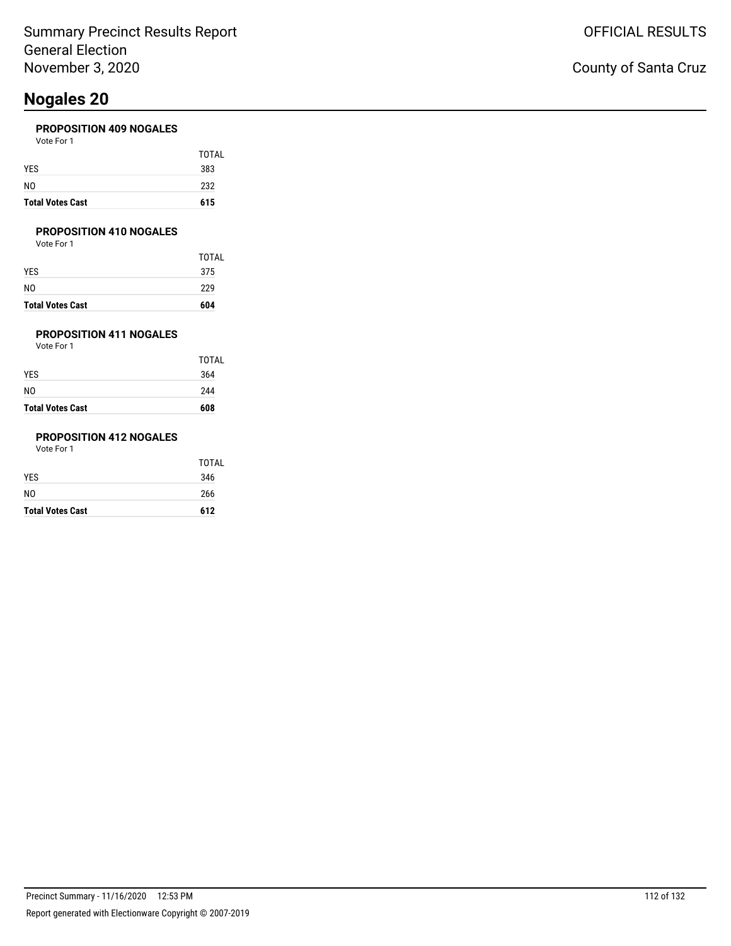### **PROPOSITION 409 NOGALES**

| <b>Total Votes Cast</b> | 615   |
|-------------------------|-------|
| NO                      | 232   |
| <b>YES</b>              | 383   |
|                         | TOTAL |
| Vote For 1              |       |

### **PROPOSITION 410 NOGALES**

Vote For 1

| <b>Total Votes Cast</b> | 604   |
|-------------------------|-------|
| NO                      | 229   |
| YES                     | 375   |
|                         | TOTAL |

## **PROPOSITION 411 NOGALES**

Vote For 1

| <b>Total Votes Cast</b> | 608          |
|-------------------------|--------------|
| NO                      | 244          |
| YES                     | 364          |
|                         | <b>TOTAL</b> |

### **PROPOSITION 412 NOGALES**

| <b>Total Votes Cast</b> | 612          |
|-------------------------|--------------|
| NO                      | 266          |
| YES                     | 346          |
|                         | <b>TOTAL</b> |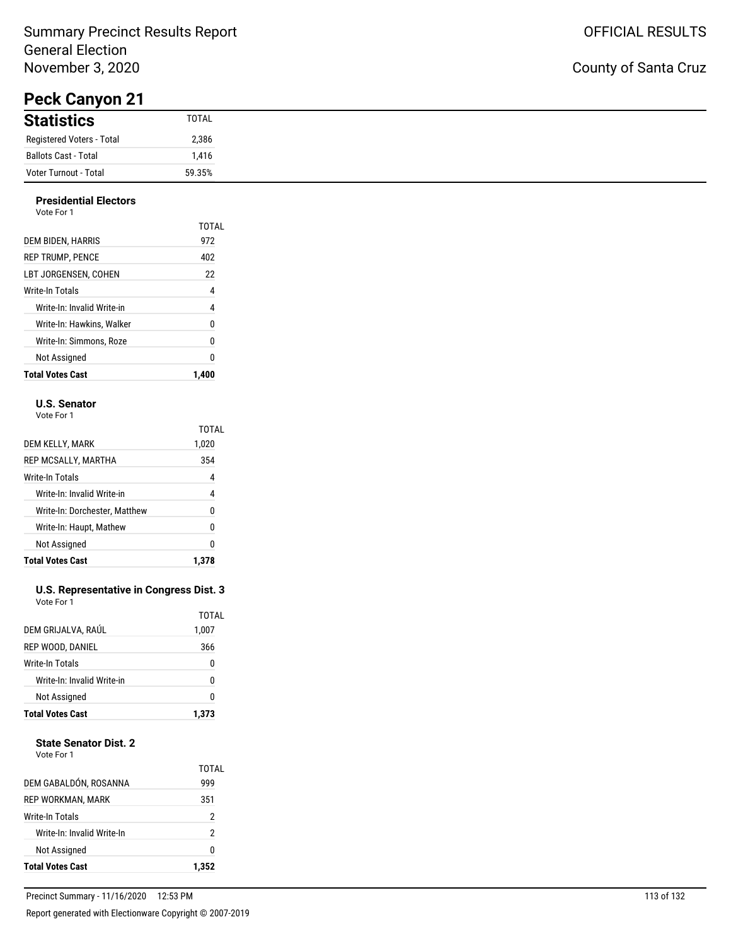## Summary Precinct Results Report General Election November 3, 2020

# **Peck Canyon 21**

### **Presidential Electors**

| .<br>Vote For 1            |       |
|----------------------------|-------|
|                            | TOTAL |
| DEM BIDEN, HARRIS          | 972   |
| <b>REP TRUMP, PENCE</b>    | 402   |
| LBT JORGENSEN. COHEN       | 22    |
| <b>Write-In Totals</b>     | 4     |
| Write-In: Invalid Write-in | 4     |
| Write-In: Hawkins. Walker  | 0     |
| Write-In: Simmons, Roze    | 0     |
| Not Assigned               |       |

**Total Votes Cast 1,400**

### **U.S. Senator**

Vote For 1

|                               | TOTAL |
|-------------------------------|-------|
| DEM KELLY, MARK               | 1,020 |
| REP MCSALLY, MARTHA           | 354   |
| Write-In Totals               | 4     |
| Write-In: Invalid Write-in    | 4     |
| Write-In: Dorchester, Matthew | N     |
| Write-In: Haupt, Mathew       | 0     |
| Not Assigned                  | 0     |
| <b>Total Votes Cast</b>       |       |

#### **U.S. Representative in Congress Dist. 3** Vote For 1

| DEM GRIJALVA, RAÚL         | 1,007 |
|----------------------------|-------|
| REP WOOD, DANIEL           | 366   |
| Write-In Totals            | 0     |
| Write-In: Invalid Write-in | 0     |
| Not Assigned               | 0     |
| <b>Total Votes Cast</b>    | 1.373 |

### **State Senator Dist. 2**

| <b>Total Votes Cast</b>    | 1.352        |
|----------------------------|--------------|
| Not Assigned               | 0            |
| Write-In: Invalid Write-In | 2            |
| Write-In Totals            | 2            |
| REP WORKMAN, MARK          | 351          |
| DEM GABALDÓN, ROSANNA      | TOTAL<br>999 |
|                            |              |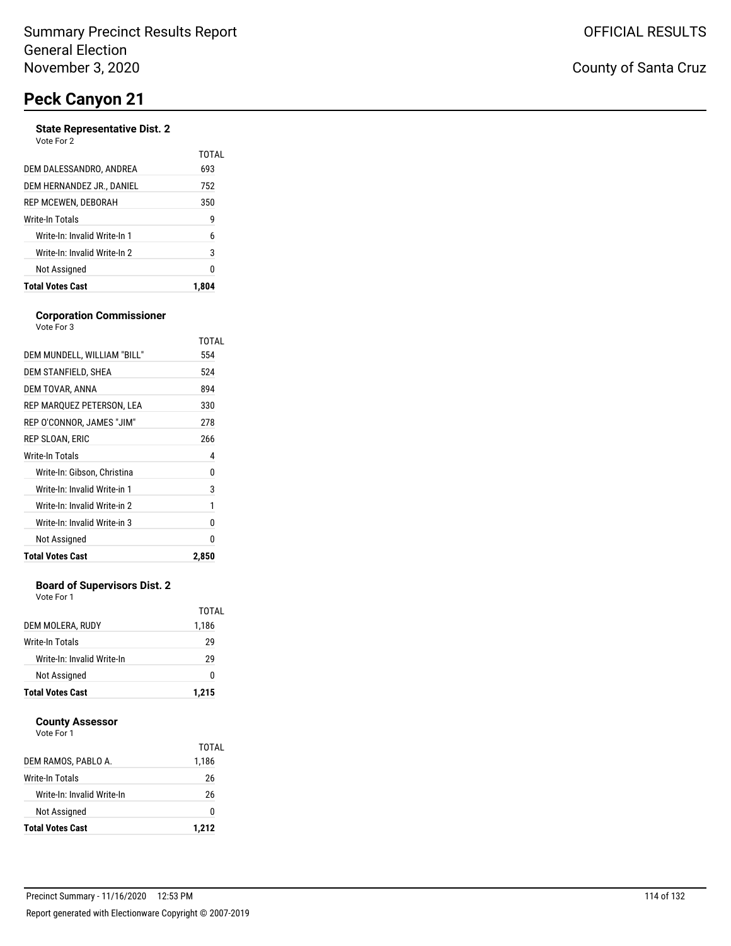#### **State Representative Dist. 2** Vote For 2

| <b>Total Votes Cast</b>      | 1.804        |
|------------------------------|--------------|
| Not Assigned                 | 0            |
| Write-In: Invalid Write-In 2 | 3            |
| Write-In: Invalid Write-In 1 | 6            |
| Write-In Totals              | 9            |
| REP MCEWEN, DEBORAH          | 350          |
| DEM HERNANDEZ JR., DANIEL    | 752          |
| DEM DALESSANDRO. ANDREA      | TOTAL<br>693 |
| <u>vuu vu a</u>              |              |

#### **Corporation Commissioner** Vote For 3

|                              | TOTAL |
|------------------------------|-------|
| DEM MUNDELL, WILLIAM "BILL"  | 554   |
| DEM STANFIELD, SHEA          | 524   |
| DEM TOVAR, ANNA              | 894   |
| REP MARQUEZ PETERSON, LEA    | 330   |
| REP O'CONNOR, JAMES "JIM"    | 278   |
| REP SLOAN, ERIC              | 266   |
| Write-In Totals              | 4     |
| Write-In: Gibson, Christina  | 0     |
| Write-In: Invalid Write-in 1 | 3     |
| Write-In: Invalid Write-in 2 | 1     |
| Write-In: Invalid Write-in 3 | 0     |
| Not Assigned                 | 0     |
| <b>Total Votes Cast</b>      | 2,850 |

### **Board of Supervisors Dist. 2**

Vote For 1

|                            | TOTAL |
|----------------------------|-------|
| DEM MOLERA, RUDY           | 1,186 |
| Write-In Totals            | 29    |
| Write-In: Invalid Write-In | 29    |
| Not Assigned               | n     |
| <b>Total Votes Cast</b>    | 1.215 |

### **County Assessor**

|                            | TOTAL |
|----------------------------|-------|
| DEM RAMOS, PABLO A.        | 1,186 |
| Write-In Totals            | 26    |
| Write-In: Invalid Write-In | 26    |
| Not Assigned               | 0     |
| <b>Total Votes Cast</b>    | 1,212 |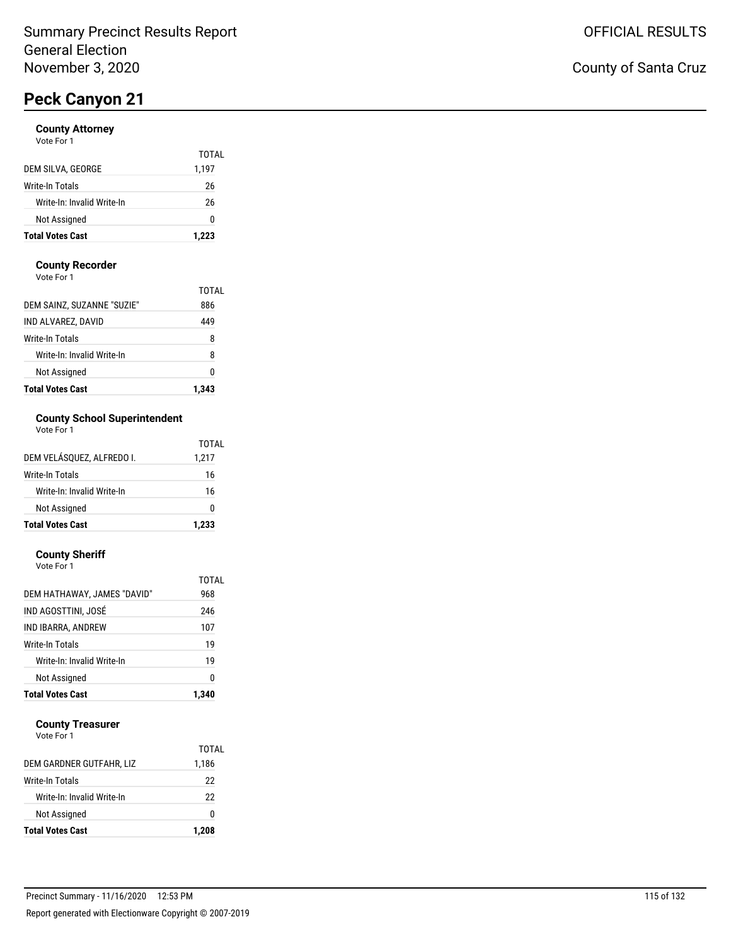#### **County Attorney** ...<br>Pr

| <b>Total Votes Cast</b>    | 1.223 |
|----------------------------|-------|
| Not Assigned               | 0     |
| Write-In: Invalid Write-In | 26    |
| Write-In Totals            | 26    |
| DEM SILVA, GEORGE          | 1,197 |
|                            | TOTAL |
| VOIP FOI T                 |       |

### **County Recorder**

Vote For 1

| <b>Total Votes Cast</b>    | 1.343 |
|----------------------------|-------|
| Not Assigned               | Ω     |
| Write-In: Invalid Write-In | 8     |
| Write-In Totals            | 8     |
| IND ALVAREZ. DAVID         | 449   |
| DEM SAINZ, SUZANNE "SUZIE" | 886   |
|                            | TOTAI |

### **County School Superintendent**

| <b>Total Votes Cast</b>    | 1.233 |
|----------------------------|-------|
| Not Assigned               | ŋ     |
| Write-In: Invalid Write-In | 16    |
| Write-In Totals            | 16    |
| DEM VELÁSQUEZ, ALFREDO I.  | 1,217 |
|                            | TOTAL |

### **County Sheriff**

| Vote For 1 |  |  |
|------------|--|--|
|------------|--|--|

| Not Assigned                | 19<br>0      |
|-----------------------------|--------------|
|                             |              |
| Write-In: Invalid Write-In  |              |
| Write-In Totals             | 19           |
| IND IBARRA, ANDREW          | 107          |
| IND AGOSTTINI, JOSÉ         | 246          |
| DEM HATHAWAY, JAMES "DAVID" | TOTAL<br>968 |

### **County Treasurer**

| <b>Total Votes Cast</b>    | 1,208 |
|----------------------------|-------|
| Not Assigned               | o     |
| Write-In: Invalid Write-In | 22    |
| Write-In Totals            | 22    |
| DEM GARDNER GUTFAHR, LIZ   | 1,186 |
|                            | TOTAL |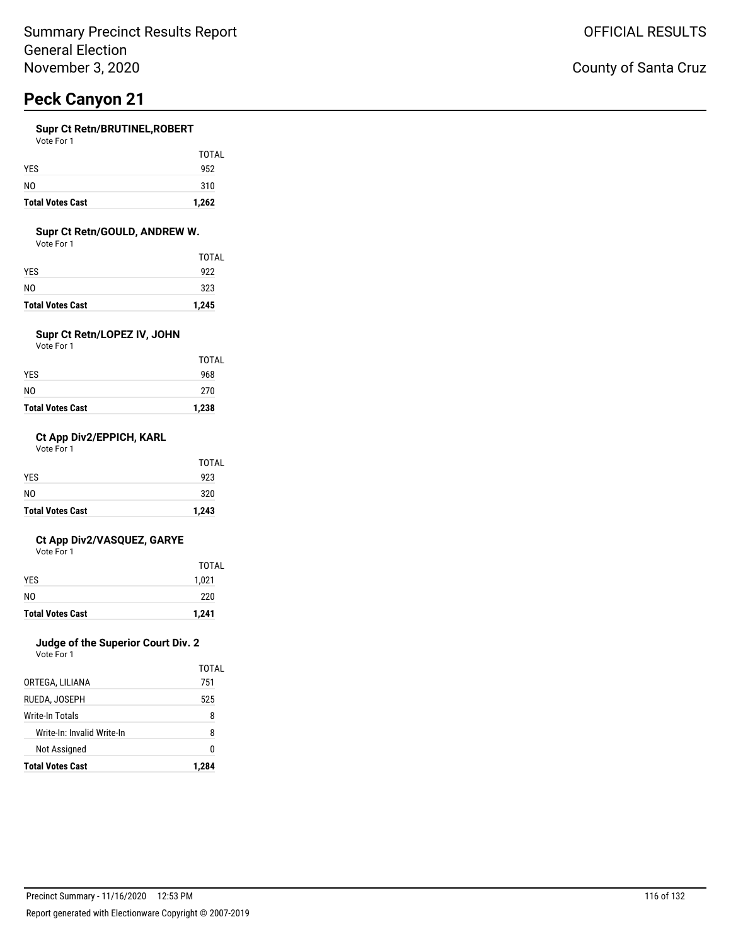### **Supr Ct Retn/BRUTINEL,ROBERT**

| Vote For |  |
|----------|--|
|----------|--|

| <b>Total Votes Cast</b> | 1,262 |
|-------------------------|-------|
| N <sub>0</sub>          | 310   |
| <b>YES</b>              | 952   |
|                         | TOTAL |

### **Supr Ct Retn/GOULD, ANDREW W.**

Vote For 1

| <b>Total Votes Cast</b> | 1,245 |
|-------------------------|-------|
| NO                      | 323   |
| YES.                    | 922   |
|                         | TOTAL |

## **Supr Ct Retn/LOPEZ IV, JOHN**

Vote For 1

| <b>Total Votes Cast</b> | 1,238        |
|-------------------------|--------------|
| NO                      | 270          |
| YES                     | 968          |
|                         | <b>TOTAL</b> |

### **Ct App Div2/EPPICH, KARL**

Vote For 1

| <b>Total Votes Cast</b> | 1,243        |
|-------------------------|--------------|
| N <sub>0</sub>          | 320          |
| <b>YES</b>              | 923          |
|                         | <b>TOTAL</b> |

### **Ct App Div2/VASQUEZ, GARYE**

Vote For 1

| <b>Total Votes Cast</b> | 1,241 |
|-------------------------|-------|
| N <sub>0</sub>          | 220   |
| <b>YES</b>              | 1,021 |
|                         | TOTAL |

## **Judge of the Superior Court Div. 2**

Vote For 1

| <b>Total Votes Cast</b>    | 1,284 |
|----------------------------|-------|
| Not Assigned               | n     |
| Write-In: Invalid Write-In | R     |
| Write-In Totals            | 8     |
| RUEDA. JOSEPH              | 525   |
| ORTEGA, LILIANA            | 751   |
|                            | TOTAL |

## County of Santa Cruz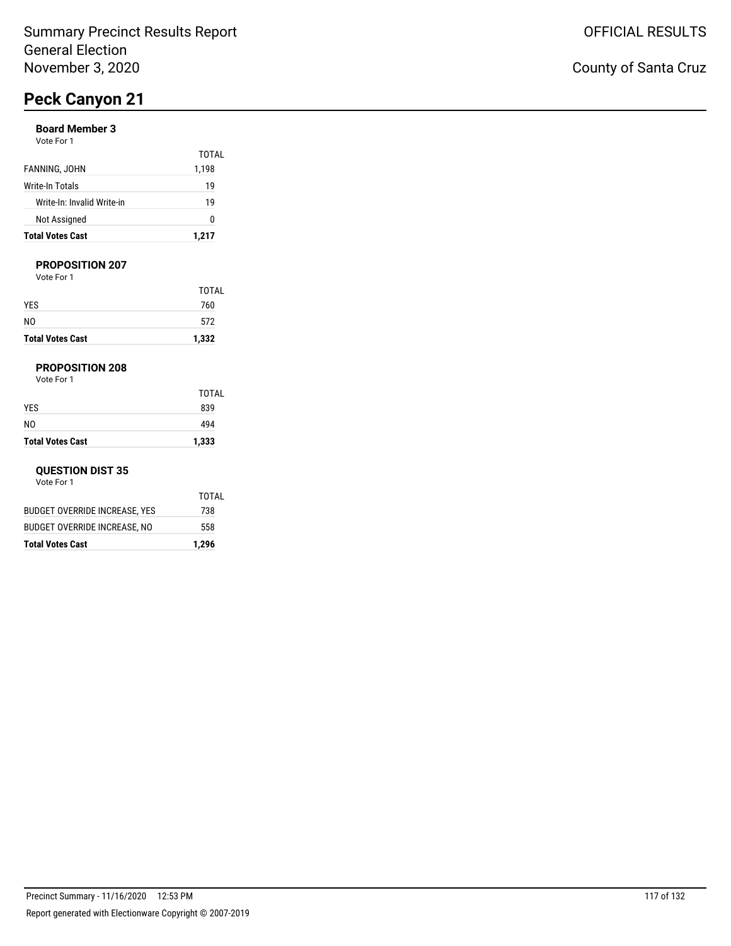### **Board Member 3**

| Vote For 1 |  |
|------------|--|
|------------|--|

| <b>Total Votes Cast</b>    | 1,217 |
|----------------------------|-------|
| Not Assigned               | n     |
| Write-In: Invalid Write-in | 19    |
| Write-In Totals            | 19    |
| FANNING, JOHN              | 1,198 |
|                            | TOTAL |

### **PROPOSITION 207**

Vote For 1

| <b>Total Votes Cast</b> | 1,332 |
|-------------------------|-------|
| NO                      | 572   |
| YES                     | 760   |
|                         | TOTAL |

### **PROPOSITION 208**

Vote For 1

|                         | <b>TOTAL</b> |
|-------------------------|--------------|
| YES                     | 839          |
| NO                      | 494          |
| <b>Total Votes Cast</b> | 1,333        |

#### **QUESTION DIST 35**

| <b>Total Votes Cast</b>       | 1,296 |
|-------------------------------|-------|
| BUDGET OVERRIDE INCREASE, NO  | 558   |
| BUDGET OVERRIDE INCREASE, YES | 738   |
|                               | TOTAI |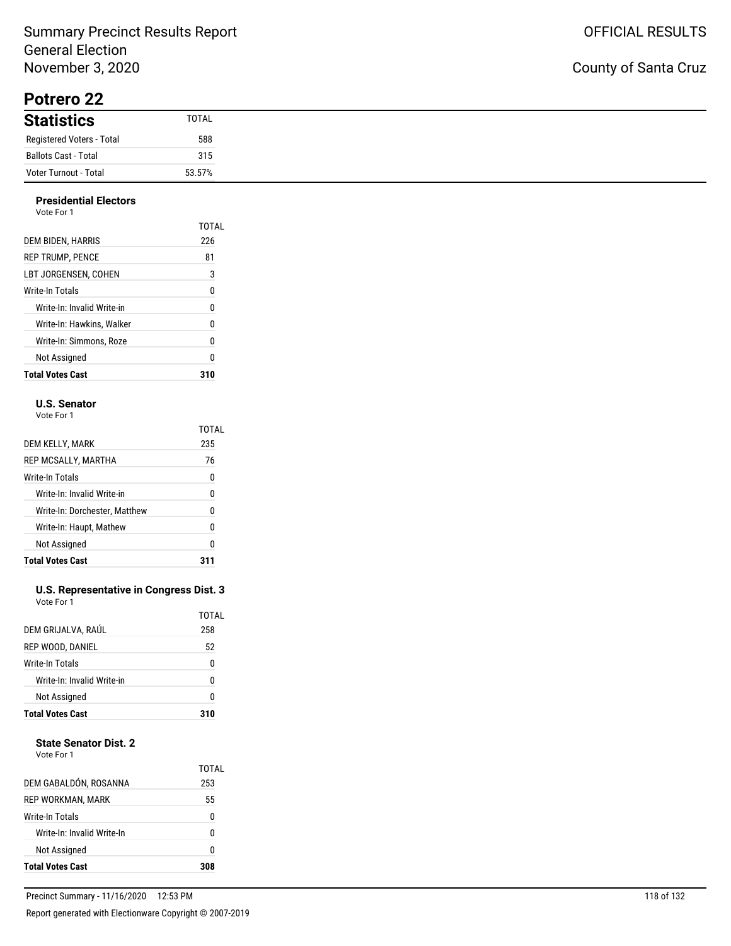## Summary Precinct Results Report General Election November 3, 2020

**Potrero 22**

| <b>Statistics</b>         | <b>TOTAL</b> |
|---------------------------|--------------|
| Registered Voters - Total | 588          |
| Ballots Cast - Total      | 315          |
| Voter Turnout - Total     | 53.57%       |

#### **Presidential Electors** Vote For 1

| <b>Total Votes Cast</b>    | 310   |
|----------------------------|-------|
| Not Assigned               | 0     |
| Write-In: Simmons. Roze    | 0     |
| Write-In: Hawkins. Walker  | 0     |
| Write-In: Invalid Write-in | 0     |
| Write-In Totals            | 0     |
| LBT JORGENSEN. COHEN       | 3     |
| <b>REP TRUMP, PENCE</b>    | 81    |
| DEM BIDEN, HARRIS          | 226   |
| .                          | TOTAL |

### **U.S. Senator**

Vote For 1

|                               | TOTAL |
|-------------------------------|-------|
| DEM KELLY, MARK               | 235   |
| REP MCSALLY, MARTHA           | 76    |
| Write-In Totals               | 0     |
| Write-In: Invalid Write-in    | 0     |
| Write-In: Dorchester, Matthew | N     |
| Write-In: Haupt, Mathew       | 0     |
| Not Assigned                  | 0     |
| <b>Total Votes Cast</b>       |       |

#### **U.S. Representative in Congress Dist. 3** Vote For 1

| <b>Total Votes Cast</b>    | 310          |
|----------------------------|--------------|
| Not Assigned               | 0            |
| Write-In: Invalid Write-in | U            |
| Write-In Totals            | 0            |
| REP WOOD, DANIEL           | 52           |
| DEM GRIJALVA, RAÚL         | TOTAL<br>258 |
|                            |              |

### **State Senator Dist. 2**

| Vote For 1 |  |
|------------|--|
|            |  |

| DEM GABALDÓN, ROSANNA<br>REP WORKMAN, MARK<br>Write-In Totals<br>Write-In: Invalid Write-In<br>Not Assigned | 308          |
|-------------------------------------------------------------------------------------------------------------|--------------|
|                                                                                                             | 0            |
|                                                                                                             | n            |
|                                                                                                             | 0            |
|                                                                                                             | 55           |
|                                                                                                             | TOTAI<br>253 |

L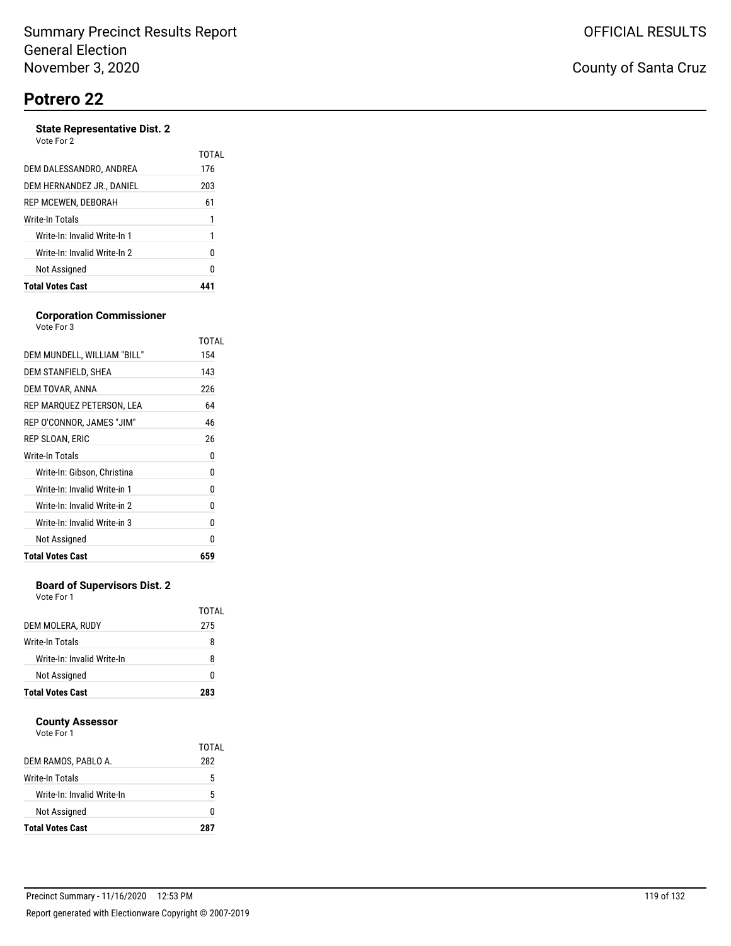#### **State Representative Dist. 2** Vote For 2

| <b>Total Votes Cast</b>      |       |
|------------------------------|-------|
| Not Assigned                 | 0     |
| Write-In: Invalid Write-In 2 | 0     |
| Write-In: Invalid Write-In 1 | 1     |
| Write-In Totals              | 1     |
| REP MCEWEN, DEBORAH          | 61    |
| DEM HERNANDEZ JR., DANIEL    | 203   |
| DEM DALESSANDRO, ANDREA      | 176   |
| VULCIUI <i>L</i>             | TOTAL |

#### **Corporation Commissioner** Vote For 3

|                              | TOTAL |
|------------------------------|-------|
| DEM MUNDELL, WILLIAM "BILL"  | 154   |
| DEM STANFIELD, SHEA          | 143   |
| DEM TOVAR, ANNA              | 226   |
| REP MARQUEZ PETERSON, LEA    | 64    |
| REP O'CONNOR, JAMES "JIM"    | 46    |
| REP SLOAN, ERIC              | 26    |
| Write-In Totals              | 0     |
| Write-In: Gibson, Christina  | 0     |
| Write-In: Invalid Write-in 1 | 0     |
| Write-In: Invalid Write-in 2 | 0     |
| Write-In: Invalid Write-in 3 | 0     |
| Not Assigned                 | N     |
| <b>Total Votes Cast</b>      | 659   |

### **Board of Supervisors Dist. 2**

Vote For 1

|                            | TOTAI |
|----------------------------|-------|
| DEM MOLERA, RUDY           | 275   |
| Write-In Totals            | 8     |
| Write-In: Invalid Write-In | 8     |
| Not Assigned               | O     |
| <b>Total Votes Cast</b>    | 283   |

### **County Assessor**

|                            | TOTAI |
|----------------------------|-------|
| DEM RAMOS, PABLO A.        | 282   |
| Write-In Totals            | 5     |
| Write-In: Invalid Write-In | 5     |
| Not Assigned               | n     |
| <b>Total Votes Cast</b>    | 287   |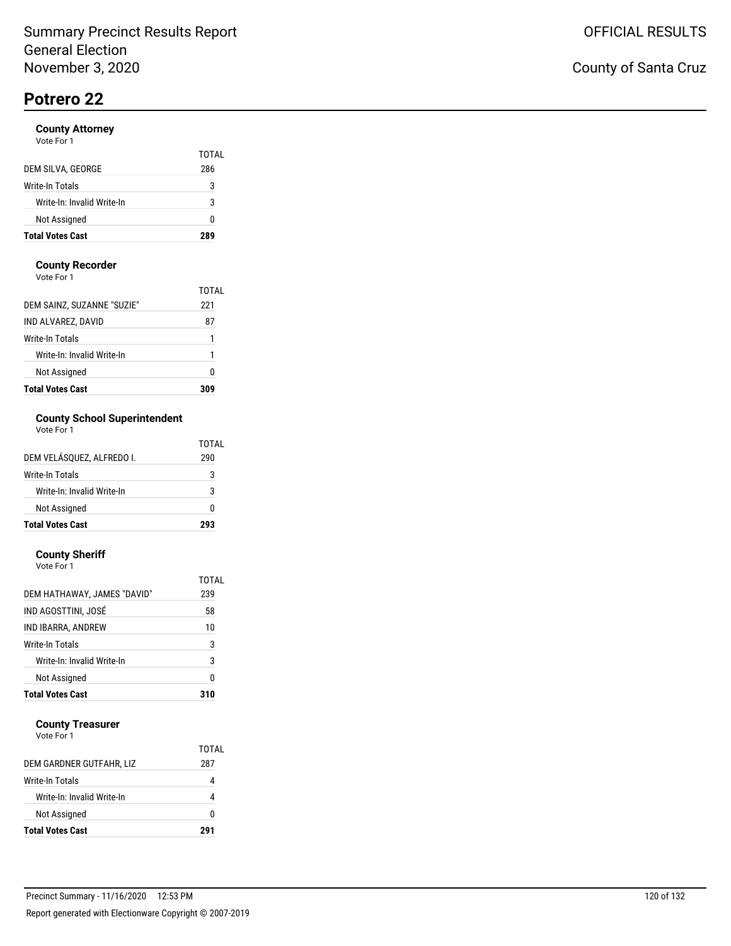### **County Attorney**

| <b>Total Votes Cast</b>    | 289   |
|----------------------------|-------|
| Not Assigned               | ŋ     |
| Write-In: Invalid Write-In | 3     |
| Write-In Totals            | 3     |
| DEM SILVA, GEORGE          | 286   |
|                            | TOTAL |
| Vote For 1                 |       |

### **County Recorder**

Vote For 1

| <b>Total Votes Cast</b>    |       |
|----------------------------|-------|
| Not Assigned               | Ω     |
| Write-In: Invalid Write-In | 1     |
| Write-In Totals            | 1     |
| IND ALVAREZ, DAVID         | 87    |
| DEM SAINZ, SUZANNE "SUZIE" | 221   |
|                            | TOTAI |

## **County School Superintendent**

| Vote For 1 |  |
|------------|--|
|------------|--|

|                            | TOTAL |
|----------------------------|-------|
| DEM VELÁSOUEZ. ALFREDO I.  | 290   |
| Write-In Totals            | 3     |
| Write-In: Invalid Write-In | 3     |
| Not Assigned               | n     |
| <b>Total Votes Cast</b>    | 293   |

#### **County Sheriff**

| <b>Total Votes Cast</b>     | 310   |
|-----------------------------|-------|
| Not Assigned                | 0     |
| Write-In: Invalid Write-In  | 3     |
| Write-In Totals             | 3     |
| IND IBARRA, ANDREW          | 10    |
| IND AGOSTTINI, JOSÉ         | 58    |
| DEM HATHAWAY, JAMES "DAVID" | 239   |
|                             | TOTAL |
| Vote For 1                  |       |

### **County Treasurer**

|                            | TOTAL |
|----------------------------|-------|
| DEM GARDNER GUTFAHR, LIZ   | 287   |
| Write-In Totals            |       |
| Write-In: Invalid Write-In |       |
| Not Assigned               | o     |
| <b>Total Votes Cast</b>    | 291   |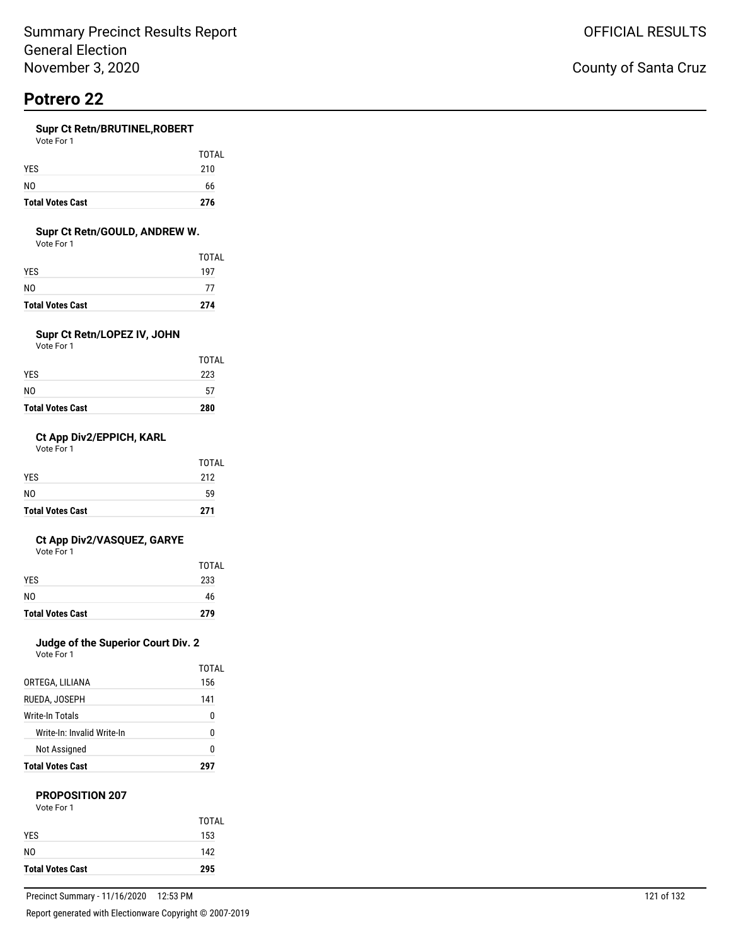### **Supr Ct Retn/BRUTINEL,ROBERT**

| Vote For 1 |  |
|------------|--|
|            |  |

| <b>Total Votes Cast</b> | 276   |
|-------------------------|-------|
| NO.                     | 66    |
| <b>YES</b>              | 210   |
|                         | TOTAL |

### **Supr Ct Retn/GOULD, ANDREW W.**

Vote For 1

| <b>Total Votes Cast</b> | 274   |
|-------------------------|-------|
| NO                      | 77    |
| YES                     | 197   |
|                         | TOTAL |

## **Supr Ct Retn/LOPEZ IV, JOHN**

Vote For 1

| <b>Total Votes Cast</b> | 280   |
|-------------------------|-------|
| NO                      | 57    |
| YES.                    | 223   |
|                         | TOTAL |

### **Ct App Div2/EPPICH, KARL**

Vote For 1

| <b>Total Votes Cast</b> | 271   |
|-------------------------|-------|
| N <sub>0</sub>          | 59    |
| <b>YES</b>              | 212   |
|                         | TOTAL |

### **Ct App Div2/VASQUEZ, GARYE**

Vote For 1

|                         | <b>TOTAL</b> |
|-------------------------|--------------|
| <b>YES</b>              | 233          |
| N <sub>0</sub>          | 46           |
| <b>Total Votes Cast</b> | 279          |

## **Judge of the Superior Court Div. 2**

Vote For 1

| <b>Total Votes Cast</b>    | 297   |
|----------------------------|-------|
| <b>Not Assigned</b>        | N     |
| Write-In: Invalid Write-In | 0     |
| Write-In Totals            | 0     |
| RUEDA. JOSEPH              | 141   |
| ORTEGA, LILIANA            | 156   |
|                            | TOTAI |

### **PROPOSITION 207**

| Vote For 1 |  |
|------------|--|
|            |  |

| <b>Total Votes Cast</b> | 295          |
|-------------------------|--------------|
| NO.                     | 142          |
| <b>YES</b>              | 153          |
|                         | <b>TOTAL</b> |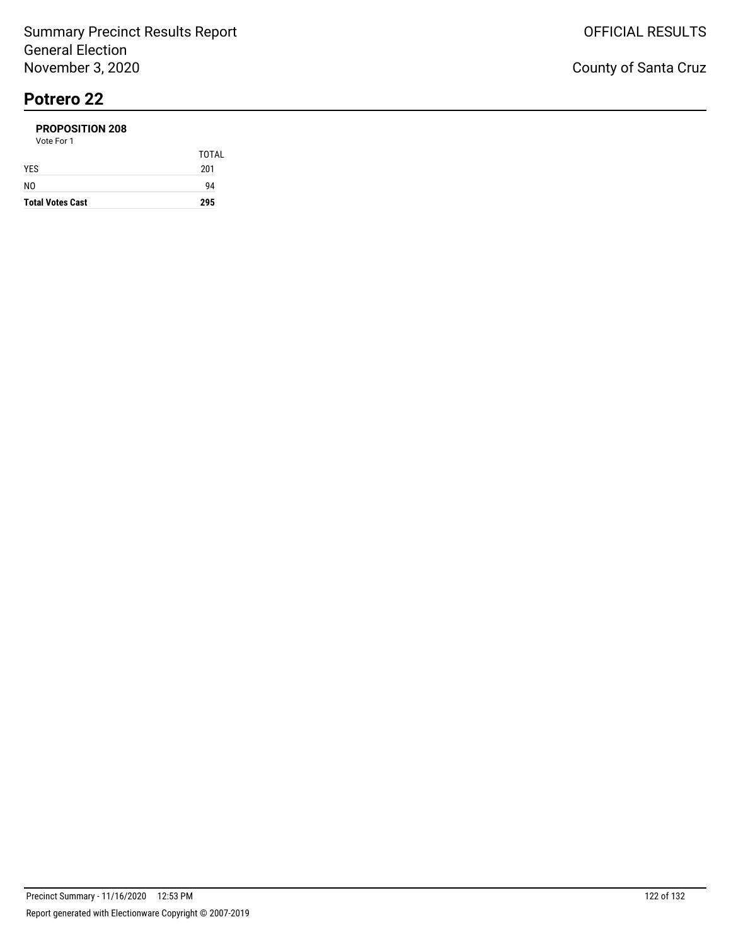#### **PROPOSITION 208** Vote For 1

| <b>Total Votes Cast</b> | 295          |
|-------------------------|--------------|
| NO                      | 94           |
| <b>YES</b>              | 201          |
|                         | <b>TOTAL</b> |
| 1 U U U                 |              |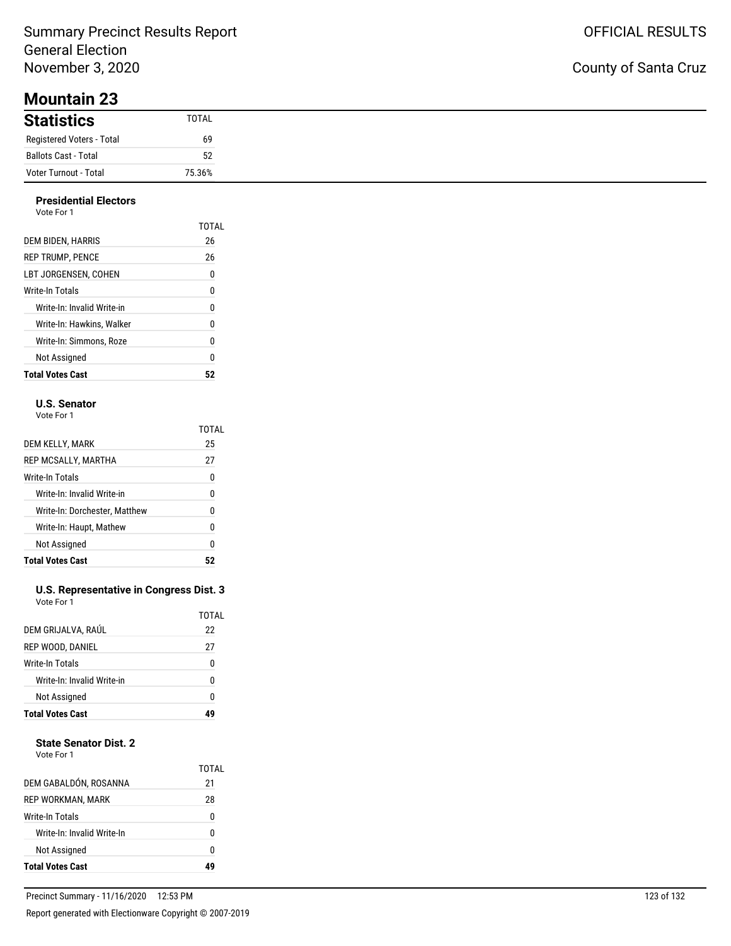## Summary Precinct Results Report General Election November 3, 2020

## County of Santa Cruz

| <b>Statistics</b>         | TOTAL  |
|---------------------------|--------|
| Registered Voters - Total | 69     |
| Ballots Cast - Total      | 52     |
| Voter Turnout - Total     | 75.36% |

#### **Presidential Electors** Vote For 1

| <b>Total Votes Cast</b>    | 52    |
|----------------------------|-------|
| Not Assigned               | 0     |
| Write-In: Simmons. Roze    | 0     |
| Write-In: Hawkins. Walker  | 0     |
| Write-In: Invalid Write-in | 0     |
| Write-In Totals            | 0     |
| LBT JORGENSEN. COHEN       | 0     |
| <b>REP TRUMP, PENCE</b>    | 26    |
| DEM BIDEN, HARRIS          | 26    |
|                            | TOTAL |
| 1 U U U                    |       |

### **U.S. Senator**

Vote For 1

|                               | TOTAL |
|-------------------------------|-------|
| DEM KELLY, MARK               | 25    |
| REP MCSALLY, MARTHA           | 27    |
| Write-In Totals               | 0     |
| Write-In: Invalid Write-in    | 0     |
| Write-In: Dorchester, Matthew | N     |
| Write-In: Haupt, Mathew       | 0     |
| Not Assigned                  | 0     |
| <b>Total Votes Cast</b>       |       |

#### **U.S. Representative in Congress Dist. 3** Vote For 1

|                            | TOTAL |
|----------------------------|-------|
| DEM GRIJALVA, RAÚL         | 22    |
| REP WOOD, DANIEL           | 27    |
| Write-In Totals            | ŋ     |
| Write-In: Invalid Write-in | ŋ     |
| Not Assigned               | ŋ     |
| <b>Total Votes Cast</b>    |       |

### **State Senator Dist. 2**

| Vote For 1 |  |
|------------|--|
|            |  |

| DEM GABALDÓN, ROSANNA<br>REP WORKMAN, MARK<br>Write-In Totals<br>Write-In: Invalid Write-In<br>Not Assigned |             |
|-------------------------------------------------------------------------------------------------------------|-------------|
|                                                                                                             | n           |
|                                                                                                             | n           |
|                                                                                                             | 0           |
|                                                                                                             | 28          |
|                                                                                                             | TOTAL<br>21 |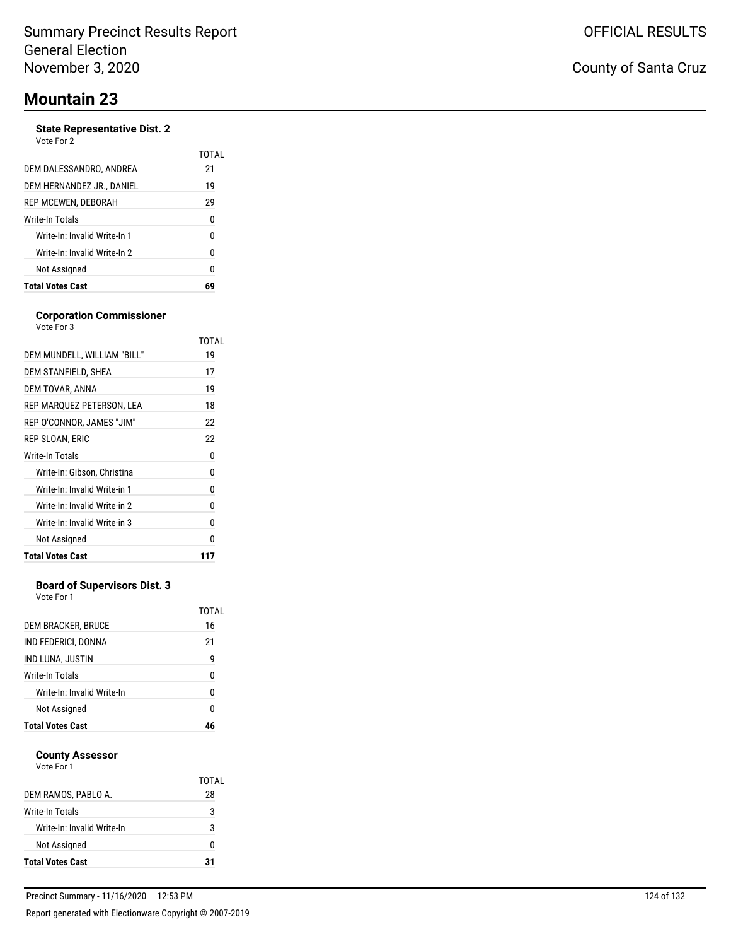### **State Representative Dist. 2**

| Vote For 2 |  |
|------------|--|
|------------|--|

|                              | TOTAL |
|------------------------------|-------|
| DEM DALESSANDRO, ANDREA      | 21    |
| DEM HERNANDEZ JR., DANIEL    | 19    |
| REP MCEWEN, DEBORAH          | 29    |
| Write-In Totals              | 0     |
| Write-In: Invalid Write-In 1 | 0     |
| Write-In: Invalid Write-In 2 | 0     |
| Not Assigned                 | N     |
| <b>Total Votes Cast</b>      |       |

### **Corporation Commissioner**

| Vote For 3                   |       |
|------------------------------|-------|
|                              | TOTAL |
| DEM MUNDELL, WILLIAM "BILL"  | 19    |
| DEM STANFIELD, SHEA          | 17    |
| DEM TOVAR, ANNA              | 19    |
| REP MARQUEZ PETERSON, LEA    | 18    |
| REP O'CONNOR, JAMES "JIM"    | 22    |
| REP SLOAN, ERIC              | 22    |
| Write-In Totals              | 0     |
| Write-In: Gibson, Christina  | 0     |
| Write-In: Invalid Write-in 1 | 0     |
| Write-In: Invalid Write-in 2 | 0     |
| Write-In: Invalid Write-in 3 | 0     |
| Not Assigned                 | U     |
| <b>Total Votes Cast</b>      | 117   |

### **Board of Supervisors Dist. 3**

Vote For 1

| 46          |
|-------------|
| n           |
| 0           |
| 0           |
| 9           |
| 21          |
| TOTAL<br>16 |
|             |

### **County Assessor**

| Vote For 1 |  |
|------------|--|
|            |  |

| <b>Total Votes Cast</b>    | 21    |
|----------------------------|-------|
| Not Assigned               | n     |
| Write-In: Invalid Write-In | 3     |
| Write-In Totals            | 3     |
| DEM RAMOS, PABLO A.        | 28    |
|                            | TOTAL |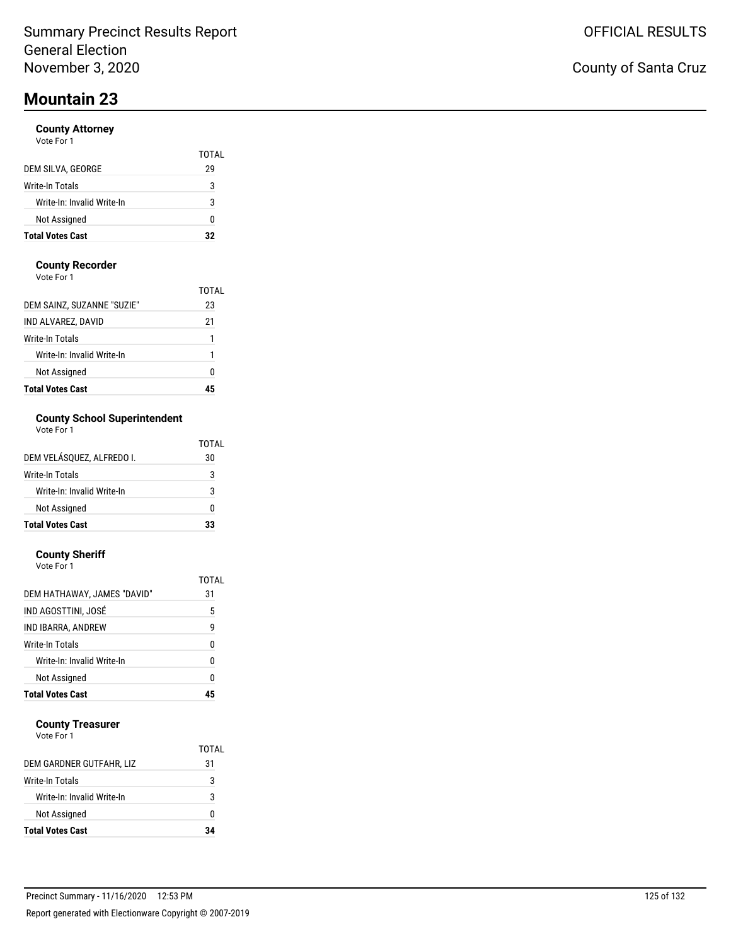### **County Attorney**

| Vote For 1 |  |
|------------|--|
|------------|--|

|                            | TOTAL |
|----------------------------|-------|
| DEM SILVA, GEORGE          | 29    |
| Write-In Totals            | 3     |
| Write-In: Invalid Write-In | 3     |
| Not Assigned               | 0     |
| <b>Total Votes Cast</b>    | 22    |

### **County Recorder**

Vote For 1

| <b>Total Votes Cast</b>    |             |
|----------------------------|-------------|
| Not Assigned               | 0           |
| Write-In: Invalid Write-In | 1           |
| Write-In Totals            | 1           |
| IND ALVAREZ, DAVID         | 21          |
| DEM SAINZ, SUZANNE "SUZIE" | TOTAL<br>23 |

## **County School Superintendent**

| Vote For 1 |  |
|------------|--|
|------------|--|

|                            | TOTAL |
|----------------------------|-------|
| DEM VELÁSOUEZ. ALFREDO I.  | 30    |
| Write-In Totals            | 3     |
| Write-In: Invalid Write-In | 3     |
| Not Assigned               | ŋ     |
| <b>Total Votes Cast</b>    | 33    |

#### **County Sheriff** Vote For 1

| <b>Total Votes Cast</b>     | 45          |
|-----------------------------|-------------|
| Not Assigned                | ۵           |
| Write-In: Invalid Write-In  | 0           |
| Write-In Totals             | 0           |
| IND IBARRA, ANDREW          | 9           |
| IND AGOSTTINI, JOSÉ         | 5           |
| DEM HATHAWAY, JAMES "DAVID" | TOTAL<br>31 |
| <u>vuusi Uit</u>            |             |

### **County Treasurer**

|                            | TOTAI |
|----------------------------|-------|
| DEM GARDNER GUTFAHR, LIZ   | 31    |
| Write-In Totals            | 3     |
| Write-In: Invalid Write-In | 3     |
| Not Assigned               | o     |
| <b>Total Votes Cast</b>    | 34    |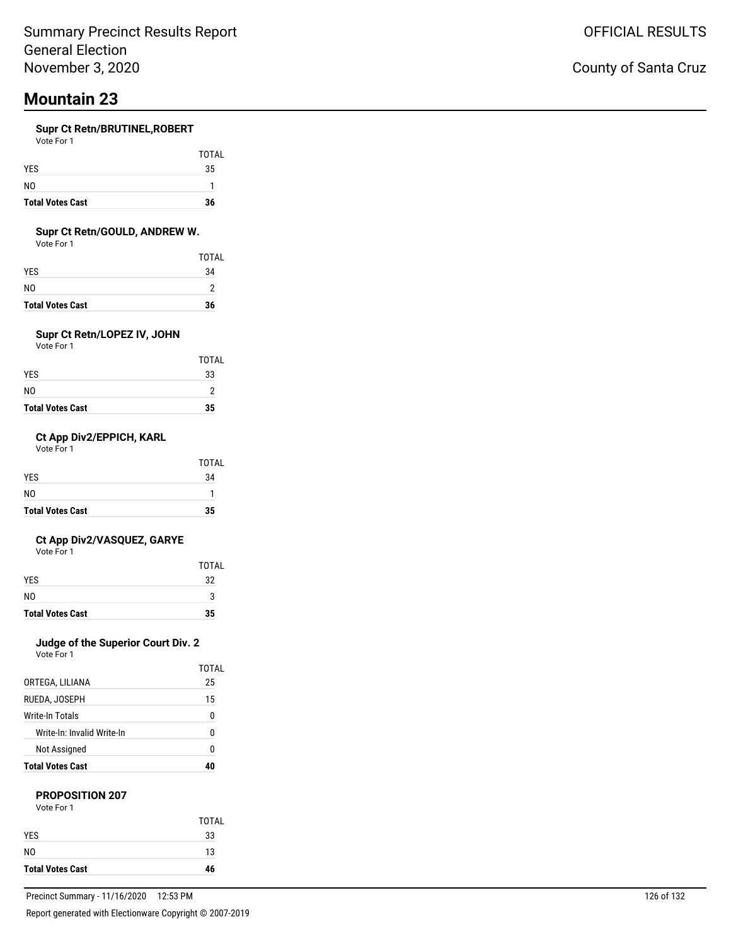#### **Supr Ct Retn/BRUTINEL,ROBERT**  $V_{\alpha+}$

| VOLE FOL I |  |  |
|------------|--|--|
|            |  |  |
|            |  |  |

| <b>Total Votes Cast</b> | 36 |
|-------------------------|----|
| NO.                     |    |
| <b>YES</b>              | 35 |

TOTAL

### **Supr Ct Retn/GOULD, ANDREW W.**

Vote For 1

|                         | <b>TOTAL</b> |
|-------------------------|--------------|
| YES                     | 34           |
| NO                      | っ            |
| <b>Total Votes Cast</b> | 36           |

### **Supr Ct Retn/LOPEZ IV, JOHN**

Vote For 1

| <b>Total Votes Cast</b> | 35           |
|-------------------------|--------------|
| N0                      | っ            |
| YES                     | 33           |
|                         | <b>TOTAL</b> |

### **Ct App Div2/EPPICH, KARL**

Vote For 1

| <b>Total Votes Cast</b> | 35           |
|-------------------------|--------------|
| N <sub>0</sub>          | 1            |
| <b>YES</b>              | 34           |
|                         | <b>TOTAL</b> |

### **Ct App Div2/VASQUEZ, GARYE**

Vote For 1

|                         | <b>TOTAL</b> |
|-------------------------|--------------|
| <b>YES</b>              | 32           |
| N <sub>0</sub>          | ঽ            |
| <b>Total Votes Cast</b> | 35           |

## **Judge of the Superior Court Div. 2**

Vote For 1

| <b>Total Votes Cast</b>    | 40    |
|----------------------------|-------|
| <b>Not Assigned</b>        | N     |
| Write-In: Invalid Write-In | 0     |
| Write-In Totals            | 0     |
| RUEDA. JOSEPH              | 15    |
| ORTEGA, LILIANA            | 25    |
|                            | TOTAL |

# **PROPOSITION 207**

| Vote For 1 |  |  |
|------------|--|--|
|            |  |  |

|                         | <b>TOTAL</b> |
|-------------------------|--------------|
| <b>YES</b>              | 33           |
| N <sub>0</sub>          | 13           |
| <b>Total Votes Cast</b> | 46           |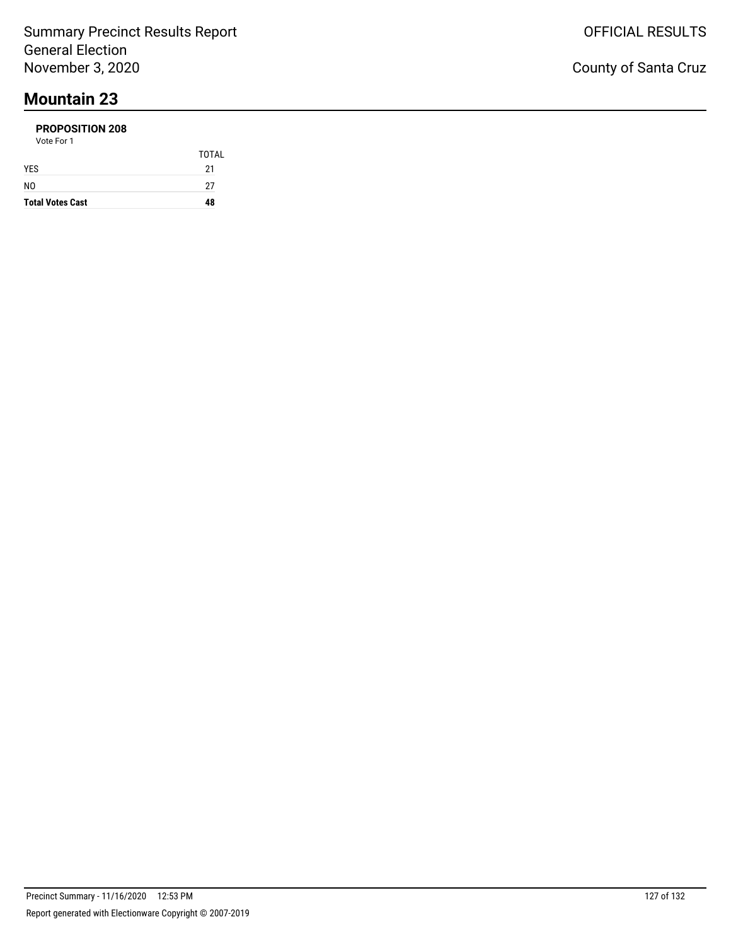#### **PROPOSITION 208** Vote For 1

| <b>Total Votes Cast</b> | 48           |
|-------------------------|--------------|
| NO                      | 27           |
| <b>YES</b>              | 21           |
|                         | <b>TOTAL</b> |
| VULT FUIT               |              |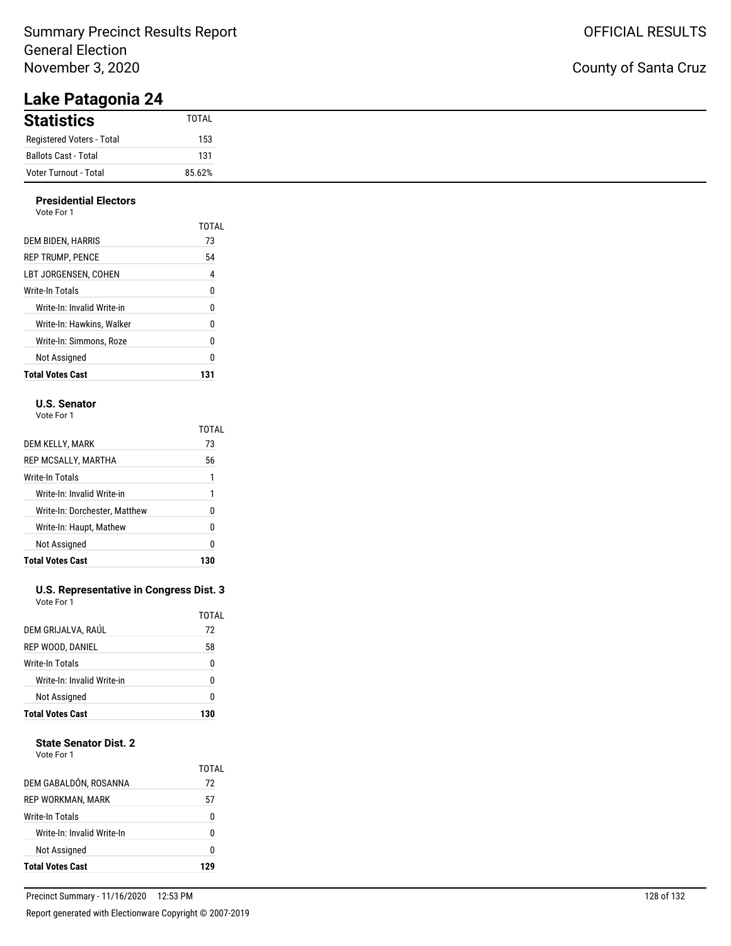## Summary Precinct Results Report General Election November 3, 2020

# **Lake Patagonia 24**

| <b>Statistics</b>           | TOTAL  |
|-----------------------------|--------|
| Registered Voters - Total   | 153    |
| <b>Ballots Cast - Total</b> | 131    |
| Voter Turnout - Total       | 85.62% |

#### **Presidential Electors** Vote For 1

| <b>Total Votes Cast</b>    | 131   |
|----------------------------|-------|
| Not Assigned               | 0     |
| Write-In: Simmons. Roze    | 0     |
| Write-In: Hawkins. Walker  | 0     |
| Write-In: Invalid Write-in | 0     |
| Write-In Totals            | 0     |
| LBT JORGENSEN. COHEN       | 4     |
| <b>REP TRUMP. PENCE</b>    | 54    |
| DEM BIDEN, HARRIS          | 73    |
| VULT FUIT                  | TOTAL |

### **U.S. Senator**

Vote For 1

|                               | TOTAL |
|-------------------------------|-------|
| DEM KELLY, MARK               | 73    |
| REP MCSALLY, MARTHA           | 56    |
| Write-In Totals               | 1     |
| Write-In: Invalid Write-in    | 1     |
| Write-In: Dorchester, Matthew | N     |
| Write-In: Haupt, Mathew       | ŋ     |
| Not Assigned                  | ŋ     |
| <b>Total Votes Cast</b>       | 130   |

#### **U.S. Representative in Congress Dist. 3** Vote For 1

|                            | TOTAL |
|----------------------------|-------|
| DEM GRIJALVA, RAÚL         | 72    |
| REP WOOD, DANIEL           | 58    |
| Write-In Totals            | 0     |
| Write-In: Invalid Write-in | ŋ     |
| Not Assigned               | ŋ     |
| <b>Total Votes Cast</b>    | 130   |

### **State Senator Dist. 2**

| Vote For |  |
|----------|--|
|          |  |

| <b>Total Votes Cast</b>    | 17v         |
|----------------------------|-------------|
| Not Assigned               | U           |
| Write-In: Invalid Write-In | n           |
| Write-In Totals            | 0           |
| REP WORKMAN, MARK          | 57          |
| DEM GABALDÓN, ROSANNA      | TOTAL<br>72 |
|                            |             |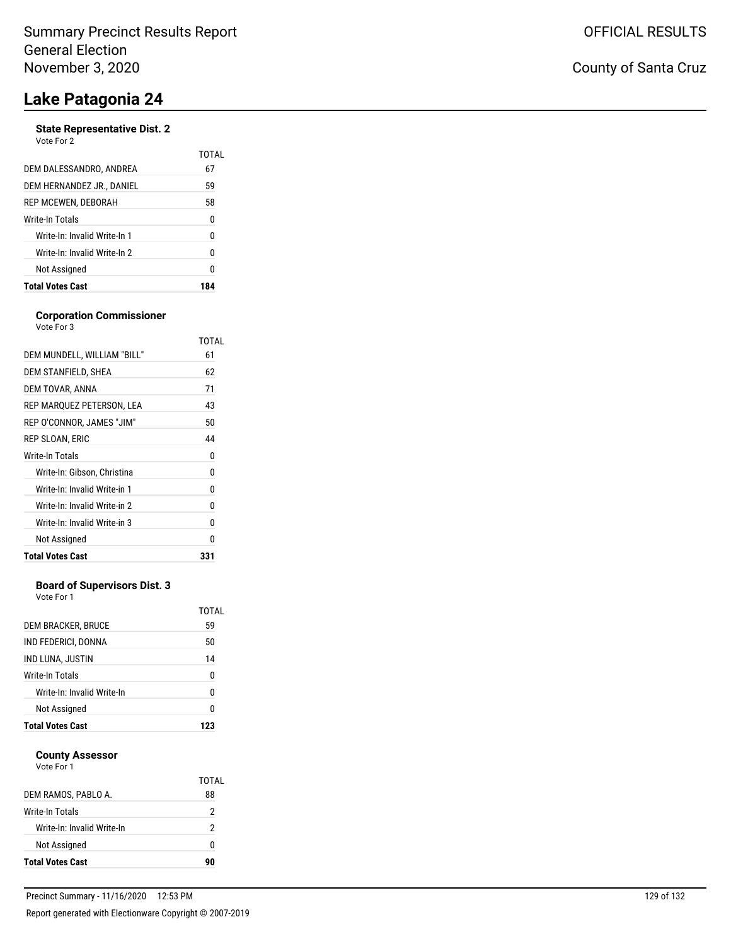#### **State Representative Dist. 2** Vote For 2

| <b>Total Votes Cast</b>      | 184   |
|------------------------------|-------|
| Not Assigned                 | 0     |
| Write-In: Invalid Write-In 2 | 0     |
| Write-In: Invalid Write-In 1 | 0     |
| Write-In Totals              | 0     |
| REP MCEWEN, DEBORAH          | 58    |
| DEM HERNANDEZ JR., DANIEL    | 59    |
| DEM DALESSANDRO. ANDREA      | 67    |
|                              | TOTAI |

#### **Corporation Commissioner** Vote For 3

| DEM MUNDELL, WILLIAM "BILL"<br>DEM STANFIELD, SHEA | 61<br>62 |
|----------------------------------------------------|----------|
|                                                    |          |
|                                                    |          |
| DEM TOVAR, ANNA                                    | 71       |
| REP MARQUEZ PETERSON, LEA                          | 43       |
| REP O'CONNOR, JAMES "JIM"                          | 50       |
| REP SLOAN, ERIC                                    | 44       |
| <b>Write-In Totals</b>                             | 0        |
| Write-In: Gibson, Christina                        | 0        |
| Write-In: Invalid Write-in 1                       | 0        |
| Write-In: Invalid Write-in 2                       | 0        |
| Write-In: Invalid Write-in 3                       | 0        |
| Not Assigned                                       | 0        |
| <b>Total Votes Cast</b>                            | 331      |

### **Board of Supervisors Dist. 3**

Vote For 1

| DEM BRACKER, BRUCE         | TOTAL<br>59 |
|----------------------------|-------------|
| IND FEDERICI, DONNA        | 50          |
| IND LUNA, JUSTIN           | 14          |
| Write-In Totals            | 0           |
| Write-In: Invalid Write-In | n           |
| Not Assigned               | N           |
| <b>Total Votes Cast</b>    |             |

#### **County Assessor** Vote For 1

| Not Assigned               | n     |
|----------------------------|-------|
| Write-In: Invalid Write-In | 2     |
| Write-In Totals            | 2     |
| DEM RAMOS, PABLO A.        | 88    |
| VULT FUIT                  | TOTAL |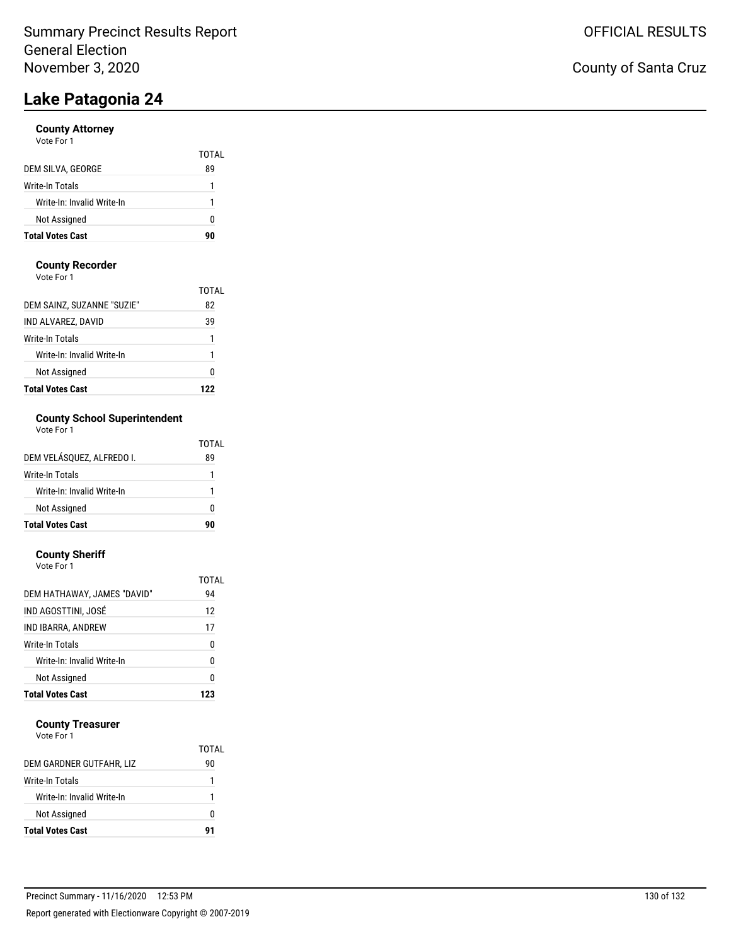### **County Attorney**

| <b>Total Votes Cast</b>    | 90          |
|----------------------------|-------------|
| Not Assigned               | 0           |
| Write-In: Invalid Write-In | 1           |
| Write-In Totals            | 1           |
| DEM SILVA, GEORGE          | TOTAL<br>89 |
| Vote For 1                 |             |

#### **County Recorder**

Vote For 1

| <b>Total Votes Cast</b>    | 177   |
|----------------------------|-------|
| Not Assigned               | 0     |
| Write-In: Invalid Write-In | 1     |
| Write-In Totals            | 1     |
| IND ALVAREZ, DAVID         | 39    |
| DEM SAINZ, SUZANNE "SUZIE" | 82    |
|                            | TOTAL |

## **County School Superintendent**

| Vote For 1 |  |
|------------|--|
|------------|--|

|                            | TOTAL |
|----------------------------|-------|
| DEM VELÁSOUEZ. ALFREDO I.  | 89    |
| Write-In Totals            |       |
| Write-In: Invalid Write-In |       |
| Not Assigned               | n     |
| <b>Total Votes Cast</b>    | 90    |

## **County Sheriff**

| <b>Total Votes Cast</b>     | 123   |
|-----------------------------|-------|
| Not Assigned                | 0     |
| Write-In: Invalid Write-In  | 0     |
| Write-In Totals             | 0     |
| IND IBARRA, ANDREW          | 17    |
| IND AGOSTTINI, JOSÉ         | 12    |
| DEM HATHAWAY, JAMES "DAVID" | 94    |
|                             | TOTAL |
| Vote For 1                  |       |

#### **County Treasurer**

Vote For 1

|                            | TOTAI |
|----------------------------|-------|
| DEM GARDNER GUTFAHR, LIZ   | 90    |
| Write-In Totals            |       |
| Write-In: Invalid Write-In |       |
| Not Assigned               | 0     |
| <b>Total Votes Cast</b>    |       |

## County of Santa Cruz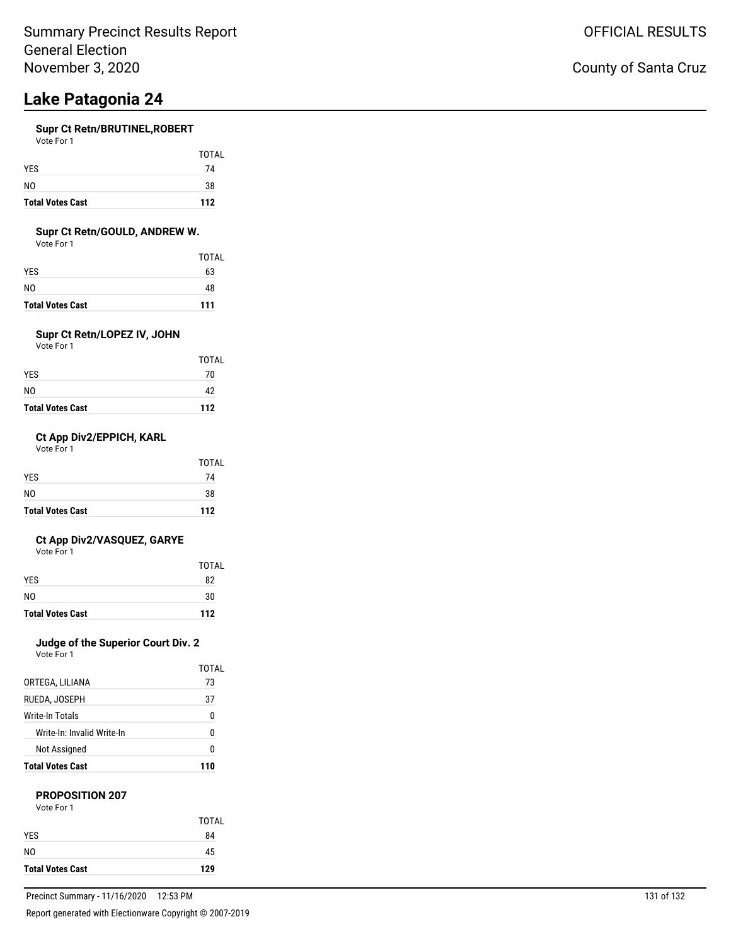### **Supr Ct Retn/BRUTINEL,ROBERT**

| Vote For 1     |              |
|----------------|--------------|
|                | <b>TOTAL</b> |
| <b>YES</b>     | 74           |
| N <sub>0</sub> | 38           |

**Total Votes Cast 112**

### **Supr Ct Retn/GOULD, ANDREW W.**

Vote For 1

|                         | TOTAL |
|-------------------------|-------|
| YES.                    | 63    |
| NO                      | 48    |
| <b>Total Votes Cast</b> | 111   |

### **Supr Ct Retn/LOPEZ IV, JOHN**

Vote For 1

|                         | <b>TOTAL</b> |
|-------------------------|--------------|
| YES                     | 70           |
| NO                      | 42           |
| <b>Total Votes Cast</b> | 112          |

### **Ct App Div2/EPPICH, KARL**

Vote For 1

| <b>Total Votes Cast</b> | 112          |
|-------------------------|--------------|
| N <sub>0</sub>          | 38           |
| <b>YES</b>              | 74           |
|                         | <b>TOTAL</b> |

### **Ct App Div2/VASQUEZ, GARYE**

Vote For 1

|                         | TOTAL |
|-------------------------|-------|
| <b>YES</b>              | 82    |
| N <sub>0</sub>          | 30    |
| <b>Total Votes Cast</b> | 112   |

## **Judge of the Superior Court Div. 2**

Vote For 1

|                            | TOTAL |
|----------------------------|-------|
| ORTEGA, LILIANA            | 73    |
| RUEDA, JOSEPH              | 37    |
| Write-In Totals            | 0     |
| Write-In: Invalid Write-In | N     |
| Not Assigned               | N     |
| <b>Total Votes Cast</b>    | 110   |

### **PROPOSITION 207**

| Vote For 1 |            |
|------------|------------|
|            | <b>TOT</b> |
| YES        | 84         |
|            |            |

NO 45 **Total Votes Cast 129**

TOTAL